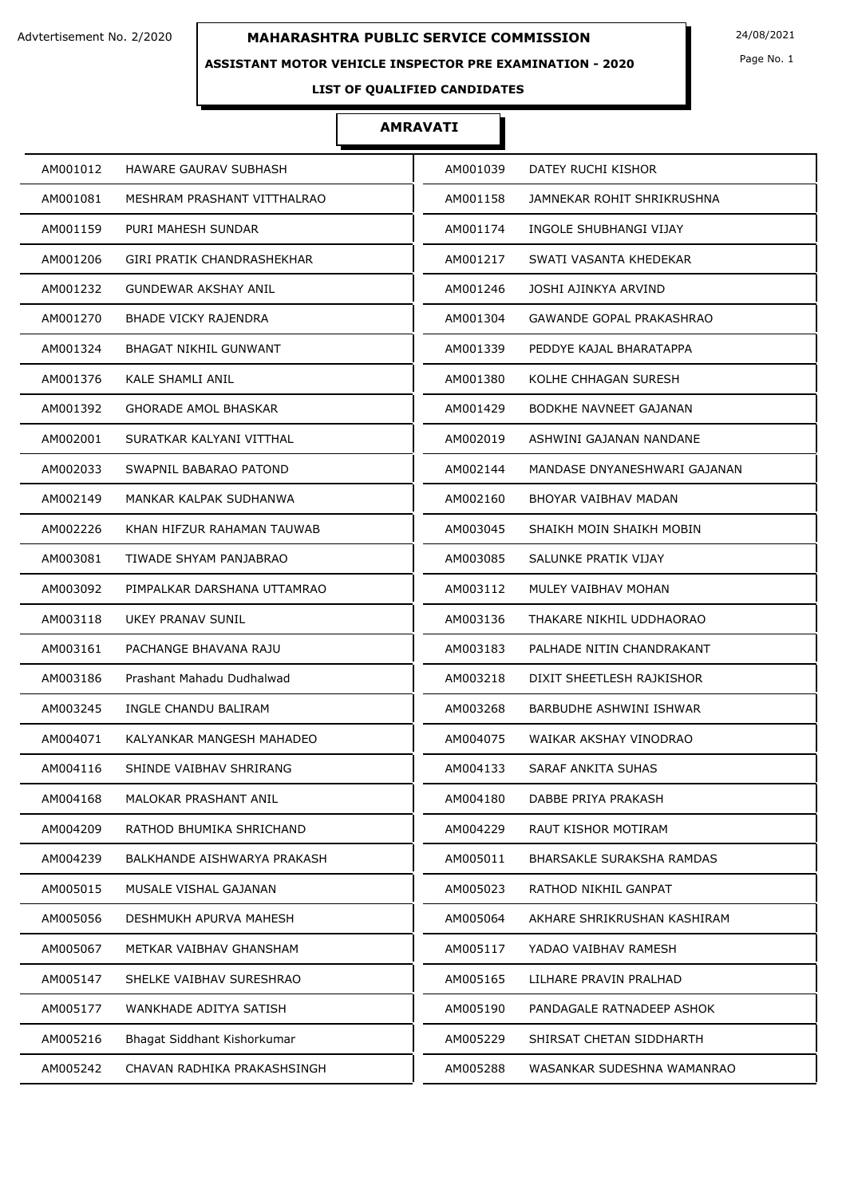### **ASSISTANT MOTOR VEHICLE INSPECTOR PRE EXAMINATION - 2020**

Page No. 1

## **LIST OF QUALIFIED CANDIDATES**

| AM001012<br>HAWARE GAURAV SUBHASH       | AM001039 | DATEY RUCHI KISHOR              |
|-----------------------------------------|----------|---------------------------------|
| AM001081<br>MESHRAM PRASHANT VITTHALRAO | AM001158 | JAMNEKAR ROHIT SHRIKRUSHNA      |
| PURI MAHESH SUNDAR<br>AM001159          | AM001174 | INGOLE SHUBHANGI VIJAY          |
| AM001206<br>GIRI PRATIK CHANDRASHEKHAR  | AM001217 | SWATI VASANTA KHEDEKAR          |
| AM001232<br><b>GUNDEWAR AKSHAY ANIL</b> | AM001246 | JOSHI AJINKYA ARVIND            |
| <b>BHADE VICKY RAJENDRA</b><br>AM001270 | AM001304 | <b>GAWANDE GOPAL PRAKASHRAO</b> |
| AM001324<br>BHAGAT NIKHIL GUNWANT       | AM001339 | PEDDYE KAJAL BHARATAPPA         |
| KALE SHAMLI ANIL<br>AM001376            | AM001380 | KOLHE CHHAGAN SURESH            |
| AM001392<br><b>GHORADE AMOL BHASKAR</b> | AM001429 | BODKHE NAVNEET GAJANAN          |
| AM002001<br>SURATKAR KALYANI VITTHAL    | AM002019 | ASHWINI GAJANAN NANDANE         |
| SWAPNIL BABARAO PATOND<br>AM002033      | AM002144 | MANDASE DNYANESHWARI GAJANAN    |
| AM002149<br>MANKAR KALPAK SUDHANWA      | AM002160 | BHOYAR VAIBHAV MADAN            |
| AM002226<br>KHAN HIFZUR RAHAMAN TAUWAB  | AM003045 | SHAIKH MOIN SHAIKH MOBIN        |
| AM003081<br>TIWADE SHYAM PANJABRAO      | AM003085 | SALUNKE PRATIK VIJAY            |
| AM003092<br>PIMPALKAR DARSHANA UTTAMRAO | AM003112 | MULEY VAIBHAV MOHAN             |
| UKEY PRANAV SUNIL<br>AM003118           | AM003136 | THAKARE NIKHIL UDDHAORAO        |
| AM003161<br>PACHANGE BHAVANA RAJU       | AM003183 | PALHADE NITIN CHANDRAKANT       |
| AM003186<br>Prashant Mahadu Dudhalwad   | AM003218 | DIXIT SHEETLESH RAJKISHOR       |
| AM003245<br>INGLE CHANDU BALIRAM        | AM003268 | BARBUDHE ASHWINI ISHWAR         |
| AM004071<br>KALYANKAR MANGESH MAHADEO   | AM004075 | WAIKAR AKSHAY VINODRAO          |
| SHINDE VAIBHAV SHRIRANG<br>AM004116     | AM004133 | SARAF ANKITA SUHAS              |
| AM004168<br>MALOKAR PRASHANT ANIL       | AM004180 | DABBE PRIYA PRAKASH             |
| AM004209<br>RATHOD BHUMIKA SHRICHAND    | AM004229 | RAUT KISHOR MOTIRAM             |
| AM004239<br>BALKHANDE AISHWARYA PRAKASH | AM005011 | BHARSAKLE SURAKSHA RAMDAS       |
| AM005015<br>MUSALE VISHAL GAJANAN       | AM005023 | RATHOD NIKHIL GANPAT            |
| AM005056<br>DESHMUKH APURVA MAHESH      | AM005064 | AKHARE SHRIKRUSHAN KASHIRAM     |
| AM005067<br>METKAR VAIBHAV GHANSHAM     | AM005117 | YADAO VAIBHAV RAMESH            |
| AM005147<br>SHELKE VAIBHAV SURESHRAO    | AM005165 | LILHARE PRAVIN PRALHAD          |
| AM005177<br>WANKHADE ADITYA SATISH      | AM005190 | PANDAGALE RATNADEEP ASHOK       |
| AM005216<br>Bhagat Siddhant Kishorkumar | AM005229 | SHIRSAT CHETAN SIDDHARTH        |
| AM005242<br>CHAVAN RADHIKA PRAKASHSINGH | AM005288 | WASANKAR SUDESHNA WAMANRAO      |
|                                         |          |                                 |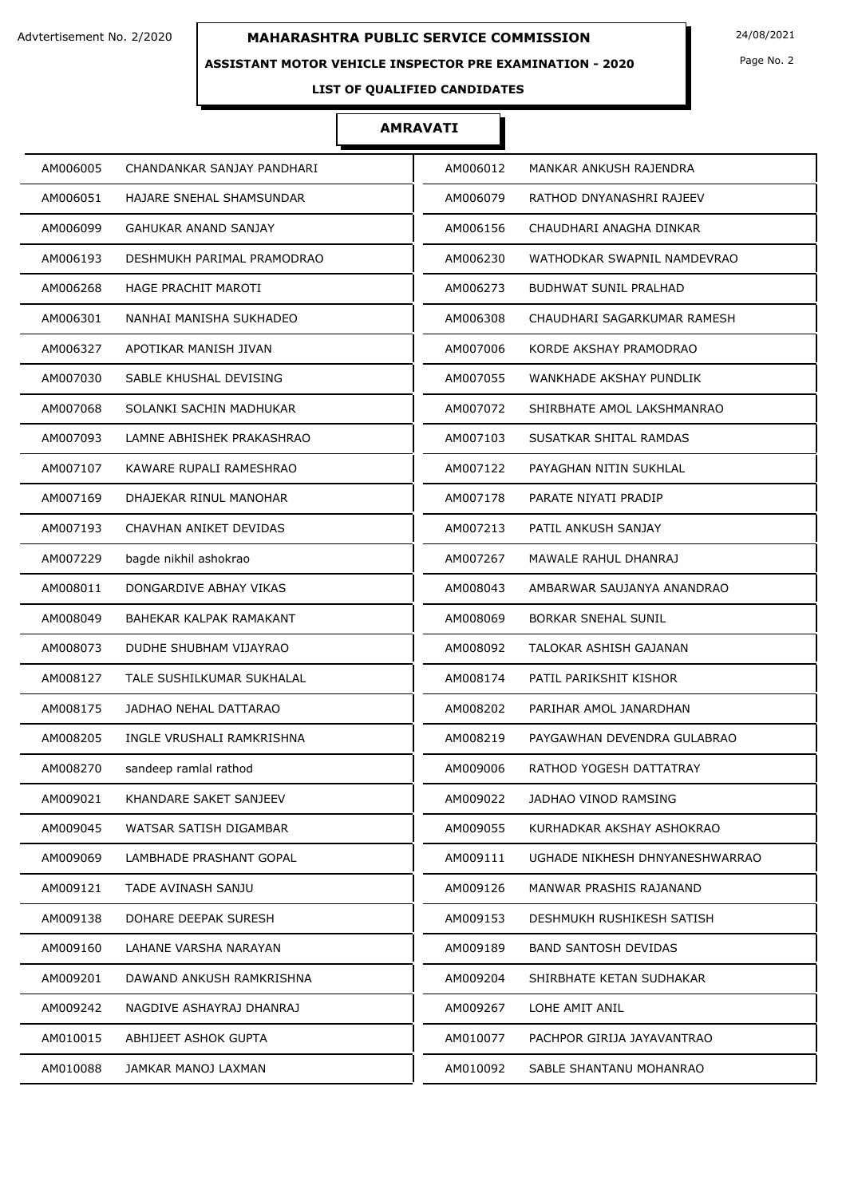### **ASSISTANT MOTOR VEHICLE INSPECTOR PRE EXAMINATION - 2020**

Page No. 2

## **LIST OF QUALIFIED CANDIDATES**

| AM006005 | CHANDANKAR SANJAY PANDHARI  | AM006012 | MANKAR ANKUSH RAJENDRA         |
|----------|-----------------------------|----------|--------------------------------|
| AM006051 | HAJARE SNEHAL SHAMSUNDAR    | AM006079 | RATHOD DNYANASHRI RAJEEV       |
| AM006099 | <b>GAHUKAR ANAND SANJAY</b> | AM006156 | CHAUDHARI ANAGHA DINKAR        |
| AM006193 | DESHMUKH PARIMAL PRAMODRAO  | AM006230 | WATHODKAR SWAPNIL NAMDEVRAO    |
| AM006268 | HAGE PRACHIT MAROTI         | AM006273 | <b>BUDHWAT SUNIL PRALHAD</b>   |
| AM006301 | NANHAI MANISHA SUKHADEO     | AM006308 | CHAUDHARI SAGARKUMAR RAMESH    |
| AM006327 | APOTIKAR MANISH JIVAN       | AM007006 | KORDE AKSHAY PRAMODRAO         |
| AM007030 | SABLE KHUSHAL DEVISING      | AM007055 | WANKHADE AKSHAY PUNDLIK        |
| AM007068 | SOLANKI SACHIN MADHUKAR     | AM007072 | SHIRBHATE AMOL LAKSHMANRAO     |
| AM007093 | LAMNE ABHISHEK PRAKASHRAO   | AM007103 | SUSATKAR SHITAL RAMDAS         |
| AM007107 | KAWARE RUPALI RAMESHRAO     | AM007122 | PAYAGHAN NITIN SUKHLAL         |
| AM007169 | DHAJEKAR RINUL MANOHAR      | AM007178 | PARATE NIYATI PRADIP           |
| AM007193 | CHAVHAN ANIKET DEVIDAS      | AM007213 | PATIL ANKUSH SANJAY            |
| AM007229 | bagde nikhil ashokrao       | AM007267 | MAWALE RAHUL DHANRAJ           |
| AM008011 | DONGARDIVE ABHAY VIKAS      | AM008043 | AMBARWAR SAUJANYA ANANDRAO     |
| AM008049 | BAHEKAR KALPAK RAMAKANT     | AM008069 | <b>BORKAR SNEHAL SUNIL</b>     |
| AM008073 | DUDHE SHUBHAM VIJAYRAO      | AM008092 | TALOKAR ASHISH GAJANAN         |
| AM008127 | TALE SUSHILKUMAR SUKHALAL   | AM008174 | PATIL PARIKSHIT KISHOR         |
| AM008175 | JADHAO NEHAL DATTARAO       | AM008202 | PARIHAR AMOL JANARDHAN         |
| AM008205 | INGLE VRUSHALI RAMKRISHNA   | AM008219 | PAYGAWHAN DEVENDRA GULABRAO    |
| AM008270 | sandeep ramlal rathod       | AM009006 | RATHOD YOGESH DATTATRAY        |
| AM009021 | KHANDARE SAKET SANJEEV      | AM009022 | JADHAO VINOD RAMSING           |
| AM009045 | WATSAR SATISH DIGAMBAR      | AM009055 | KURHADKAR AKSHAY ASHOKRAO      |
| AM009069 | LAMBHADE PRASHANT GOPAL     | AM009111 | UGHADE NIKHESH DHNYANESHWARRAO |
| AM009121 | TADE AVINASH SANJU          | AM009126 | MANWAR PRASHIS RAJANAND        |
| AM009138 | DOHARE DEEPAK SURESH        | AM009153 | DESHMUKH RUSHIKESH SATISH      |
| AM009160 | LAHANE VARSHA NARAYAN       | AM009189 | <b>BAND SANTOSH DEVIDAS</b>    |
| AM009201 | DAWAND ANKUSH RAMKRISHNA    | AM009204 | SHIRBHATE KETAN SUDHAKAR       |
| AM009242 | NAGDIVE ASHAYRAJ DHANRAJ    | AM009267 | LOHE AMIT ANIL                 |
| AM010015 | ABHIJEET ASHOK GUPTA        | AM010077 | PACHPOR GIRIJA JAYAVANTRAO     |
| AM010088 | JAMKAR MANOJ LAXMAN         | AM010092 | SABLE SHANTANU MOHANRAO        |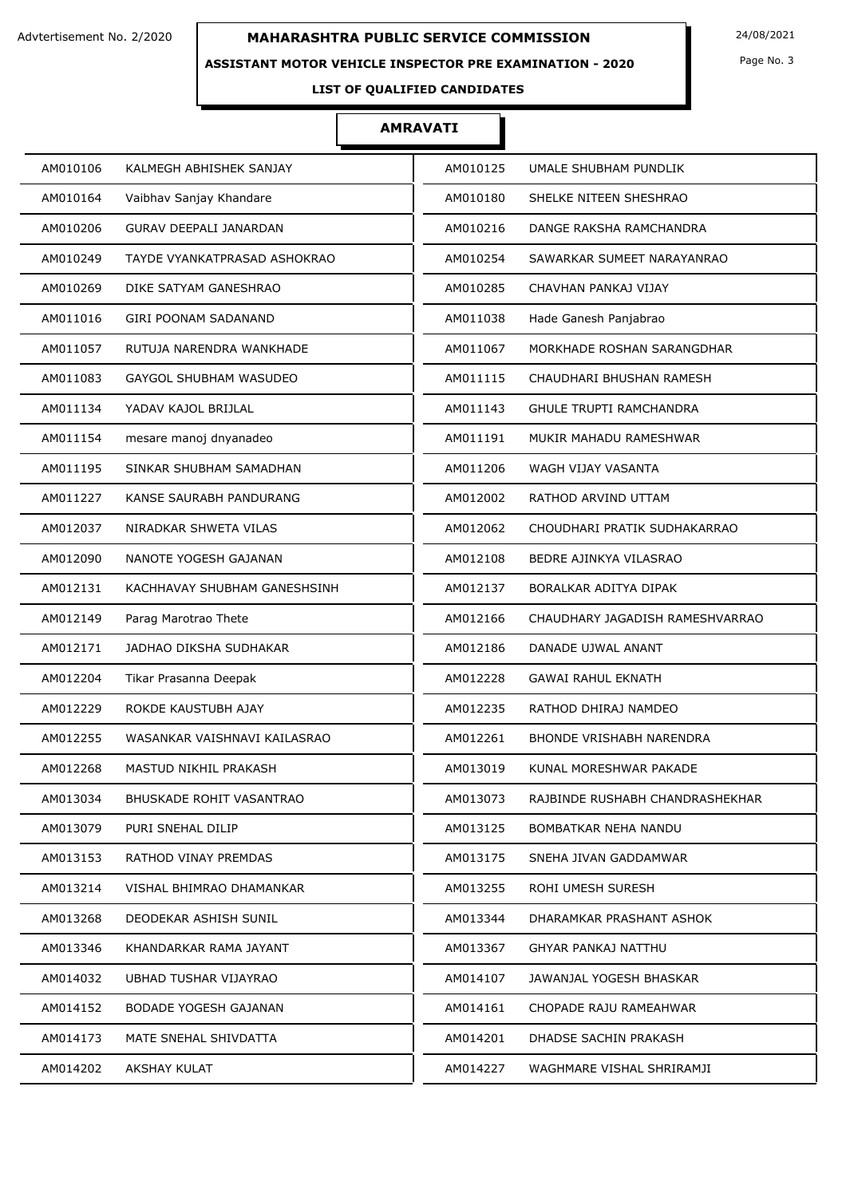### **ASSISTANT MOTOR VEHICLE INSPECTOR PRE EXAMINATION - 2020**

Page No. 3

**LIST OF QUALIFIED CANDIDATES** 

| AM010125<br>UMALE SHUBHAM PUNDLIK           |
|---------------------------------------------|
| AM010180<br>SHELKE NITEEN SHESHRAO          |
| AM010216<br>DANGE RAKSHA RAMCHANDRA         |
| AM010254<br>SAWARKAR SUMEET NARAYANRAO      |
| AM010285<br>CHAVHAN PANKAJ VIJAY            |
| AM011038<br>Hade Ganesh Panjabrao           |
| AM011067<br>MORKHADE ROSHAN SARANGDHAR      |
| AM011115<br>CHAUDHARI BHUSHAN RAMESH        |
| AM011143<br><b>GHULE TRUPTI RAMCHANDRA</b>  |
| AM011191<br>MUKIR MAHADU RAMESHWAR          |
| AM011206<br>WAGH VIJAY VASANTA              |
| AM012002<br>RATHOD ARVIND UTTAM             |
| AM012062<br>CHOUDHARI PRATIK SUDHAKARRAO    |
| AM012108<br>BEDRE AJINKYA VILASRAO          |
| BORALKAR ADITYA DIPAK<br>AM012137           |
| AM012166<br>CHAUDHARY JAGADISH RAMESHVARRAO |
| AM012186<br>DANADE UJWAL ANANT              |
| AM012228<br><b>GAWAI RAHUL EKNATH</b>       |
| AM012235<br>RATHOD DHIRAJ NAMDEO            |
| AM012261<br><b>BHONDE VRISHABH NARENDRA</b> |
| KUNAL MORESHWAR PAKADE<br>AM013019          |
| AM013073<br>RAJBINDE RUSHABH CHANDRASHEKHAR |
| AM013125<br>BOMBATKAR NEHA NANDU            |
| AM013175<br>SNEHA JIVAN GADDAMWAR           |
| ROHI UMESH SURESH<br>AM013255               |
| AM013344<br>DHARAMKAR PRASHANT ASHOK        |
| AM013367<br>GHYAR PANKAJ NATTHU             |
| AM014107<br>JAWANJAL YOGESH BHASKAR         |
| CHOPADE RAJU RAMEAHWAR<br>AM014161          |
| AM014201<br>DHADSE SACHIN PRAKASH           |
| AM014227<br>WAGHMARE VISHAL SHRIRAMJI       |
|                                             |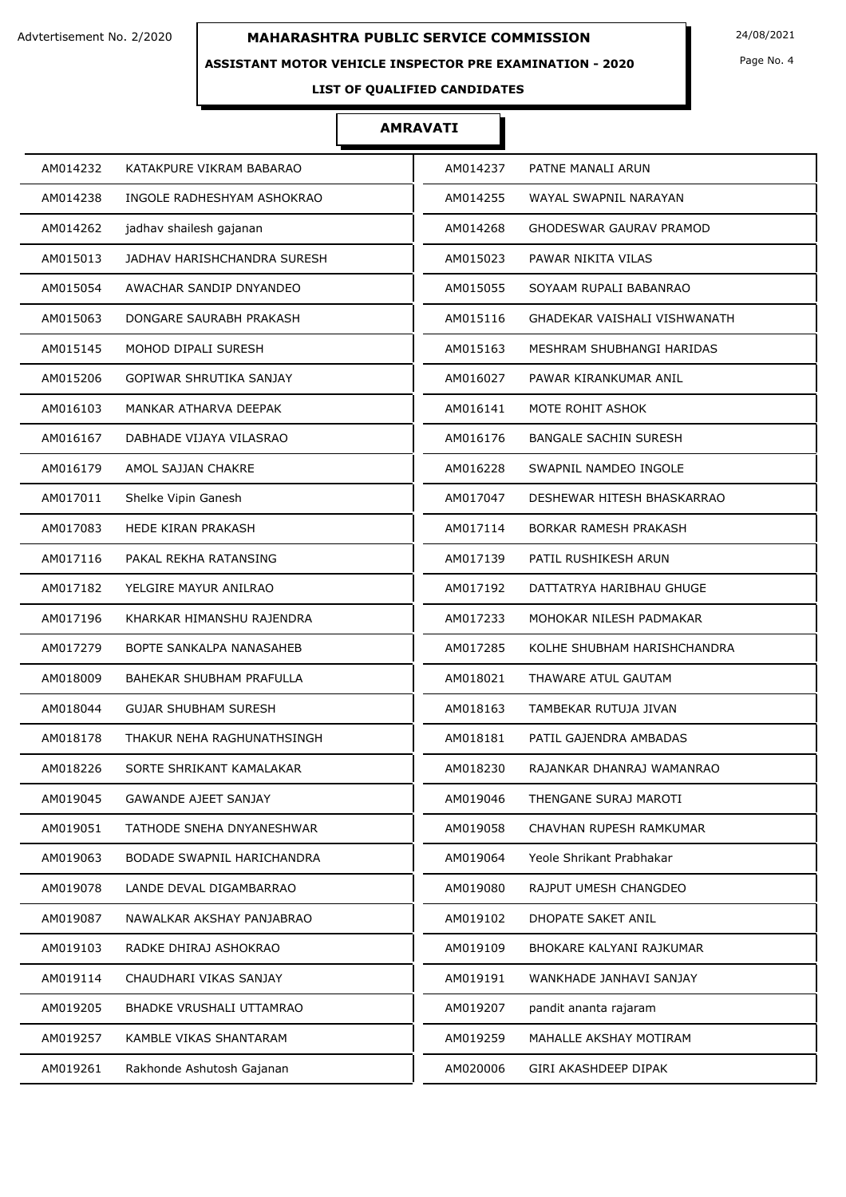### **ASSISTANT MOTOR VEHICLE INSPECTOR PRE EXAMINATION - 2020**

Page No. 4

## **LIST OF QUALIFIED CANDIDATES**

| AM014232                    | AM014237                     |
|-----------------------------|------------------------------|
| KATAKPURE VIKRAM BABARAO    | PATNE MANALI ARUN            |
| AM014238                    | AM014255                     |
| INGOLE RADHESHYAM ASHOKRAO  | WAYAL SWAPNIL NARAYAN        |
| AM014262                    | AM014268                     |
| jadhav shailesh gajanan     | GHODESWAR GAURAV PRAMOD      |
| AM015013                    | AM015023                     |
| JADHAV HARISHCHANDRA SURESH | PAWAR NIKITA VILAS           |
| AM015054                    | AM015055                     |
| AWACHAR SANDIP DNYANDEO     | SOYAAM RUPALI BABANRAO       |
| AM015063                    | AM015116                     |
| DONGARE SAURABH PRAKASH     | GHADEKAR VAISHALI VISHWANATH |
| AM015145                    | MESHRAM SHUBHANGI HARIDAS    |
| MOHOD DIPALI SURESH         | AM015163                     |
| AM015206                    | AM016027                     |
| GOPIWAR SHRUTIKA SANJAY     | PAWAR KIRANKUMAR ANIL        |
| AM016103                    | AM016141                     |
| MANKAR ATHARVA DEEPAK       | MOTE ROHIT ASHOK             |
| AM016167                    | AM016176                     |
| DABHADE VIJAYA VILASRAO     | <b>BANGALE SACHIN SURESH</b> |
| AM016179                    | AM016228                     |
| AMOL SAJJAN CHAKRE          | SWAPNIL NAMDEO INGOLE        |
| AM017011                    | AM017047                     |
| Shelke Vipin Ganesh         | DESHEWAR HITESH BHASKARRAO   |
| AM017083                    | AM017114                     |
| <b>HEDE KIRAN PRAKASH</b>   | BORKAR RAMESH PRAKASH        |
| AM017116                    | AM017139                     |
| PAKAL REKHA RATANSING       | PATIL RUSHIKESH ARUN         |
| AM017182                    | AM017192                     |
| YELGIRE MAYUR ANILRAO       | DATTATRYA HARIBHAU GHUGE     |
| AM017196                    | AM017233                     |
| KHARKAR HIMANSHU RAJENDRA   | MOHOKAR NILESH PADMAKAR      |
| AM017279                    | AM017285                     |
| BOPTE SANKALPA NANASAHEB    | KOLHE SHUBHAM HARISHCHANDRA  |
| AM018009                    | AM018021                     |
| BAHEKAR SHUBHAM PRAFULLA    | THAWARE ATUL GAUTAM          |
| AM018044                    | AM018163                     |
| <b>GUJAR SHUBHAM SURESH</b> | TAMBEKAR RUTUJA JIVAN        |
| AM018178                    | AM018181                     |
| THAKUR NEHA RAGHUNATHSINGH  | PATIL GAJENDRA AMBADAS       |
| AM018226                    | AM018230                     |
| SORTE SHRIKANT KAMALAKAR    | RAJANKAR DHANRAJ WAMANRAO    |
| AM019045                    | AM019046                     |
| <b>GAWANDE AJEET SANJAY</b> | THENGANE SURAJ MAROTI        |
| AM019051                    | AM019058                     |
| TATHODE SNEHA DNYANESHWAR   | CHAVHAN RUPESH RAMKUMAR      |
| AM019063                    | AM019064                     |
| BODADE SWAPNIL HARICHANDRA  | Yeole Shrikant Prabhakar     |
| AM019078                    | AM019080                     |
| LANDE DEVAL DIGAMBARRAO     | RAJPUT UMESH CHANGDEO        |
| AM019087                    | AM019102                     |
| NAWALKAR AKSHAY PANJABRAO   | DHOPATE SAKET ANIL           |
| AM019103                    | AM019109                     |
| RADKE DHIRAJ ASHOKRAO       | BHOKARE KALYANI RAJKUMAR     |
| AM019114                    | AM019191                     |
| CHAUDHARI VIKAS SANJAY      | WANKHADE JANHAVI SANJAY      |
| AM019205                    | AM019207                     |
| BHADKE VRUSHALI UTTAMRAO    | pandit ananta rajaram        |
| AM019257                    | AM019259                     |
| KAMBLE VIKAS SHANTARAM      | MAHALLE AKSHAY MOTIRAM       |
| AM019261                    | AM020006                     |
| Rakhonde Ashutosh Gajanan   | GIRI AKASHDEEP DIPAK         |
|                             |                              |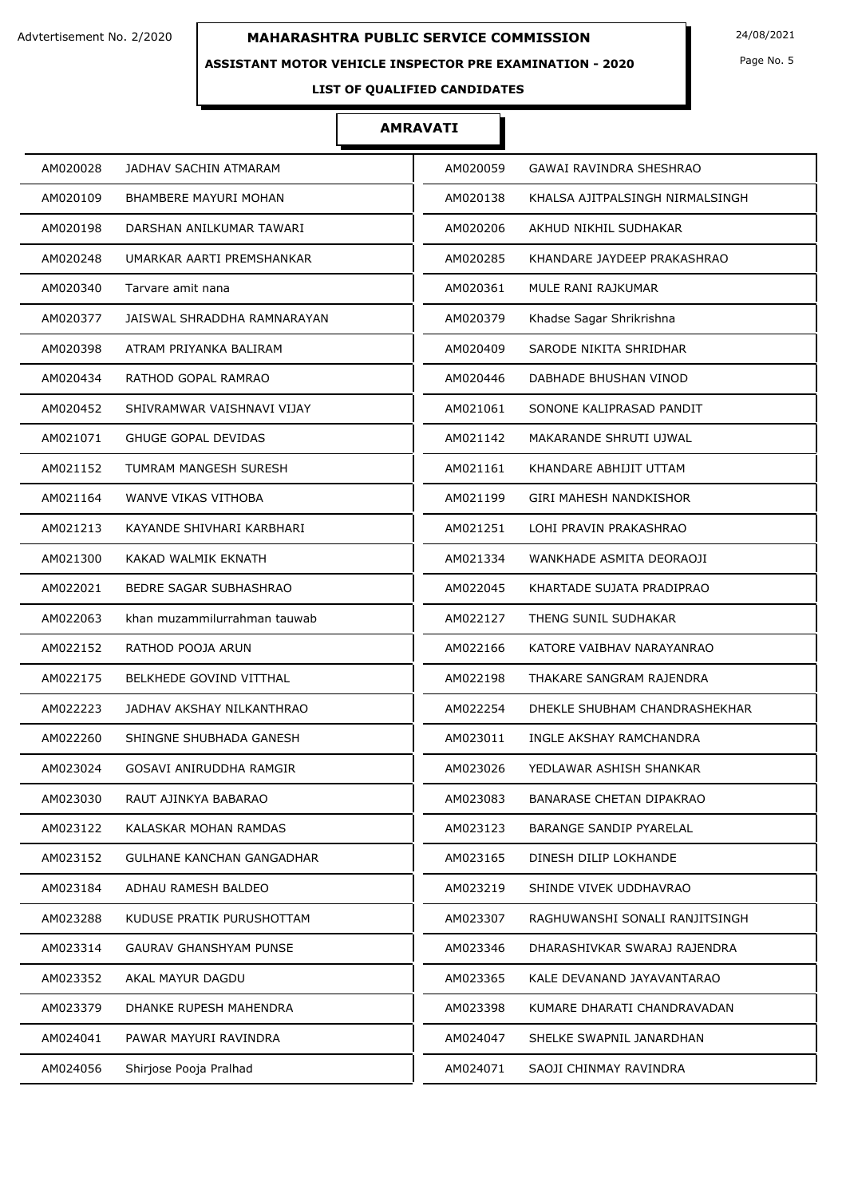### **ASSISTANT MOTOR VEHICLE INSPECTOR PRE EXAMINATION - 2020**

Page No. 5

## **LIST OF QUALIFIED CANDIDATES**

| AM020028 | JADHAV SACHIN ATMARAM          | AM020059 | GAWAI RAVINDRA SHESHRAO         |
|----------|--------------------------------|----------|---------------------------------|
| AM020109 | <b>BHAMBERE MAYURI MOHAN</b>   | AM020138 | KHALSA AJITPALSINGH NIRMALSINGH |
| AM020198 | DARSHAN ANILKUMAR TAWARI       | AM020206 | AKHUD NIKHIL SUDHAKAR           |
| AM020248 | UMARKAR AARTI PREMSHANKAR      | AM020285 | KHANDARE JAYDEEP PRAKASHRAO     |
| AM020340 | Tarvare amit nana              | AM020361 | MULE RANI RAJKUMAR              |
| AM020377 | JAISWAL SHRADDHA RAMNARAYAN    | AM020379 | Khadse Sagar Shrikrishna        |
| AM020398 | ATRAM PRIYANKA BALIRAM         | AM020409 | SARODE NIKITA SHRIDHAR          |
| AM020434 | RATHOD GOPAL RAMRAO            | AM020446 | DABHADE BHUSHAN VINOD           |
| AM020452 | SHIVRAMWAR VAISHNAVI VIJAY     | AM021061 | SONONE KALIPRASAD PANDIT        |
| AM021071 | <b>GHUGE GOPAL DEVIDAS</b>     | AM021142 | MAKARANDE SHRUTI UJWAL          |
| AM021152 | <b>TUMRAM MANGESH SURESH</b>   | AM021161 | KHANDARE ABHIJIT UTTAM          |
| AM021164 | WANVE VIKAS VITHOBA            | AM021199 | <b>GIRI MAHESH NANDKISHOR</b>   |
| AM021213 | KAYANDE SHIVHARI KARBHARI      | AM021251 | LOHI PRAVIN PRAKASHRAO          |
| AM021300 | KAKAD WALMIK EKNATH            | AM021334 | WANKHADE ASMITA DEORAOJI        |
| AM022021 | BEDRE SAGAR SUBHASHRAO         | AM022045 | KHARTADE SUJATA PRADIPRAO       |
| AM022063 | khan muzammilurrahman tauwab   | AM022127 | THENG SUNIL SUDHAKAR            |
| AM022152 | RATHOD POOJA ARUN              | AM022166 | KATORE VAIBHAV NARAYANRAO       |
| AM022175 | <b>BELKHEDE GOVIND VITTHAL</b> | AM022198 | THAKARE SANGRAM RAJENDRA        |
| AM022223 | JADHAV AKSHAY NILKANTHRAO      | AM022254 | DHEKLE SHUBHAM CHANDRASHEKHAR   |
| AM022260 | SHINGNE SHUBHADA GANESH        | AM023011 | INGLE AKSHAY RAMCHANDRA         |
| AM023024 | GOSAVI ANIRUDDHA RAMGIR        | AM023026 | YEDLAWAR ASHISH SHANKAR         |
| AM023030 | RAUT AJINKYA BABARAO           | AM023083 | BANARASE CHETAN DIPAKRAO        |
| AM023122 | KALASKAR MOHAN RAMDAS          | AM023123 | BARANGE SANDIP PYARELAL         |
| AM023152 | GULHANE KANCHAN GANGADHAR      | AM023165 | DINESH DILIP LOKHANDE           |
| AM023184 | ADHAU RAMESH BALDEO            | AM023219 | SHINDE VIVEK UDDHAVRAO          |
| AM023288 | KUDUSE PRATIK PURUSHOTTAM      | AM023307 | RAGHUWANSHI SONALI RANJITSINGH  |
| AM023314 | <b>GAURAV GHANSHYAM PUNSE</b>  | AM023346 | DHARASHIVKAR SWARAJ RAJENDRA    |
| AM023352 | AKAL MAYUR DAGDU               | AM023365 | KALE DEVANAND JAYAVANTARAO      |
| AM023379 | DHANKE RUPESH MAHENDRA         | AM023398 | KUMARE DHARATI CHANDRAVADAN     |
| AM024041 | PAWAR MAYURI RAVINDRA          | AM024047 | SHELKE SWAPNIL JANARDHAN        |
| AM024056 | Shirjose Pooja Pralhad         | AM024071 | SAOJI CHINMAY RAVINDRA          |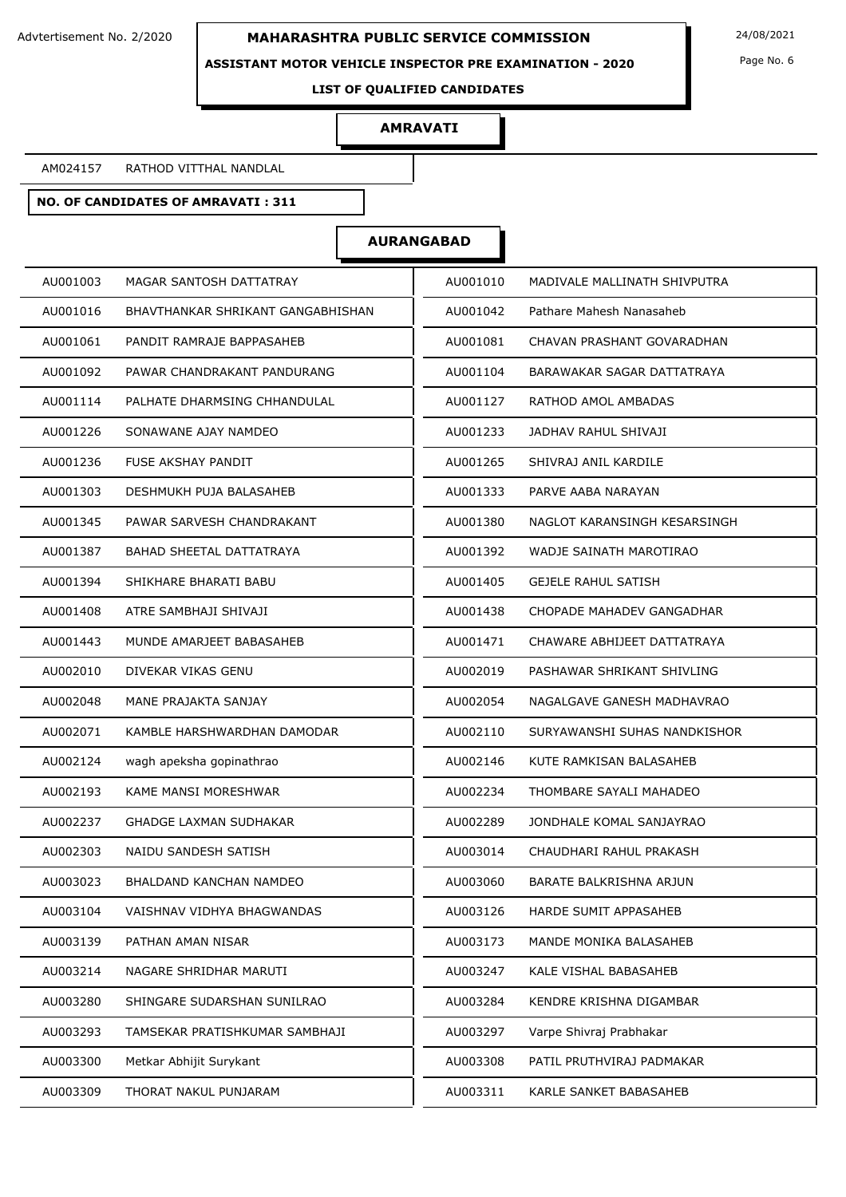**ASSISTANT MOTOR VEHICLE INSPECTOR PRE EXAMINATION - 2020**

Page No. 6

#### **LIST OF QUALIFIED CANDIDATES**

### **AMRAVATI**

AM024157 RATHOD VITTHAL NANDLAL

## **NO. OF CANDIDATES OF AMRAVATI : 311**

| AU001003                          | AU001010                     |
|-----------------------------------|------------------------------|
| MAGAR SANTOSH DATTATRAY           | MADIVALE MALLINATH SHIVPUTRA |
| AU001016                          | AU001042                     |
| BHAVTHANKAR SHRIKANT GANGABHISHAN | Pathare Mahesh Nanasaheb     |
| AU001061                          | AU001081                     |
| PANDIT RAMRAJE BAPPASAHEB         | CHAVAN PRASHANT GOVARADHAN   |
| AU001092                          | AU001104                     |
| PAWAR CHANDRAKANT PANDURANG       | BARAWAKAR SAGAR DATTATRAYA   |
| AU001114                          | RATHOD AMOL AMBADAS          |
| PALHATE DHARMSING CHHANDULAL      | AU001127                     |
| AU001226                          | AU001233                     |
| SONAWANE AJAY NAMDEO              | JADHAV RAHUL SHIVAJI         |
| AU001236                          | AU001265                     |
| <b>FUSE AKSHAY PANDIT</b>         | SHIVRAJ ANIL KARDILE         |
| AU001303                          | AU001333                     |
| DESHMUKH PUJA BALASAHEB           | PARVE AABA NARAYAN           |
| AU001345                          | AU001380                     |
| PAWAR SARVESH CHANDRAKANT         | NAGLOT KARANSINGH KESARSINGH |
| AU001387                          | WADJE SAINATH MAROTIRAO      |
| <b>BAHAD SHEETAL DATTATRAYA</b>   | AU001392                     |
| AU001394                          | AU001405                     |
| SHIKHARE BHARATI BABU             | <b>GEJELE RAHUL SATISH</b>   |
| AU001408                          | AU001438                     |
| ATRE SAMBHAJI SHIVAJI             | CHOPADE MAHADEV GANGADHAR    |
| AU001443                          | AU001471                     |
| MUNDE AMARJEET BABASAHEB          | CHAWARE ABHIJEET DATTATRAYA  |
| DIVEKAR VIKAS GENU                | AU002019                     |
| AU002010                          | PASHAWAR SHRIKANT SHIVLING   |
| AU002048                          | AU002054                     |
| MANE PRAJAKTA SANJAY              | NAGALGAVE GANESH MADHAVRAO   |
| AU002071                          | AU002110                     |
| KAMBLE HARSHWARDHAN DAMODAR       | SURYAWANSHI SUHAS NANDKISHOR |
| AU002124                          | AU002146                     |
| wagh apeksha gopinathrao          | KUTE RAMKISAN BALASAHEB      |
| AU002193                          | AU002234                     |
| KAME MANSI MORESHWAR              | THOMBARE SAYALI MAHADEO      |
| AU002237                          | AU002289                     |
| <b>GHADGE LAXMAN SUDHAKAR</b>     | JONDHALE KOMAL SANJAYRAO     |
| AU002303                          | AU003014                     |
| NAIDU SANDESH SATISH              | CHAUDHARI RAHUL PRAKASH      |
| AU003023                          | AU003060                     |
| BHALDAND KANCHAN NAMDEO           | BARATE BALKRISHNA ARJUN      |
| VAISHNAV VIDHYA BHAGWANDAS        | HARDE SUMIT APPASAHEB        |
| AU003104                          | AU003126                     |
| AU003139                          | AU003173                     |
| PATHAN AMAN NISAR                 | MANDE MONIKA BALASAHEB       |
| AU003214                          | AU003247                     |
| NAGARE SHRIDHAR MARUTI            | KALE VISHAL BABASAHEB        |
| AU003280                          | AU003284                     |
| SHINGARE SUDARSHAN SUNILRAO       | KENDRE KRISHNA DIGAMBAR      |
| AU003293                          | AU003297                     |
| TAMSEKAR PRATISHKUMAR SAMBHAJI    | Varpe Shivraj Prabhakar      |
| AU003300                          | AU003308                     |
| Metkar Abhijit Surykant           | PATIL PRUTHVIRAJ PADMAKAR    |
| AU003309                          | AU003311                     |
| THORAT NAKUL PUNJARAM             | KARLE SANKET BABASAHEB       |
|                                   |                              |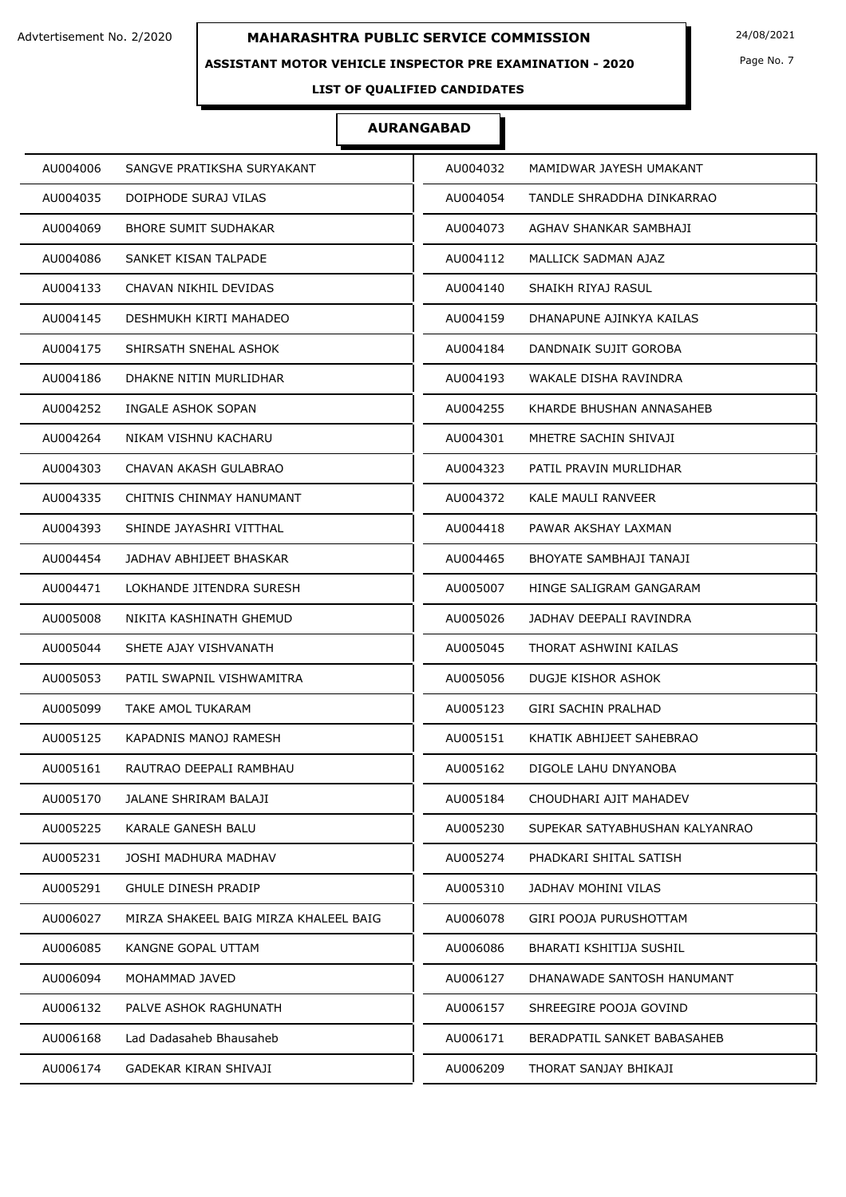### **ASSISTANT MOTOR VEHICLE INSPECTOR PRE EXAMINATION - 2020**

Page No. 7

**LIST OF QUALIFIED CANDIDATES** 

| AU004006                              | AU004032                       |
|---------------------------------------|--------------------------------|
| SANGVE PRATIKSHA SURYAKANT            | MAMIDWAR JAYESH UMAKANT        |
| AU004035                              | AU004054                       |
| DOIPHODE SURAJ VILAS                  | TANDLE SHRADDHA DINKARRAO      |
| AU004069                              | AU004073                       |
| <b>BHORE SUMIT SUDHAKAR</b>           | AGHAV SHANKAR SAMBHAJI         |
| AU004086                              | MALLICK SADMAN AJAZ            |
| SANKET KISAN TALPADE                  | AU004112                       |
| AU004133                              | AU004140                       |
| CHAVAN NIKHIL DEVIDAS                 | SHAIKH RIYAJ RASUL             |
| DESHMUKH KIRTI MAHADEO                | DHANAPUNE AJINKYA KAILAS       |
| AU004145                              | AU004159                       |
| AU004175                              | DANDNAIK SUJIT GOROBA          |
| SHIRSATH SNEHAL ASHOK                 | AU004184                       |
| AU004186                              | AU004193                       |
| DHAKNE NITIN MURLIDHAR                | WAKALE DISHA RAVINDRA          |
| AU004252                              | AU004255                       |
| INGALE ASHOK SOPAN                    | KHARDE BHUSHAN ANNASAHEB       |
| AU004264                              | AU004301                       |
| NIKAM VISHNU KACHARU                  | MHETRE SACHIN SHIVAJI          |
| CHAVAN AKASH GULABRAO                 | PATIL PRAVIN MURLIDHAR         |
| AU004303                              | AU004323                       |
| AU004335                              | AU004372                       |
| CHITNIS CHINMAY HANUMANT              | <b>KALE MAULI RANVEER</b>      |
| AU004393                              | AU004418                       |
| SHINDE JAYASHRI VITTHAL               | PAWAR AKSHAY LAXMAN            |
| AU004454                              | AU004465                       |
| JADHAV ABHIJEET BHASKAR               | BHOYATE SAMBHAJI TANAJI        |
| LOKHANDE JITENDRA SURESH              | AU005007                       |
| AU004471                              | HINGE SALIGRAM GANGARAM        |
| AU005008                              | AU005026                       |
| NIKITA KASHINATH GHEMUD               | JADHAV DEEPALI RAVINDRA        |
| AU005044                              | AU005045                       |
| SHETE AJAY VISHVANATH                 | THORAT ASHWINI KAILAS          |
| AU005053                              | AU005056                       |
| PATIL SWAPNIL VISHWAMITRA             | DUGJE KISHOR ASHOK             |
| AU005099                              | AU005123                       |
| TAKE AMOL TUKARAM                     | GIRI SACHIN PRALHAD            |
| AU005125                              | AU005151                       |
| KAPADNIS MANOJ RAMESH                 | KHATIK ABHIJEET SAHEBRAO       |
| AU005161                              | DIGOLE LAHU DNYANOBA           |
| RAUTRAO DEEPALI RAMBHAU               | AU005162                       |
| AU005170                              | AU005184                       |
| JALANE SHRIRAM BALAJI                 | CHOUDHARI AJIT MAHADEV         |
| AU005225                              | AU005230                       |
| KARALE GANESH BALU                    | SUPEKAR SATYABHUSHAN KALYANRAO |
| AU005231                              | AU005274                       |
| JOSHI MADHURA MADHAV                  | PHADKARI SHITAL SATISH         |
| AU005291                              | AU005310                       |
| <b>GHULE DINESH PRADIP</b>            | JADHAV MOHINI VILAS            |
| AU006027                              | AU006078                       |
| MIRZA SHAKEEL BAIG MIRZA KHALEEL BAIG | GIRI POOJA PURUSHOTTAM         |
| AU006085                              | AU006086                       |
| KANGNE GOPAL UTTAM                    | BHARATI KSHITIJA SUSHIL        |
| AU006094                              | AU006127                       |
| MOHAMMAD JAVED                        | DHANAWADE SANTOSH HANUMANT     |
| AU006132                              | SHREEGIRE POOJA GOVIND         |
| PALVE ASHOK RAGHUNATH                 | AU006157                       |
| AU006168                              | AU006171                       |
| Lad Dadasaheb Bhausaheb               | BERADPATIL SANKET BABASAHEB    |
| AU006174                              | AU006209                       |
| GADEKAR KIRAN SHIVAJI                 | THORAT SANJAY BHIKAJI          |
|                                       |                                |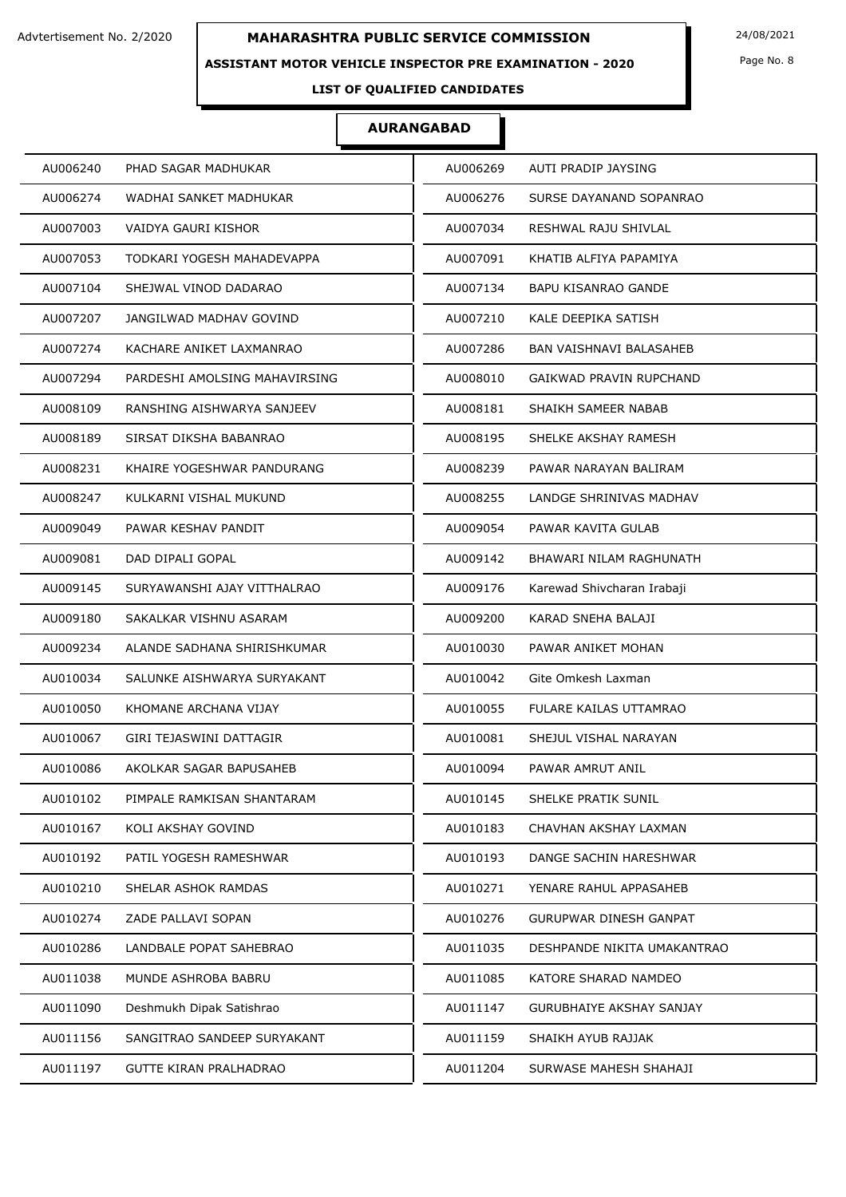### **ASSISTANT MOTOR VEHICLE INSPECTOR PRE EXAMINATION - 2020**

Page No. 8

## **LIST OF QUALIFIED CANDIDATES**

| AU006240                      | AU006269                    |
|-------------------------------|-----------------------------|
| PHAD SAGAR MADHUKAR           | AUTI PRADIP JAYSING         |
| AU006274                      | AU006276                    |
| WADHAI SANKET MADHUKAR        | SURSE DAYANAND SOPANRAO     |
| AU007003                      | AU007034                    |
| VAIDYA GAURI KISHOR           | RESHWAL RAJU SHIVLAL        |
| AU007053                      | AU007091                    |
| TODKARI YOGESH MAHADEVAPPA    | KHATIB ALFIYA PAPAMIYA      |
| AU007104                      | AU007134                    |
| SHEJWAL VINOD DADARAO         | <b>BAPU KISANRAO GANDE</b>  |
| AU007207                      | AU007210                    |
| JANGILWAD MADHAV GOVIND       | KALE DEEPIKA SATISH         |
| AU007274                      | AU007286                    |
| KACHARE ANIKET LAXMANRAO      | BAN VAISHNAVI BALASAHEB     |
| AU007294                      | AU008010                    |
| PARDESHI AMOLSING MAHAVIRSING | GAIKWAD PRAVIN RUPCHAND     |
| AU008109                      | AU008181                    |
| RANSHING AISHWARYA SANJEEV    | SHAIKH SAMEER NABAB         |
| AU008189                      | AU008195                    |
| SIRSAT DIKSHA BABANRAO        | SHELKE AKSHAY RAMESH        |
| AU008231                      | AU008239                    |
| KHAIRE YOGESHWAR PANDURANG    | PAWAR NARAYAN BALIRAM       |
| AU008247                      | AU008255                    |
| KULKARNI VISHAL MUKUND        | LANDGE SHRINIVAS MADHAV     |
| AU009049                      | AU009054                    |
| PAWAR KESHAV PANDIT           | PAWAR KAVITA GULAB          |
| AU009081                      | AU009142                    |
| DAD DIPALI GOPAL              | BHAWARI NILAM RAGHUNATH     |
| AU009145                      | Karewad Shivcharan Irabaji  |
| SURYAWANSHI AJAY VITTHALRAO   | AU009176                    |
| AU009180                      | AU009200                    |
| SAKALKAR VISHNU ASARAM        | KARAD SNEHA BALAJI          |
| AU009234                      | AU010030                    |
| ALANDE SADHANA SHIRISHKUMAR   | PAWAR ANIKET MOHAN          |
| AU010034                      | AU010042                    |
| SALUNKE AISHWARYA SURYAKANT   | Gite Omkesh Laxman          |
| AU010050                      | AU010055                    |
| KHOMANE ARCHANA VIJAY         | FULARE KAILAS UTTAMRAO      |
| AU010067                      | SHEJUL VISHAL NARAYAN       |
| GIRI TEJASWINI DATTAGIR       | AU010081                    |
| AU010086                      | AU010094                    |
| AKOLKAR SAGAR BAPUSAHEB       | PAWAR AMRUT ANIL            |
| AU010102                      | AU010145                    |
| PIMPALE RAMKISAN SHANTARAM    | SHELKE PRATIK SUNIL         |
| AU010167                      | AU010183                    |
| KOLI AKSHAY GOVIND            | CHAVHAN AKSHAY LAXMAN       |
| AU010192                      | AU010193                    |
| PATIL YOGESH RAMESHWAR        | DANGE SACHIN HARESHWAR      |
| AU010210                      | AU010271                    |
| SHELAR ASHOK RAMDAS           | YENARE RAHUL APPASAHEB      |
| AU010274                      | AU010276                    |
| ZADE PALLAVI SOPAN            | GURUPWAR DINESH GANPAT      |
| AU010286                      | AU011035                    |
| LANDBALE POPAT SAHEBRAO       | DESHPANDE NIKITA UMAKANTRAO |
| AU011038                      | AU011085                    |
| MUNDE ASHROBA BABRU           | KATORE SHARAD NAMDEO        |
| AU011090                      | AU011147                    |
| Deshmukh Dipak Satishrao      | GURUBHAIYE AKSHAY SANJAY    |
| AU011156                      | AU011159                    |
| SANGITRAO SANDEEP SURYAKANT   | SHAIKH AYUB RAJJAK          |
| AU011197                      | AU011204                    |
| GUTTE KIRAN PRALHADRAO        | SURWASE MAHESH SHAHAJI      |
|                               |                             |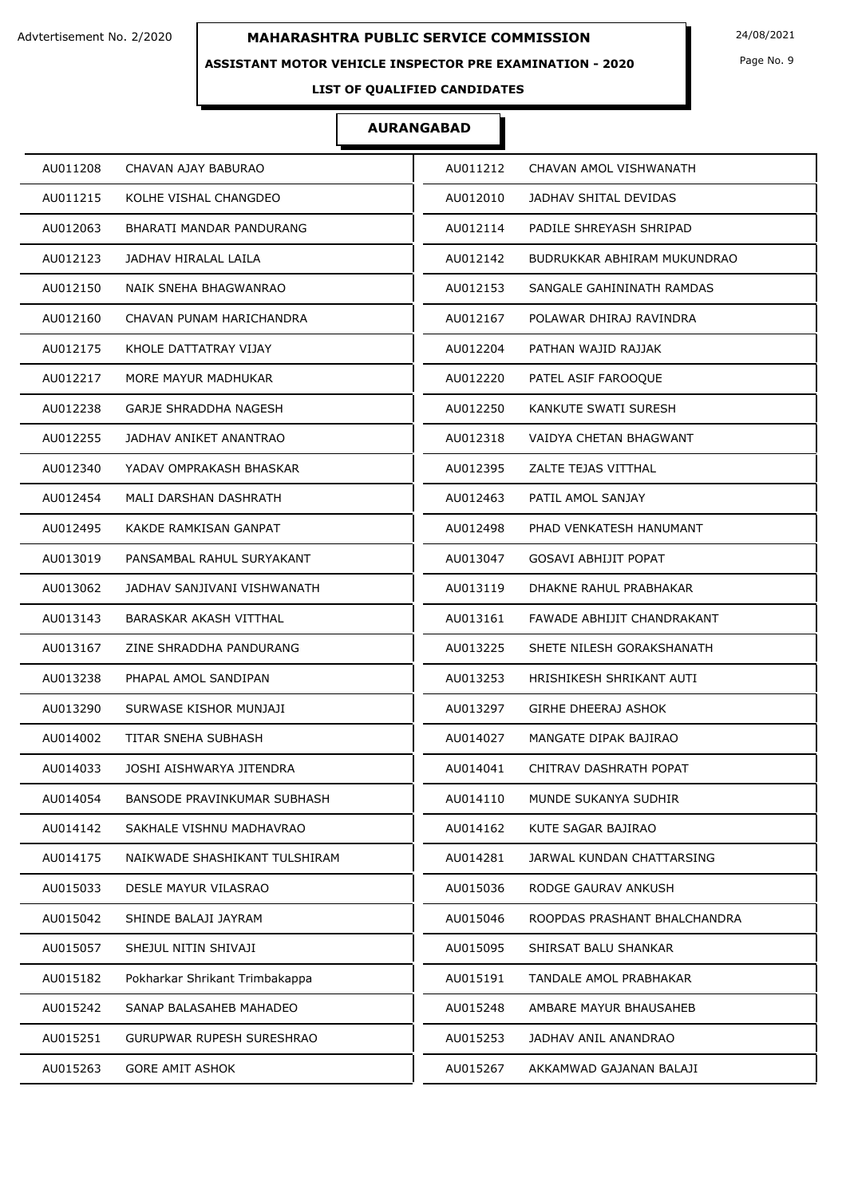### **ASSISTANT MOTOR VEHICLE INSPECTOR PRE EXAMINATION - 2020**

Page No. 9

## **LIST OF QUALIFIED CANDIDATES**

| AU011208                           | AU011212                     |
|------------------------------------|------------------------------|
| CHAVAN AJAY BABURAO                | CHAVAN AMOL VISHWANATH       |
| AU011215                           | AU012010                     |
| KOLHE VISHAL CHANGDEO              | JADHAV SHITAL DEVIDAS        |
| AU012063                           | AU012114                     |
| BHARATI MANDAR PANDURANG           | PADILE SHREYASH SHRIPAD      |
| AU012123                           | AU012142                     |
| JADHAV HIRALAL LAILA               | BUDRUKKAR ABHIRAM MUKUNDRAO  |
| AU012150                           | AU012153                     |
| NAIK SNEHA BHAGWANRAO              | SANGALE GAHININATH RAMDAS    |
| AU012160                           | AU012167                     |
| CHAVAN PUNAM HARICHANDRA           | POLAWAR DHIRAJ RAVINDRA      |
| KHOLE DATTATRAY VIJAY              | AU012204                     |
| AU012175                           | PATHAN WAJID RAJJAK          |
| AU012217                           | AU012220                     |
| MORE MAYUR MADHUKAR                | PATEL ASIF FAROOQUE          |
| AU012238                           | AU012250                     |
| GARJE SHRADDHA NAGESH              | KANKUTE SWATI SURESH         |
| AU012255                           | VAIDYA CHETAN BHAGWANT       |
| JADHAV ANIKET ANANTRAO             | AU012318                     |
| YADAV OMPRAKASH BHASKAR            | ZALTE TEJAS VITTHAL          |
| AU012340                           | AU012395                     |
| AU012454                           | PATIL AMOL SANJAY            |
| MALI DARSHAN DASHRATH              | AU012463                     |
| AU012495                           | AU012498                     |
| KAKDE RAMKISAN GANPAT              | PHAD VENKATESH HANUMANT      |
| AU013019                           | AU013047                     |
| PANSAMBAL RAHUL SURYAKANT          | <b>GOSAVI ABHIJIT POPAT</b>  |
| AU013062                           | DHAKNE RAHUL PRABHAKAR       |
| JADHAV SANJIVANI VISHWANATH        | AU013119                     |
| AU013143                           | AU013161                     |
| BARASKAR AKASH VITTHAL             | FAWADE ABHIJIT CHANDRAKANT   |
| AU013167                           | AU013225                     |
| ZINE SHRADDHA PANDURANG            | SHETE NILESH GORAKSHANATH    |
| AU013238                           | AU013253                     |
| PHAPAL AMOL SANDIPAN               | HRISHIKESH SHRIKANT AUTI     |
| AU013290                           | AU013297                     |
| SURWASE KISHOR MUNJAJI             | <b>GIRHE DHEERAJ ASHOK</b>   |
| TITAR SNEHA SUBHASH                | AU014027                     |
| AU014002                           | MANGATE DIPAK BAJIRAO        |
| AU014033                           | AU014041                     |
| JOSHI AISHWARYA JITENDRA           | CHITRAV DASHRATH POPAT       |
| AU014054                           | AU014110                     |
| <b>BANSODE PRAVINKUMAR SUBHASH</b> | MUNDE SUKANYA SUDHIR         |
| AU014142                           | AU014162                     |
| SAKHALE VISHNU MADHAVRAO           | KUTE SAGAR BAJIRAO           |
| AU014175                           | AU014281                     |
| NAIKWADE SHASHIKANT TULSHIRAM      | JARWAL KUNDAN CHATTARSING    |
| AU015033                           | AU015036                     |
| DESLE MAYUR VILASRAO               | RODGE GAURAV ANKUSH          |
| AU015042                           | ROOPDAS PRASHANT BHALCHANDRA |
| SHINDE BALAJI JAYRAM               | AU015046                     |
| AU015057                           | AU015095                     |
| SHEJUL NITIN SHIVAJI               | SHIRSAT BALU SHANKAR         |
| AU015182                           | AU015191                     |
| Pokharkar Shrikant Trimbakappa     | TANDALE AMOL PRABHAKAR       |
| AU015242                           | AU015248                     |
| SANAP BALASAHEB MAHADEO            | AMBARE MAYUR BHAUSAHEB       |
| AU015251                           | AU015253                     |
| GURUPWAR RUPESH SURESHRAO          | JADHAV ANIL ANANDRAO         |
| AU015263                           | AU015267                     |
| <b>GORE AMIT ASHOK</b>             | AKKAMWAD GAJANAN BALAJI      |
|                                    |                              |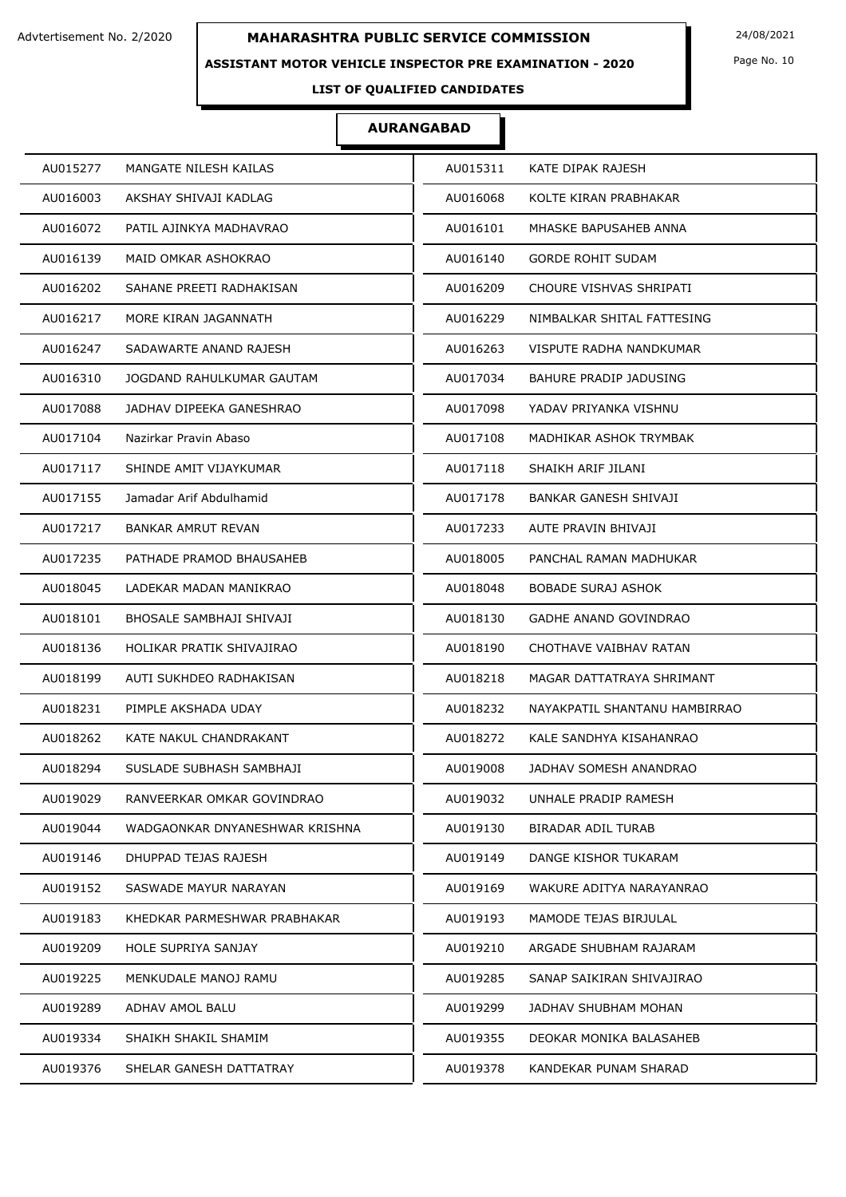### **ASSISTANT MOTOR VEHICLE INSPECTOR PRE EXAMINATION - 2020**

Page No. 10

## **LIST OF QUALIFIED CANDIDATES**

| MANGATE NILESH KAILAS          | AU015311                      |
|--------------------------------|-------------------------------|
| AU015277                       | KATE DIPAK RAJESH             |
| AKSHAY SHIVAJI KADLAG          | KOLTE KIRAN PRABHAKAR         |
| AU016003                       | AU016068                      |
| AU016072                       | MHASKE BAPUSAHEB ANNA         |
| PATIL AJINKYA MADHAVRAO        | AU016101                      |
| AU016139                       | AU016140                      |
| MAID OMKAR ASHOKRAO            | <b>GORDE ROHIT SUDAM</b>      |
| AU016202                       | CHOURE VISHVAS SHRIPATI       |
| SAHANE PREETI RADHAKISAN       | AU016209                      |
| MORE KIRAN JAGANNATH           | NIMBALKAR SHITAL FATTESING    |
| AU016217                       | AU016229                      |
| SADAWARTE ANAND RAJESH         | VISPUTE RADHA NANDKUMAR       |
| AU016247                       | AU016263                      |
| AU016310                       | <b>BAHURE PRADIP JADUSING</b> |
| JOGDAND RAHULKUMAR GAUTAM      | AU017034                      |
| AU017088                       | AU017098                      |
| JADHAV DIPEEKA GANESHRAO       | YADAV PRIYANKA VISHNU         |
| Nazirkar Pravin Abaso          | AU017108                      |
| AU017104                       | MADHIKAR ASHOK TRYMBAK        |
| AU017117                       | SHAIKH ARIF JILANI            |
| SHINDE AMIT VIJAYKUMAR         | AU017118                      |
| AU017155                       | AU017178                      |
| Jamadar Arif Abdulhamid        | BANKAR GANESH SHIVAJI         |
| AU017217                       | AUTE PRAVIN BHIVAJI           |
| <b>BANKAR AMRUT REVAN</b>      | AU017233                      |
| AU017235                       | PANCHAL RAMAN MADHUKAR        |
| PATHADE PRAMOD BHAUSAHEB       | AU018005                      |
| AU018045                       | AU018048                      |
| LADEKAR MADAN MANIKRAO         | <b>BOBADE SURAJ ASHOK</b>     |
| BHOSALE SAMBHAJI SHIVAJI       | GADHE ANAND GOVINDRAO         |
| AU018101                       | AU018130                      |
| AU018136                       | AU018190                      |
| HOLIKAR PRATIK SHIVAJIRAO      | CHOTHAVE VAIBHAV RATAN        |
| AU018199                       | MAGAR DATTATRAYA SHRIMANT     |
| AUTI SUKHDEO RADHAKISAN        | AU018218                      |
| AU018231                       | NAYAKPATIL SHANTANU HAMBIRRAO |
| PIMPLE AKSHADA UDAY            | AU018232                      |
| AU018262                       | AU018272                      |
| KATE NAKUL CHANDRAKANT         | KALE SANDHYA KISAHANRAO       |
| AU018294                       | JADHAV SOMESH ANANDRAO        |
| SUSLADE SUBHASH SAMBHAJI       | AU019008                      |
| AU019029                       | AU019032                      |
| RANVEERKAR OMKAR GOVINDRAO     | UNHALE PRADIP RAMESH          |
| AU019044                       | AU019130                      |
| WADGAONKAR DNYANESHWAR KRISHNA | BIRADAR ADIL TURAB            |
| AU019146                       | AU019149                      |
| DHUPPAD TEJAS RAJESH           | DANGE KISHOR TUKARAM          |
| SASWADE MAYUR NARAYAN          | WAKURE ADITYA NARAYANRAO      |
| AU019152                       | AU019169                      |
| KHEDKAR PARMESHWAR PRABHAKAR   | MAMODE TEJAS BIRJULAL         |
| AU019183                       | AU019193                      |
| AU019209                       | AU019210                      |
| <b>HOLE SUPRIYA SANJAY</b>     | ARGADE SHUBHAM RAJARAM        |
| AU019225                       | AU019285                      |
| MENKUDALE MANOJ RAMU           | SANAP SAIKIRAN SHIVAJIRAO     |
| AU019289                       | JADHAV SHUBHAM MOHAN          |
| ADHAV AMOL BALU                | AU019299                      |
| AU019334                       | AU019355                      |
| SHAIKH SHAKIL SHAMIM           | DEOKAR MONIKA BALASAHEB       |
| AU019376                       | AU019378                      |
| SHELAR GANESH DATTATRAY        | KANDEKAR PUNAM SHARAD         |
|                                |                               |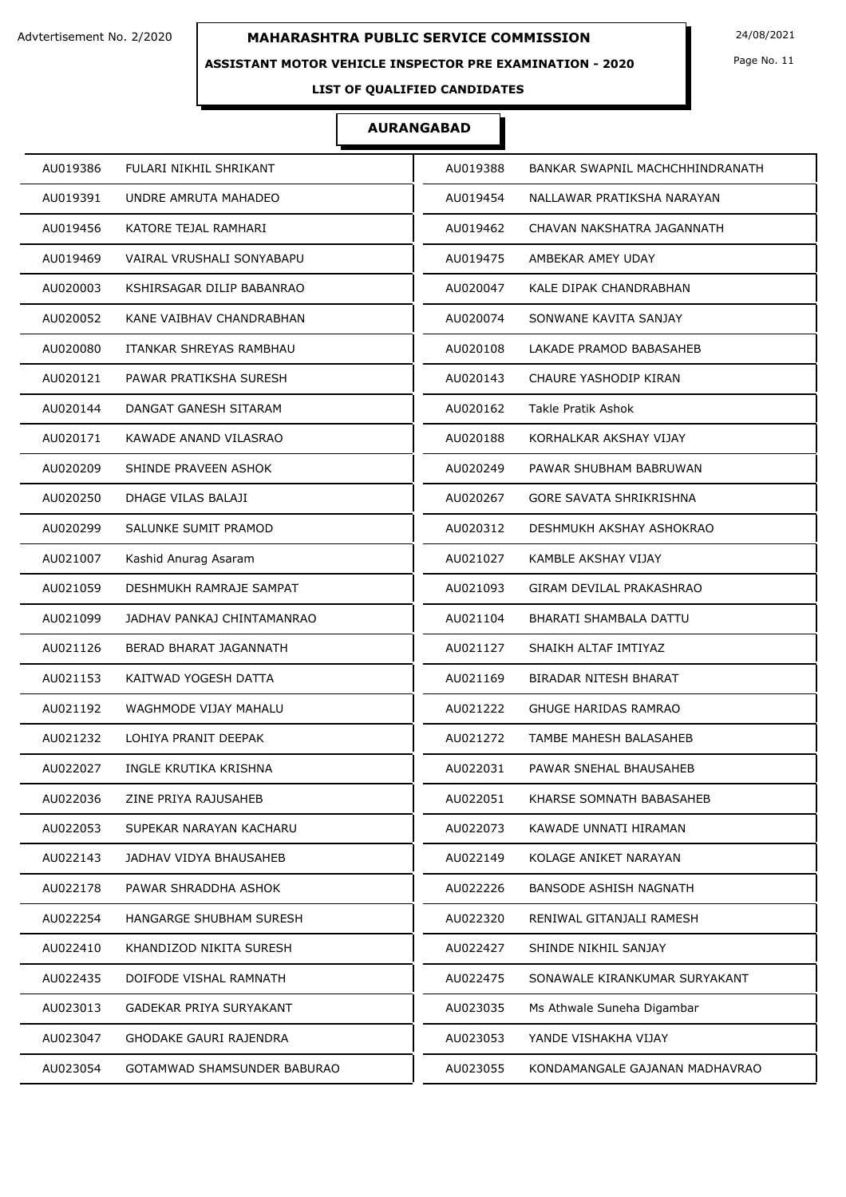### **ASSISTANT MOTOR VEHICLE INSPECTOR PRE EXAMINATION - 2020**

Page No. 11

## **LIST OF QUALIFIED CANDIDATES**

| AU019386 | FULARI NIKHIL SHRIKANT      | AU019388 | BANKAR SWAPNIL MACHCHHINDRANATH |
|----------|-----------------------------|----------|---------------------------------|
| AU019391 | UNDRE AMRUTA MAHADEO        | AU019454 | NALLAWAR PRATIKSHA NARAYAN      |
| AU019456 | KATORE TEJAL RAMHARI        | AU019462 | CHAVAN NAKSHATRA JAGANNATH      |
| AU019469 | VAIRAL VRUSHALI SONYABAPU   | AU019475 | AMBEKAR AMEY UDAY               |
| AU020003 | KSHIRSAGAR DILIP BABANRAO   | AU020047 | KALE DIPAK CHANDRABHAN          |
| AU020052 | KANE VAIBHAV CHANDRABHAN    | AU020074 | SONWANE KAVITA SANJAY           |
| AU020080 | ITANKAR SHREYAS RAMBHAU     | AU020108 | LAKADE PRAMOD BABASAHEB         |
| AU020121 | PAWAR PRATIKSHA SURESH      | AU020143 | CHAURE YASHODIP KIRAN           |
| AU020144 | DANGAT GANESH SITARAM       | AU020162 | Takle Pratik Ashok              |
| AU020171 | KAWADE ANAND VILASRAO       | AU020188 | KORHALKAR AKSHAY VIJAY          |
| AU020209 | SHINDE PRAVEEN ASHOK        | AU020249 | PAWAR SHUBHAM BABRUWAN          |
| AU020250 | DHAGE VILAS BALAJI          | AU020267 | <b>GORE SAVATA SHRIKRISHNA</b>  |
| AU020299 | SALUNKE SUMIT PRAMOD        | AU020312 | DESHMUKH AKSHAY ASHOKRAO        |
| AU021007 | Kashid Anurag Asaram        | AU021027 | KAMBLE AKSHAY VIJAY             |
| AU021059 | DESHMUKH RAMRAJE SAMPAT     | AU021093 | GIRAM DEVILAL PRAKASHRAO        |
| AU021099 | JADHAV PANKAJ CHINTAMANRAO  | AU021104 | BHARATI SHAMBALA DATTU          |
| AU021126 | BERAD BHARAT JAGANNATH      | AU021127 | SHAIKH ALTAF IMTIYAZ            |
| AU021153 | KAITWAD YOGESH DATTA        | AU021169 | BIRADAR NITESH BHARAT           |
| AU021192 | WAGHMODE VIJAY MAHALU       | AU021222 | <b>GHUGE HARIDAS RAMRAO</b>     |
| AU021232 | LOHIYA PRANIT DEEPAK        | AU021272 | TAMBE MAHESH BALASAHEB          |
| AU022027 | INGLE KRUTIKA KRISHNA       | AU022031 | PAWAR SNEHAL BHAUSAHEB          |
| AU022036 | ZINE PRIYA RAJUSAHEB        | AU022051 | KHARSE SOMNATH BABASAHEB        |
| AU022053 | SUPEKAR NARAYAN KACHARU     | AU022073 | KAWADE UNNATI HIRAMAN           |
| AU022143 | JADHAV VIDYA BHAUSAHEB      | AU022149 | KOLAGE ANIKET NARAYAN           |
| AU022178 | PAWAR SHRADDHA ASHOK        | AU022226 | BANSODE ASHISH NAGNATH          |
| AU022254 | HANGARGE SHUBHAM SURESH     | AU022320 | RENIWAL GITANJALI RAMESH        |
| AU022410 | KHANDIZOD NIKITA SURESH     | AU022427 | SHINDE NIKHIL SANJAY            |
| AU022435 | DOIFODE VISHAL RAMNATH      | AU022475 | SONAWALE KIRANKUMAR SURYAKANT   |
| AU023013 | GADEKAR PRIYA SURYAKANT     | AU023035 | Ms Athwale Suneha Digambar      |
| AU023047 | GHODAKE GAURI RAJENDRA      | AU023053 | YANDE VISHAKHA VIJAY            |
| AU023054 | GOTAMWAD SHAMSUNDER BABURAO | AU023055 | KONDAMANGALE GAJANAN MADHAVRAO  |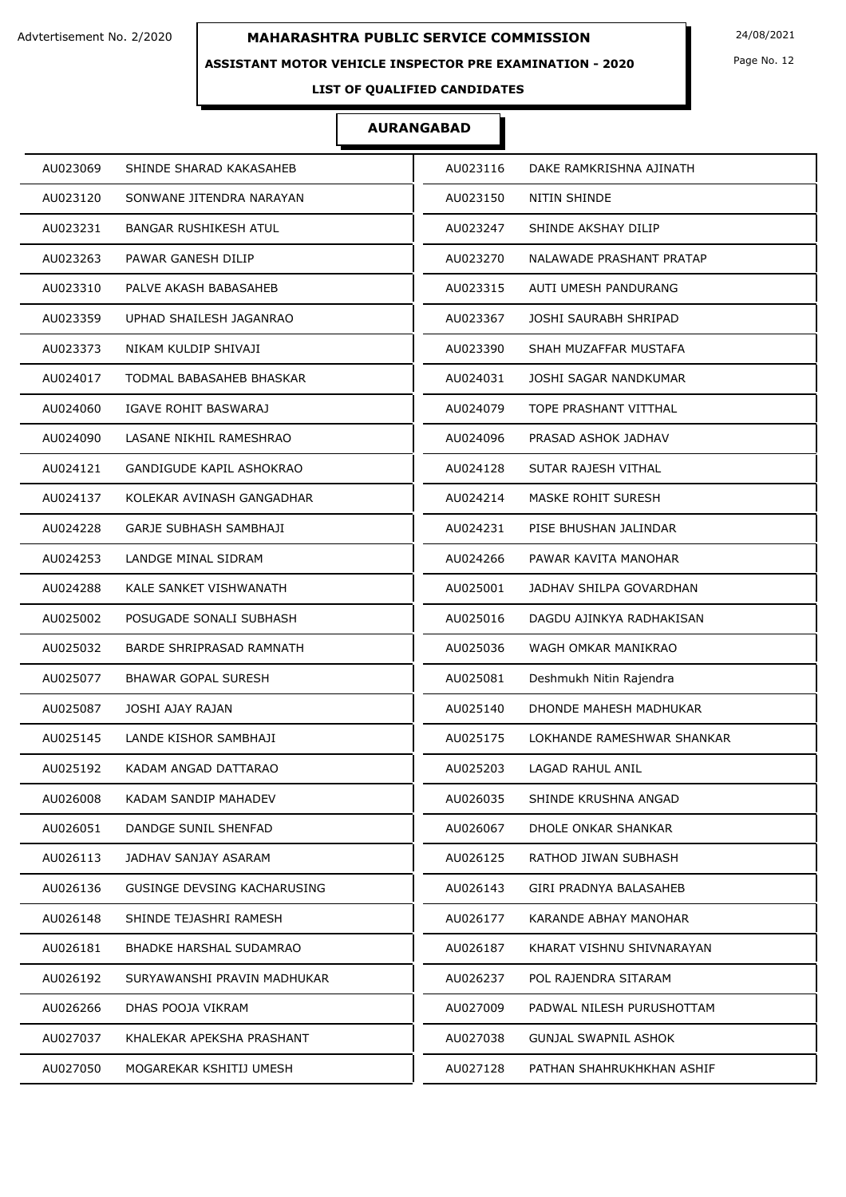#### **ASSISTANT MOTOR VEHICLE INSPECTOR PRE EXAMINATION - 2020**

Page No. 12

## **LIST OF QUALIFIED CANDIDATES**

| AU023069                      | SHINDE SHARAD KAKASAHEB        | AU023116 | DAKE RAMKRISHNA AJINATH     |
|-------------------------------|--------------------------------|----------|-----------------------------|
| AU023120                      | SONWANE JITENDRA NARAYAN       | AU023150 | NITIN SHINDE                |
| AU023231                      | <b>BANGAR RUSHIKESH ATUL</b>   | AU023247 | SHINDE AKSHAY DILIP         |
| AU023263                      | PAWAR GANESH DILIP             | AU023270 | NALAWADE PRASHANT PRATAP    |
| AU023310                      | PALVE AKASH BABASAHEB          | AU023315 | AUTI UMESH PANDURANG        |
| AU023359                      | UPHAD SHAILESH JAGANRAO        | AU023367 | JOSHI SAURABH SHRIPAD       |
| AU023373                      | NIKAM KULDIP SHIVAJI           | AU023390 | SHAH MUZAFFAR MUSTAFA       |
| AU024017                      | TODMAL BABASAHEB BHASKAR       | AU024031 | JOSHI SAGAR NANDKUMAR       |
| AU024060                      | IGAVE ROHIT BASWARAJ           | AU024079 | TOPE PRASHANT VITTHAL       |
| AU024090                      | LASANE NIKHIL RAMESHRAO        | AU024096 | PRASAD ASHOK JADHAV         |
| AU024121                      | GANDIGUDE KAPIL ASHOKRAO       | AU024128 | SUTAR RAJESH VITHAL         |
| AU024137                      | KOLEKAR AVINASH GANGADHAR      | AU024214 | <b>MASKE ROHIT SURESH</b>   |
| AU024228                      | GARJE SUBHASH SAMBHAJI         | AU024231 | PISE BHUSHAN JALINDAR       |
| AU024253                      | LANDGE MINAL SIDRAM            | AU024266 | PAWAR KAVITA MANOHAR        |
| AU024288                      | KALE SANKET VISHWANATH         | AU025001 | JADHAV SHILPA GOVARDHAN     |
| AU025002                      | POSUGADE SONALI SUBHASH        | AU025016 | DAGDU AJINKYA RADHAKISAN    |
| AU025032                      | BARDE SHRIPRASAD RAMNATH       | AU025036 | WAGH OMKAR MANIKRAO         |
| AU025077                      | <b>BHAWAR GOPAL SURESH</b>     | AU025081 | Deshmukh Nitin Rajendra     |
| AU025087<br>JOSHI AJAY RAJAN  |                                | AU025140 | DHONDE MAHESH MADHUKAR      |
| AU025145                      | LANDE KISHOR SAMBHAJI          | AU025175 | LOKHANDE RAMESHWAR SHANKAR  |
| AU025192                      | KADAM ANGAD DATTARAO           | AU025203 | LAGAD RAHUL ANIL            |
| AU026008                      | KADAM SANDIP MAHADEV           | AU026035 | SHINDE KRUSHNA ANGAD        |
| AU026051                      | DANDGE SUNIL SHENFAD           | AU026067 | DHOLE ONKAR SHANKAR         |
| AU026113                      | JADHAV SANJAY ASARAM           | AU026125 | RATHOD JIWAN SUBHASH        |
| AU026136                      | GUSINGE DEVSING KACHARUSING    | AU026143 | GIRI PRADNYA BALASAHEB      |
| AU026148                      | SHINDE TEJASHRI RAMESH         | AU026177 | KARANDE ABHAY MANOHAR       |
| AU026181                      | <b>BHADKE HARSHAL SUDAMRAO</b> | AU026187 | KHARAT VISHNU SHIVNARAYAN   |
| AU026192                      | SURYAWANSHI PRAVIN MADHUKAR    | AU026237 | POL RAJENDRA SITARAM        |
| AU026266<br>DHAS POOJA VIKRAM |                                | AU027009 | PADWAL NILESH PURUSHOTTAM   |
| AU027037                      | KHALEKAR APEKSHA PRASHANT      | AU027038 | <b>GUNJAL SWAPNIL ASHOK</b> |
| AU027050                      | MOGAREKAR KSHITIJ UMESH        | AU027128 | PATHAN SHAHRUKHKHAN ASHIF   |
|                               |                                |          |                             |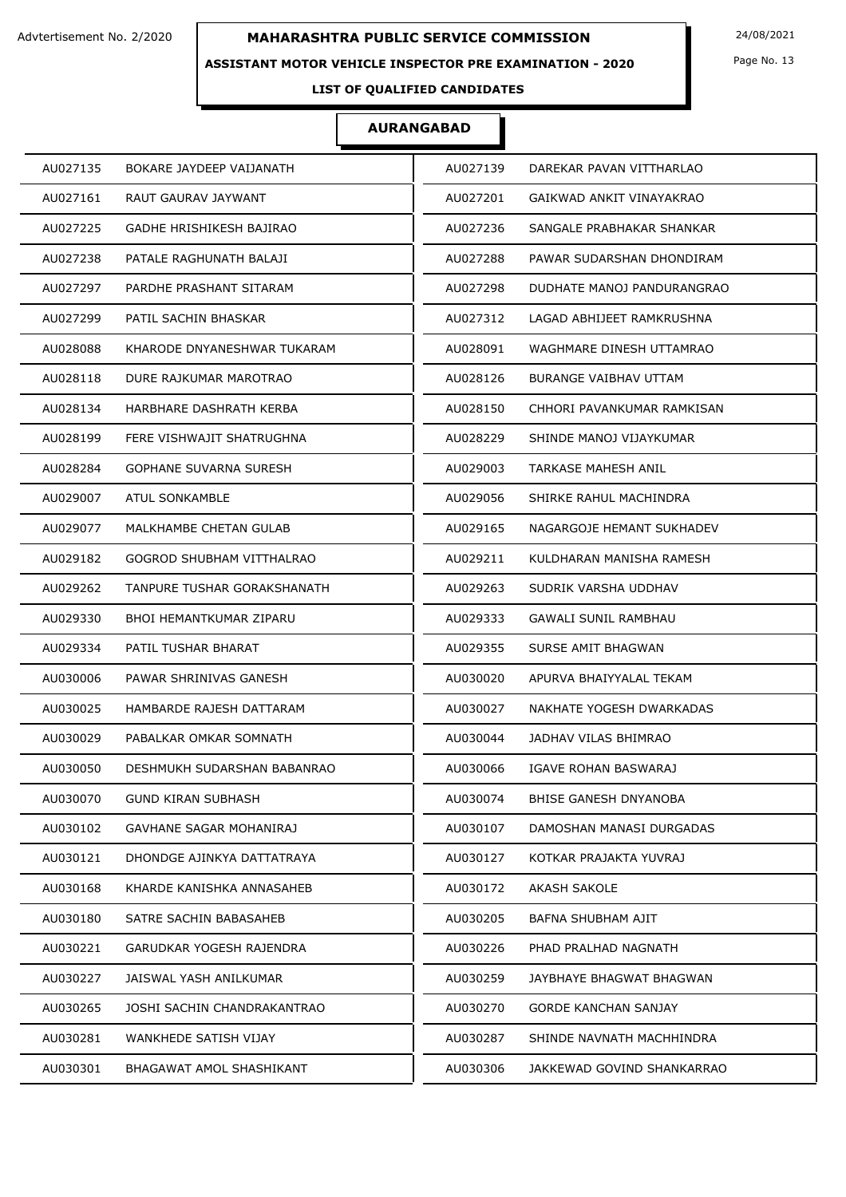### **ASSISTANT MOTOR VEHICLE INSPECTOR PRE EXAMINATION - 2020**

Page No. 13

## **LIST OF QUALIFIED CANDIDATES**

| AU027135                    | AU027139                    |
|-----------------------------|-----------------------------|
| BOKARE JAYDEEP VAIJANATH    | DAREKAR PAVAN VITTHARLAO    |
| AU027161                    | AU027201                    |
| RAUT GAURAV JAYWANT         | GAIKWAD ANKIT VINAYAKRAO    |
| AU027225                    | SANGALE PRABHAKAR SHANKAR   |
| GADHE HRISHIKESH BAJIRAO    | AU027236                    |
| AU027238                    | AU027288                    |
| PATALE RAGHUNATH BALAJI     | PAWAR SUDARSHAN DHONDIRAM   |
| AU027297                    | AU027298                    |
| PARDHE PRASHANT SITARAM     | DUDHATE MANOJ PANDURANGRAO  |
| AU027299                    | LAGAD ABHIJEET RAMKRUSHNA   |
| PATIL SACHIN BHASKAR        | AU027312                    |
| AU028088                    | AU028091                    |
| KHARODE DNYANESHWAR TUKARAM | WAGHMARE DINESH UTTAMRAO    |
| AU028118                    | AU028126                    |
| DURE RAJKUMAR MAROTRAO      | BURANGE VAIBHAV UTTAM       |
| AU028134                    | AU028150                    |
| HARBHARE DASHRATH KERBA     | CHHORI PAVANKUMAR RAMKISAN  |
| AU028199                    | AU028229                    |
| FERE VISHWAJIT SHATRUGHNA   | SHINDE MANOJ VIJAYKUMAR     |
| AU028284                    | AU029003                    |
| GOPHANE SUVARNA SURESH      | TARKASE MAHESH ANIL         |
| ATUL SONKAMBLE              | AU029056                    |
| AU029007                    | SHIRKE RAHUL MACHINDRA      |
| AU029077                    | AU029165                    |
| MALKHAMBE CHETAN GULAB      | NAGARGOJE HEMANT SUKHADEV   |
| AU029182                    | AU029211                    |
| GOGROD SHUBHAM VITTHALRAO   | KULDHARAN MANISHA RAMESH    |
| AU029262                    | AU029263                    |
| TANPURE TUSHAR GORAKSHANATH | SUDRIK VARSHA UDDHAV        |
| AU029330                    | AU029333                    |
| BHOI HEMANTKUMAR ZIPARU     | GAWALI SUNIL RAMBHAU        |
| AU029334                    | AU029355                    |
| PATIL TUSHAR BHARAT         | SURSE AMIT BHAGWAN          |
| AU030006                    | AU030020                    |
| PAWAR SHRINIVAS GANESH      | APURVA BHAIYYALAL TEKAM     |
| AU030025                    | AU030027                    |
| HAMBARDE RAJESH DATTARAM    | NAKHATE YOGESH DWARKADAS    |
| AU030029                    | AU030044                    |
| PABALKAR OMKAR SOMNATH      | JADHAV VILAS BHIMRAO        |
| AU030050                    | AU030066                    |
| DESHMUKH SUDARSHAN BABANRAO | IGAVE ROHAN BASWARAJ        |
| AU030070                    | AU030074                    |
| <b>GUND KIRAN SUBHASH</b>   | BHISE GANESH DNYANOBA       |
| AU030102                    | AU030107                    |
| GAVHANE SAGAR MOHANIRAJ     | DAMOSHAN MANASI DURGADAS    |
| AU030121                    | AU030127                    |
| DHONDGE AJINKYA DATTATRAYA  | KOTKAR PRAJAKTA YUVRAJ      |
| AU030168                    | AU030172                    |
| KHARDE KANISHKA ANNASAHEB   | AKASH SAKOLE                |
| AU030180                    | AU030205                    |
| SATRE SACHIN BABASAHEB      | BAFNA SHUBHAM AJIT          |
| AU030221                    | AU030226                    |
| GARUDKAR YOGESH RAJENDRA    | PHAD PRALHAD NAGNATH        |
| AU030227                    | AU030259                    |
| JAISWAL YASH ANILKUMAR      | JAYBHAYE BHAGWAT BHAGWAN    |
| AU030265                    | AU030270                    |
| JOSHI SACHIN CHANDRAKANTRAO | <b>GORDE KANCHAN SANJAY</b> |
| AU030281                    | AU030287                    |
| WANKHEDE SATISH VIJAY       | SHINDE NAVNATH MACHHINDRA   |
| AU030301                    | AU030306                    |
| BHAGAWAT AMOL SHASHIKANT    | JAKKEWAD GOVIND SHANKARRAO  |
|                             |                             |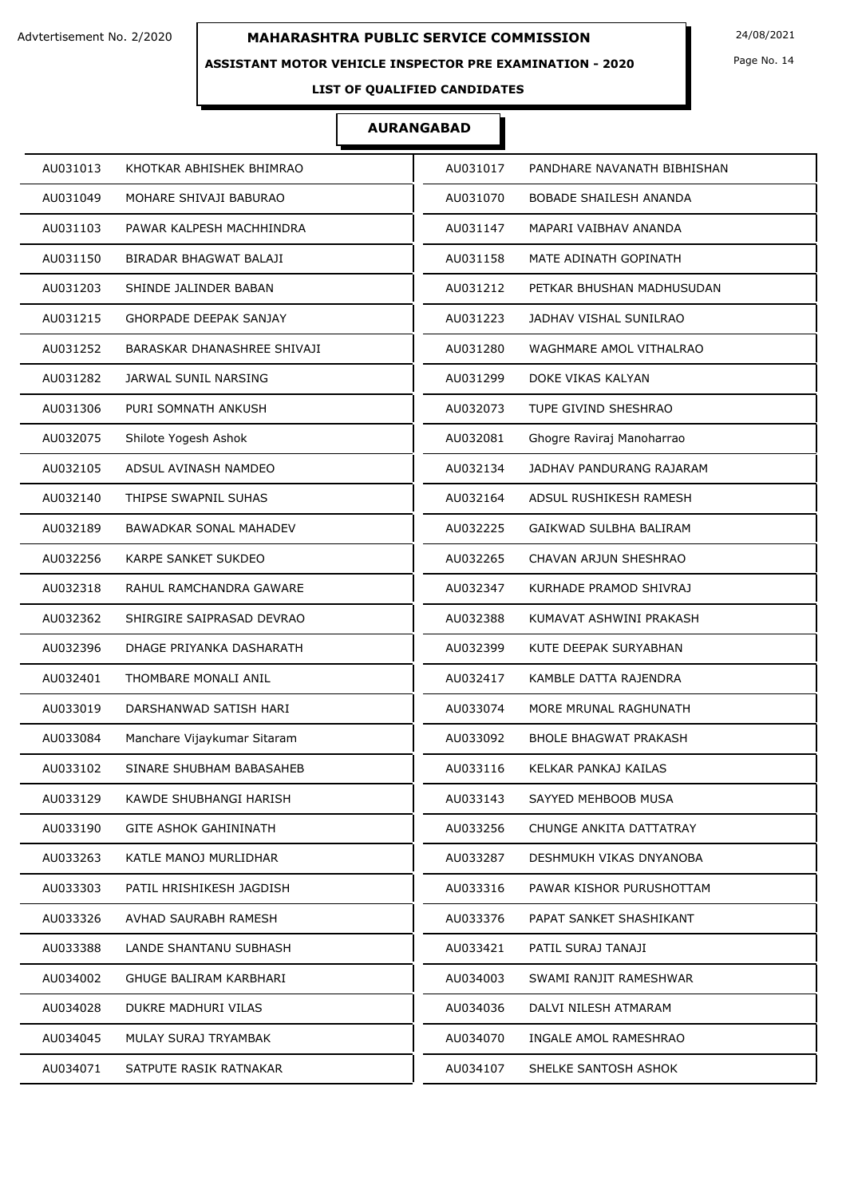### **ASSISTANT MOTOR VEHICLE INSPECTOR PRE EXAMINATION - 2020**

Page No. 14

## **LIST OF QUALIFIED CANDIDATES**

| AU031013                      | AU031017                     |
|-------------------------------|------------------------------|
| KHOTKAR ABHISHEK BHIMRAO      | PANDHARE NAVANATH BIBHISHAN  |
| AU031049                      | AU031070                     |
| MOHARE SHIVAJI BABURAO        | BOBADE SHAILESH ANANDA       |
| AU031103                      | MAPARI VAIBHAV ANANDA        |
| PAWAR KALPESH MACHHINDRA      | AU031147                     |
| AU031150                      | AU031158                     |
| BIRADAR BHAGWAT BALAJI        | MATE ADINATH GOPINATH        |
| AU031203                      | AU031212                     |
| SHINDE JALINDER BABAN         | PETKAR BHUSHAN MADHUSUDAN    |
| AU031215                      | AU031223                     |
| <b>GHORPADE DEEPAK SANJAY</b> | JADHAV VISHAL SUNILRAO       |
| AU031252                      | AU031280                     |
| BARASKAR DHANASHREE SHIVAJI   | WAGHMARE AMOL VITHALRAO      |
| AU031282                      | AU031299                     |
| JARWAL SUNIL NARSING          | DOKE VIKAS KALYAN            |
| AU031306                      | TUPE GIVIND SHESHRAO         |
| PURI SOMNATH ANKUSH           | AU032073                     |
| Shilote Yogesh Ashok          | Ghogre Raviraj Manoharrao    |
| AU032075                      | AU032081                     |
| AU032105                      | AU032134                     |
| ADSUL AVINASH NAMDEO          | JADHAV PANDURANG RAJARAM     |
| THIPSE SWAPNIL SUHAS          | AU032164                     |
| AU032140                      | ADSUL RUSHIKESH RAMESH       |
| AU032189                      | AU032225                     |
| <b>BAWADKAR SONAL MAHADEV</b> | GAIKWAD SULBHA BALIRAM       |
| AU032256                      | AU032265                     |
| KARPE SANKET SUKDEO           | CHAVAN ARJUN SHESHRAO        |
| AU032318                      | AU032347                     |
| RAHUL RAMCHANDRA GAWARE       | KURHADE PRAMOD SHIVRAJ       |
| AU032362                      | AU032388                     |
| SHIRGIRE SAIPRASAD DEVRAO     | KUMAVAT ASHWINI PRAKASH      |
| AU032396                      | AU032399                     |
| DHAGE PRIYANKA DASHARATH      | KUTE DEEPAK SURYABHAN        |
| AU032401                      | AU032417                     |
| THOMBARE MONALI ANIL          | KAMBLE DATTA RAJENDRA        |
| DARSHANWAD SATISH HARI        | AU033074                     |
| AU033019                      | MORE MRUNAL RAGHUNATH        |
| AU033084                      | AU033092                     |
| Manchare Vijaykumar Sitaram   | <b>BHOLE BHAGWAT PRAKASH</b> |
| AU033102                      | AU033116                     |
| SINARE SHUBHAM BABASAHEB      | KELKAR PANKAJ KAILAS         |
| AU033129                      | AU033143                     |
| KAWDE SHUBHANGI HARISH        | SAYYED MEHBOOB MUSA          |
| AU033190                      | AU033256                     |
| GITE ASHOK GAHININATH         | CHUNGE ANKITA DATTATRAY      |
| AU033263                      | DESHMUKH VIKAS DNYANOBA      |
| KATLE MANOJ MURLIDHAR         | AU033287                     |
| AU033303                      | AU033316                     |
| PATIL HRISHIKESH JAGDISH      | PAWAR KISHOR PURUSHOTTAM     |
| AU033326                      | AU033376                     |
| AVHAD SAURABH RAMESH          | PAPAT SANKET SHASHIKANT      |
| AU033388                      | AU033421                     |
| LANDE SHANTANU SUBHASH        | PATIL SURAJ TANAJI           |
| AU034002                      | AU034003                     |
| GHUGE BALIRAM KARBHARI        | SWAMI RANJIT RAMESHWAR       |
| DUKRE MADHURI VILAS           | DALVI NILESH ATMARAM         |
| AU034028                      | AU034036                     |
| AU034045                      | AU034070                     |
| MULAY SURAJ TRYAMBAK          | INGALE AMOL RAMESHRAO        |
| AU034071                      | SHELKE SANTOSH ASHOK         |
| SATPUTE RASIK RATNAKAR        | AU034107                     |
|                               |                              |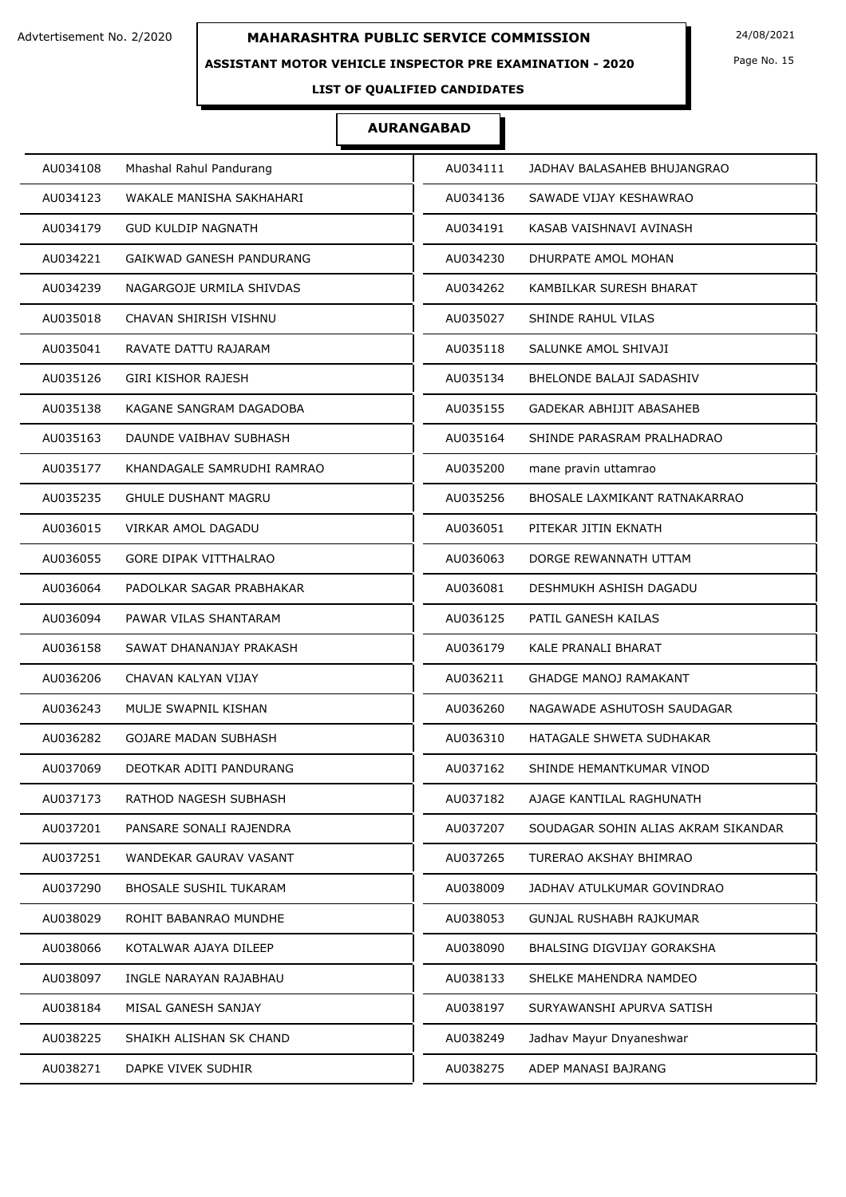### **ASSISTANT MOTOR VEHICLE INSPECTOR PRE EXAMINATION - 2020**

Page No. 15

## **LIST OF QUALIFIED CANDIDATES**

| AU034108<br>Mhashal Rahul Pandurang         | AU034111 | JADHAV BALASAHEB BHUJANGRAO         |
|---------------------------------------------|----------|-------------------------------------|
| AU034123<br>WAKALE MANISHA SAKHAHARI        | AU034136 | SAWADE VIJAY KESHAWRAO              |
| AU034179<br><b>GUD KULDIP NAGNATH</b>       | AU034191 | KASAB VAISHNAVI AVINASH             |
| AU034221<br><b>GAIKWAD GANESH PANDURANG</b> | AU034230 | DHURPATE AMOL MOHAN                 |
| AU034239<br>NAGARGOJE URMILA SHIVDAS        | AU034262 | KAMBILKAR SURESH BHARAT             |
| AU035018<br>CHAVAN SHIRISH VISHNU           | AU035027 | SHINDE RAHUL VILAS                  |
| AU035041<br>RAVATE DATTU RAJARAM            | AU035118 | SALUNKE AMOL SHIVAJI                |
| AU035126<br><b>GIRI KISHOR RAJESH</b>       | AU035134 | BHELONDE BALAJI SADASHIV            |
| AU035138<br>KAGANE SANGRAM DAGADOBA         | AU035155 | GADEKAR ABHIJIT ABASAHEB            |
| AU035163<br>DAUNDE VAIBHAV SUBHASH          | AU035164 | SHINDE PARASRAM PRALHADRAO          |
| AU035177<br>KHANDAGALE SAMRUDHI RAMRAO      | AU035200 | mane pravin uttamrao                |
| AU035235<br><b>GHULE DUSHANT MAGRU</b>      | AU035256 | BHOSALE LAXMIKANT RATNAKARRAO       |
| AU036015<br>VIRKAR AMOL DAGADU              | AU036051 | PITEKAR JITIN EKNATH                |
| AU036055<br><b>GORE DIPAK VITTHALRAO</b>    | AU036063 | DORGE REWANNATH UTTAM               |
| AU036064<br>PADOLKAR SAGAR PRABHAKAR        | AU036081 | DESHMUKH ASHISH DAGADU              |
| AU036094<br>PAWAR VILAS SHANTARAM           | AU036125 | PATIL GANESH KAILAS                 |
| AU036158<br>SAWAT DHANANJAY PRAKASH         | AU036179 | KALE PRANALI BHARAT                 |
| AU036206<br>CHAVAN KALYAN VIJAY             | AU036211 | <b>GHADGE MANOJ RAMAKANT</b>        |
| AU036243<br>MULJE SWAPNIL KISHAN            | AU036260 | NAGAWADE ASHUTOSH SAUDAGAR          |
| <b>GOJARE MADAN SUBHASH</b><br>AU036282     | AU036310 | HATAGALE SHWETA SUDHAKAR            |
| AU037069<br>DEOTKAR ADITI PANDURANG         | AU037162 | SHINDE HEMANTKUMAR VINOD            |
| AU037173<br>RATHOD NAGESH SUBHASH           | AU037182 | AJAGE KANTILAL RAGHUNATH            |
| AU037201<br>PANSARE SONALI RAJENDRA         | AU037207 | SOUDAGAR SOHIN ALIAS AKRAM SIKANDAR |
| AU037251<br>WANDEKAR GAURAV VASANT          | AU037265 | TURERAO AKSHAY BHIMRAO              |
| AU037290<br><b>BHOSALE SUSHIL TUKARAM</b>   | AU038009 | JADHAV ATULKUMAR GOVINDRAO          |
| AU038029<br>ROHIT BABANRAO MUNDHE           | AU038053 | GUNJAL RUSHABH RAJKUMAR             |
| AU038066<br>KOTALWAR AJAYA DILEEP           | AU038090 | BHALSING DIGVIJAY GORAKSHA          |
| AU038097<br>INGLE NARAYAN RAJABHAU          | AU038133 | SHELKE MAHENDRA NAMDEO              |
| AU038184<br>MISAL GANESH SANJAY             | AU038197 | SURYAWANSHI APURVA SATISH           |
| AU038225<br>SHAIKH ALISHAN SK CHAND         | AU038249 | Jadhav Mayur Dnyaneshwar            |
| AU038271<br>DAPKE VIVEK SUDHIR              | AU038275 | ADEP MANASI BAJRANG                 |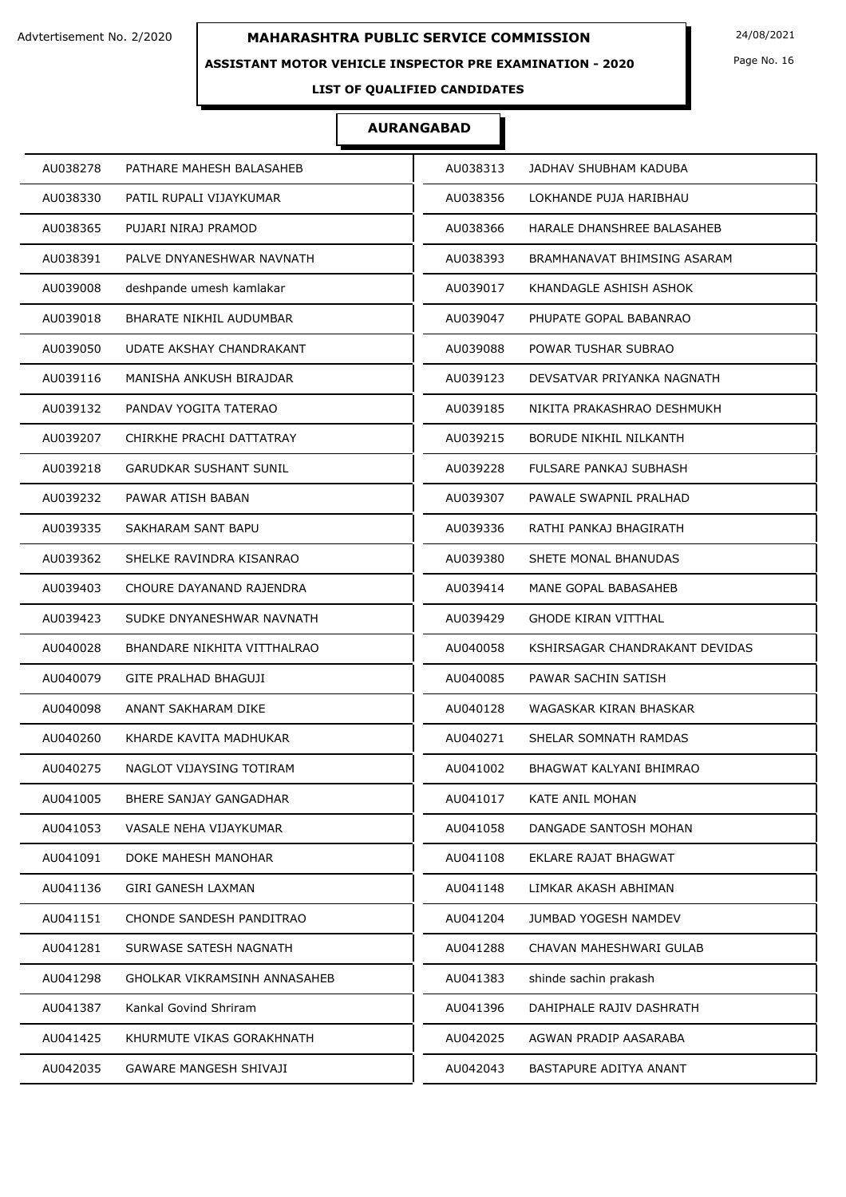### **ASSISTANT MOTOR VEHICLE INSPECTOR PRE EXAMINATION - 2020**

Page No. 16

## **LIST OF QUALIFIED CANDIDATES**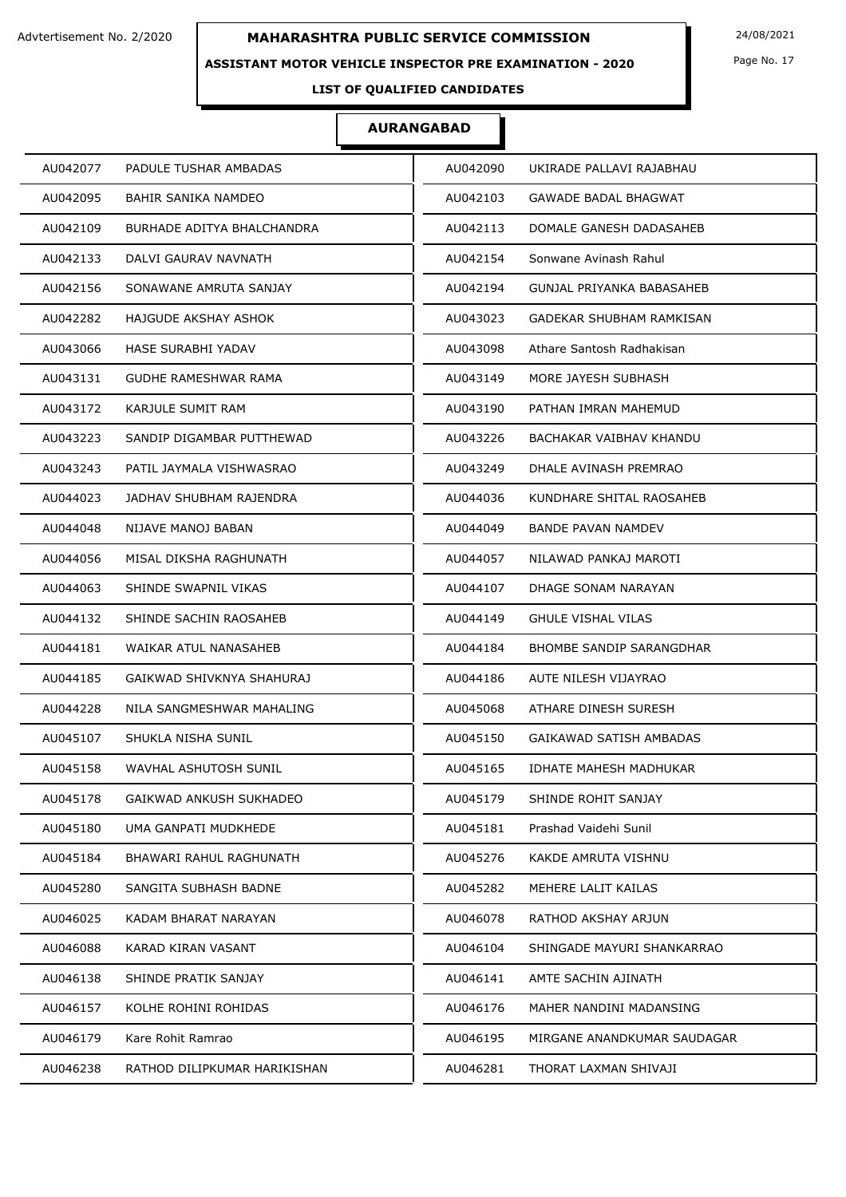### **ASSISTANT MOTOR VEHICLE INSPECTOR PRE EXAMINATION - 2020**

Page No. 17

## **LIST OF QUALIFIED CANDIDATES**

| AU042077 | PADULE TUSHAR AMBADAS        | AU042090 | UKIRADE PALLAVI RAJABHAU        |
|----------|------------------------------|----------|---------------------------------|
| AU042095 | <b>BAHIR SANIKA NAMDEO</b>   | AU042103 | <b>GAWADE BADAL BHAGWAT</b>     |
| AU042109 | BURHADE ADITYA BHALCHANDRA   | AU042113 | DOMALE GANESH DADASAHEB         |
| AU042133 | DALVI GAURAV NAVNATH         | AU042154 | Sonwane Avinash Rahul           |
| AU042156 | SONAWANE AMRUTA SANJAY       | AU042194 | GUNJAL PRIYANKA BABASAHEB       |
| AU042282 | HAJGUDE AKSHAY ASHOK         | AU043023 | GADEKAR SHUBHAM RAMKISAN        |
| AU043066 | HASE SURABHI YADAV           | AU043098 | Athare Santosh Radhakisan       |
| AU043131 | GUDHE RAMESHWAR RAMA         | AU043149 | MORE JAYESH SUBHASH             |
| AU043172 | KARJULE SUMIT RAM            | AU043190 | PATHAN IMRAN MAHEMUD            |
| AU043223 | SANDIP DIGAMBAR PUTTHEWAD    | AU043226 | BACHAKAR VAIBHAV KHANDU         |
| AU043243 | PATIL JAYMALA VISHWASRAO     | AU043249 | DHALE AVINASH PREMRAO           |
| AU044023 | JADHAV SHUBHAM RAJENDRA      | AU044036 | KUNDHARE SHITAL RAOSAHEB        |
| AU044048 | NIJAVE MANOJ BABAN           | AU044049 | BANDE PAVAN NAMDEV              |
| AU044056 | MISAL DIKSHA RAGHUNATH       | AU044057 | NILAWAD PANKAJ MAROTI           |
| AU044063 | SHINDE SWAPNIL VIKAS         | AU044107 | DHAGE SONAM NARAYAN             |
| AU044132 | SHINDE SACHIN RAOSAHEB       | AU044149 | <b>GHULE VISHAL VILAS</b>       |
| AU044181 | WAIKAR ATUL NANASAHEB        | AU044184 | <b>BHOMBE SANDIP SARANGDHAR</b> |
| AU044185 | GAIKWAD SHIVKNYA SHAHURAJ    | AU044186 | AUTE NILESH VIJAYRAO            |
| AU044228 | NILA SANGMESHWAR MAHALING    | AU045068 | ATHARE DINESH SURESH            |
| AU045107 | SHUKLA NISHA SUNIL           | AU045150 | GAIKAWAD SATISH AMBADAS         |
| AU045158 | WAVHAL ASHUTOSH SUNIL        | AU045165 | <b>IDHATE MAHESH MADHUKAR</b>   |
| AU045178 | GAIKWAD ANKUSH SUKHADEO      | AU045179 | SHINDE ROHIT SANJAY             |
| AU045180 | UMA GANPATI MUDKHEDE         | AU045181 | Prashad Vaidehi Sunil           |
| AU045184 | BHAWARI RAHUL RAGHUNATH      | AU045276 | KAKDE AMRUTA VISHNU             |
| AU045280 | SANGITA SUBHASH BADNE        | AU045282 | MEHERE LALIT KAILAS             |
| AU046025 | KADAM BHARAT NARAYAN         | AU046078 | RATHOD AKSHAY ARJUN             |
| AU046088 | KARAD KIRAN VASANT           | AU046104 | SHINGADE MAYURI SHANKARRAO      |
| AU046138 | SHINDE PRATIK SANJAY         | AU046141 | AMTE SACHIN AJINATH             |
| AU046157 | KOLHE ROHINI ROHIDAS         | AU046176 | MAHER NANDINI MADANSING         |
| AU046179 | Kare Rohit Ramrao            | AU046195 | MIRGANE ANANDKUMAR SAUDAGAR     |
| AU046238 | RATHOD DILIPKUMAR HARIKISHAN | AU046281 | THORAT LAXMAN SHIVAJI           |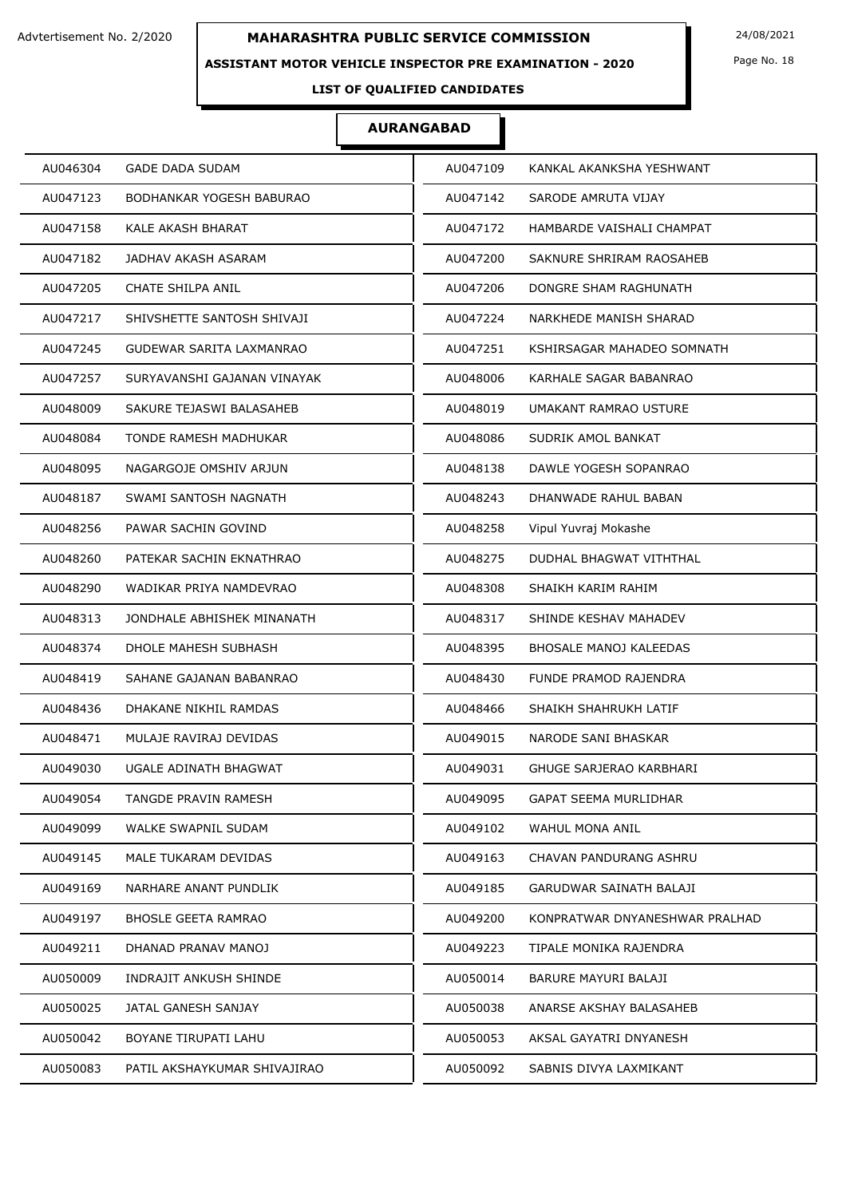#### **ASSISTANT MOTOR VEHICLE INSPECTOR PRE EXAMINATION - 2020**

Page No. 18

## **LIST OF QUALIFIED CANDIDATES**

| AU046304                     | AU047109                       |
|------------------------------|--------------------------------|
| <b>GADE DADA SUDAM</b>       | KANKAL AKANKSHA YESHWANT       |
| AU047123                     | AU047142                       |
| BODHANKAR YOGESH BABURAO     | SARODE AMRUTA VIJAY            |
| AU047158                     | HAMBARDE VAISHALI CHAMPAT      |
| KALE AKASH BHARAT            | AU047172                       |
| AU047182                     | AU047200                       |
| JADHAV AKASH ASARAM          | SAKNURE SHRIRAM RAOSAHEB       |
| CHATE SHILPA ANIL            | AU047206                       |
| AU047205                     | DONGRE SHAM RAGHUNATH          |
| AU047217                     | AU047224                       |
| SHIVSHETTE SANTOSH SHIVAJI   | NARKHEDE MANISH SHARAD         |
| AU047245                     | AU047251                       |
| GUDEWAR SARITA LAXMANRAO     | KSHIRSAGAR MAHADEO SOMNATH     |
| AU047257                     | AU048006                       |
| SURYAVANSHI GAJANAN VINAYAK  | KARHALE SAGAR BABANRAO         |
| AU048009                     | AU048019                       |
| SAKURE TEJASWI BALASAHEB     | UMAKANT RAMRAO USTURE          |
| AU048084                     | AU048086                       |
| TONDE RAMESH MADHUKAR        | SUDRIK AMOL BANKAT             |
| AU048095                     | AU048138                       |
| NAGARGOJE OMSHIV ARJUN       | DAWLE YOGESH SOPANRAO          |
| AU048187                     | AU048243                       |
| SWAMI SANTOSH NAGNATH        | DHANWADE RAHUL BABAN           |
| AU048256                     | AU048258                       |
| PAWAR SACHIN GOVIND          | Vipul Yuvraj Mokashe           |
| AU048260                     | AU048275                       |
| PATEKAR SACHIN EKNATHRAO     | DUDHAL BHAGWAT VITHTHAL        |
| AU048290                     | AU048308                       |
| WADIKAR PRIYA NAMDEVRAO      | SHAIKH KARIM RAHIM             |
| AU048313                     | AU048317                       |
| JONDHALE ABHISHEK MINANATH   | SHINDE KESHAV MAHADEV          |
| AU048374                     | AU048395                       |
| DHOLE MAHESH SUBHASH         | <b>BHOSALE MANOJ KALEEDAS</b>  |
| AU048419                     | AU048430                       |
| SAHANE GAJANAN BABANRAO      | FUNDE PRAMOD RAJENDRA          |
| AU048436                     | SHAIKH SHAHRUKH LATIF          |
| DHAKANE NIKHIL RAMDAS        | AU048466                       |
| AU048471                     | AU049015                       |
| MULAJE RAVIRAJ DEVIDAS       | NARODE SANI BHASKAR            |
| AU049030                     | AU049031                       |
| UGALE ADINATH BHAGWAT        | <b>GHUGE SARJERAO KARBHARI</b> |
| AU049054                     | AU049095                       |
| TANGDE PRAVIN RAMESH         | GAPAT SEEMA MURLIDHAR          |
| AU049099                     | AU049102                       |
| WALKE SWAPNIL SUDAM          | WAHUL MONA ANIL                |
| AU049145                     | AU049163                       |
| MALE TUKARAM DEVIDAS         | CHAVAN PANDURANG ASHRU         |
| AU049169                     | GARUDWAR SAINATH BALAJI        |
| NARHARE ANANT PUNDLIK        | AU049185                       |
| AU049197                     | AU049200                       |
| <b>BHOSLE GEETA RAMRAO</b>   | KONPRATWAR DNYANESHWAR PRALHAD |
| AU049211                     | AU049223                       |
| DHANAD PRANAV MANOJ          | TIPALE MONIKA RAJENDRA         |
| AU050009                     | AU050014                       |
| INDRAJIT ANKUSH SHINDE       | BARURE MAYURI BALAJI           |
| AU050025                     | AU050038                       |
| JATAL GANESH SANJAY          | ANARSE AKSHAY BALASAHEB        |
| AU050042                     | AU050053                       |
| BOYANE TIRUPATI LAHU         | AKSAL GAYATRI DNYANESH         |
| AU050083                     | AU050092                       |
| PATIL AKSHAYKUMAR SHIVAJIRAO | SABNIS DIVYA LAXMIKANT         |
|                              |                                |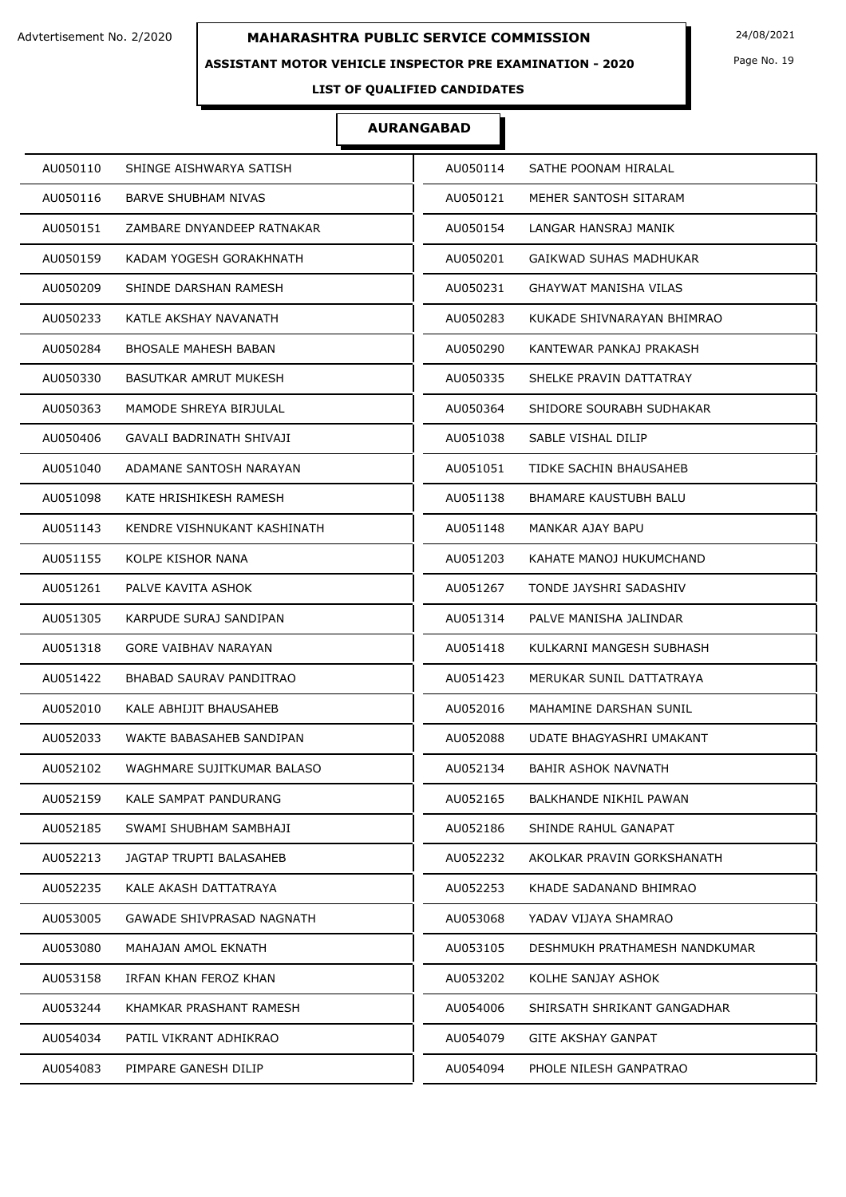### **ASSISTANT MOTOR VEHICLE INSPECTOR PRE EXAMINATION - 2020**

Page No. 19

## **LIST OF QUALIFIED CANDIDATES**

| AU050114<br>SATHE POONAM HIRALAL          |
|-------------------------------------------|
| AU050121<br>MEHER SANTOSH SITARAM         |
| LANGAR HANSRAJ MANIK<br>AU050154          |
| AU050201<br>GAIKWAD SUHAS MADHUKAR        |
| AU050231<br>GHAYWAT MANISHA VILAS         |
| KUKADE SHIVNARAYAN BHIMRAO<br>AU050283    |
| AU050290<br>KANTEWAR PANKAJ PRAKASH       |
| AU050335<br>SHELKE PRAVIN DATTATRAY       |
| AU050364<br>SHIDORE SOURABH SUDHAKAR      |
| AU051038<br>SABLE VISHAL DILIP            |
| AU051051<br>TIDKE SACHIN BHAUSAHEB        |
| AU051138<br><b>BHAMARE KAUSTUBH BALU</b>  |
| AU051148<br>MANKAR AJAY BAPU              |
| AU051203<br>KAHATE MANOJ HUKUMCHAND       |
| AU051267<br>TONDE JAYSHRI SADASHIV        |
| AU051314<br>PALVE MANISHA JALINDAR        |
| AU051418<br>KULKARNI MANGESH SUBHASH      |
| AU051423<br>MERUKAR SUNIL DATTATRAYA      |
| AU052016<br>MAHAMINE DARSHAN SUNIL        |
| AU052088<br>UDATE BHAGYASHRI UMAKANT      |
| AU052134<br>BAHIR ASHOK NAVNATH           |
| AU052165<br>BALKHANDE NIKHIL PAWAN        |
| AU052186<br>SHINDE RAHUL GANAPAT          |
| AU052232<br>AKOLKAR PRAVIN GORKSHANATH    |
| AU052253<br>KHADE SADANAND BHIMRAO        |
| AU053068<br>YADAV VIJAYA SHAMRAO          |
| AU053105<br>DESHMUKH PRATHAMESH NANDKUMAR |
| AU053202<br>KOLHE SANJAY ASHOK            |
| AU054006<br>SHIRSATH SHRIKANT GANGADHAR   |
| <b>GITE AKSHAY GANPAT</b><br>AU054079     |
| AU054094<br>PHOLE NILESH GANPATRAO        |
|                                           |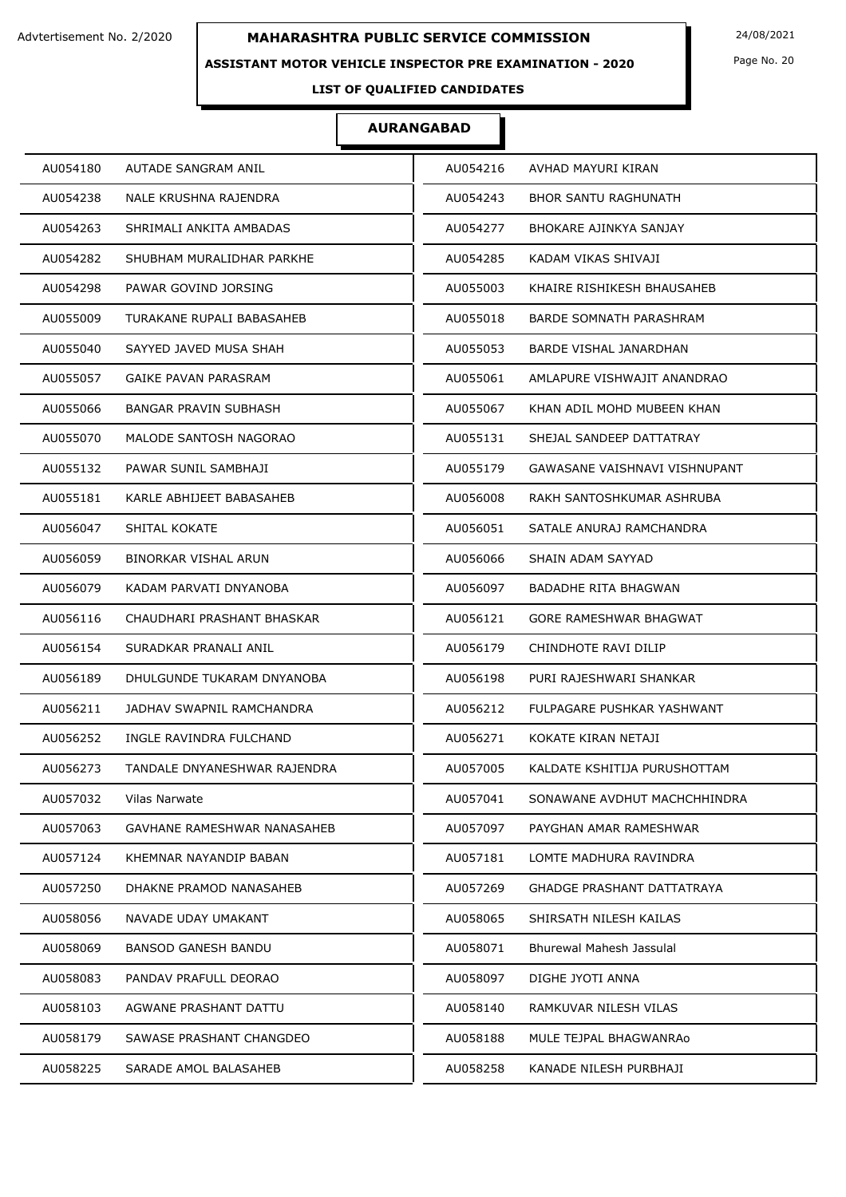#### **ASSISTANT MOTOR VEHICLE INSPECTOR PRE EXAMINATION - 2020**

Page No. 20

**LIST OF QUALIFIED CANDIDATES** 

| AU054238<br><b>NALE KRUSHNA RAJENDRA</b><br>AU054243<br><b>BHOR SANTU RAGHUNATH</b><br>AU054263<br>SHRIMALI ANKITA AMBADAS<br>AU054277<br>BHOKARE AJINKYA SANJAY<br>AU054282<br>SHUBHAM MURALIDHAR PARKHE<br>AU054285<br>KADAM VIKAS SHIVAJI<br>AU054298<br>PAWAR GOVIND JORSING<br>AU055003<br>KHAIRE RISHIKESH BHAUSAHEB |  |
|----------------------------------------------------------------------------------------------------------------------------------------------------------------------------------------------------------------------------------------------------------------------------------------------------------------------------|--|
|                                                                                                                                                                                                                                                                                                                            |  |
|                                                                                                                                                                                                                                                                                                                            |  |
|                                                                                                                                                                                                                                                                                                                            |  |
|                                                                                                                                                                                                                                                                                                                            |  |
| AU055009<br>AU055018<br>TURAKANE RUPALI BABASAHEB<br>BARDE SOMNATH PARASHRAM                                                                                                                                                                                                                                               |  |
| AU055040<br>SAYYED JAVED MUSA SHAH<br>BARDE VISHAL JANARDHAN<br>AU055053                                                                                                                                                                                                                                                   |  |
| AU055057<br>GAIKE PAVAN PARASRAM<br>AU055061<br>AMLAPURE VISHWAJIT ANANDRAO                                                                                                                                                                                                                                                |  |
| AU055066<br><b>BANGAR PRAVIN SUBHASH</b><br>AU055067<br>KHAN ADIL MOHD MUBEEN KHAN                                                                                                                                                                                                                                         |  |
| AU055070<br>MALODE SANTOSH NAGORAO<br>AU055131<br>SHEJAL SANDEEP DATTATRAY                                                                                                                                                                                                                                                 |  |
| AU055132<br>PAWAR SUNIL SAMBHAJI<br>AU055179<br>GAWASANE VAISHNAVI VISHNUPANT                                                                                                                                                                                                                                              |  |
| AU055181<br>KARLE ABHIJEET BABASAHEB<br>AU056008<br>RAKH SANTOSHKUMAR ASHRUBA                                                                                                                                                                                                                                              |  |
| AU056047<br>SHITAL KOKATE<br>AU056051<br>SATALE ANURAJ RAMCHANDRA                                                                                                                                                                                                                                                          |  |
| AU056059<br>BINORKAR VISHAL ARUN<br>AU056066<br>SHAIN ADAM SAYYAD                                                                                                                                                                                                                                                          |  |
| AU056079<br>KADAM PARVATI DNYANOBA<br>AU056097<br>BADADHE RITA BHAGWAN                                                                                                                                                                                                                                                     |  |
| AU056116<br>CHAUDHARI PRASHANT BHASKAR<br>AU056121<br>GORE RAMESHWAR BHAGWAT                                                                                                                                                                                                                                               |  |
| AU056154<br>AU056179<br>SURADKAR PRANALI ANIL<br>CHINDHOTE RAVI DILIP                                                                                                                                                                                                                                                      |  |
| AU056189<br>DHULGUNDE TUKARAM DNYANOBA<br>AU056198<br>PURI RAJESHWARI SHANKAR                                                                                                                                                                                                                                              |  |
| AU056211<br>JADHAV SWAPNIL RAMCHANDRA<br>AU056212<br>FULPAGARE PUSHKAR YASHWANT                                                                                                                                                                                                                                            |  |
| AU056252<br>INGLE RAVINDRA FULCHAND<br>AU056271<br>KOKATE KIRAN NETAJI                                                                                                                                                                                                                                                     |  |
| AU056273<br>TANDALE DNYANESHWAR RAJENDRA<br>AU057005<br>KALDATE KSHITIJA PURUSHOTTAM                                                                                                                                                                                                                                       |  |
| AU057032<br>AU057041<br>Vilas Narwate<br>SONAWANE AVDHUT MACHCHHINDRA                                                                                                                                                                                                                                                      |  |
| AU057063<br>GAVHANE RAMESHWAR NANASAHEB<br>AU057097<br>PAYGHAN AMAR RAMESHWAR                                                                                                                                                                                                                                              |  |
| KHEMNAR NAYANDIP BABAN<br>LOMTE MADHURA RAVINDRA<br>AU057124<br>AU057181                                                                                                                                                                                                                                                   |  |
| AU057250<br>DHAKNE PRAMOD NANASAHEB<br><b>GHADGE PRASHANT DATTATRAYA</b><br>AU057269                                                                                                                                                                                                                                       |  |
| AU058056<br>AU058065<br>SHIRSATH NILESH KAILAS<br>NAVADE UDAY UMAKANT                                                                                                                                                                                                                                                      |  |
| AU058069<br><b>BANSOD GANESH BANDU</b><br>AU058071<br>Bhurewal Mahesh Jassulal                                                                                                                                                                                                                                             |  |
| AU058083<br>PANDAV PRAFULL DEORAO<br>AU058097<br>DIGHE JYOTI ANNA                                                                                                                                                                                                                                                          |  |
| AU058103<br>AGWANE PRASHANT DATTU<br>AU058140<br>RAMKUVAR NILESH VILAS                                                                                                                                                                                                                                                     |  |
| AU058179<br>SAWASE PRASHANT CHANGDEO<br>AU058188<br>MULE TEJPAL BHAGWANRAo                                                                                                                                                                                                                                                 |  |
| AU058225<br>SARADE AMOL BALASAHEB<br>AU058258<br>KANADE NILESH PURBHAJI                                                                                                                                                                                                                                                    |  |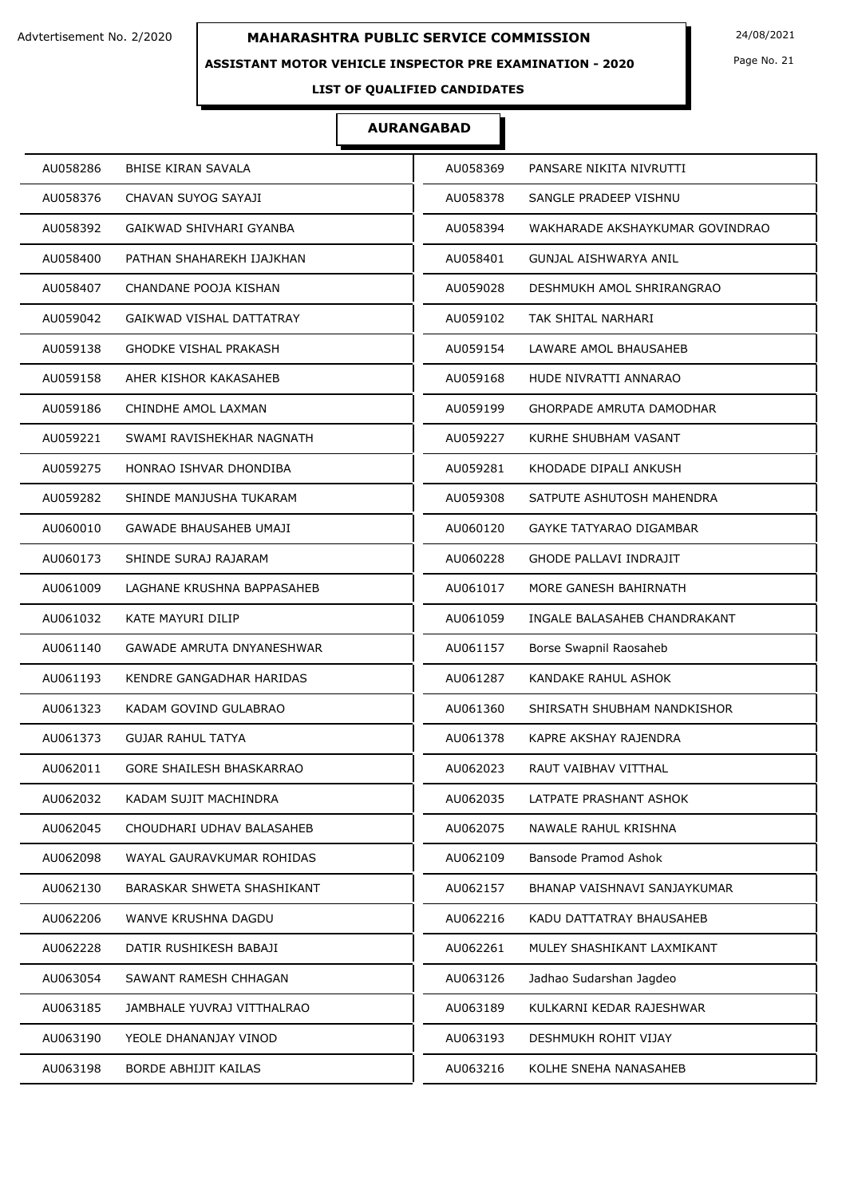### **ASSISTANT MOTOR VEHICLE INSPECTOR PRE EXAMINATION - 2020**

Page No. 21

## **LIST OF QUALIFIED CANDIDATES**

| AU058286                      | AU058369                        |
|-------------------------------|---------------------------------|
| <b>BHISE KIRAN SAVALA</b>     | PANSARE NIKITA NIVRUTTI         |
| AU058376                      | AU058378                        |
| CHAVAN SUYOG SAYAJI           | SANGLE PRADEEP VISHNU           |
| AU058392                      | AU058394                        |
| GAIKWAD SHIVHARI GYANBA       | WAKHARADE AKSHAYKUMAR GOVINDRAO |
| AU058400                      | AU058401                        |
| PATHAN SHAHAREKH IJAJKHAN     | <b>GUNJAL AISHWARYA ANIL</b>    |
| AU058407                      | AU059028                        |
| CHANDANE POOJA KISHAN         | DESHMUKH AMOL SHRIRANGRAO       |
| AU059042                      | AU059102                        |
| GAIKWAD VISHAL DATTATRAY      | TAK SHITAL NARHARI              |
| AU059138                      | AU059154                        |
| <b>GHODKE VISHAL PRAKASH</b>  | LAWARE AMOL BHAUSAHEB           |
| AU059158                      | AU059168                        |
| AHER KISHOR KAKASAHEB         | HUDE NIVRATTI ANNARAO           |
| AU059186                      | AU059199                        |
| CHINDHE AMOL LAXMAN           | <b>GHORPADE AMRUTA DAMODHAR</b> |
| AU059221                      | AU059227                        |
| SWAMI RAVISHEKHAR NAGNATH     | KURHE SHUBHAM VASANT            |
| AU059275                      | AU059281                        |
| HONRAO ISHVAR DHONDIBA        | KHODADE DIPALI ANKUSH           |
| AU059282                      | AU059308                        |
| SHINDE MANJUSHA TUKARAM       | SATPUTE ASHUTOSH MAHENDRA       |
| AU060010                      | AU060120                        |
| <b>GAWADE BHAUSAHEB UMAJI</b> | <b>GAYKE TATYARAO DIGAMBAR</b>  |
| AU060173                      | AU060228                        |
| SHINDE SURAJ RAJARAM          | <b>GHODE PALLAVI INDRAJIT</b>   |
| AU061009                      | AU061017                        |
| LAGHANE KRUSHNA BAPPASAHEB    | MORE GANESH BAHIRNATH           |
| AU061032                      | AU061059                        |
| KATE MAYURI DILIP             | INGALE BALASAHEB CHANDRAKANT    |
| AU061140                      | AU061157                        |
| GAWADE AMRUTA DNYANESHWAR     | Borse Swapnil Raosaheb          |
| AU061193                      | AU061287                        |
| KENDRE GANGADHAR HARIDAS      | KANDAKE RAHUL ASHOK             |
| AU061323                      | AU061360                        |
| KADAM GOVIND GULABRAO         | SHIRSATH SHUBHAM NANDKISHOR     |
| AU061373                      | AU061378                        |
| <b>GUJAR RAHUL TATYA</b>      | KAPRE AKSHAY RAJENDRA           |
| AU062011                      | AU062023                        |
| GORE SHAILESH BHASKARRAO      | RAUT VAIBHAV VITTHAL            |
| AU062032                      | AU062035                        |
| KADAM SUJIT MACHINDRA         | LATPATE PRASHANT ASHOK          |
| AU062045                      | AU062075                        |
| CHOUDHARI UDHAV BALASAHEB     | NAWALE RAHUL KRISHNA            |
| AU062098                      | Bansode Pramod Ashok            |
| WAYAL GAURAVKUMAR ROHIDAS     | AU062109                        |
| AU062130                      | AU062157                        |
| BARASKAR SHWETA SHASHIKANT    | BHANAP VAISHNAVI SANJAYKUMAR    |
| AU062206                      | AU062216                        |
| WANVE KRUSHNA DAGDU           | KADU DATTATRAY BHAUSAHEB        |
| AU062228                      | AU062261                        |
| DATIR RUSHIKESH BABAJI        | MULEY SHASHIKANT LAXMIKANT      |
| AU063054                      | AU063126                        |
| SAWANT RAMESH CHHAGAN         | Jadhao Sudarshan Jagdeo         |
| AU063185                      | AU063189                        |
| JAMBHALE YUVRAJ VITTHALRAO    | KULKARNI KEDAR RAJESHWAR        |
| AU063190                      | AU063193                        |
| YEOLE DHANANJAY VINOD         | DESHMUKH ROHIT VIJAY            |
| AU063198                      | AU063216                        |
| BORDE ABHIJIT KAILAS          | KOLHE SNEHA NANASAHEB           |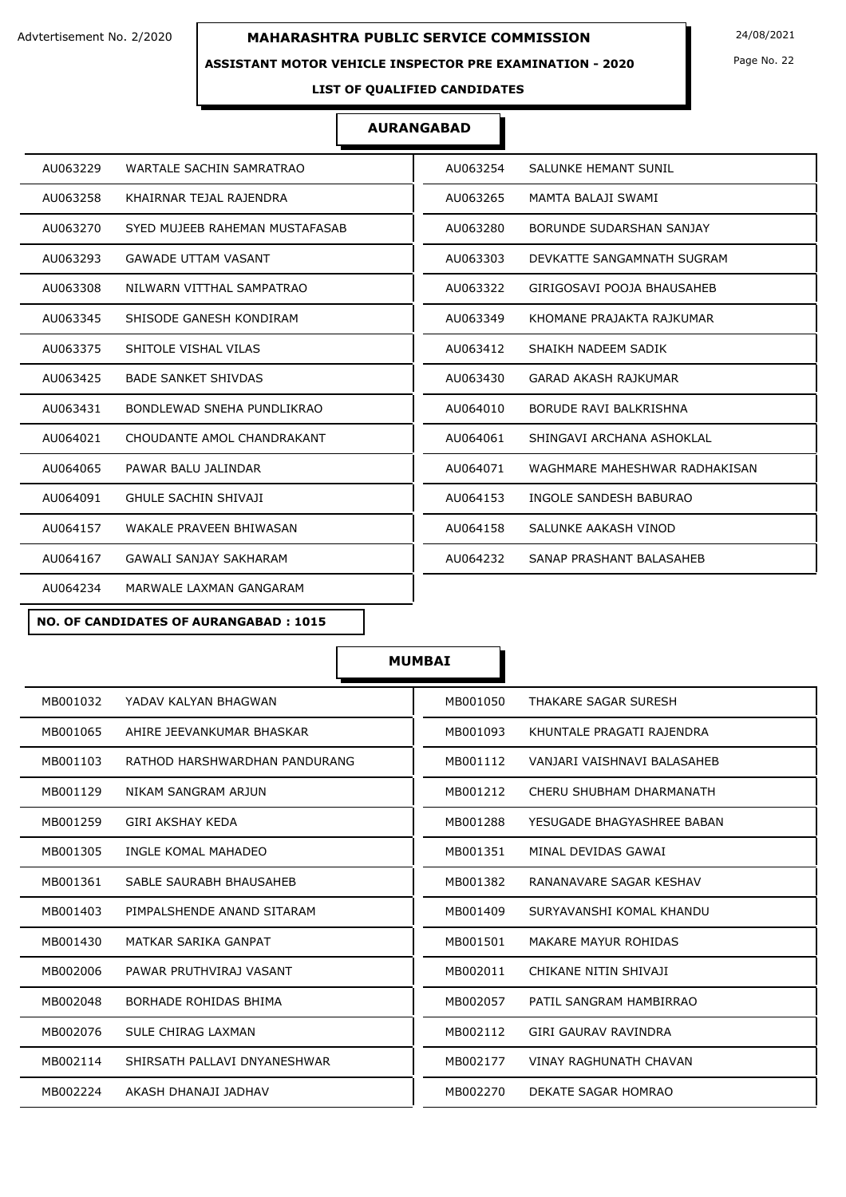#### **ASSISTANT MOTOR VEHICLE INSPECTOR PRE EXAMINATION - 2020**

Page No. 22

**LIST OF QUALIFIED CANDIDATES** 

### **AURANGABAD**

| AU063229                            | AU063254                      |
|-------------------------------------|-------------------------------|
| WARTALE SACHIN SAMRATRAO            | SALUNKE HEMANT SUNIL          |
| AU063258                            | AU063265                      |
| KHAIRNAR TEJAL RAJENDRA             | MAMTA BALAJI SWAMI            |
| AU063270                            | AU063280                      |
| SYED MUJEEB RAHEMAN MUSTAFASAB      | BORUNDE SUDARSHAN SANJAY      |
| AU063293                            | AU063303                      |
| <b>GAWADE UTTAM VASANT</b>          | DEVKATTE SANGAMNATH SUGRAM    |
| AU063308                            | AU063322                      |
| NILWARN VITTHAL SAMPATRAO           | GIRIGOSAVI POOJA BHAUSAHEB    |
| SHISODE GANESH KONDIRAM             | KHOMANE PRAJAKTA RAJKUMAR     |
| AU063345                            | AU063349                      |
| AU063375                            | AU063412                      |
| SHITOLE VISHAL VILAS                | SHAIKH NADEEM SADIK           |
| AU063425                            | AU063430                      |
| <b>BADE SANKET SHIVDAS</b>          | GARAD AKASH RAJKUMAR          |
| BONDLEWAD SNEHA PUNDLIKRAO          | BORUDE RAVI BALKRISHNA        |
| AU063431                            | AU064010                      |
| AU064021                            | AU064061                      |
| CHOUDANTE AMOL CHANDRAKANT          | SHINGAVI ARCHANA ASHOKLAL     |
| PAWAR BALU JALINDAR                 | WAGHMARE MAHESHWAR RADHAKISAN |
| AU064065                            | AU064071                      |
| <b>GHULE SACHIN SHIVAJI</b>         | AU064153                      |
| AU064091                            | INGOLE SANDESH BABURAO        |
| AU064157                            | AU064158                      |
| WAKALE PRAVEEN BHIWASAN             | SALUNKE AAKASH VINOD          |
| AU064167                            | AU064232                      |
| <b>GAWALI SANJAY SAKHARAM</b>       | SANAP PRASHANT BALASAHEB      |
| AU064234<br>MARWALE LAXMAN GANGARAM |                               |
|                                     |                               |

**NO. OF CANDIDATES OF AURANGABAD : 1015**

| MB001032                      | MB001050                      |
|-------------------------------|-------------------------------|
| YADAV KALYAN BHAGWAN          | THAKARE SAGAR SURESH          |
| MB001065                      | MB001093                      |
| AHIRE JEEVANKUMAR BHASKAR     | KHUNTALE PRAGATI RAJENDRA     |
| RATHOD HARSHWARDHAN PANDURANG | MB001112                      |
| MB001103                      | VANJARI VAISHNAVI BALASAHEB   |
| MB001129                      | MB001212                      |
| NIKAM SANGRAM ARJUN           | CHERU SHUBHAM DHARMANATH      |
| <b>GIRI AKSHAY KEDA</b>       | MB001288                      |
| MB001259                      | YESUGADE BHAGYASHREE BABAN    |
| MB001305                      | MB001351                      |
| INGLE KOMAL MAHADEO           | MINAL DEVIDAS GAWAI           |
| MB001361                      | MB001382                      |
| SABLE SAURABH BHAUSAHEB       | RANANAVARE SAGAR KESHAV       |
| MB001403                      | MB001409                      |
| PIMPALSHENDE ANAND SITARAM    | SURYAVANSHI KOMAL KHANDU      |
| MB001430                      | MB001501                      |
| MATKAR SARIKA GANPAT          | MAKARE MAYUR ROHIDAS          |
| MB002006                      | CHIKANE NITIN SHIVAJI         |
| PAWAR PRUTHVIRAJ VASANT       | MB002011                      |
| BORHADE ROHIDAS BHIMA         | PATIL SANGRAM HAMBIRRAO       |
| MB002048                      | MB002057                      |
| MB002076                      | MB002112                      |
| SULE CHIRAG LAXMAN            | <b>GIRI GAURAV RAVINDRA</b>   |
| MB002114                      | <b>VINAY RAGHUNATH CHAVAN</b> |
| SHIRSATH PALLAVI DNYANESHWAR  | MB002177                      |
| MB002224                      | MB002270                      |
| AKASH DHANAJI JADHAV          | DEKATE SAGAR HOMRAO           |
|                               |                               |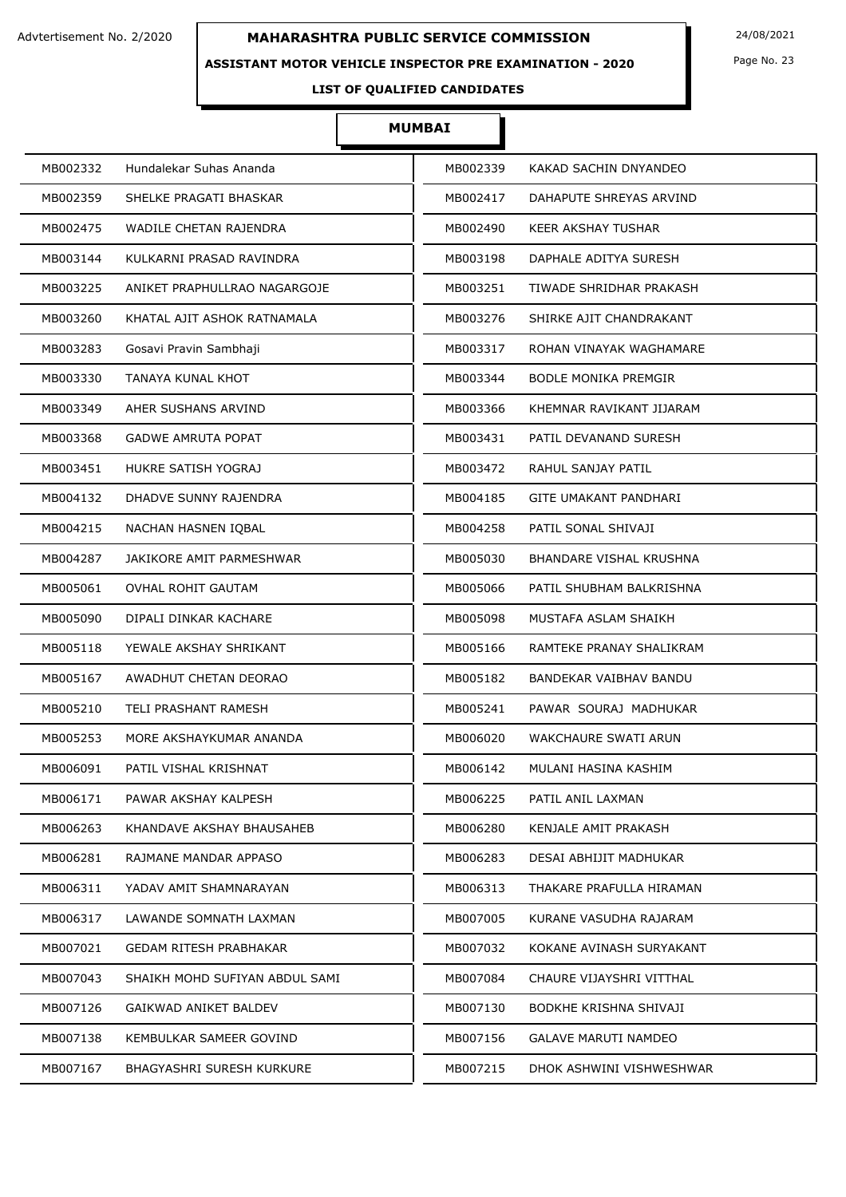### **ASSISTANT MOTOR VEHICLE INSPECTOR PRE EXAMINATION - 2020**

Page No. 23

**LIST OF QUALIFIED CANDIDATES** 

| MB002332                       | MB002339                    |
|--------------------------------|-----------------------------|
| Hundalekar Suhas Ananda        | KAKAD SACHIN DNYANDEO       |
| MB002359                       | MB002417                    |
| SHELKE PRAGATI BHASKAR         | DAHAPUTE SHREYAS ARVIND     |
| MB002475                       | MB002490                    |
| WADILE CHETAN RAJENDRA         | KEER AKSHAY TUSHAR          |
| MB003144                       | MB003198                    |
| KULKARNI PRASAD RAVINDRA       | DAPHALE ADITYA SURESH       |
| MB003225                       | MB003251                    |
| ANIKET PRAPHULLRAO NAGARGOJE   | TIWADE SHRIDHAR PRAKASH     |
| MB003260                       | MB003276                    |
| KHATAL AJIT ASHOK RATNAMALA    | SHIRKE AJIT CHANDRAKANT     |
| MB003283                       | MB003317                    |
| Gosavi Pravin Sambhaji         | ROHAN VINAYAK WAGHAMARE     |
| MB003330                       | MB003344                    |
| TANAYA KUNAL KHOT              | <b>BODLE MONIKA PREMGIR</b> |
| MB003349                       | MB003366                    |
| AHER SUSHANS ARVIND            | KHEMNAR RAVIKANT JIJARAM    |
| MB003368                       | MB003431                    |
| <b>GADWE AMRUTA POPAT</b>      | PATIL DEVANAND SURESH       |
| MB003451                       | MB003472                    |
| HUKRE SATISH YOGRAJ            | RAHUL SANJAY PATIL          |
| MB004132                       | MB004185                    |
| DHADVE SUNNY RAJENDRA          | GITE UMAKANT PANDHARI       |
| MB004215                       | MB004258                    |
| NACHAN HASNEN IQBAL            | PATIL SONAL SHIVAJI         |
| MB004287                       | MB005030                    |
| JAKIKORE AMIT PARMESHWAR       | BHANDARE VISHAL KRUSHNA     |
| MB005061                       | MB005066                    |
| OVHAL ROHIT GAUTAM             | PATIL SHUBHAM BALKRISHNA    |
| MB005090                       | MB005098                    |
| DIPALI DINKAR KACHARE          | MUSTAFA ASLAM SHAIKH        |
| MB005118                       | MB005166                    |
| YEWALE AKSHAY SHRIKANT         | RAMTEKE PRANAY SHALIKRAM    |
| MB005167                       | MB005182                    |
| AWADHUT CHETAN DEORAO          | BANDEKAR VAIBHAV BANDU      |
| MB005210                       | MB005241                    |
| <b>TELI PRASHANT RAMESH</b>    | PAWAR SOURAJ MADHUKAR       |
| MB005253                       | MB006020                    |
| MORE AKSHAYKUMAR ANANDA        | WAKCHAURE SWATI ARUN        |
| MB006091                       | MB006142                    |
| PATIL VISHAL KRISHNAT          | MULANI HASINA KASHIM        |
| MB006171                       | PATIL ANIL LAXMAN           |
| PAWAR AKSHAY KALPESH           | MB006225                    |
| MB006263                       | MB006280                    |
| KHANDAVE AKSHAY BHAUSAHEB      | KENJALE AMIT PRAKASH        |
| MB006281                       | MB006283                    |
| RAJMANE MANDAR APPASO          | DESAI ABHIJIT MADHUKAR      |
| YADAV AMIT SHAMNARAYAN         | MB006313                    |
| MB006311                       | THAKARE PRAFULLA HIRAMAN    |
| MB006317                       | MB007005                    |
| LAWANDE SOMNATH LAXMAN         | KURANE VASUDHA RAJARAM      |
| MB007021                       | MB007032                    |
| GEDAM RITESH PRABHAKAR         | KOKANE AVINASH SURYAKANT    |
| MB007043                       | MB007084                    |
| SHAIKH MOHD SUFIYAN ABDUL SAMI | CHAURE VIJAYSHRI VITTHAL    |
| MB007126                       | MB007130                    |
| GAIKWAD ANIKET BALDEV          | BODKHE KRISHNA SHIVAJI      |
| MB007138                       | MB007156                    |
| KEMBULKAR SAMEER GOVIND        | <b>GALAVE MARUTI NAMDEO</b> |
| MB007167                       | MB007215                    |
| BHAGYASHRI SURESH KURKURE      | DHOK ASHWINI VISHWESHWAR    |
|                                |                             |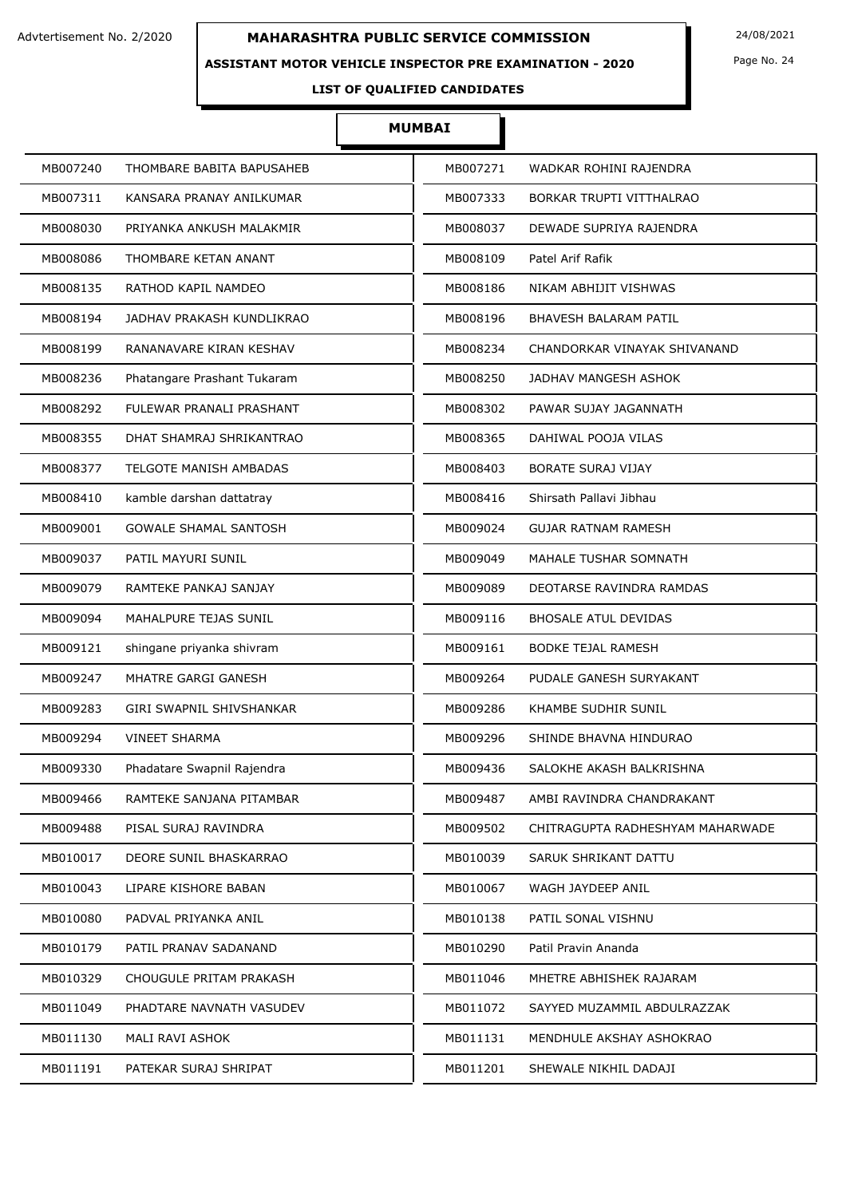### **ASSISTANT MOTOR VEHICLE INSPECTOR PRE EXAMINATION - 2020**

Page No. 24

## **LIST OF QUALIFIED CANDIDATES**

| MB007240                      | MB007271                         |
|-------------------------------|----------------------------------|
| THOMBARE BABITA BAPUSAHEB     | WADKAR ROHINI RAJENDRA           |
| MB007311                      | BORKAR TRUPTI VITTHALRAO         |
| KANSARA PRANAY ANILKUMAR      | MB007333                         |
| MB008030                      | MB008037                         |
| PRIYANKA ANKUSH MALAKMIR      | DEWADE SUPRIYA RAJENDRA          |
| MB008086                      | Patel Arif Rafik                 |
| THOMBARE KETAN ANANT          | MB008109                         |
| MB008135                      | MB008186                         |
| RATHOD KAPIL NAMDEO           | NIKAM ABHIJIT VISHWAS            |
| MB008194                      | MB008196                         |
| JADHAV PRAKASH KUNDLIKRAO     | BHAVESH BALARAM PATIL            |
| MB008199                      | MB008234                         |
| RANANAVARE KIRAN KESHAV       | CHANDORKAR VINAYAK SHIVANAND     |
| MB008236                      | MB008250                         |
| Phatangare Prashant Tukaram   | JADHAV MANGESH ASHOK             |
| MB008292                      | MB008302                         |
| FULEWAR PRANALI PRASHANT      | PAWAR SUJAY JAGANNATH            |
| MB008355                      | MB008365                         |
| DHAT SHAMRAJ SHRIKANTRAO      | DAHIWAL POOJA VILAS              |
| MB008377                      | MB008403                         |
| <b>TELGOTE MANISH AMBADAS</b> | <b>BORATE SURAJ VIJAY</b>        |
| MB008410                      | MB008416                         |
| kamble darshan dattatray      | Shirsath Pallavi Jibhau          |
| MB009001                      | MB009024                         |
| GOWALE SHAMAL SANTOSH         | GUJAR RATNAM RAMESH              |
| MB009037                      | MB009049                         |
| PATIL MAYURI SUNIL            | MAHALE TUSHAR SOMNATH            |
| MB009079                      | MB009089                         |
| RAMTEKE PANKAJ SANJAY         | DEOTARSE RAVINDRA RAMDAS         |
| MB009094                      | MB009116                         |
| MAHALPURE TEJAS SUNIL         | <b>BHOSALE ATUL DEVIDAS</b>      |
| MB009121                      | MB009161                         |
| shingane priyanka shivram     | <b>BODKE TEJAL RAMESH</b>        |
| MB009247                      | MB009264                         |
| MHATRE GARGI GANESH           | PUDALE GANESH SURYAKANT          |
| MB009283                      | MB009286                         |
| GIRI SWAPNIL SHIVSHANKAR      | <b>KHAMBE SUDHIR SUNIL</b>       |
| MB009294                      | MB009296                         |
| <b>VINEET SHARMA</b>          | SHINDE BHAVNA HINDURAO           |
| MB009330                      | SALOKHE AKASH BALKRISHNA         |
| Phadatare Swapnil Rajendra    | MB009436                         |
| MB009466                      | AMBI RAVINDRA CHANDRAKANT        |
| RAMTEKE SANJANA PITAMBAR      | MB009487                         |
| MB009488                      | MB009502                         |
| PISAL SURAJ RAVINDRA          | CHITRAGUPTA RADHESHYAM MAHARWADE |
| MB010017                      | MB010039                         |
| DEORE SUNIL BHASKARRAO        | SARUK SHRIKANT DATTU             |
| LIPARE KISHORE BABAN          | MB010067                         |
| MB010043                      | WAGH JAYDEEP ANIL                |
| MB010080                      | PATIL SONAL VISHNU               |
| PADVAL PRIYANKA ANIL          | MB010138                         |
| MB010179                      | MB010290                         |
| PATIL PRANAV SADANAND         | Patil Pravin Ananda              |
| MB010329                      | MB011046                         |
| CHOUGULE PRITAM PRAKASH       | MHETRE ABHISHEK RAJARAM          |
| MB011049                      | MB011072                         |
| PHADTARE NAVNATH VASUDEV      | SAYYED MUZAMMIL ABDULRAZZAK      |
| MB011130                      | MENDHULE AKSHAY ASHOKRAO         |
| MALI RAVI ASHOK               | MB011131                         |
| MB011191                      | MB011201                         |
| PATEKAR SURAJ SHRIPAT         | SHEWALE NIKHIL DADAJI            |
|                               |                                  |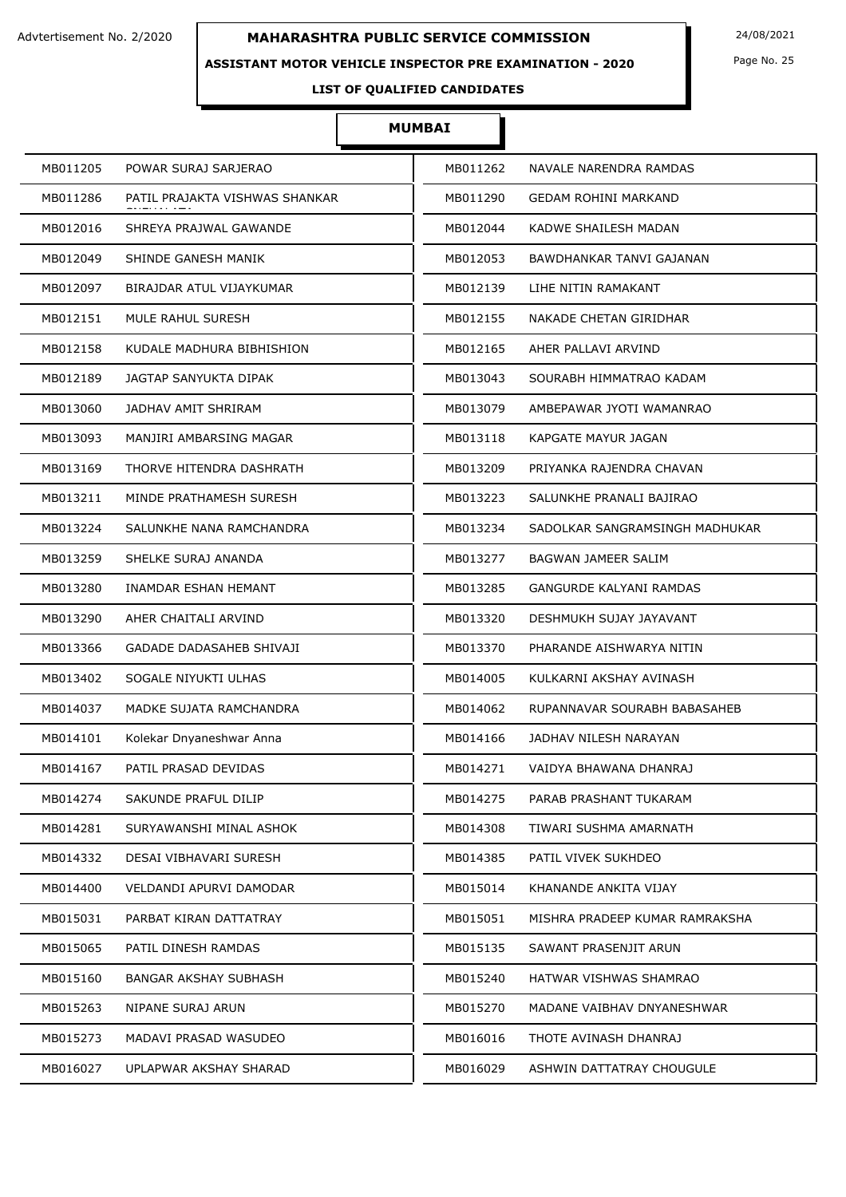### **ASSISTANT MOTOR VEHICLE INSPECTOR PRE EXAMINATION - 2020**

Page No. 25

## **LIST OF QUALIFIED CANDIDATES**

| MB011205 | POWAR SURAJ SARJERAO           | MB011262 | NAVALE NARENDRA RAMDAS         |
|----------|--------------------------------|----------|--------------------------------|
| MB011286 | PATIL PRAJAKTA VISHWAS SHANKAR | MB011290 | <b>GEDAM ROHINI MARKAND</b>    |
| MB012016 | SHREYA PRAJWAL GAWANDE         | MB012044 | KADWE SHAILESH MADAN           |
| MB012049 | SHINDE GANESH MANIK            | MB012053 | BAWDHANKAR TANVI GAJANAN       |
| MB012097 | BIRAJDAR ATUL VIJAYKUMAR       | MB012139 | LIHE NITIN RAMAKANT            |
| MB012151 | MULE RAHUL SURESH              | MB012155 | NAKADE CHETAN GIRIDHAR         |
| MB012158 | KUDALE MADHURA BIBHISHION      | MB012165 | AHER PALLAVI ARVIND            |
| MB012189 | JAGTAP SANYUKTA DIPAK          | MB013043 | SOURABH HIMMATRAO KADAM        |
| MB013060 | JADHAV AMIT SHRIRAM            | MB013079 | AMBEPAWAR JYOTI WAMANRAO       |
| MB013093 | MANJIRI AMBARSING MAGAR        | MB013118 | KAPGATE MAYUR JAGAN            |
| MB013169 | THORVE HITENDRA DASHRATH       | MB013209 | PRIYANKA RAJENDRA CHAVAN       |
| MB013211 | MINDE PRATHAMESH SURESH        | MB013223 | SALUNKHE PRANALI BAJIRAO       |
| MB013224 | SALUNKHE NANA RAMCHANDRA       | MB013234 | SADOLKAR SANGRAMSINGH MADHUKAR |
| MB013259 | SHELKE SURAJ ANANDA            | MB013277 | BAGWAN JAMEER SALIM            |
| MB013280 | INAMDAR ESHAN HEMANT           | MB013285 | <b>GANGURDE KALYANI RAMDAS</b> |
| MB013290 | AHER CHAITALI ARVIND           | MB013320 | DESHMUKH SUJAY JAYAVANT        |
| MB013366 | GADADE DADASAHEB SHIVAJI       | MB013370 | PHARANDE AISHWARYA NITIN       |
| MB013402 | SOGALE NIYUKTI ULHAS           | MB014005 | KULKARNI AKSHAY AVINASH        |
| MB014037 | MADKE SUJATA RAMCHANDRA        | MB014062 | RUPANNAVAR SOURABH BABASAHEB   |
| MB014101 | Kolekar Dnyaneshwar Anna       | MB014166 | JADHAV NILESH NARAYAN          |
| MB014167 | PATIL PRASAD DEVIDAS           | MB014271 | VAIDYA BHAWANA DHANRAJ         |
| MB014274 | SAKUNDE PRAFUL DILIP           | MB014275 | PARAB PRASHANT TUKARAM         |
| MB014281 | SURYAWANSHI MINAL ASHOK        | MB014308 | TIWARI SUSHMA AMARNATH         |
| MB014332 | DESAI VIBHAVARI SURESH         | MB014385 | PATIL VIVEK SUKHDEO            |
| MB014400 | VELDANDI APURVI DAMODAR        | MB015014 | KHANANDE ANKITA VIJAY          |
| MB015031 | PARBAT KIRAN DATTATRAY         | MB015051 | MISHRA PRADEEP KUMAR RAMRAKSHA |
| MB015065 | PATIL DINESH RAMDAS            | MB015135 | SAWANT PRASENJIT ARUN          |
| MB015160 | BANGAR AKSHAY SUBHASH          | MB015240 | HATWAR VISHWAS SHAMRAO         |
| MB015263 | NIPANE SURAJ ARUN              | MB015270 | MADANE VAIBHAV DNYANESHWAR     |
| MB015273 | MADAVI PRASAD WASUDEO          | MB016016 | THOTE AVINASH DHANRAJ          |
| MB016027 | UPLAPWAR AKSHAY SHARAD         | MB016029 | ASHWIN DATTATRAY CHOUGULE      |
|          |                                |          |                                |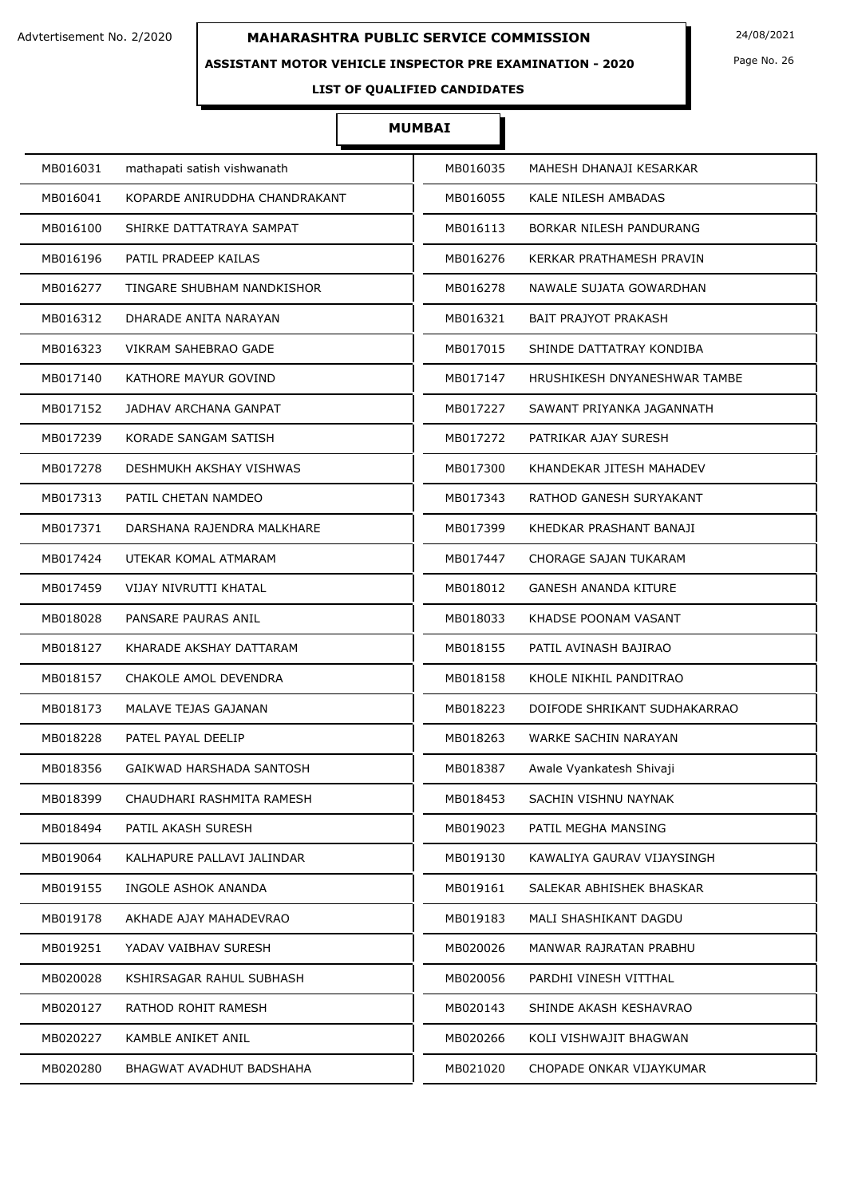### **ASSISTANT MOTOR VEHICLE INSPECTOR PRE EXAMINATION - 2020**

Page No. 26

## **LIST OF QUALIFIED CANDIDATES**

| MB016031 | mathapati satish vishwanath   | MB016035 | MAHESH DHANAJI KESARKAR      |
|----------|-------------------------------|----------|------------------------------|
| MB016041 | KOPARDE ANIRUDDHA CHANDRAKANT | MB016055 | KALE NILESH AMBADAS          |
| MB016100 | SHIRKE DATTATRAYA SAMPAT      | MB016113 | BORKAR NILESH PANDURANG      |
| MB016196 | PATIL PRADEEP KAILAS          | MB016276 | KERKAR PRATHAMESH PRAVIN     |
| MB016277 | TINGARE SHUBHAM NANDKISHOR    | MB016278 | NAWALE SUJATA GOWARDHAN      |
| MB016312 | DHARADE ANITA NARAYAN         | MB016321 | <b>BAIT PRAJYOT PRAKASH</b>  |
| MB016323 | VIKRAM SAHEBRAO GADE          | MB017015 | SHINDE DATTATRAY KONDIBA     |
| MB017140 | KATHORE MAYUR GOVIND          | MB017147 | HRUSHIKESH DNYANESHWAR TAMBE |
| MB017152 | JADHAV ARCHANA GANPAT         | MB017227 | SAWANT PRIYANKA JAGANNATH    |
| MB017239 | KORADE SANGAM SATISH          | MB017272 | PATRIKAR AJAY SURESH         |
| MB017278 | DESHMUKH AKSHAY VISHWAS       | MB017300 | KHANDEKAR JITESH MAHADEV     |
| MB017313 | PATIL CHETAN NAMDEO           | MB017343 | RATHOD GANESH SURYAKANT      |
| MB017371 | DARSHANA RAJENDRA MALKHARE    | MB017399 | KHEDKAR PRASHANT BANAJI      |
| MB017424 | UTEKAR KOMAL ATMARAM          | MB017447 | CHORAGE SAJAN TUKARAM        |
| MB017459 | VIJAY NIVRUTTI KHATAL         | MB018012 | <b>GANESH ANANDA KITURE</b>  |
| MB018028 | PANSARE PAURAS ANIL           | MB018033 | KHADSE POONAM VASANT         |
| MB018127 | KHARADE AKSHAY DATTARAM       | MB018155 | PATIL AVINASH BAJIRAO        |
| MB018157 | CHAKOLE AMOL DEVENDRA         | MB018158 | KHOLE NIKHIL PANDITRAO       |
| MB018173 | MALAVE TEJAS GAJANAN          | MB018223 | DOIFODE SHRIKANT SUDHAKARRAO |
| MB018228 | PATEL PAYAL DEELIP            | MB018263 | WARKE SACHIN NARAYAN         |
| MB018356 | GAIKWAD HARSHADA SANTOSH      | MB018387 | Awale Vyankatesh Shivaji     |
| MB018399 | CHAUDHARI RASHMITA RAMESH     | MB018453 | SACHIN VISHNU NAYNAK         |
| MB018494 | PATIL AKASH SURESH            | MB019023 | PATIL MEGHA MANSING          |
| MB019064 | KALHAPURE PALLAVI JALINDAR    | MB019130 | KAWALIYA GAURAV VIJAYSINGH   |
| MB019155 | INGOLE ASHOK ANANDA           | MB019161 | SALEKAR ABHISHEK BHASKAR     |
| MB019178 | AKHADE AJAY MAHADEVRAO        | MB019183 | MALI SHASHIKANT DAGDU        |
| MB019251 | YADAV VAIBHAV SURESH          | MB020026 | MANWAR RAJRATAN PRABHU       |
| MB020028 | KSHIRSAGAR RAHUL SUBHASH      | MB020056 | PARDHI VINESH VITTHAL        |
| MB020127 | RATHOD ROHIT RAMESH           | MB020143 | SHINDE AKASH KESHAVRAO       |
| MB020227 | KAMBLE ANIKET ANIL            | MB020266 | KOLI VISHWAJIT BHAGWAN       |
| MB020280 | BHAGWAT AVADHUT BADSHAHA      | MB021020 | CHOPADE ONKAR VIJAYKUMAR     |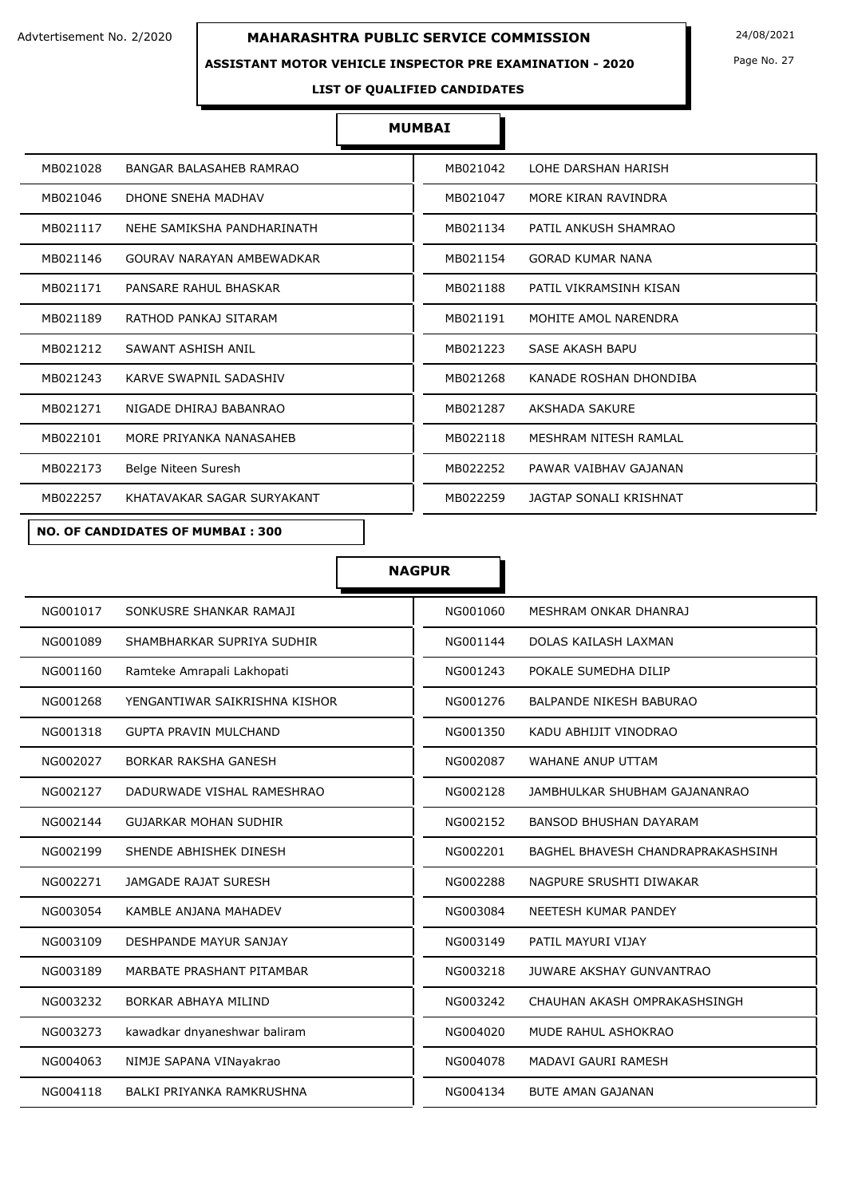### **ASSISTANT MOTOR VEHICLE INSPECTOR PRE EXAMINATION - 2020**

Page No. 27

#### **LIST OF QUALIFIED CANDIDATES**

#### **MUMBAI**

| MB021028 | BANGAR BALASAHEB RAMRAO    | MB021042 | LOHE DARSHAN HARISH     |
|----------|----------------------------|----------|-------------------------|
| MB021046 | DHONE SNEHA MADHAV         | MB021047 | MORE KIRAN RAVINDRA     |
| MB021117 | NEHE SAMIKSHA PANDHARINATH | MB021134 | PATIL ANKUSH SHAMRAO    |
| MB021146 | GOURAV NARAYAN AMBEWADKAR  | MB021154 | <b>GORAD KUMAR NANA</b> |
| MB021171 | PANSARE RAHUL BHASKAR      | MB021188 | PATIL VIKRAMSINH KISAN  |
| MB021189 | RATHOD PANKAJ SITARAM      | MB021191 | MOHITE AMOL NARENDRA    |
| MB021212 | SAWANT ASHISH ANIL         | MB021223 | SASE AKASH BAPU         |
| MB021243 | KARVE SWAPNIL SADASHIV     | MB021268 | KANADE ROSHAN DHONDIBA  |
| MB021271 | NIGADE DHIRAJ BABANRAO     | MB021287 | AKSHADA SAKURE          |
| MB022101 | MORE PRIYANKA NANASAHEB    | MB022118 | MESHRAM NITESH RAMLAL   |
| MB022173 | Belge Niteen Suresh        | MB022252 | PAWAR VAIBHAV GAJANAN   |
| MB022257 | KHATAVAKAR SAGAR SURYAKANT | MB022259 | JAGTAP SONALI KRISHNAT  |

Е

 $\Gamma$ 

#### **NO. OF CANDIDATES OF MUMBAI : 300**

|          |                               | <b>NAGPUR</b> |                                   |
|----------|-------------------------------|---------------|-----------------------------------|
| NG001017 | SONKUSRE SHANKAR RAMAJI       | NG001060      | MESHRAM ONKAR DHANRAJ             |
| NG001089 | SHAMBHARKAR SUPRIYA SUDHIR    | NG001144      | DOLAS KAILASH LAXMAN              |
| NG001160 | Ramteke Amrapali Lakhopati    | NG001243      | POKALE SUMEDHA DILIP              |
| NG001268 | YENGANTIWAR SAIKRISHNA KISHOR | NG001276      | <b>BALPANDE NIKESH BABURAO</b>    |
| NG001318 | <b>GUPTA PRAVIN MULCHAND</b>  | NG001350      | KADU ABHIJIT VINODRAO             |
| NG002027 | <b>BORKAR RAKSHA GANESH</b>   | NG002087      | WAHANE ANUP UTTAM                 |
| NG002127 | DADURWADE VISHAL RAMESHRAO    | NG002128      | JAMBHULKAR SHUBHAM GAJANANRAO     |
| NG002144 | <b>GUJARKAR MOHAN SUDHIR</b>  | NG002152      | <b>BANSOD BHUSHAN DAYARAM</b>     |
| NG002199 | SHENDE ABHISHEK DINESH        | NG002201      | BAGHEL BHAVESH CHANDRAPRAKASHSINH |
| NG002271 | <b>JAMGADE RAJAT SURESH</b>   | NG002288      | NAGPURE SRUSHTI DIWAKAR           |
| NG003054 | KAMBLE ANJANA MAHADEV         | NG003084      | NEETESH KUMAR PANDEY              |
| NG003109 | DESHPANDE MAYUR SANJAY        | NG003149      | PATIL MAYURI VIJAY                |
| NG003189 | MARBATE PRASHANT PITAMBAR     | NG003218      | <b>JUWARE AKSHAY GUNVANTRAO</b>   |
| NG003232 | BORKAR ABHAYA MILIND          | NG003242      | CHAUHAN AKASH OMPRAKASHSINGH      |
| NG003273 | kawadkar dnyaneshwar baliram  | NG004020      | MUDE RAHUL ASHOKRAO               |
| NG004063 | NIMJE SAPANA VINayakrao       | NG004078      | MADAVI GAURI RAMESH               |
| NG004118 | BALKI PRIYANKA RAMKRUSHNA     | NG004134      | <b>BUTE AMAN GAJANAN</b>          |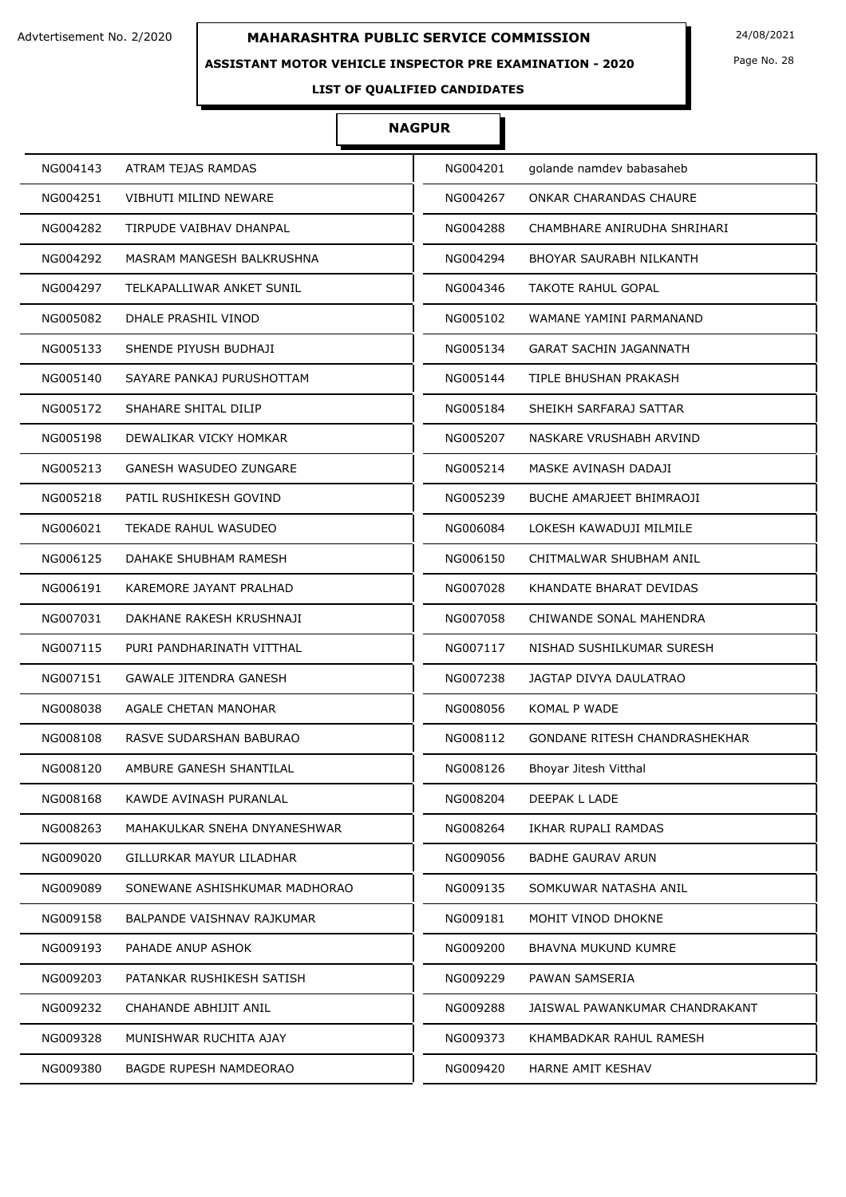### **ASSISTANT MOTOR VEHICLE INSPECTOR PRE EXAMINATION - 2020**

Page No. 28

## **LIST OF QUALIFIED CANDIDATES**

#### **NAGPUR**

| NG004143 | ATRAM TEJAS RAMDAS            | NG004201 | golande namdev babasaheb       |
|----------|-------------------------------|----------|--------------------------------|
| NG004251 | VIBHUTI MILIND NEWARE         | NG004267 | ONKAR CHARANDAS CHAURE         |
| NG004282 | TIRPUDE VAIBHAV DHANPAL       | NG004288 | CHAMBHARE ANIRUDHA SHRIHARI    |
| NG004292 | MASRAM MANGESH BALKRUSHNA     | NG004294 | BHOYAR SAURABH NILKANTH        |
| NG004297 | TELKAPALLIWAR ANKET SUNIL     | NG004346 | TAKOTE RAHUL GOPAL             |
| NG005082 | DHALE PRASHIL VINOD           | NG005102 | WAMANE YAMINI PARMANAND        |
| NG005133 | SHENDE PIYUSH BUDHAJI         | NG005134 | <b>GARAT SACHIN JAGANNATH</b>  |
| NG005140 | SAYARE PANKAJ PURUSHOTTAM     | NG005144 | TIPLE BHUSHAN PRAKASH          |
| NG005172 | SHAHARE SHITAL DILIP          | NG005184 | SHEIKH SARFARAJ SATTAR         |
| NG005198 | DEWALIKAR VICKY HOMKAR        | NG005207 | NASKARE VRUSHABH ARVIND        |
| NG005213 | GANESH WASUDEO ZUNGARE        | NG005214 | MASKE AVINASH DADAJI           |
| NG005218 | PATIL RUSHIKESH GOVIND        | NG005239 | BUCHE AMARJEET BHIMRAOJI       |
| NG006021 | TEKADE RAHUL WASUDEO          | NG006084 | LOKESH KAWADUJI MILMILE        |
| NG006125 | DAHAKE SHUBHAM RAMESH         | NG006150 | CHITMALWAR SHUBHAM ANIL        |
| NG006191 | KAREMORE JAYANT PRALHAD       | NG007028 | KHANDATE BHARAT DEVIDAS        |
| NG007031 | DAKHANE RAKESH KRUSHNAJI      | NG007058 | CHIWANDE SONAL MAHENDRA        |
| NG007115 | PURI PANDHARINATH VITTHAL     | NG007117 | NISHAD SUSHILKUMAR SURESH      |
| NG007151 | <b>GAWALE JITENDRA GANESH</b> | NG007238 | JAGTAP DIVYA DAULATRAO         |
| NG008038 | AGALE CHETAN MANOHAR          | NG008056 | KOMAL P WADE                   |
| NG008108 | RASVE SUDARSHAN BABURAO       | NG008112 | GONDANE RITESH CHANDRASHEKHAR  |
| NG008120 | AMBURE GANESH SHANTILAL       | NG008126 | Bhoyar Jitesh Vitthal          |
| NG008168 | KAWDE AVINASH PURANLAL        | NG008204 | DEEPAK L LADE                  |
| NG008263 | MAHAKULKAR SNEHA DNYANESHWAR  | NG008264 | IKHAR RUPALI RAMDAS            |
| NG009020 | GILLURKAR MAYUR LILADHAR      | NG009056 | BADHE GAURAV ARUN              |
| NG009089 | SONEWANE ASHISHKUMAR MADHORAO | NG009135 | SOMKUWAR NATASHA ANIL          |
| NG009158 | BALPANDE VAISHNAV RAJKUMAR    | NG009181 | MOHIT VINOD DHOKNE             |
| NG009193 | PAHADE ANUP ASHOK             | NG009200 | BHAVNA MUKUND KUMRE            |
| NG009203 | PATANKAR RUSHIKESH SATISH     | NG009229 | PAWAN SAMSERIA                 |
| NG009232 | CHAHANDE ABHIJIT ANIL         | NG009288 | JAISWAL PAWANKUMAR CHANDRAKANT |
| NG009328 | MUNISHWAR RUCHITA AJAY        | NG009373 | KHAMBADKAR RAHUL RAMESH        |
| NG009380 | <b>BAGDE RUPESH NAMDEORAO</b> | NG009420 | HARNE AMIT KESHAV              |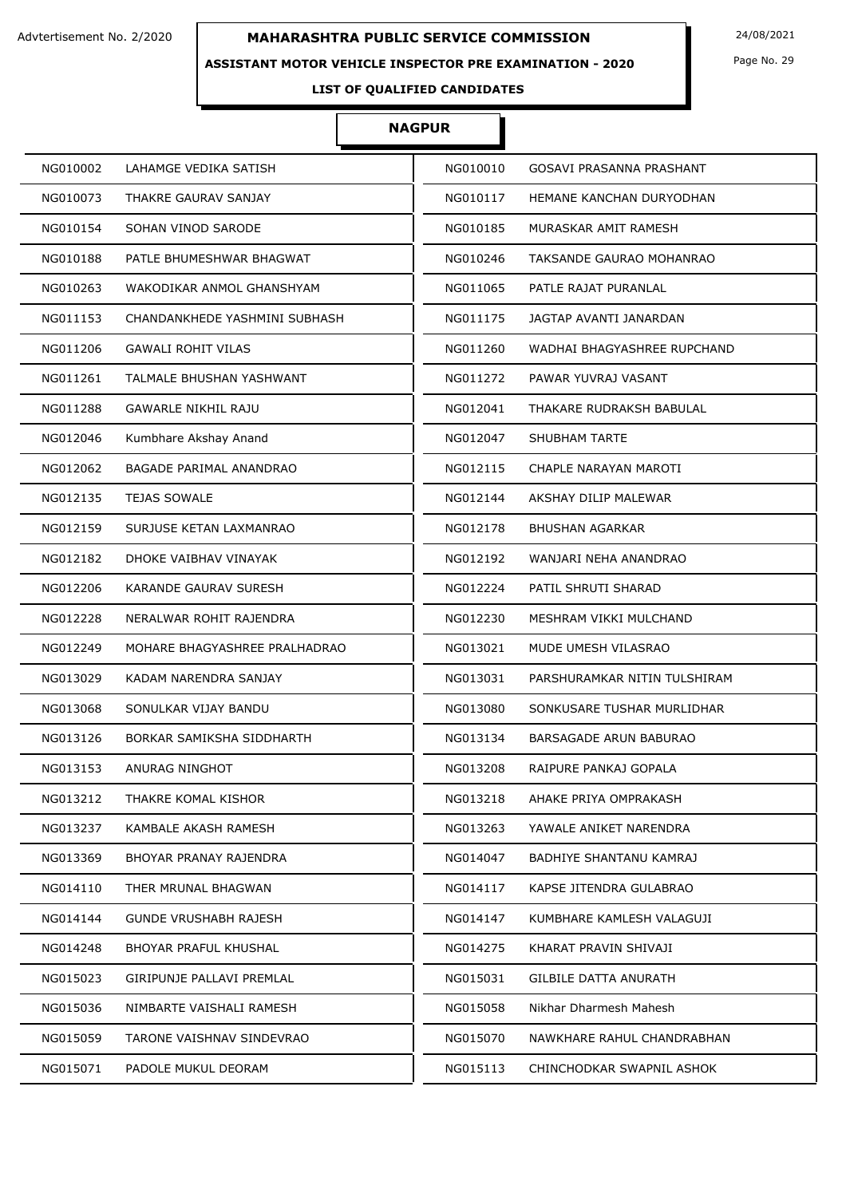### **ASSISTANT MOTOR VEHICLE INSPECTOR PRE EXAMINATION - 2020**

Page No. 29

**LIST OF QUALIFIED CANDIDATES** 

#### **NAGPUR**

| NG010002 | LAHAMGE VEDIKA SATISH         | NG010010 | GOSAVI PRASANNA PRASHANT       |
|----------|-------------------------------|----------|--------------------------------|
| NG010073 | THAKRE GAURAV SANJAY          | NG010117 | HEMANE KANCHAN DURYODHAN       |
| NG010154 | SOHAN VINOD SARODE            | NG010185 | MURASKAR AMIT RAMESH           |
| NG010188 | PATLE BHUMESHWAR BHAGWAT      | NG010246 | TAKSANDE GAURAO MOHANRAO       |
| NG010263 | WAKODIKAR ANMOL GHANSHYAM     | NG011065 | PATLE RAJAT PURANLAL           |
| NG011153 | CHANDANKHEDE YASHMINI SUBHASH | NG011175 | JAGTAP AVANTI JANARDAN         |
| NG011206 | <b>GAWALI ROHIT VILAS</b>     | NG011260 | WADHAI BHAGYASHREE RUPCHAND    |
| NG011261 | TALMALE BHUSHAN YASHWANT      | NG011272 | PAWAR YUVRAJ VASANT            |
| NG011288 | <b>GAWARLE NIKHIL RAJU</b>    | NG012041 | THAKARE RUDRAKSH BABULAL       |
| NG012046 | Kumbhare Akshay Anand         | NG012047 | <b>SHUBHAM TARTE</b>           |
| NG012062 | BAGADE PARIMAL ANANDRAO       | NG012115 | CHAPLE NARAYAN MAROTI          |
| NG012135 | <b>TEJAS SOWALE</b>           | NG012144 | AKSHAY DILIP MALEWAR           |
| NG012159 | SURJUSE KETAN LAXMANRAO       | NG012178 | <b>BHUSHAN AGARKAR</b>         |
| NG012182 | DHOKE VAIBHAV VINAYAK         | NG012192 | WANJARI NEHA ANANDRAO          |
| NG012206 | KARANDE GAURAV SURESH         | NG012224 | PATIL SHRUTI SHARAD            |
| NG012228 | NERALWAR ROHIT RAJENDRA       | NG012230 | MESHRAM VIKKI MULCHAND         |
| NG012249 | MOHARE BHAGYASHREE PRALHADRAO | NG013021 | MUDE UMESH VILASRAO            |
| NG013029 | KADAM NARENDRA SANJAY         | NG013031 | PARSHURAMKAR NITIN TULSHIRAM   |
| NG013068 | SONULKAR VIJAY BANDU          | NG013080 | SONKUSARE TUSHAR MURLIDHAR     |
| NG013126 | BORKAR SAMIKSHA SIDDHARTH     | NG013134 | BARSAGADE ARUN BABURAO         |
| NG013153 | ANURAG NINGHOT                | NG013208 | RAIPURE PANKAJ GOPALA          |
| NG013212 | THAKRE KOMAL KISHOR           | NG013218 | AHAKE PRIYA OMPRAKASH          |
| NG013237 | KAMBALE AKASH RAMESH          | NG013263 | YAWALE ANIKET NARENDRA         |
| NG013369 | BHOYAR PRANAY RAJENDRA        | NG014047 | <b>BADHIYE SHANTANU KAMRAJ</b> |
| NG014110 | THER MRUNAL BHAGWAN           | NG014117 | KAPSE JITENDRA GULABRAO        |
| NG014144 | <b>GUNDE VRUSHABH RAJESH</b>  | NG014147 | KUMBHARE KAMLESH VALAGUJI      |
| NG014248 | BHOYAR PRAFUL KHUSHAL         | NG014275 | KHARAT PRAVIN SHIVAJI          |
| NG015023 | GIRIPUNJE PALLAVI PREMLAL     | NG015031 | GILBILE DATTA ANURATH          |
| NG015036 | NIMBARTE VAISHALI RAMESH      | NG015058 | Nikhar Dharmesh Mahesh         |
| NG015059 | TARONE VAISHNAV SINDEVRAO     | NG015070 | NAWKHARE RAHUL CHANDRABHAN     |
| NG015071 | PADOLE MUKUL DEORAM           | NG015113 | CHINCHODKAR SWAPNIL ASHOK      |
|          |                               |          |                                |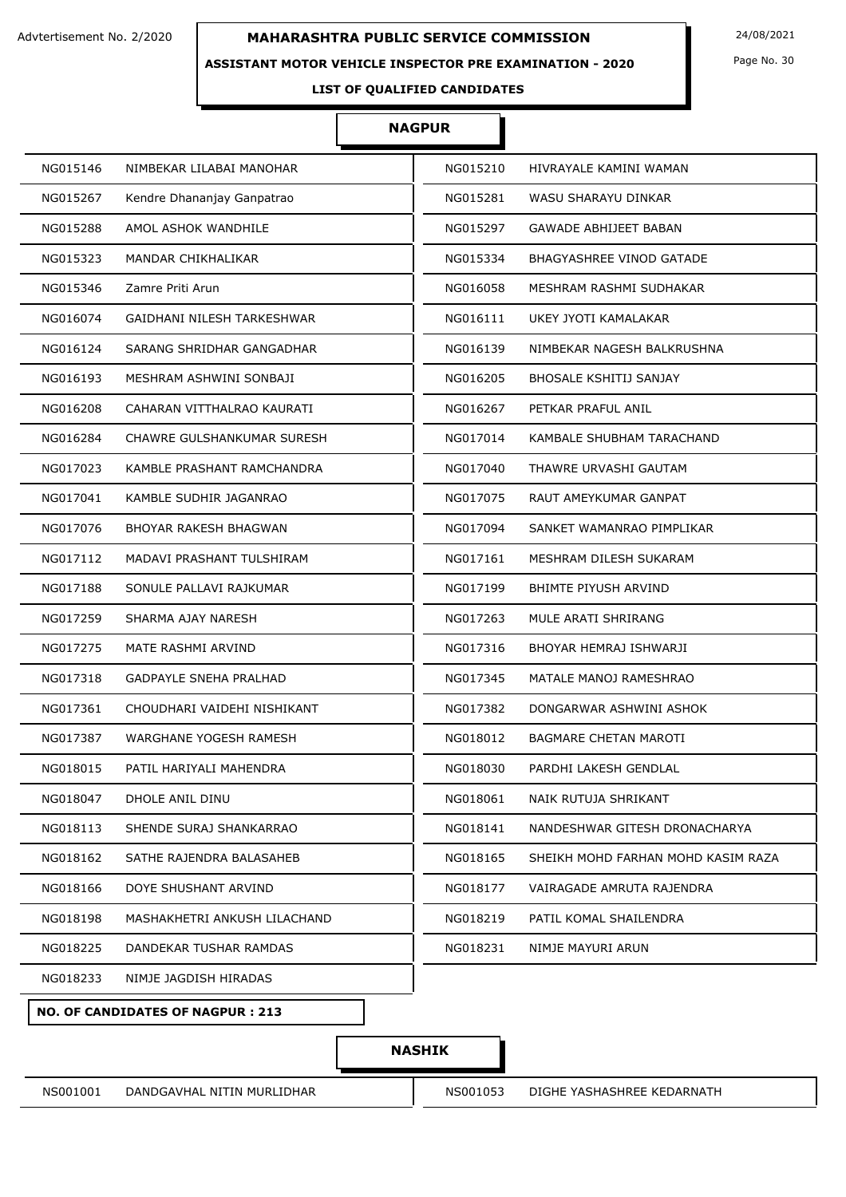#### **ASSISTANT MOTOR VEHICLE INSPECTOR PRE EXAMINATION - 2020**

Page No. 30

## **LIST OF QUALIFIED CANDIDATES**

#### **NAGPUR**

I

| NG015146                     | NIMBEKAR LILABAI MANOHAR      | NG015210 | HIVRAYALE KAMINI WAMAN             |
|------------------------------|-------------------------------|----------|------------------------------------|
| NG015267                     | Kendre Dhananjay Ganpatrao    | NG015281 | WASU SHARAYU DINKAR                |
| NG015288                     | AMOL ASHOK WANDHILE           | NG015297 | <b>GAWADE ABHIJEET BABAN</b>       |
| NG015323                     | MANDAR CHIKHALIKAR            | NG015334 | <b>BHAGYASHREE VINOD GATADE</b>    |
| Zamre Priti Arun<br>NG015346 |                               | NG016058 | MESHRAM RASHMI SUDHAKAR            |
| NG016074                     | GAIDHANI NILESH TARKESHWAR    | NG016111 | UKEY JYOTI KAMALAKAR               |
| NG016124                     | SARANG SHRIDHAR GANGADHAR     | NG016139 | NIMBEKAR NAGESH BALKRUSHNA         |
| NG016193                     | MESHRAM ASHWINI SONBAJI       | NG016205 | <b>BHOSALE KSHITIJ SANJAY</b>      |
| NG016208                     | CAHARAN VITTHALRAO KAURATI    | NG016267 | PETKAR PRAFUL ANIL                 |
| NG016284                     | CHAWRE GULSHANKUMAR SURESH    | NG017014 | KAMBALE SHUBHAM TARACHAND          |
| NG017023                     | KAMBLE PRASHANT RAMCHANDRA    | NG017040 | THAWRE URVASHI GAUTAM              |
| NG017041                     | KAMBLE SUDHIR JAGANRAO        | NG017075 | RAUT AMEYKUMAR GANPAT              |
| NG017076                     | BHOYAR RAKESH BHAGWAN         | NG017094 | SANKET WAMANRAO PIMPLIKAR          |
| NG017112                     | MADAVI PRASHANT TULSHIRAM     | NG017161 | MESHRAM DILESH SUKARAM             |
| NG017188                     | SONULE PALLAVI RAJKUMAR       | NG017199 | BHIMTE PIYUSH ARVIND               |
| NG017259                     | SHARMA AJAY NARESH            | NG017263 | MULE ARATI SHRIRANG                |
| NG017275                     | MATE RASHMI ARVIND            | NG017316 | BHOYAR HEMRAJ ISHWARJI             |
| NG017318                     | <b>GADPAYLE SNEHA PRALHAD</b> | NG017345 | MATALE MANOJ RAMESHRAO             |
| NG017361                     | CHOUDHARI VAIDEHI NISHIKANT   | NG017382 | DONGARWAR ASHWINI ASHOK            |
| NG017387                     | WARGHANE YOGESH RAMESH        | NG018012 | <b>BAGMARE CHETAN MAROTI</b>       |
| NG018015                     | PATIL HARIYALI MAHENDRA       | NG018030 | PARDHI LAKESH GENDLAL              |
| NG018047                     | DHOLE ANIL DINU               | NG018061 | NAIK RUTUJA SHRIKANT               |
| NG018113                     | SHENDE SURAJ SHANKARRAO       | NG018141 | NANDESHWAR GITESH DRONACHARYA      |
| NG018162                     | SATHE RAJENDRA BALASAHEB      | NG018165 | SHEIKH MOHD FARHAN MOHD KASIM RAZA |
| NG018166                     | DOYE SHUSHANT ARVIND          | NG018177 | VAIRAGADE AMRUTA RAJENDRA          |
| NG018198                     | MASHAKHETRI ANKUSH LILACHAND  | NG018219 | PATIL KOMAL SHAILENDRA             |
| NG018225                     | DANDEKAR TUSHAR RAMDAS        | NG018231 | NIMJE MAYURI ARUN                  |
| NG018233                     | NIMJE JAGDISH HIRADAS         |          |                                    |
|                              |                               |          |                                    |

**NO. OF CANDIDATES OF NAGPUR : 213**

## **NASHIK**

NS001001 DANDGAVHAL NITIN MURLIDHAR NS001053 DIGHE YASHASHREE KEDARNATH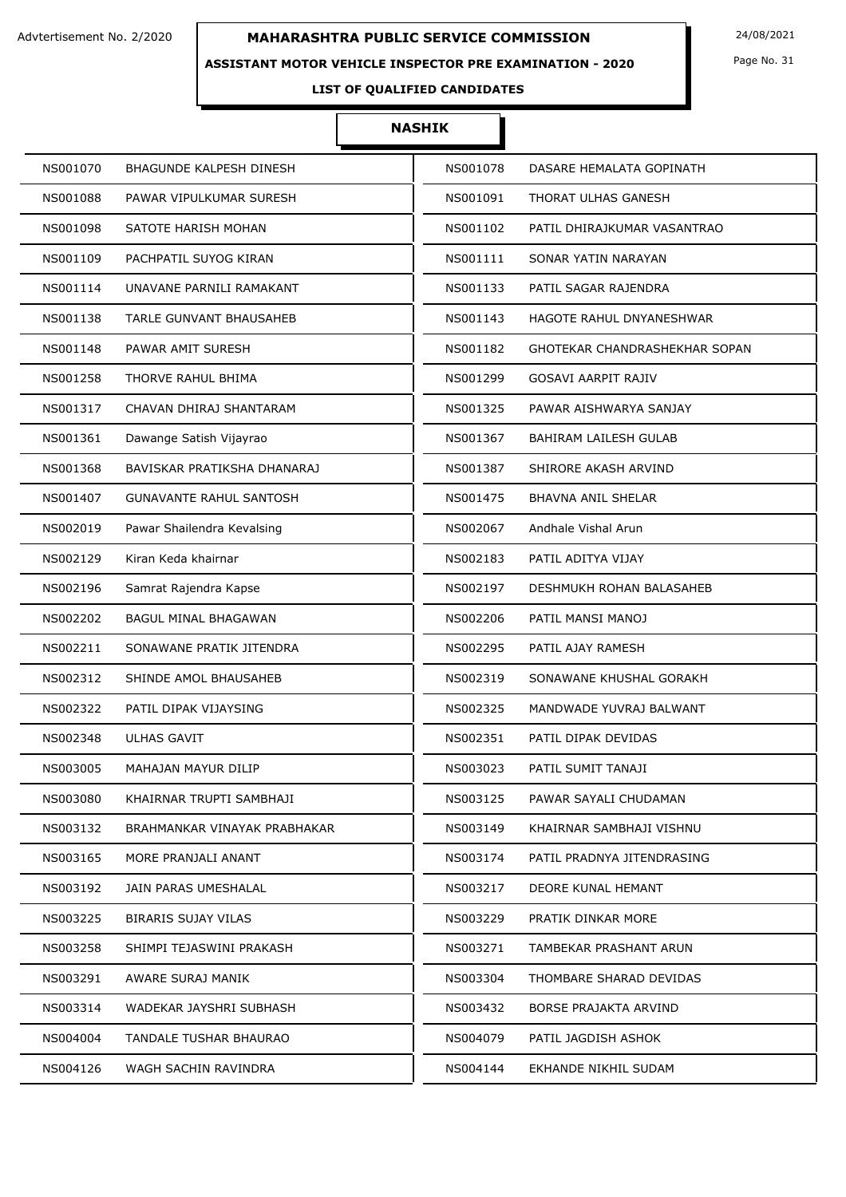### **ASSISTANT MOTOR VEHICLE INSPECTOR PRE EXAMINATION - 2020**

Page No. 31

## **LIST OF QUALIFIED CANDIDATES**

| NS001070                       | NS001078                      |
|--------------------------------|-------------------------------|
| BHAGUNDE KALPESH DINESH        | DASARE HEMALATA GOPINATH      |
| NS001088                       | NS001091                      |
| PAWAR VIPULKUMAR SURESH        | THORAT ULHAS GANESH           |
| SATOTE HARISH MOHAN            | NS001102                      |
| NS001098                       | PATIL DHIRAJKUMAR VASANTRAO   |
| NS001109                       | NS001111                      |
| PACHPATIL SUYOG KIRAN          | SONAR YATIN NARAYAN           |
| NS001114                       | NS001133                      |
| UNAVANE PARNILI RAMAKANT       | PATIL SAGAR RAJENDRA          |
| NS001138                       | NS001143                      |
| <b>TARLE GUNVANT BHAUSAHEB</b> | HAGOTE RAHUL DNYANESHWAR      |
| NS001148                       | NS001182                      |
| PAWAR AMIT SURESH              | GHOTEKAR CHANDRASHEKHAR SOPAN |
| NS001258                       | NS001299                      |
| THORVE RAHUL BHIMA             | <b>GOSAVI AARPIT RAJIV</b>    |
| NS001317                       | NS001325                      |
| CHAVAN DHIRAJ SHANTARAM        | PAWAR AISHWARYA SANJAY        |
| NS001361                       | NS001367                      |
| Dawange Satish Vijayrao        | BAHIRAM LAILESH GULAB         |
| NS001368                       | NS001387                      |
| BAVISKAR PRATIKSHA DHANARAJ    | SHIRORE AKASH ARVIND          |
| <b>GUNAVANTE RAHUL SANTOSH</b> | <b>BHAVNA ANIL SHELAR</b>     |
| NS001407                       | NS001475                      |
| NS002019                       | NS002067                      |
| Pawar Shailendra Kevalsing     | Andhale Vishal Arun           |
| NS002129                       | NS002183                      |
| Kiran Keda khairnar            | PATIL ADITYA VIJAY            |
| NS002196                       | NS002197                      |
| Samrat Rajendra Kapse          | DESHMUKH ROHAN BALASAHEB      |
| NS002202                       | NS002206                      |
| BAGUL MINAL BHAGAWAN           | PATIL MANSI MANOJ             |
| NS002211                       | NS002295                      |
| SONAWANE PRATIK JITENDRA       | PATIL AJAY RAMESH             |
| NS002312                       | NS002319                      |
| SHINDE AMOL BHAUSAHEB          | SONAWANE KHUSHAL GORAKH       |
| NS002322                       | NS002325                      |
| PATIL DIPAK VIJAYSING          | MANDWADE YUVRAJ BALWANT       |
| <b>ULHAS GAVIT</b>             | NS002351                      |
| NS002348                       | PATIL DIPAK DEVIDAS           |
| NS003005                       | NS003023                      |
| MAHAJAN MAYUR DILIP            | PATIL SUMIT TANAJI            |
| NS003080                       | NS003125                      |
| KHAIRNAR TRUPTI SAMBHAJI       | PAWAR SAYALI CHUDAMAN         |
| NS003132                       | NS003149                      |
| BRAHMANKAR VINAYAK PRABHAKAR   | KHAIRNAR SAMBHAJI VISHNU      |
| NS003165                       | NS003174                      |
| MORE PRANJALI ANANT            | PATIL PRADNYA JITENDRASING    |
| NS003192                       | NS003217                      |
| JAIN PARAS UMESHALAL           | DEORE KUNAL HEMANT            |
| NS003225                       | PRATIK DINKAR MORE            |
| <b>BIRARIS SUJAY VILAS</b>     | NS003229                      |
| NS003258                       | NS003271                      |
| SHIMPI TEJASWINI PRAKASH       | TAMBEKAR PRASHANT ARUN        |
| NS003291                       | NS003304                      |
| AWARE SURAJ MANIK              | THOMBARE SHARAD DEVIDAS       |
| NS003314                       | NS003432                      |
| WADEKAR JAYSHRI SUBHASH        | BORSE PRAJAKTA ARVIND         |
| NS004004                       | NS004079                      |
| TANDALE TUSHAR BHAURAO         | PATIL JAGDISH ASHOK           |
| WAGH SACHIN RAVINDRA           | NS004144                      |
| NS004126                       | EKHANDE NIKHIL SUDAM          |
|                                |                               |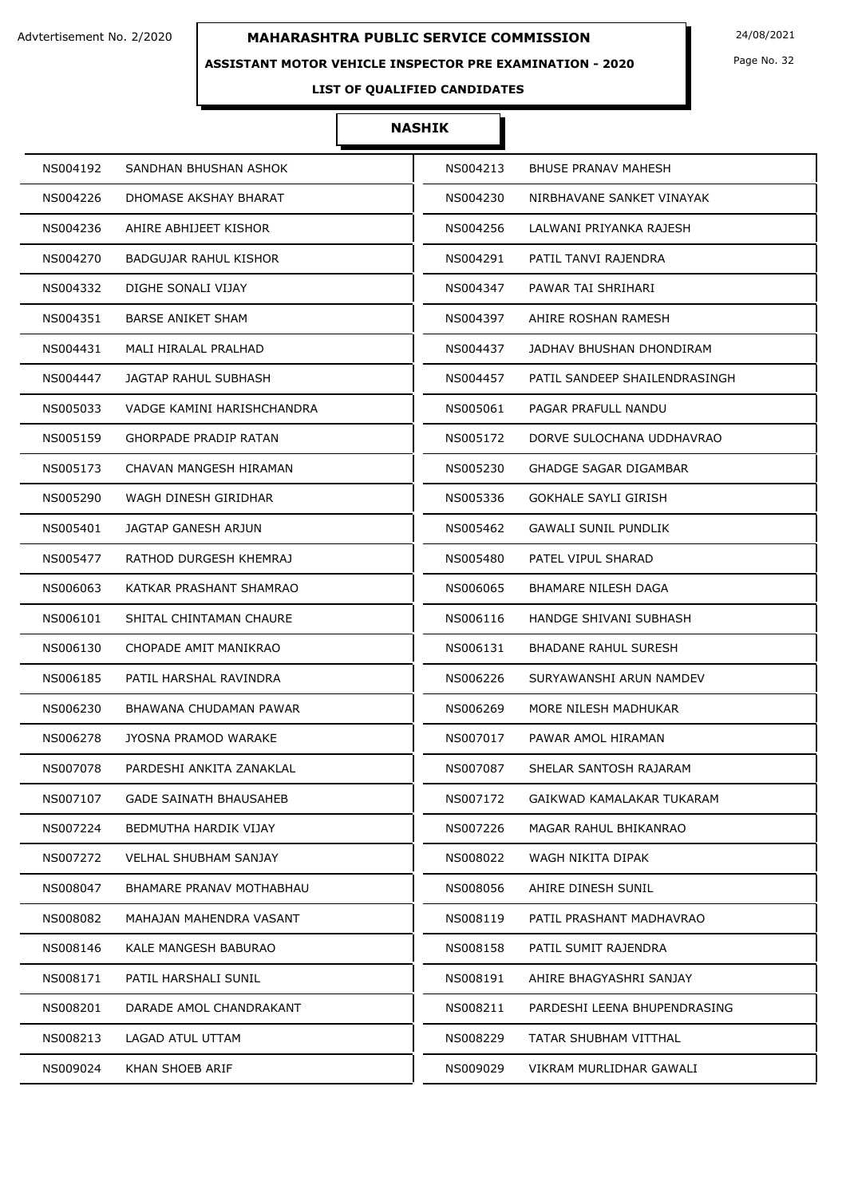### **ASSISTANT MOTOR VEHICLE INSPECTOR PRE EXAMINATION - 2020**

Page No. 32

## **LIST OF QUALIFIED CANDIDATES**

| NS004192 | SANDHAN BHUSHAN ASHOK         | NS004213 | <b>BHUSE PRANAV MAHESH</b>    |
|----------|-------------------------------|----------|-------------------------------|
| NS004226 | DHOMASE AKSHAY BHARAT         | NS004230 | NIRBHAVANE SANKET VINAYAK     |
| NS004236 | AHIRE ABHIJEET KISHOR         | NS004256 | LALWANI PRIYANKA RAJESH       |
| NS004270 | BADGUJAR RAHUL KISHOR         | NS004291 | PATIL TANVI RAJENDRA          |
| NS004332 | DIGHE SONALI VIJAY            | NS004347 | PAWAR TAI SHRIHARI            |
| NS004351 | <b>BARSE ANIKET SHAM</b>      | NS004397 | AHIRE ROSHAN RAMESH           |
| NS004431 | MALI HIRALAL PRALHAD          | NS004437 | JADHAV BHUSHAN DHONDIRAM      |
| NS004447 | JAGTAP RAHUL SUBHASH          | NS004457 | PATIL SANDEEP SHAILENDRASINGH |
| NS005033 | VADGE KAMINI HARISHCHANDRA    | NS005061 | PAGAR PRAFULL NANDU           |
| NS005159 | <b>GHORPADE PRADIP RATAN</b>  | NS005172 | DORVE SULOCHANA UDDHAVRAO     |
| NS005173 | CHAVAN MANGESH HIRAMAN        | NS005230 | <b>GHADGE SAGAR DIGAMBAR</b>  |
| NS005290 | WAGH DINESH GIRIDHAR          | NS005336 | <b>GOKHALE SAYLI GIRISH</b>   |
| NS005401 | JAGTAP GANESH ARJUN           | NS005462 | GAWALI SUNIL PUNDLIK          |
| NS005477 | RATHOD DURGESH KHEMRAJ        | NS005480 | PATEL VIPUL SHARAD            |
| NS006063 | KATKAR PRASHANT SHAMRAO       | NS006065 | <b>BHAMARE NILESH DAGA</b>    |
| NS006101 | SHITAL CHINTAMAN CHAURE       | NS006116 | HANDGE SHIVANI SUBHASH        |
| NS006130 | CHOPADE AMIT MANIKRAO         | NS006131 | BHADANE RAHUL SURESH          |
| NS006185 | PATIL HARSHAL RAVINDRA        | NS006226 | SURYAWANSHI ARUN NAMDEV       |
| NS006230 | BHAWANA CHUDAMAN PAWAR        | NS006269 | MORE NILESH MADHUKAR          |
| NS006278 | JYOSNA PRAMOD WARAKE          | NS007017 | PAWAR AMOL HIRAMAN            |
| NS007078 | PARDESHI ANKITA ZANAKLAL      | NS007087 | SHELAR SANTOSH RAJARAM        |
| NS007107 | <b>GADE SAINATH BHAUSAHEB</b> | NS007172 | GAIKWAD KAMALAKAR TUKARAM     |
| NS007224 | BEDMUTHA HARDIK VIJAY         | NS007226 | MAGAR RAHUL BHIKANRAO         |
| NS007272 | <b>VELHAL SHUBHAM SANJAY</b>  | NS008022 | WAGH NIKITA DIPAK             |
| NS008047 | BHAMARE PRANAV MOTHABHAU      | NS008056 | AHIRE DINESH SUNIL            |
| NS008082 | MAHAJAN MAHENDRA VASANT       | NS008119 | PATIL PRASHANT MADHAVRAO      |
| NS008146 | KALE MANGESH BABURAO          | NS008158 | PATIL SUMIT RAJENDRA          |
| NS008171 | PATIL HARSHALI SUNIL          | NS008191 | AHIRE BHAGYASHRI SANJAY       |
| NS008201 | DARADE AMOL CHANDRAKANT       | NS008211 | PARDESHI LEENA BHUPENDRASING  |
| NS008213 | LAGAD ATUL UTTAM              | NS008229 | TATAR SHUBHAM VITTHAL         |
| NS009024 | KHAN SHOEB ARIF               | NS009029 | VIKRAM MURLIDHAR GAWALI       |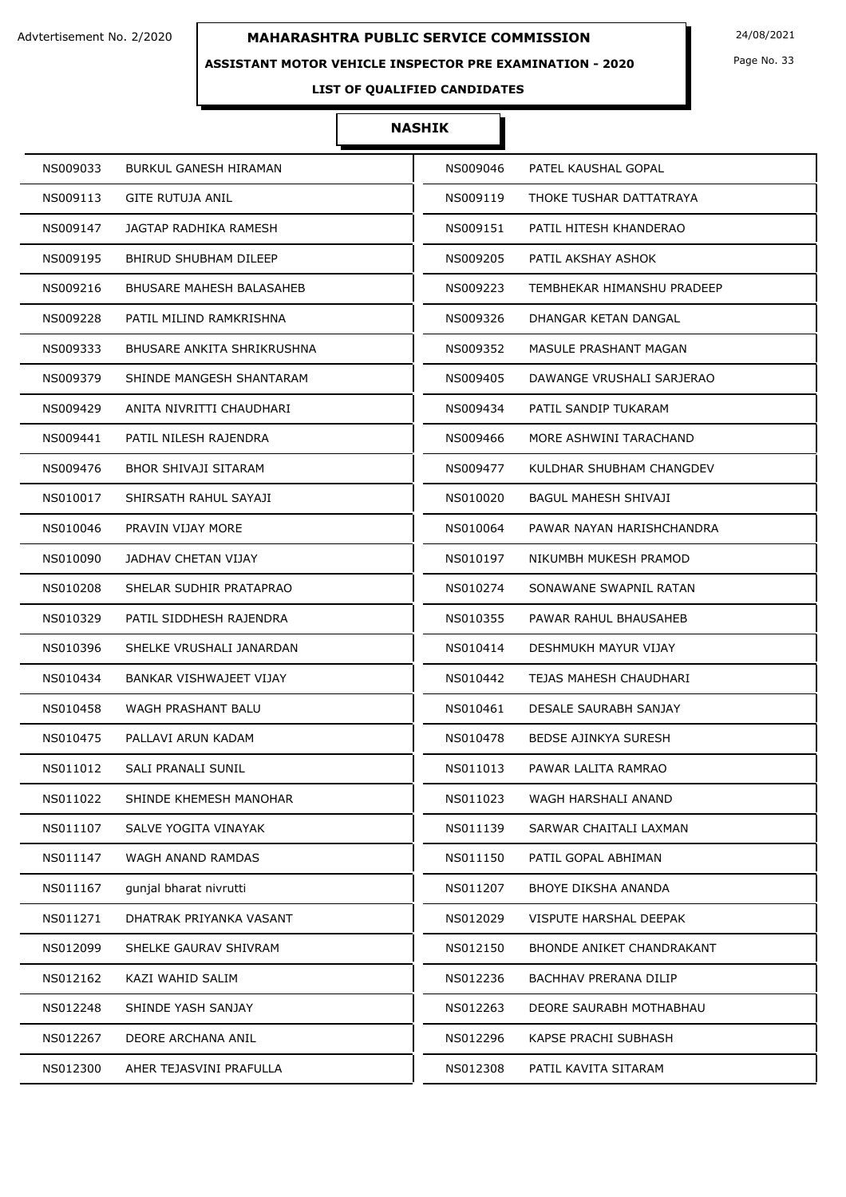### **ASSISTANT MOTOR VEHICLE INSPECTOR PRE EXAMINATION - 2020**

Page No. 33

## **LIST OF QUALIFIED CANDIDATES**

| NS009033 | BURKUL GANESH HIRAMAN      | NS009046 | PATEL KAUSHAL GOPAL           |
|----------|----------------------------|----------|-------------------------------|
| NS009113 | GITE RUTUJA ANIL           | NS009119 | THOKE TUSHAR DATTATRAYA       |
| NS009147 | JAGTAP RADHIKA RAMESH      | NS009151 | PATIL HITESH KHANDERAO        |
| NS009195 | BHIRUD SHUBHAM DILEEP      | NS009205 | PATIL AKSHAY ASHOK            |
| NS009216 | BHUSARE MAHESH BALASAHEB   | NS009223 | TEMBHEKAR HIMANSHU PRADEEP    |
| NS009228 | PATIL MILIND RAMKRISHNA    | NS009326 | DHANGAR KETAN DANGAL          |
| NS009333 | BHUSARE ANKITA SHRIKRUSHNA | NS009352 | MASULE PRASHANT MAGAN         |
| NS009379 | SHINDE MANGESH SHANTARAM   | NS009405 | DAWANGE VRUSHALI SARJERAO     |
| NS009429 | ANITA NIVRITTI CHAUDHARI   | NS009434 | PATIL SANDIP TUKARAM          |
| NS009441 | PATIL NILESH RAJENDRA      | NS009466 | MORE ASHWINI TARACHAND        |
| NS009476 | BHOR SHIVAJI SITARAM       | NS009477 | KULDHAR SHUBHAM CHANGDEV      |
| NS010017 | SHIRSATH RAHUL SAYAJI      | NS010020 | <b>BAGUL MAHESH SHIVAJI</b>   |
| NS010046 | PRAVIN VIJAY MORE          | NS010064 | PAWAR NAYAN HARISHCHANDRA     |
| NS010090 | JADHAV CHETAN VIJAY        | NS010197 | NIKUMBH MUKESH PRAMOD         |
| NS010208 | SHELAR SUDHIR PRATAPRAO    | NS010274 | SONAWANE SWAPNIL RATAN        |
| NS010329 | PATIL SIDDHESH RAJENDRA    | NS010355 | PAWAR RAHUL BHAUSAHEB         |
| NS010396 | SHELKE VRUSHALI JANARDAN   | NS010414 | DESHMUKH MAYUR VIJAY          |
| NS010434 | BANKAR VISHWAJEET VIJAY    | NS010442 | TEJAS MAHESH CHAUDHARI        |
| NS010458 | WAGH PRASHANT BALU         | NS010461 | DESALE SAURABH SANJAY         |
| NS010475 | PALLAVI ARUN KADAM         | NS010478 | BEDSE AJINKYA SURESH          |
| NS011012 | SALI PRANALI SUNIL         | NS011013 | PAWAR LALITA RAMRAO           |
| NS011022 | SHINDE KHEMESH MANOHAR     | NS011023 | WAGH HARSHALI ANAND           |
| NS011107 | SALVE YOGITA VINAYAK       | NS011139 | SARWAR CHAITALI LAXMAN        |
| NS011147 | WAGH ANAND RAMDAS          | NS011150 | PATIL GOPAL ABHIMAN           |
| NS011167 | gunjal bharat nivrutti     | NS011207 | BHOYE DIKSHA ANANDA           |
| NS011271 | DHATRAK PRIYANKA VASANT    | NS012029 | <b>VISPUTE HARSHAL DEEPAK</b> |
| NS012099 | SHELKE GAURAV SHIVRAM      | NS012150 | BHONDE ANIKET CHANDRAKANT     |
| NS012162 | KAZI WAHID SALIM           | NS012236 | <b>BACHHAV PRERANA DILIP</b>  |
| NS012248 | SHINDE YASH SANJAY         | NS012263 | DEORE SAURABH MOTHABHAU       |
| NS012267 | DEORE ARCHANA ANIL         | NS012296 | KAPSE PRACHI SUBHASH          |
| NS012300 | AHER TEJASVINI PRAFULLA    | NS012308 | PATIL KAVITA SITARAM          |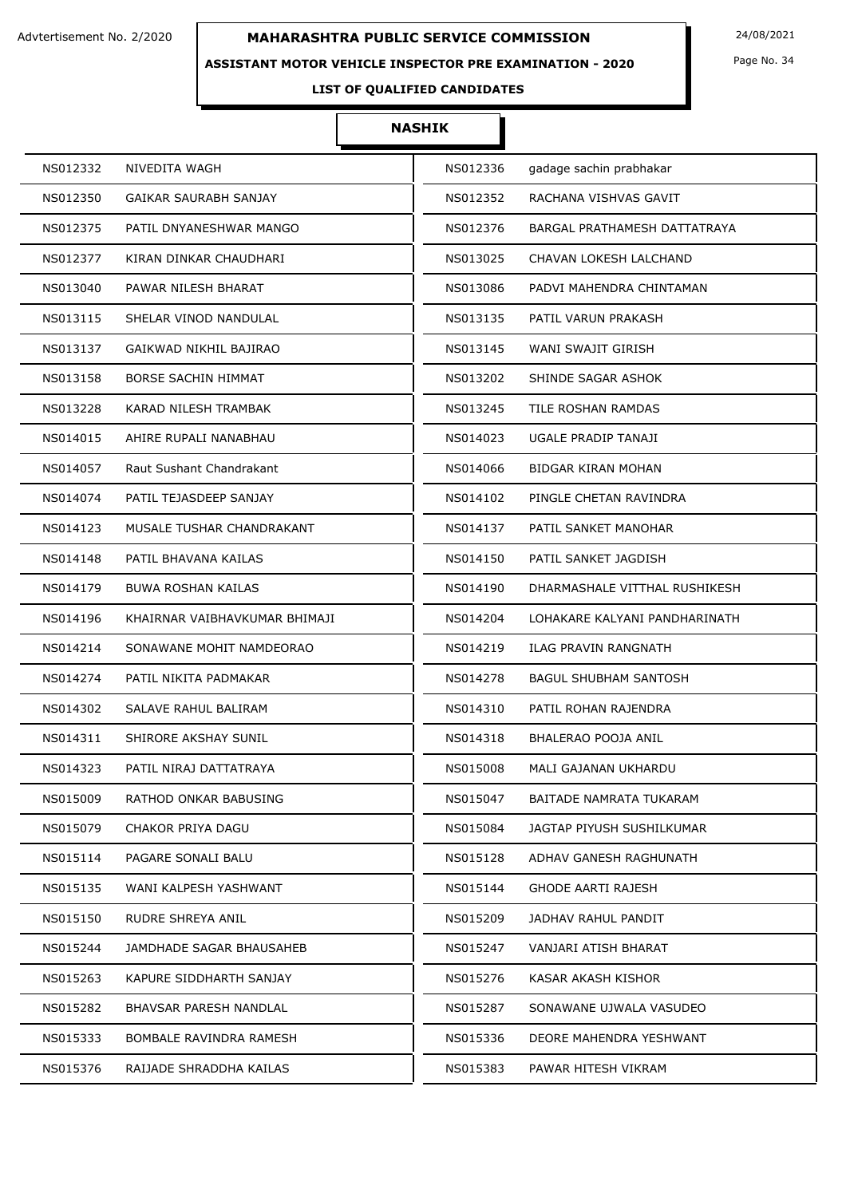**ASSISTANT MOTOR VEHICLE INSPECTOR PRE EXAMINATION - 2020**

Page No. 34

## **LIST OF QUALIFIED CANDIDATES**

| NS012332 | NIVEDITA WAGH                 | NS012336 | gadage sachin prabhakar       |
|----------|-------------------------------|----------|-------------------------------|
| NS012350 | GAIKAR SAURABH SANJAY         | NS012352 | RACHANA VISHVAS GAVIT         |
| NS012375 | PATIL DNYANESHWAR MANGO       | NS012376 | BARGAL PRATHAMESH DATTATRAYA  |
| NS012377 | KIRAN DINKAR CHAUDHARI        | NS013025 | CHAVAN LOKESH LALCHAND        |
| NS013040 | PAWAR NILESH BHARAT           | NS013086 | PADVI MAHENDRA CHINTAMAN      |
| NS013115 | SHELAR VINOD NANDULAL         | NS013135 | PATIL VARUN PRAKASH           |
| NS013137 | GAIKWAD NIKHIL BAJIRAO        | NS013145 | WANI SWAJIT GIRISH            |
| NS013158 | <b>BORSE SACHIN HIMMAT</b>    | NS013202 | SHINDE SAGAR ASHOK            |
| NS013228 | KARAD NILESH TRAMBAK          | NS013245 | TILE ROSHAN RAMDAS            |
| NS014015 | AHIRE RUPALI NANABHAU         | NS014023 | UGALE PRADIP TANAJI           |
| NS014057 | Raut Sushant Chandrakant      | NS014066 | <b>BIDGAR KIRAN MOHAN</b>     |
| NS014074 | PATIL TEJASDEEP SANJAY        | NS014102 | PINGLE CHETAN RAVINDRA        |
| NS014123 | MUSALE TUSHAR CHANDRAKANT     | NS014137 | PATIL SANKET MANOHAR          |
| NS014148 | PATIL BHAVANA KAILAS          | NS014150 | PATIL SANKET JAGDISH          |
| NS014179 | <b>BUWA ROSHAN KAILAS</b>     | NS014190 | DHARMASHALE VITTHAL RUSHIKESH |
| NS014196 | KHAIRNAR VAIBHAVKUMAR BHIMAJI | NS014204 | LOHAKARE KALYANI PANDHARINATH |
| NS014214 | SONAWANE MOHIT NAMDEORAO      | NS014219 | ILAG PRAVIN RANGNATH          |
| NS014274 | PATIL NIKITA PADMAKAR         | NS014278 | <b>BAGUL SHUBHAM SANTOSH</b>  |
| NS014302 | SALAVE RAHUL BALIRAM          | NS014310 | PATIL ROHAN RAJENDRA          |
| NS014311 | SHIRORE AKSHAY SUNIL          | NS014318 | BHALERAO POOJA ANIL           |
| NS014323 | PATIL NIRAJ DATTATRAYA        | NS015008 | MALI GAJANAN UKHARDU          |
| NS015009 | RATHOD ONKAR BABUSING         | NS015047 | BAITADE NAMRATA TUKARAM       |
| NS015079 | CHAKOR PRIYA DAGU             | NS015084 | JAGTAP PIYUSH SUSHILKUMAR     |
| NS015114 | PAGARE SONALI BALU            | NS015128 | ADHAV GANESH RAGHUNATH        |
| NS015135 | WANI KALPESH YASHWANT         | NS015144 | GHODE AARTI RAJESH            |
| NS015150 | RUDRE SHREYA ANIL             | NS015209 | JADHAV RAHUL PANDIT           |
| NS015244 | JAMDHADE SAGAR BHAUSAHEB      | NS015247 | VANJARI ATISH BHARAT          |
| NS015263 | KAPURE SIDDHARTH SANJAY       | NS015276 | KASAR AKASH KISHOR            |
| NS015282 | BHAVSAR PARESH NANDLAL        | NS015287 | SONAWANE UJWALA VASUDEO       |
| NS015333 | BOMBALE RAVINDRA RAMESH       | NS015336 | DEORE MAHENDRA YESHWANT       |
| NS015376 | RAIJADE SHRADDHA KAILAS       | NS015383 | PAWAR HITESH VIKRAM           |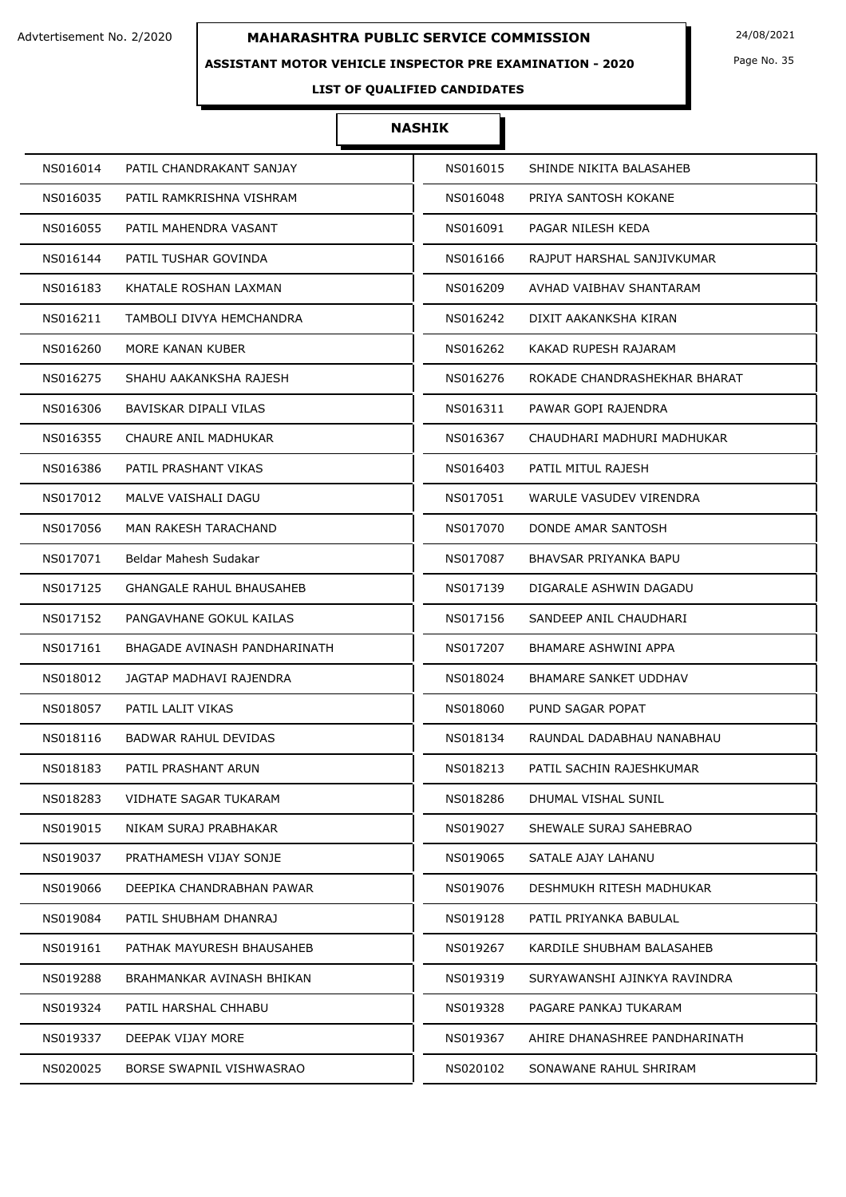### **ASSISTANT MOTOR VEHICLE INSPECTOR PRE EXAMINATION - 2020**

Page No. 35

## **LIST OF QUALIFIED CANDIDATES**

| NS016014 | PATIL CHANDRAKANT SANJAY     | NS016015 | SHINDE NIKITA BALASAHEB       |
|----------|------------------------------|----------|-------------------------------|
| NS016035 | PATIL RAMKRISHNA VISHRAM     | NS016048 | PRIYA SANTOSH KOKANE          |
| NS016055 | PATIL MAHENDRA VASANT        | NS016091 | PAGAR NILESH KEDA             |
| NS016144 | PATIL TUSHAR GOVINDA         | NS016166 | RAJPUT HARSHAL SANJIVKUMAR    |
| NS016183 | KHATALE ROSHAN LAXMAN        | NS016209 | AVHAD VAIBHAV SHANTARAM       |
| NS016211 | TAMBOLI DIVYA HEMCHANDRA     | NS016242 | DIXIT AAKANKSHA KIRAN         |
| NS016260 | MORE KANAN KUBER             | NS016262 | KAKAD RUPESH RAJARAM          |
| NS016275 | SHAHU AAKANKSHA RAJESH       | NS016276 | ROKADE CHANDRASHEKHAR BHARAT  |
| NS016306 | BAVISKAR DIPALI VILAS        | NS016311 | PAWAR GOPI RAJENDRA           |
| NS016355 | CHAURE ANIL MADHUKAR         | NS016367 | CHAUDHARI MADHURI MADHUKAR    |
| NS016386 | PATIL PRASHANT VIKAS         | NS016403 | PATIL MITUL RAJESH            |
| NS017012 | MALVE VAISHALI DAGU          | NS017051 | WARULE VASUDEV VIRENDRA       |
| NS017056 | <b>MAN RAKESH TARACHAND</b>  | NS017070 | DONDE AMAR SANTOSH            |
| NS017071 | Beldar Mahesh Sudakar        | NS017087 | BHAVSAR PRIYANKA BAPU         |
| NS017125 | GHANGALE RAHUL BHAUSAHEB     | NS017139 | DIGARALE ASHWIN DAGADU        |
| NS017152 | PANGAVHANE GOKUL KAILAS      | NS017156 | SANDEEP ANIL CHAUDHARI        |
| NS017161 | BHAGADE AVINASH PANDHARINATH | NS017207 | BHAMARE ASHWINI APPA          |
| NS018012 | JAGTAP MADHAVI RAJENDRA      | NS018024 | BHAMARE SANKET UDDHAV         |
| NS018057 | PATIL LALIT VIKAS            | NS018060 | PUND SAGAR POPAT              |
| NS018116 | <b>BADWAR RAHUL DEVIDAS</b>  | NS018134 | RAUNDAL DADABHAU NANABHAU     |
| NS018183 | PATIL PRASHANT ARUN          | NS018213 | PATIL SACHIN RAJESHKUMAR      |
| NS018283 | VIDHATE SAGAR TUKARAM        | NS018286 | DHUMAL VISHAL SUNIL           |
| NS019015 | NIKAM SURAJ PRABHAKAR        | NS019027 | SHEWALE SURAJ SAHEBRAO        |
| NS019037 | PRATHAMESH VIJAY SONJE       | NS019065 | SATALE AJAY LAHANU            |
| NS019066 | DEEPIKA CHANDRABHAN PAWAR    | NS019076 | DESHMUKH RITESH MADHUKAR      |
| NS019084 | PATIL SHUBHAM DHANRAJ        | NS019128 | PATIL PRIYANKA BABULAL        |
| NS019161 | PATHAK MAYURESH BHAUSAHEB    | NS019267 | KARDILE SHUBHAM BALASAHEB     |
| NS019288 | BRAHMANKAR AVINASH BHIKAN    | NS019319 | SURYAWANSHI AJINKYA RAVINDRA  |
| NS019324 | PATIL HARSHAL CHHABU         | NS019328 | PAGARE PANKAJ TUKARAM         |
| NS019337 | DEEPAK VIJAY MORE            | NS019367 | AHIRE DHANASHREE PANDHARINATH |
| NS020025 | BORSE SWAPNIL VISHWASRAO     | NS020102 | SONAWANE RAHUL SHRIRAM        |
|          |                              |          |                               |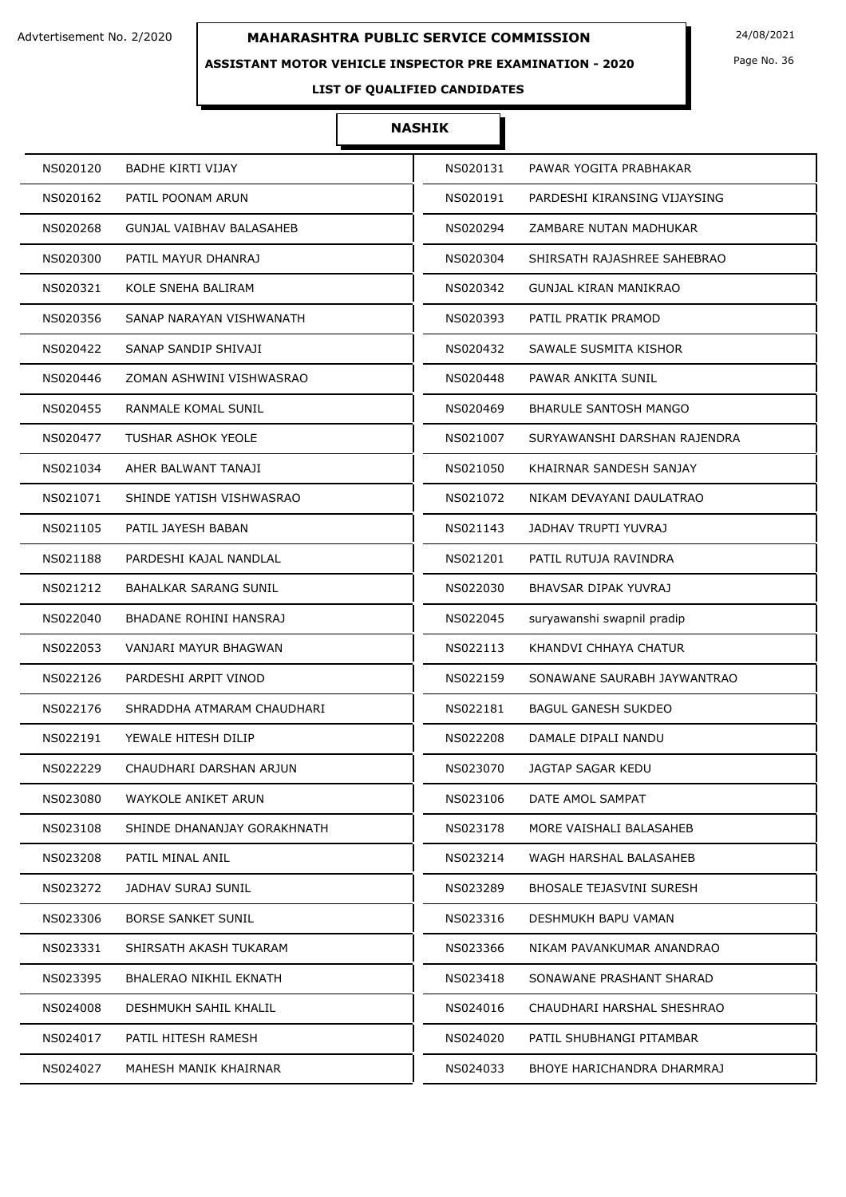### **ASSISTANT MOTOR VEHICLE INSPECTOR PRE EXAMINATION - 2020**

Page No. 36

## **LIST OF QUALIFIED CANDIDATES**

| NS020120 | <b>BADHE KIRTI VIJAY</b>    | NS020131 | PAWAR YOGITA PRABHAKAR          |
|----------|-----------------------------|----------|---------------------------------|
| NS020162 | PATIL POONAM ARUN           | NS020191 | PARDESHI KIRANSING VIJAYSING    |
| NS020268 | GUNJAL VAIBHAV BALASAHEB    | NS020294 | ZAMBARE NUTAN MADHUKAR          |
| NS020300 | PATIL MAYUR DHANRAJ         | NS020304 | SHIRSATH RAJASHREE SAHEBRAO     |
| NS020321 | KOLE SNEHA BALIRAM          | NS020342 | GUNJAL KIRAN MANIKRAO           |
| NS020356 | SANAP NARAYAN VISHWANATH    | NS020393 | PATIL PRATIK PRAMOD             |
| NS020422 | SANAP SANDIP SHIVAJI        | NS020432 | SAWALE SUSMITA KISHOR           |
| NS020446 | ZOMAN ASHWINI VISHWASRAO    | NS020448 | PAWAR ANKITA SUNIL              |
| NS020455 | RANMALE KOMAL SUNIL         | NS020469 | <b>BHARULE SANTOSH MANGO</b>    |
| NS020477 | <b>TUSHAR ASHOK YEOLE</b>   | NS021007 | SURYAWANSHI DARSHAN RAJENDRA    |
| NS021034 | AHER BALWANT TANAJI         | NS021050 | KHAIRNAR SANDESH SANJAY         |
| NS021071 | SHINDE YATISH VISHWASRAO    | NS021072 | NIKAM DEVAYANI DAULATRAO        |
| NS021105 | PATIL JAYESH BABAN          | NS021143 | JADHAV TRUPTI YUVRAJ            |
| NS021188 | PARDESHI KAJAL NANDLAL      | NS021201 | PATIL RUTUJA RAVINDRA           |
| NS021212 | BAHALKAR SARANG SUNIL       | NS022030 | BHAVSAR DIPAK YUVRAJ            |
| NS022040 | BHADANE ROHINI HANSRAJ      | NS022045 | suryawanshi swapnil pradip      |
| NS022053 | VANJARI MAYUR BHAGWAN       | NS022113 | KHANDVI CHHAYA CHATUR           |
| NS022126 | PARDESHI ARPIT VINOD        | NS022159 | SONAWANE SAURABH JAYWANTRAO     |
| NS022176 | SHRADDHA ATMARAM CHAUDHARI  | NS022181 | <b>BAGUL GANESH SUKDEO</b>      |
| NS022191 | YEWALE HITESH DILIP         | NS022208 | DAMALE DIPALI NANDU             |
| NS022229 | CHAUDHARI DARSHAN ARJUN     | NS023070 | JAGTAP SAGAR KEDU               |
| NS023080 | WAYKOLE ANIKET ARUN         | NS023106 | DATE AMOL SAMPAT                |
| NS023108 | SHINDE DHANANJAY GORAKHNATH | NS023178 | MORE VAISHALI BALASAHEB         |
| NS023208 | PATIL MINAL ANIL            | NS023214 | WAGH HARSHAL BALASAHEB          |
| NS023272 | JADHAV SURAJ SUNIL          | NS023289 | <b>BHOSALE TEJASVINI SURESH</b> |
| NS023306 | <b>BORSE SANKET SUNIL</b>   | NS023316 | DESHMUKH BAPU VAMAN             |
| NS023331 | SHIRSATH AKASH TUKARAM      | NS023366 | NIKAM PAVANKUMAR ANANDRAO       |
| NS023395 | BHALERAO NIKHIL EKNATH      | NS023418 | SONAWANE PRASHANT SHARAD        |
| NS024008 | DESHMUKH SAHIL KHALIL       | NS024016 | CHAUDHARI HARSHAL SHESHRAO      |
| NS024017 | PATIL HITESH RAMESH         | NS024020 | PATIL SHUBHANGI PITAMBAR        |
| NS024027 | MAHESH MANIK KHAIRNAR       | NS024033 | BHOYE HARICHANDRA DHARMRAJ      |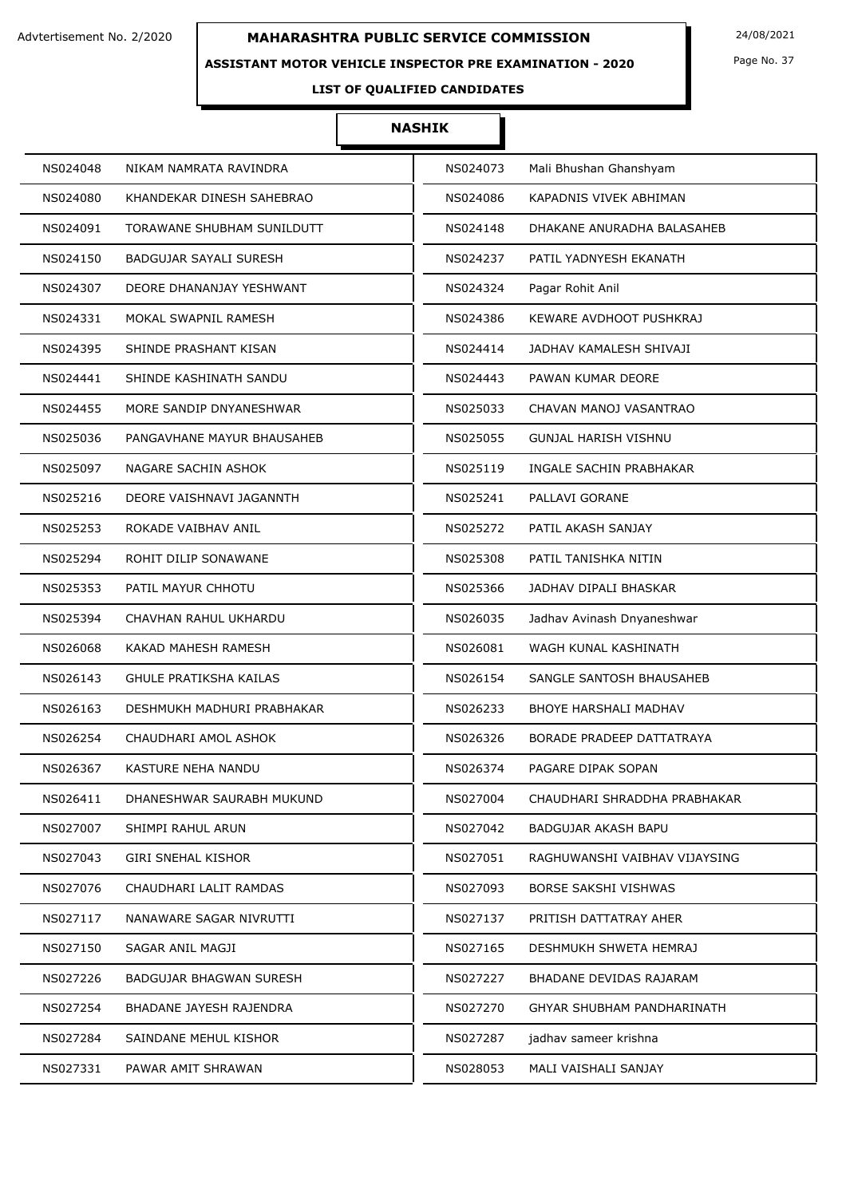### **ASSISTANT MOTOR VEHICLE INSPECTOR PRE EXAMINATION - 2020**

Page No. 37

# **LIST OF QUALIFIED CANDIDATES**

| NS024048 | NIKAM NAMRATA RAVINDRA        | NS024073 | Mali Bhushan Ghanshyam        |
|----------|-------------------------------|----------|-------------------------------|
| NS024080 | KHANDEKAR DINESH SAHEBRAO     | NS024086 | KAPADNIS VIVEK ABHIMAN        |
| NS024091 | TORAWANE SHUBHAM SUNILDUTT    | NS024148 | DHAKANE ANURADHA BALASAHEB    |
| NS024150 | BADGUJAR SAYALI SURESH        | NS024237 | PATIL YADNYESH EKANATH        |
| NS024307 | DEORE DHANANJAY YESHWANT      | NS024324 | Pagar Rohit Anil              |
| NS024331 | MOKAL SWAPNIL RAMESH          | NS024386 | KEWARE AVDHOOT PUSHKRAJ       |
| NS024395 | SHINDE PRASHANT KISAN         | NS024414 | JADHAV KAMALESH SHIVAJI       |
| NS024441 | SHINDE KASHINATH SANDU        | NS024443 | PAWAN KUMAR DEORE             |
| NS024455 | MORE SANDIP DNYANESHWAR       | NS025033 | CHAVAN MANOJ VASANTRAO        |
| NS025036 | PANGAVHANE MAYUR BHAUSAHEB    | NS025055 | <b>GUNJAL HARISH VISHNU</b>   |
| NS025097 | NAGARE SACHIN ASHOK           | NS025119 | INGALE SACHIN PRABHAKAR       |
| NS025216 | DEORE VAISHNAVI JAGANNTH      | NS025241 | PALLAVI GORANE                |
| NS025253 | ROKADE VAIBHAV ANIL           | NS025272 | PATIL AKASH SANJAY            |
| NS025294 | ROHIT DILIP SONAWANE          | NS025308 | PATIL TANISHKA NITIN          |
| NS025353 | PATIL MAYUR CHHOTU            | NS025366 | JADHAV DIPALI BHASKAR         |
| NS025394 | CHAVHAN RAHUL UKHARDU         | NS026035 | Jadhav Avinash Dnyaneshwar    |
| NS026068 | KAKAD MAHESH RAMESH           | NS026081 | WAGH KUNAL KASHINATH          |
| NS026143 | <b>GHULE PRATIKSHA KAILAS</b> | NS026154 | SANGLE SANTOSH BHAUSAHEB      |
| NS026163 | DESHMUKH MADHURI PRABHAKAR    | NS026233 | BHOYE HARSHALI MADHAV         |
| NS026254 | CHAUDHARI AMOL ASHOK          | NS026326 | BORADE PRADEEP DATTATRAYA     |
| NS026367 | KASTURE NEHA NANDU            | NS026374 | PAGARE DIPAK SOPAN            |
| NS026411 | DHANESHWAR SAURABH MUKUND     | NS027004 | CHAUDHARI SHRADDHA PRABHAKAR  |
| NS027007 | SHIMPI RAHUL ARUN             | NS027042 | BADGUJAR AKASH BAPU           |
| NS027043 | GIRI SNEHAL KISHOR            | NS027051 | RAGHUWANSHI VAIBHAV VIJAYSING |
| NS027076 | CHAUDHARI LALIT RAMDAS        | NS027093 | BORSE SAKSHI VISHWAS          |
| NS027117 | NANAWARE SAGAR NIVRUTTI       | NS027137 | PRITISH DATTATRAY AHER        |
| NS027150 | SAGAR ANIL MAGJI              | NS027165 | DESHMUKH SHWETA HEMRAJ        |
| NS027226 | BADGUJAR BHAGWAN SURESH       | NS027227 | BHADANE DEVIDAS RAJARAM       |
| NS027254 | BHADANE JAYESH RAJENDRA       | NS027270 | GHYAR SHUBHAM PANDHARINATH    |
| NS027284 | SAINDANE MEHUL KISHOR         | NS027287 | jadhav sameer krishna         |
| NS027331 | PAWAR AMIT SHRAWAN            | NS028053 | MALI VAISHALI SANJAY          |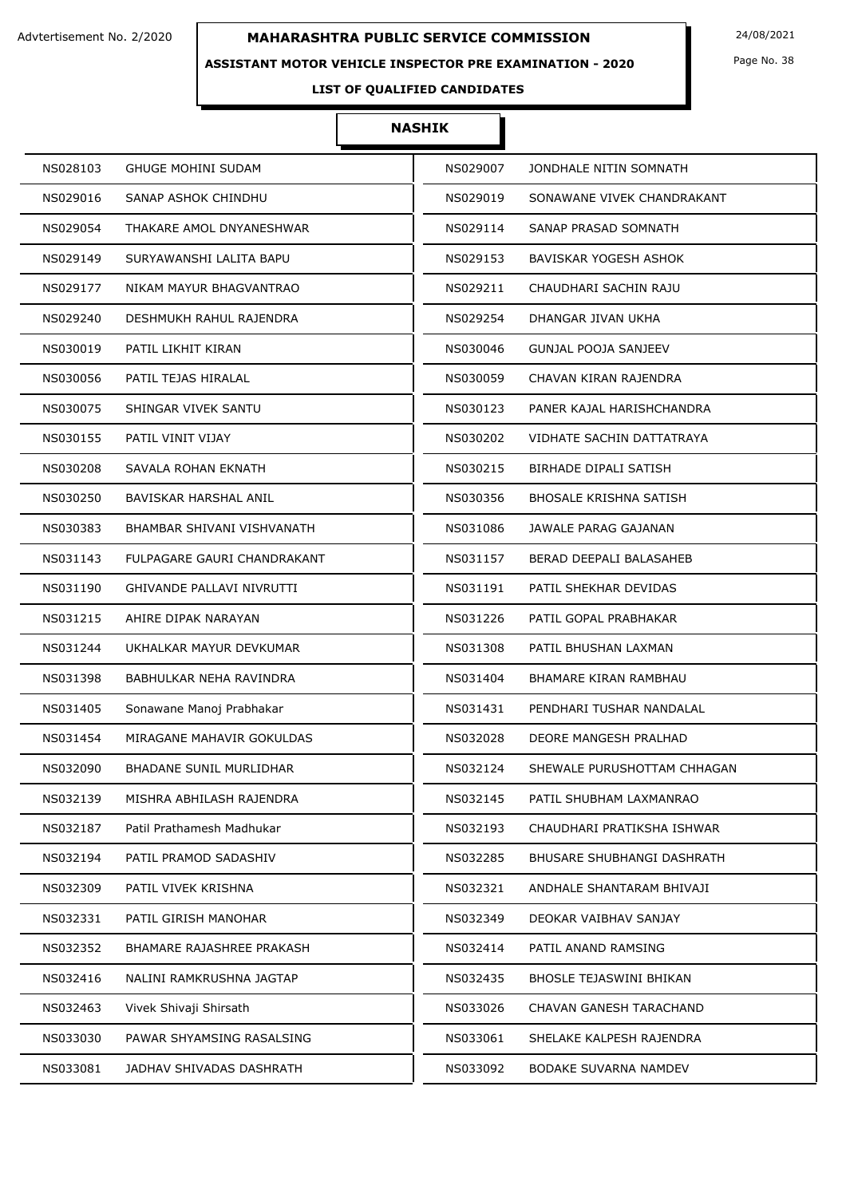### **ASSISTANT MOTOR VEHICLE INSPECTOR PRE EXAMINATION - 2020**

Page No. 38

# **LIST OF QUALIFIED CANDIDATES**

| NS028103                       | NS029007                          |
|--------------------------------|-----------------------------------|
| <b>GHUGE MOHINI SUDAM</b>      | JONDHALE NITIN SOMNATH            |
| NS029016                       | NS029019                          |
| SANAP ASHOK CHINDHU            | SONAWANE VIVEK CHANDRAKANT        |
| THAKARE AMOL DNYANESHWAR       | NS029114                          |
| NS029054                       | SANAP PRASAD SOMNATH              |
| NS029149                       | NS029153                          |
| SURYAWANSHI LALITA BAPU        | BAVISKAR YOGESH ASHOK             |
| NS029177                       | NS029211                          |
| NIKAM MAYUR BHAGVANTRAO        | CHAUDHARI SACHIN RAJU             |
| DESHMUKH RAHUL RAJENDRA        | NS029254                          |
| NS029240                       | DHANGAR JIVAN UKHA                |
| PATIL LIKHIT KIRAN             | NS030046                          |
| NS030019                       | GUNJAL POOJA SANJEEV              |
| NS030056                       | CHAVAN KIRAN RAJENDRA             |
| PATIL TEJAS HIRALAL            | NS030059                          |
| NS030075                       | NS030123                          |
| SHINGAR VIVEK SANTU            | PANER KAJAL HARISHCHANDRA         |
| NS030155                       | NS030202                          |
| PATIL VINIT VIJAY              | VIDHATE SACHIN DATTATRAYA         |
| NS030208                       | NS030215                          |
| SAVALA ROHAN EKNATH            | <b>BIRHADE DIPALI SATISH</b>      |
| NS030250                       | NS030356                          |
| BAVISKAR HARSHAL ANIL          | BHOSALE KRISHNA SATISH            |
| NS030383                       | NS031086                          |
| BHAMBAR SHIVANI VISHVANATH     | JAWALE PARAG GAJANAN              |
| NS031143                       | NS031157                          |
| FULPAGARE GAURI CHANDRAKANT    | BERAD DEEPALI BALASAHEB           |
| NS031190                       | NS031191                          |
| GHIVANDE PALLAVI NIVRUTTI      | PATIL SHEKHAR DEVIDAS             |
| AHIRE DIPAK NARAYAN            | NS031226                          |
| NS031215                       | PATIL GOPAL PRABHAKAR             |
| NS031244                       | NS031308                          |
| UKHALKAR MAYUR DEVKUMAR        | PATIL BHUSHAN LAXMAN              |
| NS031398                       | NS031404                          |
| BABHULKAR NEHA RAVINDRA        | BHAMARE KIRAN RAMBHAU             |
| NS031405                       | NS031431                          |
| Sonawane Manoj Prabhakar       | PENDHARI TUSHAR NANDALAL          |
| NS031454                       | NS032028                          |
| MIRAGANE MAHAVIR GOKULDAS      | DEORE MANGESH PRALHAD             |
| NS032090                       | SHEWALE PURUSHOTTAM CHHAGAN       |
| <b>BHADANE SUNIL MURLIDHAR</b> | NS032124                          |
| NS032139                       | NS032145                          |
| MISHRA ABHILASH RAJENDRA       | PATIL SHUBHAM LAXMANRAO           |
| NS032187                       | NS032193                          |
| Patil Prathamesh Madhukar      | CHAUDHARI PRATIKSHA ISHWAR        |
| NS032194                       | NS032285                          |
| PATIL PRAMOD SADASHIV          | <b>BHUSARE SHUBHANGI DASHRATH</b> |
| NS032309                       | NS032321                          |
| PATIL VIVEK KRISHNA            | ANDHALE SHANTARAM BHIVAJI         |
| NS032331                       | NS032349                          |
| PATIL GIRISH MANOHAR           | DEOKAR VAIBHAV SANJAY             |
| NS032352                       | NS032414                          |
| BHAMARE RAJASHREE PRAKASH      | PATIL ANAND RAMSING               |
| NS032416                       | NS032435                          |
| NALINI RAMKRUSHNA JAGTAP       | BHOSLE TEJASWINI BHIKAN           |
| NS032463                       | NS033026                          |
| Vivek Shivaji Shirsath         | CHAVAN GANESH TARACHAND           |
| NS033030                       | NS033061                          |
| PAWAR SHYAMSING RASALSING      | SHELAKE KALPESH RAJENDRA          |
| NS033081                       | NS033092                          |
| JADHAV SHIVADAS DASHRATH       | BODAKE SUVARNA NAMDEV             |
|                                |                                   |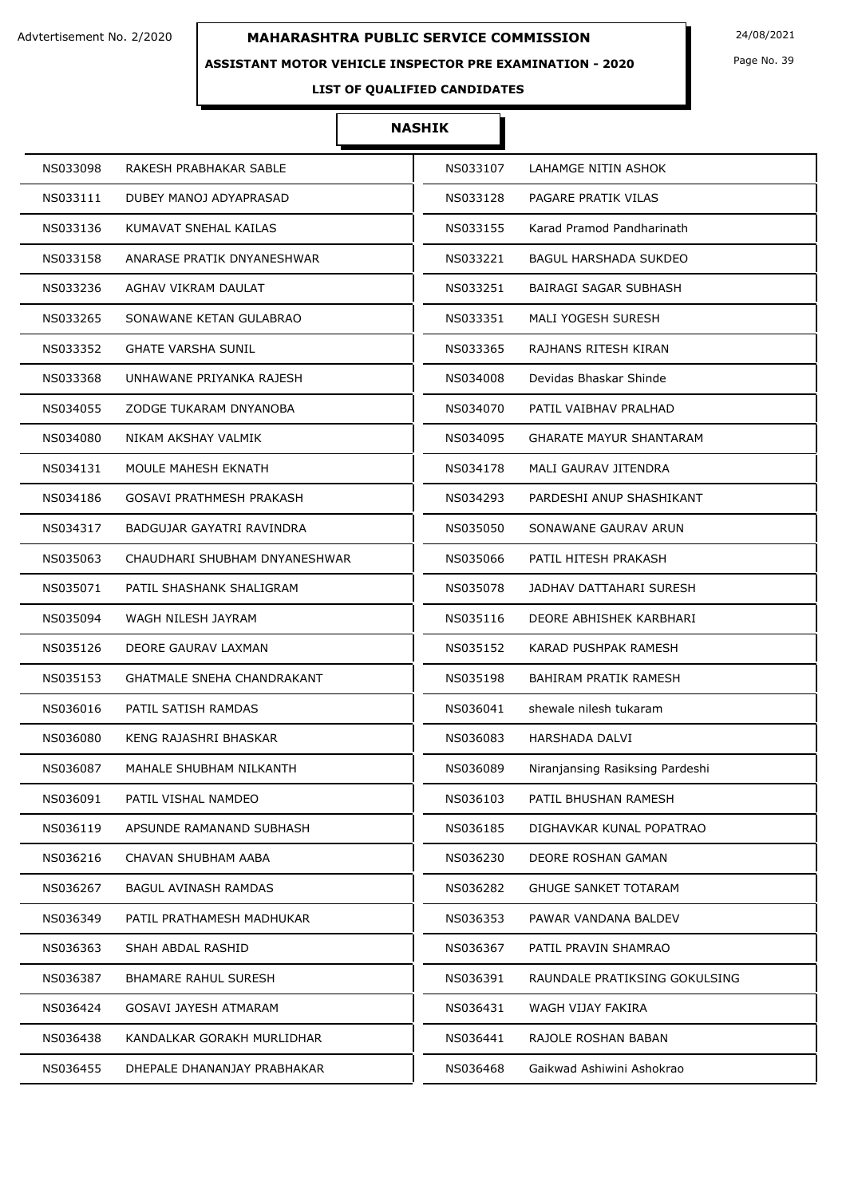### **ASSISTANT MOTOR VEHICLE INSPECTOR PRE EXAMINATION - 2020**

Page No. 39

# **LIST OF QUALIFIED CANDIDATES**

| RAKESH PRABHAKAR SABLE        | NS033107                        |
|-------------------------------|---------------------------------|
| NS033098                      | LAHAMGE NITIN ASHOK             |
| NS033111                      | NS033128                        |
| DUBEY MANOJ ADYAPRASAD        | PAGARE PRATIK VILAS             |
| NS033136                      | NS033155                        |
| KUMAVAT SNEHAL KAILAS         | Karad Pramod Pandharinath       |
| NS033158                      | NS033221                        |
| ANARASE PRATIK DNYANESHWAR    | <b>BAGUL HARSHADA SUKDEO</b>    |
| AGHAV VIKRAM DAULAT           | NS033251                        |
| NS033236                      | BAIRAGI SAGAR SUBHASH           |
| NS033265                      | NS033351                        |
| SONAWANE KETAN GULABRAO       | <b>MALI YOGESH SURESH</b>       |
| <b>GHATE VARSHA SUNIL</b>     | NS033365                        |
| NS033352                      | RAJHANS RITESH KIRAN            |
| NS033368                      | NS034008                        |
| UNHAWANE PRIYANKA RAJESH      | Devidas Bhaskar Shinde          |
| NS034055                      | PATIL VAIBHAV PRALHAD           |
| ZODGE TUKARAM DNYANOBA        | NS034070                        |
| NS034080                      | NS034095                        |
| NIKAM AKSHAY VALMIK           | <b>GHARATE MAYUR SHANTARAM</b>  |
| NS034131                      | NS034178                        |
| MOULE MAHESH EKNATH           | MALI GAURAV JITENDRA            |
| NS034186                      | NS034293                        |
| GOSAVI PRATHMESH PRAKASH      | PARDESHI ANUP SHASHIKANT        |
| BADGUJAR GAYATRI RAVINDRA     | NS035050                        |
| NS034317                      | SONAWANE GAURAV ARUN            |
| CHAUDHARI SHUBHAM DNYANESHWAR | NS035066                        |
| NS035063                      | PATIL HITESH PRAKASH            |
| NS035071                      | NS035078                        |
| PATIL SHASHANK SHALIGRAM      | JADHAV DATTAHARI SURESH         |
| NS035094                      | NS035116                        |
| WAGH NILESH JAYRAM            | DEORE ABHISHEK KARBHARI         |
| NS035126                      | NS035152                        |
| DEORE GAURAV LAXMAN           | KARAD PUSHPAK RAMESH            |
| NS035153                      | NS035198                        |
| GHATMALE SNEHA CHANDRAKANT    | <b>BAHIRAM PRATIK RAMESH</b>    |
| NS036016                      | NS036041                        |
| PATIL SATISH RAMDAS           | shewale nilesh tukaram          |
| NS036080                      | NS036083                        |
| KENG RAJASHRI BHASKAR         | <b>HARSHADA DALVI</b>           |
| NS036087                      | Niranjansing Rasiksing Pardeshi |
| MAHALE SHUBHAM NILKANTH       | NS036089                        |
| NS036091                      | NS036103                        |
| PATIL VISHAL NAMDEO           | PATIL BHUSHAN RAMESH            |
| NS036119                      | NS036185                        |
| APSUNDE RAMANAND SUBHASH      | DIGHAVKAR KUNAL POPATRAO        |
| NS036216                      | NS036230                        |
| CHAVAN SHUBHAM AABA           | DEORE ROSHAN GAMAN              |
| NS036267                      | NS036282                        |
| BAGUL AVINASH RAMDAS          | <b>GHUGE SANKET TOTARAM</b>     |
| PATIL PRATHAMESH MADHUKAR     | NS036353                        |
| NS036349                      | PAWAR VANDANA BALDEV            |
| NS036363                      | NS036367                        |
| SHAH ABDAL RASHID             | PATIL PRAVIN SHAMRAO            |
| NS036387                      | NS036391                        |
| <b>BHAMARE RAHUL SURESH</b>   | RAUNDALE PRATIKSING GOKULSING   |
| NS036424                      | WAGH VIJAY FAKIRA               |
| GOSAVI JAYESH ATMARAM         | NS036431                        |
| KANDALKAR GORAKH MURLIDHAR    | RAJOLE ROSHAN BABAN             |
| NS036438                      | NS036441                        |
| NS036455                      | NS036468                        |
| DHEPALE DHANANJAY PRABHAKAR   | Gaikwad Ashiwini Ashokrao       |
|                               |                                 |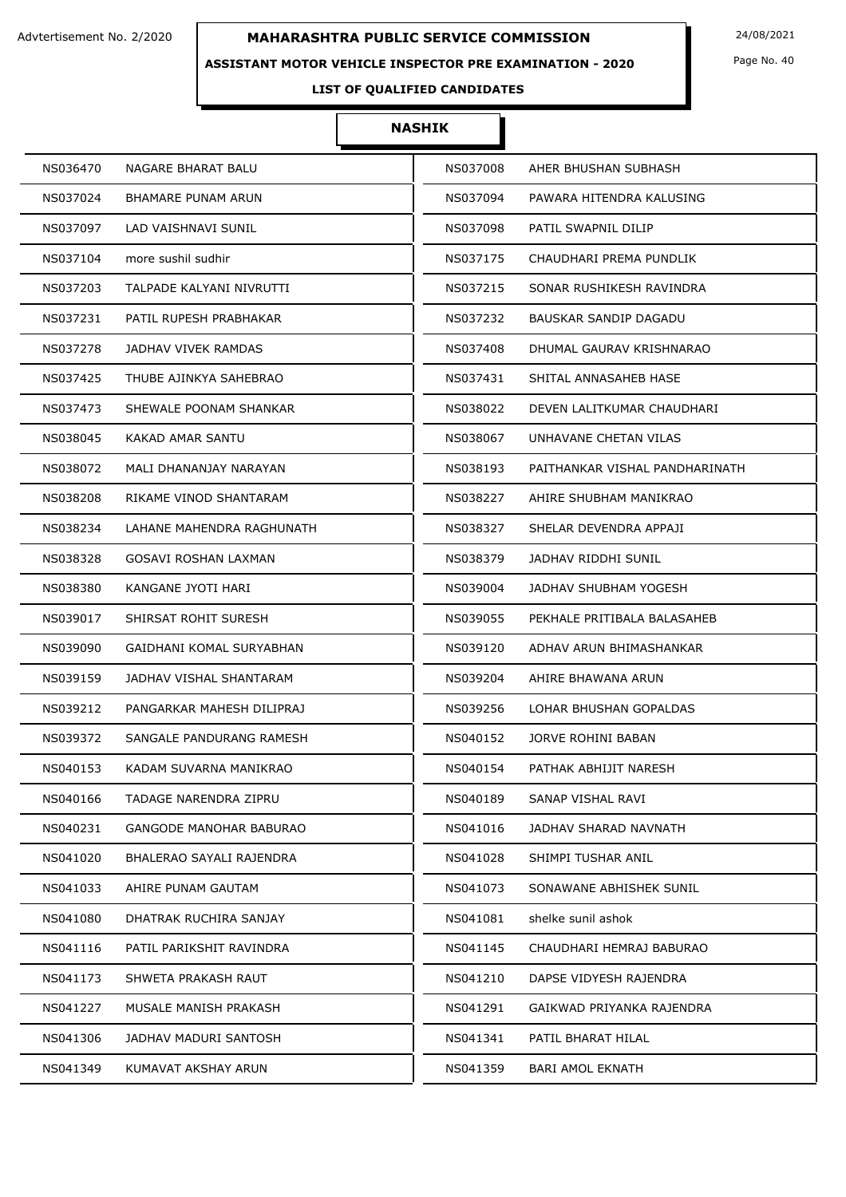### **ASSISTANT MOTOR VEHICLE INSPECTOR PRE EXAMINATION - 2020**

Page No. 40

# **LIST OF QUALIFIED CANDIDATES**

| NS036470                       | NS037008                       |
|--------------------------------|--------------------------------|
| NAGARE BHARAT BALU             | AHER BHUSHAN SUBHASH           |
| NS037024                       | NS037094                       |
| BHAMARE PUNAM ARUN             | PAWARA HITENDRA KALUSING       |
| LAD VAISHNAVI SUNIL            | PATIL SWAPNIL DILIP            |
| NS037097                       | NS037098                       |
| NS037104                       | CHAUDHARI PREMA PUNDLIK        |
| more sushil sudhir             | NS037175                       |
| NS037203                       | NS037215                       |
| TALPADE KALYANI NIVRUTTI       | SONAR RUSHIKESH RAVINDRA       |
| NS037231                       | NS037232                       |
| PATIL RUPESH PRABHAKAR         | BAUSKAR SANDIP DAGADU          |
| NS037278                       | NS037408                       |
| <b>JADHAV VIVEK RAMDAS</b>     | DHUMAL GAURAV KRISHNARAO       |
| NS037425                       | NS037431                       |
| THUBE AJINKYA SAHEBRAO         | SHITAL ANNASAHEB HASE          |
| NS037473                       | NS038022                       |
| SHEWALE POONAM SHANKAR         | DEVEN LALITKUMAR CHAUDHARI     |
| NS038045                       | NS038067                       |
| KAKAD AMAR SANTU               | UNHAVANE CHETAN VILAS          |
| NS038072                       | PAITHANKAR VISHAL PANDHARINATH |
| MALI DHANANJAY NARAYAN         | NS038193                       |
| NS038208                       | NS038227                       |
| RIKAME VINOD SHANTARAM         | AHIRE SHUBHAM MANIKRAO         |
| NS038234                       | SHELAR DEVENDRA APPAJI         |
| LAHANE MAHENDRA RAGHUNATH      | NS038327                       |
| NS038328                       | NS038379                       |
| GOSAVI ROSHAN LAXMAN           | JADHAV RIDDHI SUNIL            |
| NS038380                       | NS039004                       |
| KANGANE JYOTI HARI             | JADHAV SHUBHAM YOGESH          |
| SHIRSAT ROHIT SURESH           | PEKHALE PRITIBALA BALASAHEB    |
| NS039017                       | NS039055                       |
| NS039090                       | NS039120                       |
| GAIDHANI KOMAL SURYABHAN       | ADHAV ARUN BHIMASHANKAR        |
| NS039159                       | NS039204                       |
| JADHAV VISHAL SHANTARAM        | AHIRE BHAWANA ARUN             |
| NS039212                       | LOHAR BHUSHAN GOPALDAS         |
| PANGARKAR MAHESH DILIPRAJ      | NS039256                       |
| NS039372                       | NS040152                       |
| SANGALE PANDURANG RAMESH       | JORVE ROHINI BABAN             |
| KADAM SUVARNA MANIKRAO         | NS040154                       |
| NS040153                       | PATHAK ABHIJIT NARESH          |
| NS040166                       | NS040189                       |
| TADAGE NARENDRA ZIPRU          | SANAP VISHAL RAVI              |
| NS040231                       | NS041016                       |
| <b>GANGODE MANOHAR BABURAO</b> | JADHAV SHARAD NAVNATH          |
| NS041020                       | NS041028                       |
| BHALERAO SAYALI RAJENDRA       | SHIMPI TUSHAR ANIL             |
| NS041033                       | NS041073                       |
| AHIRE PUNAM GAUTAM             | SONAWANE ABHISHEK SUNIL        |
| DHATRAK RUCHIRA SANJAY         | shelke sunil ashok             |
| NS041080                       | NS041081                       |
| NS041116                       | NS041145                       |
| PATIL PARIKSHIT RAVINDRA       | CHAUDHARI HEMRAJ BABURAO       |
| NS041173                       | NS041210                       |
| SHWETA PRAKASH RAUT            | DAPSE VIDYESH RAJENDRA         |
| NS041227                       | NS041291                       |
| MUSALE MANISH PRAKASH          | GAIKWAD PRIYANKA RAJENDRA      |
| JADHAV MADURI SANTOSH          | PATIL BHARAT HILAL             |
| NS041306                       | NS041341                       |
| NS041349                       | NS041359                       |
| KUMAVAT AKSHAY ARUN            | <b>BARI AMOL EKNATH</b>        |
|                                |                                |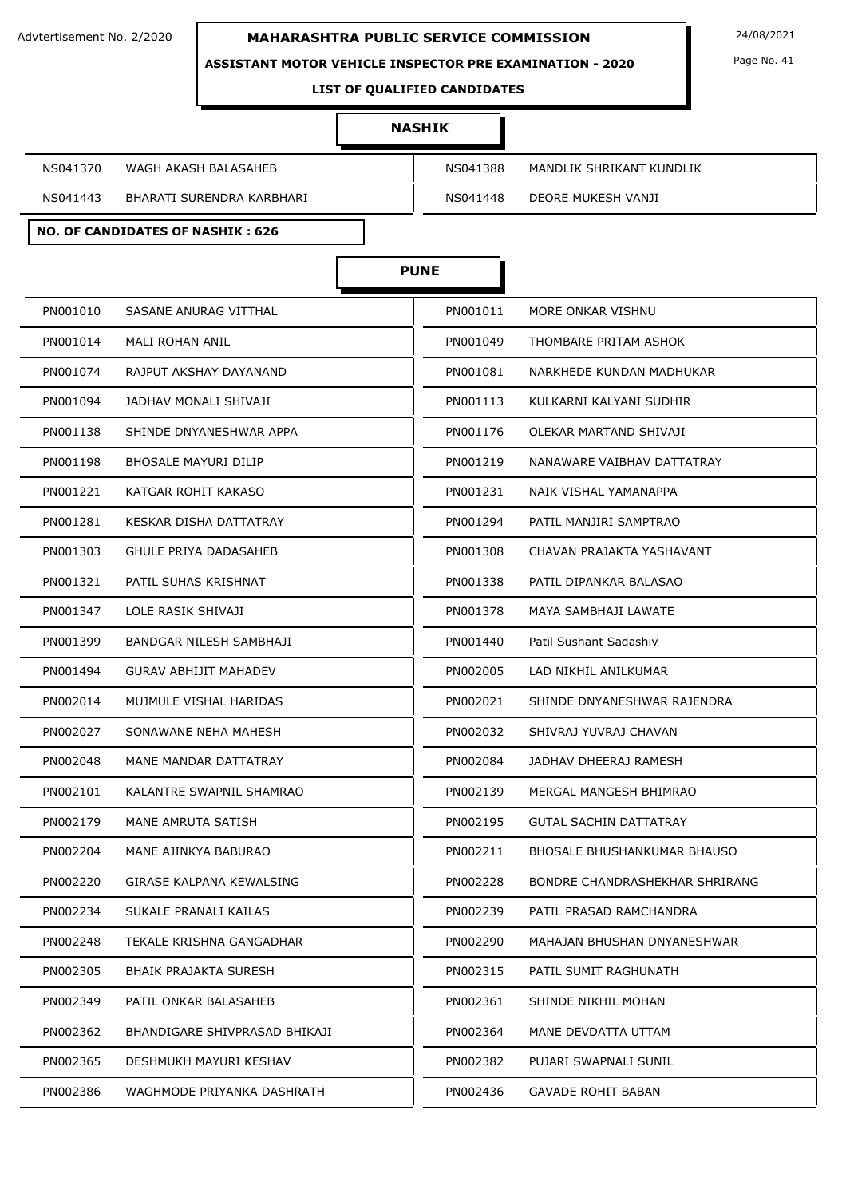

**ASSISTANT MOTOR VEHICLE INSPECTOR PRE EXAMINATION - 2020**

Page No. 41

### **LIST OF QUALIFIED CANDIDATES**

#### **NASHIK**

NS041370 WAGH AKASH BALASAHEB NGDA 2012 NS041388 MANDLIK SHRIKANT KUNDLIK

**NO. OF CANDIDATES OF NASHIK : 626**

NS041443 BHARATI SURENDRA KARBHARI NS041448 DEORE MUKESH VANJI

**PUNE**

| PN001010<br>SASANE ANURAG VITTHAL         | PN001011 | MORE ONKAR VISHNU                  |
|-------------------------------------------|----------|------------------------------------|
| PN001014<br><b>MALI ROHAN ANIL</b>        | PN001049 | THOMBARE PRITAM ASHOK              |
| PN001074<br>RAJPUT AKSHAY DAYANAND        | PN001081 | NARKHEDE KUNDAN MADHUKAR           |
| PN001094<br>JADHAV MONALI SHIVAJI         | PN001113 | KULKARNI KALYANI SUDHIR            |
| PN001138<br>SHINDE DNYANESHWAR APPA       | PN001176 | OLEKAR MARTAND SHIVAJI             |
| PN001198<br>BHOSALE MAYURI DILIP          | PN001219 | NANAWARE VAIBHAV DATTATRAY         |
| PN001221<br>KATGAR ROHIT KAKASO           | PN001231 | NAIK VISHAL YAMANAPPA              |
| PN001281<br>KESKAR DISHA DATTATRAY        | PN001294 | PATIL MANJIRI SAMPTRAO             |
| PN001303<br>GHULE PRIYA DADASAHEB         | PN001308 | CHAVAN PRAJAKTA YASHAVANT          |
| PN001321<br>PATIL SUHAS KRISHNAT          | PN001338 | PATIL DIPANKAR BALASAO             |
| PN001347<br>LOLE RASIK SHIVAJI            | PN001378 | MAYA SAMBHAJI LAWATE               |
| BANDGAR NILESH SAMBHAJI<br>PN001399       | PN001440 | Patil Sushant Sadashiv             |
| <b>GURAV ABHIJIT MAHADEV</b><br>PN001494  | PN002005 | LAD NIKHIL ANILKUMAR               |
| PN002014<br>MUJMULE VISHAL HARIDAS        | PN002021 | SHINDE DNYANESHWAR RAJENDRA        |
| PN002027<br>SONAWANE NEHA MAHESH          | PN002032 | SHIVRAJ YUVRAJ CHAVAN              |
| PN002048<br>MANE MANDAR DATTATRAY         | PN002084 | JADHAV DHEERAJ RAMESH              |
| PN002101<br>KALANTRE SWAPNIL SHAMRAO      | PN002139 | MERGAL MANGESH BHIMRAO             |
| PN002179<br>MANE AMRUTA SATISH            | PN002195 | <b>GUTAL SACHIN DATTATRAY</b>      |
| PN002204<br>MANE AJINKYA BABURAO          | PN002211 | <b>BHOSALE BHUSHANKUMAR BHAUSO</b> |
| PN002220<br>GIRASE KALPANA KEWALSING      | PN002228 | BONDRE CHANDRASHEKHAR SHRIRANG     |
| SUKALE PRANALI KAILAS<br>PN002234         | PN002239 | PATIL PRASAD RAMCHANDRA            |
| PN002248<br>TEKALE KRISHNA GANGADHAR      | PN002290 | MAHAJAN BHUSHAN DNYANESHWAR        |
| PN002305<br><b>BHAIK PRAJAKTA SURESH</b>  | PN002315 | PATIL SUMIT RAGHUNATH              |
| PN002349<br>PATIL ONKAR BALASAHEB         | PN002361 | SHINDE NIKHIL MOHAN                |
| PN002362<br>BHANDIGARE SHIVPRASAD BHIKAJI | PN002364 | MANE DEVDATTA UTTAM                |
| PN002365<br>DESHMUKH MAYURI KESHAV        | PN002382 | PUJARI SWAPNALI SUNIL              |
| PN002386<br>WAGHMODE PRIYANKA DASHRATH    | PN002436 | <b>GAVADE ROHIT BABAN</b>          |
|                                           |          |                                    |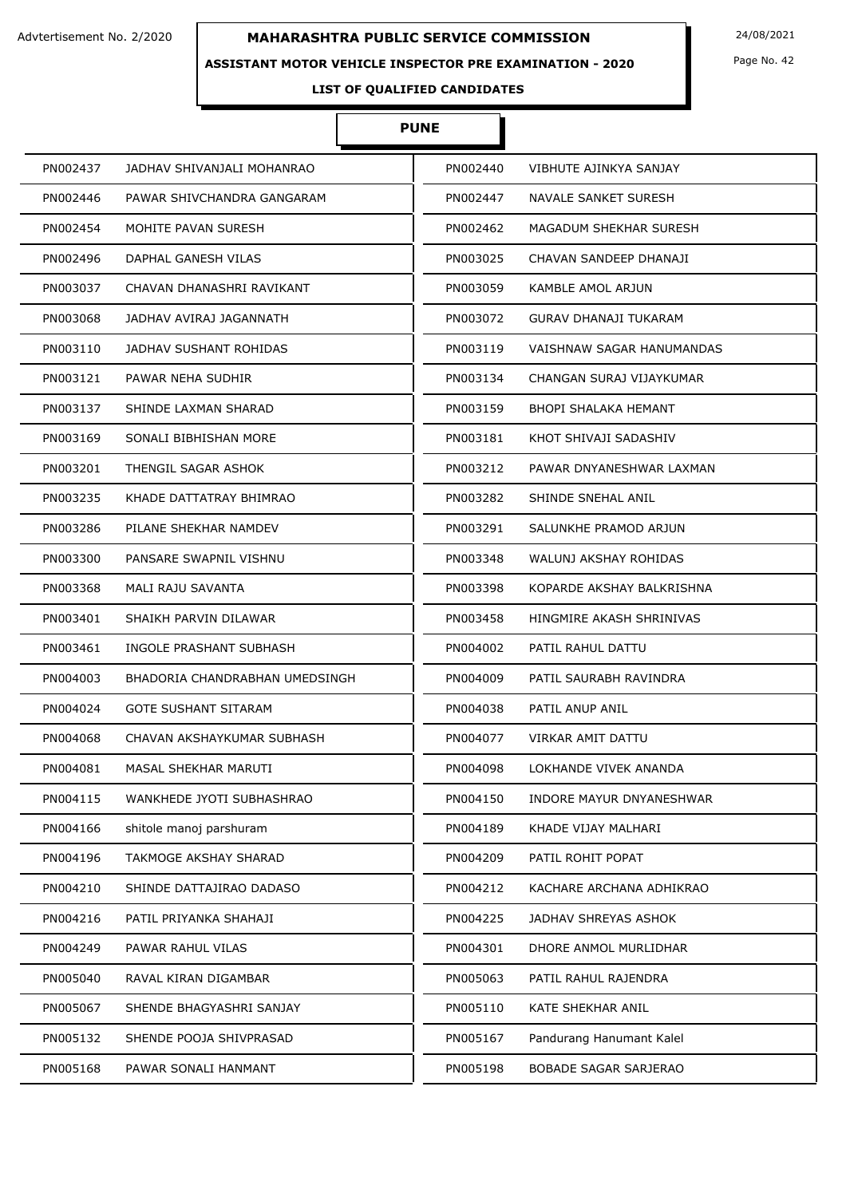### **ASSISTANT MOTOR VEHICLE INSPECTOR PRE EXAMINATION - 2020**

Page No. 42

# **LIST OF QUALIFIED CANDIDATES**

# **PUNE**

| PN002437 | JADHAV SHIVANJALI MOHANRAO     | PN002440 | VIBHUTE AJINKYA SANJAY       |
|----------|--------------------------------|----------|------------------------------|
| PN002446 | PAWAR SHIVCHANDRA GANGARAM     | PN002447 | NAVALE SANKET SURESH         |
| PN002454 | MOHITE PAVAN SURESH            | PN002462 | MAGADUM SHEKHAR SURESH       |
| PN002496 | DAPHAL GANESH VILAS            | PN003025 | CHAVAN SANDEEP DHANAJI       |
| PN003037 | CHAVAN DHANASHRI RAVIKANT      | PN003059 | KAMBLE AMOL ARJUN            |
| PN003068 | JADHAV AVIRAJ JAGANNATH        | PN003072 | <b>GURAV DHANAJI TUKARAM</b> |
| PN003110 | JADHAV SUSHANT ROHIDAS         | PN003119 | VAISHNAW SAGAR HANUMANDAS    |
| PN003121 | PAWAR NEHA SUDHIR              | PN003134 | CHANGAN SURAJ VIJAYKUMAR     |
| PN003137 | SHINDE LAXMAN SHARAD           | PN003159 | BHOPI SHALAKA HEMANT         |
| PN003169 | SONALI BIBHISHAN MORE          | PN003181 | KHOT SHIVAJI SADASHIV        |
| PN003201 | THENGIL SAGAR ASHOK            | PN003212 | PAWAR DNYANESHWAR LAXMAN     |
| PN003235 | KHADE DATTATRAY BHIMRAO        | PN003282 | SHINDE SNEHAL ANIL           |
| PN003286 | PILANE SHEKHAR NAMDEV          | PN003291 | SALUNKHE PRAMOD ARJUN        |
| PN003300 | PANSARE SWAPNIL VISHNU         | PN003348 | WALUNJ AKSHAY ROHIDAS        |
| PN003368 | MALI RAJU SAVANTA              | PN003398 | KOPARDE AKSHAY BALKRISHNA    |
| PN003401 | SHAIKH PARVIN DILAWAR          | PN003458 | HINGMIRE AKASH SHRINIVAS     |
| PN003461 | INGOLE PRASHANT SUBHASH        | PN004002 | PATIL RAHUL DATTU            |
| PN004003 | BHADORIA CHANDRABHAN UMEDSINGH | PN004009 | PATIL SAURABH RAVINDRA       |
| PN004024 | <b>GOTE SUSHANT SITARAM</b>    | PN004038 | PATIL ANUP ANIL              |
| PN004068 | CHAVAN AKSHAYKUMAR SUBHASH     | PN004077 | <b>VIRKAR AMIT DATTU</b>     |
| PN004081 | MASAL SHEKHAR MARUTI           | PN004098 | LOKHANDE VIVEK ANANDA        |
| PN004115 | WANKHEDE JYOTI SUBHASHRAO      | PN004150 | INDORE MAYUR DNYANESHWAR     |
| PN004166 | shitole manoj parshuram        | PN004189 | KHADE VIJAY MALHARI          |
| PN004196 | TAKMOGE AKSHAY SHARAD          | PN004209 | PATIL ROHIT POPAT            |
| PN004210 | SHINDE DATTAJIRAO DADASO       | PN004212 | KACHARE ARCHANA ADHIKRAO     |
| PN004216 | PATIL PRIYANKA SHAHAJI         | PN004225 | JADHAV SHREYAS ASHOK         |
| PN004249 | PAWAR RAHUL VILAS              | PN004301 | DHORE ANMOL MURLIDHAR        |
| PN005040 | RAVAL KIRAN DIGAMBAR           | PN005063 | PATIL RAHUL RAJENDRA         |
| PN005067 | SHENDE BHAGYASHRI SANJAY       | PN005110 | KATE SHEKHAR ANIL            |
| PN005132 | SHENDE POOJA SHIVPRASAD        | PN005167 | Pandurang Hanumant Kalel     |
| PN005168 | PAWAR SONALI HANMANT           | PN005198 | BOBADE SAGAR SARJERAO        |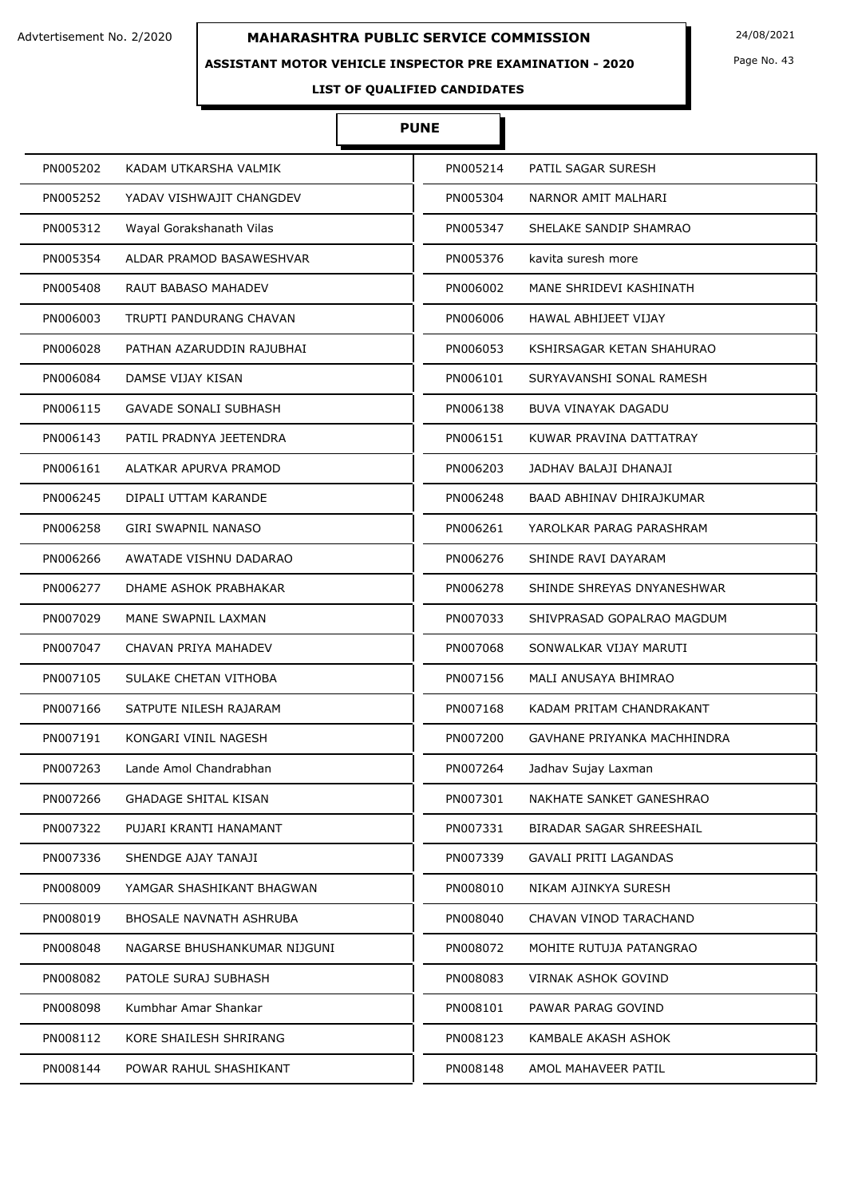### **ASSISTANT MOTOR VEHICLE INSPECTOR PRE EXAMINATION - 2020**

Page No. 43

# **LIST OF QUALIFIED CANDIDATES**

# **PUNE**

| PN005202 | KADAM UTKARSHA VALMIK        | PN005214 | PATIL SAGAR SURESH           |
|----------|------------------------------|----------|------------------------------|
| PN005252 | YADAV VISHWAJIT CHANGDEV     | PN005304 | NARNOR AMIT MALHARI          |
| PN005312 | Wayal Gorakshanath Vilas     | PN005347 | SHELAKE SANDIP SHAMRAO       |
| PN005354 | ALDAR PRAMOD BASAWESHVAR     | PN005376 | kavita suresh more           |
| PN005408 | RAUT BABASO MAHADEV          | PN006002 | MANE SHRIDEVI KASHINATH      |
| PN006003 | TRUPTI PANDURANG CHAVAN      | PN006006 | HAWAL ABHIJEET VIJAY         |
| PN006028 | PATHAN AZARUDDIN RAJUBHAI    | PN006053 | KSHIRSAGAR KETAN SHAHURAO    |
| PN006084 | DAMSE VIJAY KISAN            | PN006101 | SURYAVANSHI SONAL RAMESH     |
| PN006115 | <b>GAVADE SONALI SUBHASH</b> | PN006138 | BUVA VINAYAK DAGADU          |
| PN006143 | PATIL PRADNYA JEETENDRA      | PN006151 | KUWAR PRAVINA DATTATRAY      |
| PN006161 | ALATKAR APURVA PRAMOD        | PN006203 | JADHAV BALAJI DHANAJI        |
| PN006245 | DIPALI UTTAM KARANDE         | PN006248 | BAAD ABHINAV DHIRAJKUMAR     |
| PN006258 | <b>GIRI SWAPNIL NANASO</b>   | PN006261 | YAROLKAR PARAG PARASHRAM     |
| PN006266 | AWATADE VISHNU DADARAO       | PN006276 | SHINDE RAVI DAYARAM          |
| PN006277 | DHAME ASHOK PRABHAKAR        | PN006278 | SHINDE SHREYAS DNYANESHWAR   |
| PN007029 | MANE SWAPNIL LAXMAN          | PN007033 | SHIVPRASAD GOPALRAO MAGDUM   |
| PN007047 | CHAVAN PRIYA MAHADEV         | PN007068 | SONWALKAR VIJAY MARUTI       |
| PN007105 | SULAKE CHETAN VITHOBA        | PN007156 | MALI ANUSAYA BHIMRAO         |
| PN007166 | SATPUTE NILESH RAJARAM       | PN007168 | KADAM PRITAM CHANDRAKANT     |
| PN007191 | KONGARI VINIL NAGESH         | PN007200 | GAVHANE PRIYANKA MACHHINDRA  |
| PN007263 | Lande Amol Chandrabhan       | PN007264 | Jadhav Sujay Laxman          |
| PN007266 | <b>GHADAGE SHITAL KISAN</b>  | PN007301 | NAKHATE SANKET GANESHRAO     |
| PN007322 | PUJARI KRANTI HANAMANT       | PN007331 | BIRADAR SAGAR SHREESHAIL     |
| PN007336 | SHENDGE AJAY TANAJI          | PN007339 | <b>GAVALI PRITI LAGANDAS</b> |
| PN008009 | YAMGAR SHASHIKANT BHAGWAN    | PN008010 | NIKAM AJINKYA SURESH         |
| PN008019 | BHOSALE NAVNATH ASHRUBA      | PN008040 | CHAVAN VINOD TARACHAND       |
| PN008048 | NAGARSE BHUSHANKUMAR NIJGUNI | PN008072 | MOHITE RUTUJA PATANGRAO      |
| PN008082 | PATOLE SURAJ SUBHASH         | PN008083 | VIRNAK ASHOK GOVIND          |
| PN008098 | Kumbhar Amar Shankar         | PN008101 | PAWAR PARAG GOVIND           |
| PN008112 | KORE SHAILESH SHRIRANG       | PN008123 | KAMBALE AKASH ASHOK          |
| PN008144 | POWAR RAHUL SHASHIKANT       | PN008148 | AMOL MAHAVEER PATIL          |
|          |                              |          |                              |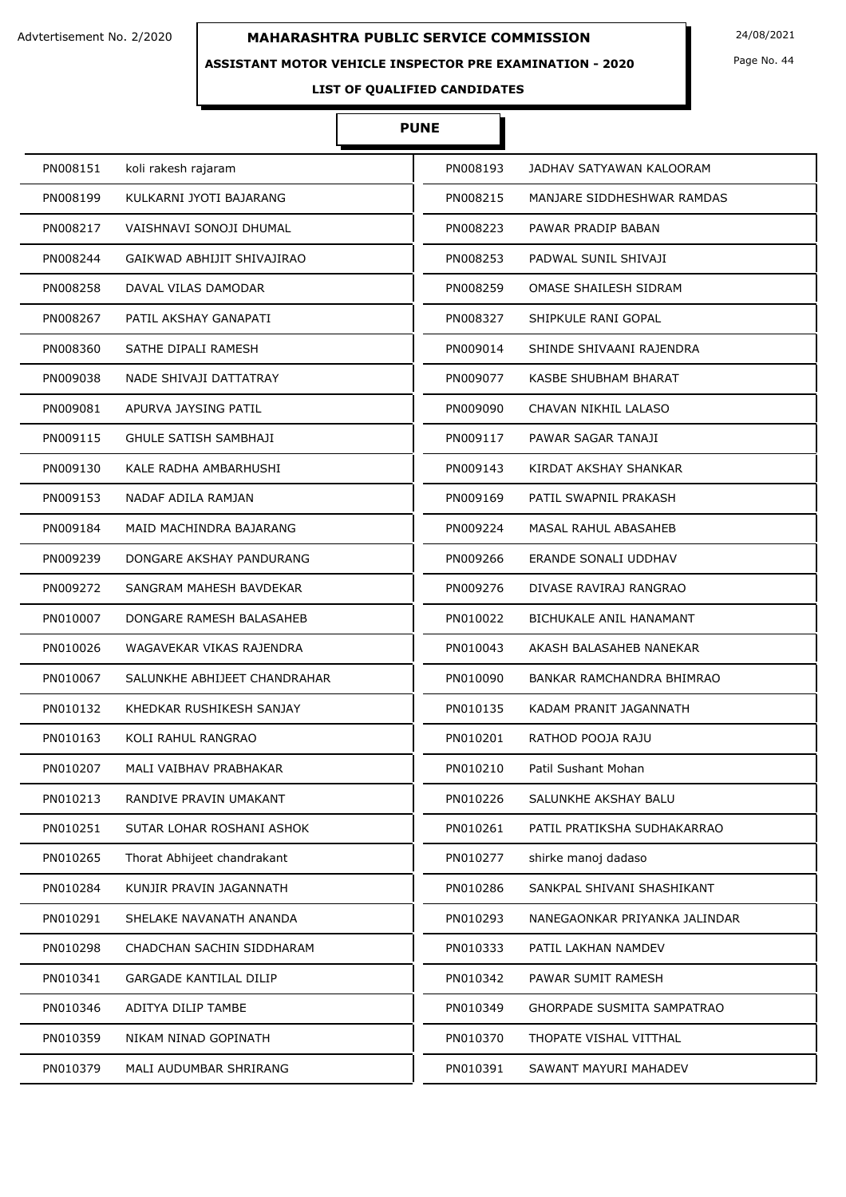### **ASSISTANT MOTOR VEHICLE INSPECTOR PRE EXAMINATION - 2020**

Page No. 44

# **LIST OF QUALIFIED CANDIDATES**

# **PUNE**

| PN008151 | koli rakesh rajaram           | PN008193 | JADHAV SATYAWAN KALOORAM      |
|----------|-------------------------------|----------|-------------------------------|
| PN008199 | KULKARNI JYOTI BAJARANG       | PN008215 | MANJARE SIDDHESHWAR RAMDAS    |
| PN008217 | VAISHNAVI SONOJI DHUMAL       | PN008223 | PAWAR PRADIP BABAN            |
| PN008244 | GAIKWAD ABHIJIT SHIVAJIRAO    | PN008253 | PADWAL SUNIL SHIVAJI          |
| PN008258 | DAVAL VILAS DAMODAR           | PN008259 | OMASE SHAILESH SIDRAM         |
| PN008267 | PATIL AKSHAY GANAPATI         | PN008327 | SHIPKULE RANI GOPAL           |
| PN008360 | SATHE DIPALI RAMESH           | PN009014 | SHINDE SHIVAANI RAJENDRA      |
| PN009038 | NADE SHIVAJI DATTATRAY        | PN009077 | KASBE SHUBHAM BHARAT          |
| PN009081 | APURVA JAYSING PATIL          | PN009090 | CHAVAN NIKHIL LALASO          |
| PN009115 | <b>GHULE SATISH SAMBHAJI</b>  | PN009117 | PAWAR SAGAR TANAJI            |
| PN009130 | KALE RADHA AMBARHUSHI         | PN009143 | KIRDAT AKSHAY SHANKAR         |
| PN009153 | NADAF ADILA RAMJAN            | PN009169 | PATIL SWAPNIL PRAKASH         |
| PN009184 | MAID MACHINDRA BAJARANG       | PN009224 | <b>MASAL RAHUL ABASAHEB</b>   |
| PN009239 | DONGARE AKSHAY PANDURANG      | PN009266 | ERANDE SONALI UDDHAV          |
| PN009272 | SANGRAM MAHESH BAVDEKAR       | PN009276 | DIVASE RAVIRAJ RANGRAO        |
| PN010007 | DONGARE RAMESH BALASAHEB      | PN010022 | BICHUKALE ANIL HANAMANT       |
| PN010026 | WAGAVEKAR VIKAS RAJENDRA      | PN010043 | AKASH BALASAHEB NANEKAR       |
| PN010067 | SALUNKHE ABHIJEET CHANDRAHAR  | PN010090 | BANKAR RAMCHANDRA BHIMRAO     |
| PN010132 | KHEDKAR RUSHIKESH SANJAY      | PN010135 | KADAM PRANIT JAGANNATH        |
| PN010163 | KOLI RAHUL RANGRAO            | PN010201 | RATHOD POOJA RAJU             |
| PN010207 | MALI VAIBHAV PRABHAKAR        | PN010210 | Patil Sushant Mohan           |
| PN010213 | RANDIVE PRAVIN UMAKANT        | PN010226 | SALUNKHE AKSHAY BALU          |
| PN010251 | SUTAR LOHAR ROSHANI ASHOK     | PN010261 | PATIL PRATIKSHA SUDHAKARRAO   |
| PN010265 | Thorat Abhijeet chandrakant   | PN010277 | shirke manoj dadaso           |
| PN010284 | KUNJIR PRAVIN JAGANNATH       | PN010286 | SANKPAL SHIVANI SHASHIKANT    |
| PN010291 | SHELAKE NAVANATH ANANDA       | PN010293 | NANEGAONKAR PRIYANKA JALINDAR |
| PN010298 | CHADCHAN SACHIN SIDDHARAM     | PN010333 | PATIL LAKHAN NAMDEV           |
| PN010341 | <b>GARGADE KANTILAL DILIP</b> | PN010342 | PAWAR SUMIT RAMESH            |
| PN010346 | ADITYA DILIP TAMBE            | PN010349 | GHORPADE SUSMITA SAMPATRAO    |
| PN010359 | NIKAM NINAD GOPINATH          | PN010370 | THOPATE VISHAL VITTHAL        |
| PN010379 | MALI AUDUMBAR SHRIRANG        | PN010391 | SAWANT MAYURI MAHADEV         |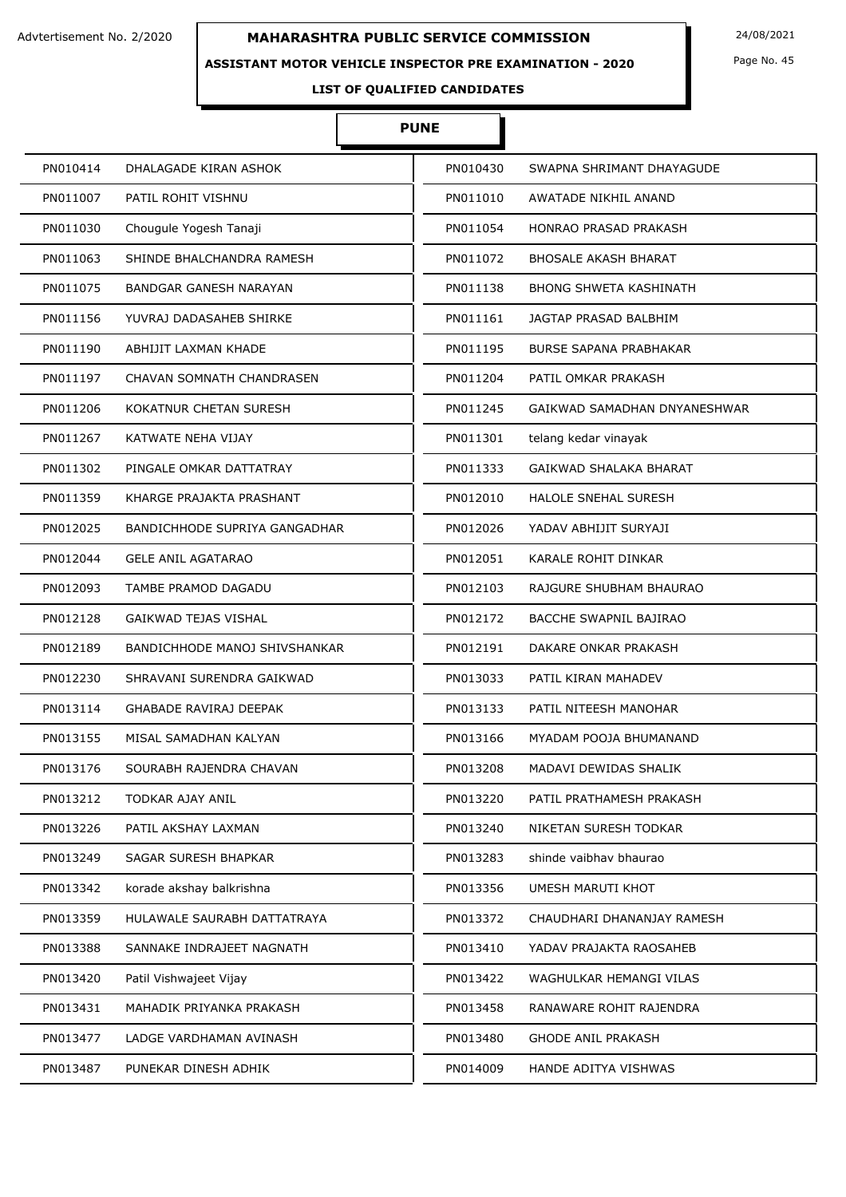### **ASSISTANT MOTOR VEHICLE INSPECTOR PRE EXAMINATION - 2020**

Page No. 45

# **LIST OF QUALIFIED CANDIDATES**

# **PUNE**

| PN010414 | DHALAGADE KIRAN ASHOK                | PN010430 | SWAPNA SHRIMANT DHAYAGUDE     |
|----------|--------------------------------------|----------|-------------------------------|
| PN011007 | PATIL ROHIT VISHNU                   | PN011010 | AWATADE NIKHIL ANAND          |
| PN011030 | Chougule Yogesh Tanaji               | PN011054 | HONRAO PRASAD PRAKASH         |
| PN011063 | SHINDE BHALCHANDRA RAMESH            | PN011072 | <b>BHOSALE AKASH BHARAT</b>   |
| PN011075 | BANDGAR GANESH NARAYAN               | PN011138 | <b>BHONG SHWETA KASHINATH</b> |
| PN011156 | YUVRAJ DADASAHEB SHIRKE              | PN011161 | JAGTAP PRASAD BALBHIM         |
| PN011190 | ABHIJIT LAXMAN KHADE                 | PN011195 | <b>BURSE SAPANA PRABHAKAR</b> |
| PN011197 | CHAVAN SOMNATH CHANDRASEN            | PN011204 | PATIL OMKAR PRAKASH           |
| PN011206 | KOKATNUR CHETAN SURESH               | PN011245 | GAIKWAD SAMADHAN DNYANESHWAR  |
| PN011267 | KATWATE NEHA VIJAY                   | PN011301 | telang kedar vinayak          |
| PN011302 | PINGALE OMKAR DATTATRAY              | PN011333 | GAIKWAD SHALAKA BHARAT        |
| PN011359 | KHARGE PRAJAKTA PRASHANT             | PN012010 | <b>HALOLE SNEHAL SURESH</b>   |
| PN012025 | <b>BANDICHHODE SUPRIYA GANGADHAR</b> | PN012026 | YADAV ABHIJIT SURYAJI         |
| PN012044 | <b>GELE ANIL AGATARAO</b>            | PN012051 | KARALE ROHIT DINKAR           |
| PN012093 | TAMBE PRAMOD DAGADU                  | PN012103 | RAJGURE SHUBHAM BHAURAO       |
| PN012128 | <b>GAIKWAD TEJAS VISHAL</b>          | PN012172 | BACCHE SWAPNIL BAJIRAO        |
| PN012189 | BANDICHHODE MANOJ SHIVSHANKAR        | PN012191 | DAKARE ONKAR PRAKASH          |
| PN012230 | SHRAVANI SURENDRA GAIKWAD            | PN013033 | PATIL KIRAN MAHADEV           |
| PN013114 | <b>GHABADE RAVIRAJ DEEPAK</b>        | PN013133 | PATIL NITEESH MANOHAR         |
| PN013155 | MISAL SAMADHAN KALYAN                | PN013166 | MYADAM POOJA BHUMANAND        |
| PN013176 | SOURABH RAJENDRA CHAVAN              | PN013208 | MADAVI DEWIDAS SHALIK         |
| PN013212 | TODKAR AJAY ANIL                     | PN013220 | PATIL PRATHAMESH PRAKASH      |
| PN013226 | PATIL AKSHAY LAXMAN                  | PN013240 | NIKETAN SURESH TODKAR         |
| PN013249 | SAGAR SURESH BHAPKAR                 | PN013283 | shinde vaibhay bhaurao        |
| PN013342 | korade akshay balkrishna             | PN013356 | UMESH MARUTI KHOT             |
| PN013359 | HULAWALE SAURABH DATTATRAYA          | PN013372 | CHAUDHARI DHANANJAY RAMESH    |
| PN013388 | SANNAKE INDRAJEET NAGNATH            | PN013410 | YADAV PRAJAKTA RAOSAHEB       |
| PN013420 | Patil Vishwajeet Vijay               | PN013422 | WAGHULKAR HEMANGI VILAS       |
| PN013431 | MAHADIK PRIYANKA PRAKASH             | PN013458 | RANAWARE ROHIT RAJENDRA       |
| PN013477 | LADGE VARDHAMAN AVINASH              | PN013480 | <b>GHODE ANIL PRAKASH</b>     |
| PN013487 | PUNEKAR DINESH ADHIK                 | PN014009 | HANDE ADITYA VISHWAS          |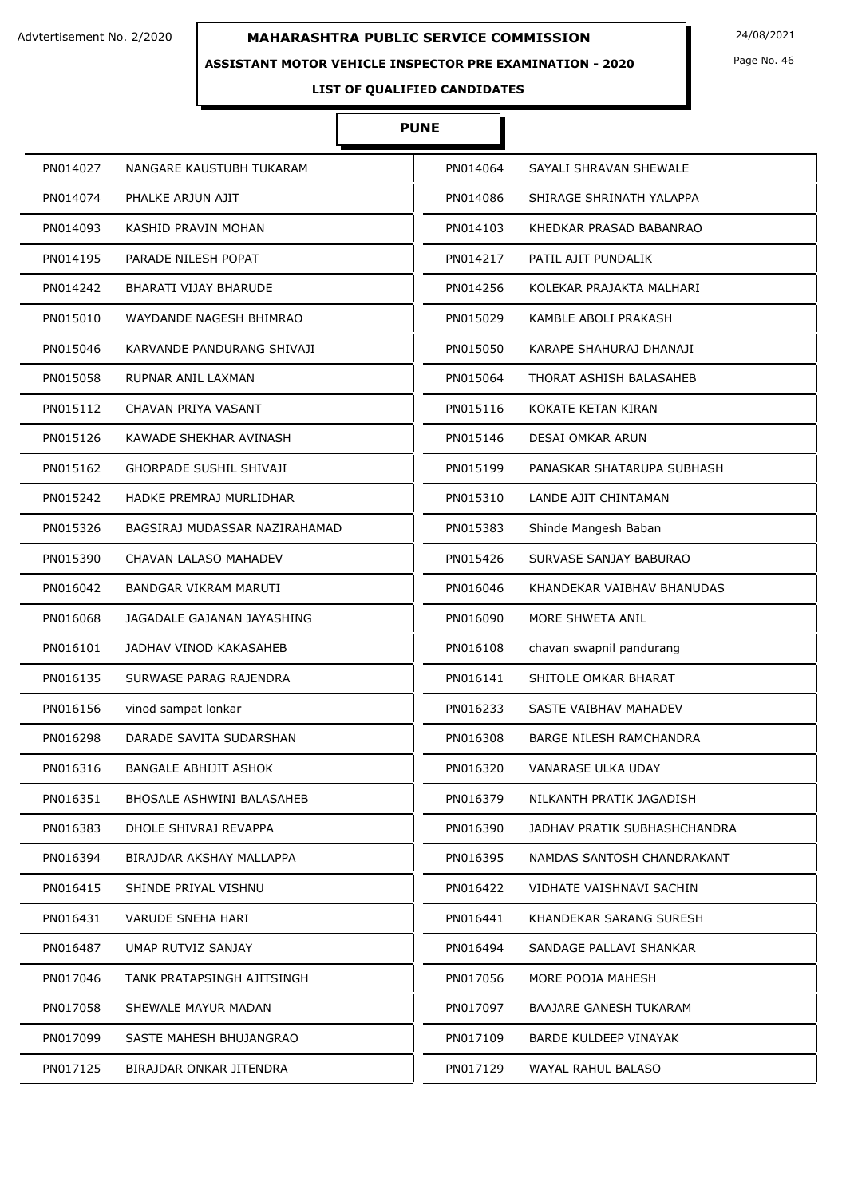### **ASSISTANT MOTOR VEHICLE INSPECTOR PRE EXAMINATION - 2020**

Page No. 46

# **LIST OF QUALIFIED CANDIDATES**

# **PUNE**

| PN014027<br>NANGARE KAUSTUBH TUKARAM      | PN014064 | SAYALI SHRAVAN SHEWALE         |
|-------------------------------------------|----------|--------------------------------|
| PN014074<br>PHALKE ARJUN AJIT             | PN014086 | SHIRAGE SHRINATH YALAPPA       |
| PN014093<br>KASHID PRAVIN MOHAN           | PN014103 | KHEDKAR PRASAD BABANRAO        |
| PN014195<br>PARADE NILESH POPAT           | PN014217 | PATIL AJIT PUNDALIK            |
| PN014242<br><b>BHARATI VIJAY BHARUDE</b>  | PN014256 | KOLEKAR PRAJAKTA MALHARI       |
| PN015010<br>WAYDANDE NAGESH BHIMRAO       | PN015029 | KAMBLE ABOLI PRAKASH           |
| PN015046<br>KARVANDE PANDURANG SHIVAJI    | PN015050 | KARAPE SHAHURAJ DHANAJI        |
| PN015058<br>RUPNAR ANIL LAXMAN            | PN015064 | THORAT ASHISH BALASAHEB        |
| CHAVAN PRIYA VASANT<br>PN015112           | PN015116 | KOKATE KETAN KIRAN             |
| PN015126<br>KAWADE SHEKHAR AVINASH        | PN015146 | DESAI OMKAR ARUN               |
| PN015162<br>GHORPADE SUSHIL SHIVAJI       | PN015199 | PANASKAR SHATARUPA SUBHASH     |
| PN015242<br>HADKE PREMRAJ MURLIDHAR       | PN015310 | <b>LANDE AJIT CHINTAMAN</b>    |
| PN015326<br>BAGSIRAJ MUDASSAR NAZIRAHAMAD | PN015383 | Shinde Mangesh Baban           |
| PN015390<br>CHAVAN LALASO MAHADEV         | PN015426 | SURVASE SANJAY BABURAO         |
| PN016042<br>BANDGAR VIKRAM MARUTI         | PN016046 | KHANDEKAR VAIBHAV BHANUDAS     |
| PN016068<br>JAGADALE GAJANAN JAYASHING    | PN016090 | MORE SHWETA ANIL               |
| PN016101<br>JADHAV VINOD KAKASAHEB        | PN016108 | chavan swapnil pandurang       |
| PN016135<br>SURWASE PARAG RAJENDRA        | PN016141 | SHITOLE OMKAR BHARAT           |
| PN016156<br>vinod sampat lonkar           | PN016233 | SASTE VAIBHAV MAHADEV          |
| PN016298<br>DARADE SAVITA SUDARSHAN       | PN016308 | <b>BARGE NILESH RAMCHANDRA</b> |
| PN016316<br><b>BANGALE ABHIJIT ASHOK</b>  | PN016320 | VANARASE ULKA UDAY             |
| PN016351<br>BHOSALE ASHWINI BALASAHEB     | PN016379 | NILKANTH PRATIK JAGADISH       |
| DHOLE SHIVRAJ REVAPPA<br>PN016383         | PN016390 | JADHAV PRATIK SUBHASHCHANDRA   |
| PN016394<br>BIRAJDAR AKSHAY MALLAPPA      | PN016395 | NAMDAS SANTOSH CHANDRAKANT     |
| PN016415<br>SHINDE PRIYAL VISHNU          | PN016422 | VIDHATE VAISHNAVI SACHIN       |
| PN016431<br>VARUDE SNEHA HARI             | PN016441 | KHANDEKAR SARANG SURESH        |
| UMAP RUTVIZ SANJAY<br>PN016487            | PN016494 | SANDAGE PALLAVI SHANKAR        |
| TANK PRATAPSINGH AJITSINGH<br>PN017046    | PN017056 | MORE POOJA MAHESH              |
| PN017058<br>SHEWALE MAYUR MADAN           | PN017097 | <b>BAAJARE GANESH TUKARAM</b>  |
| PN017099<br>SASTE MAHESH BHUJANGRAO       | PN017109 | BARDE KULDEEP VINAYAK          |
| PN017125<br>BIRAJDAR ONKAR JITENDRA       | PN017129 | WAYAL RAHUL BALASO             |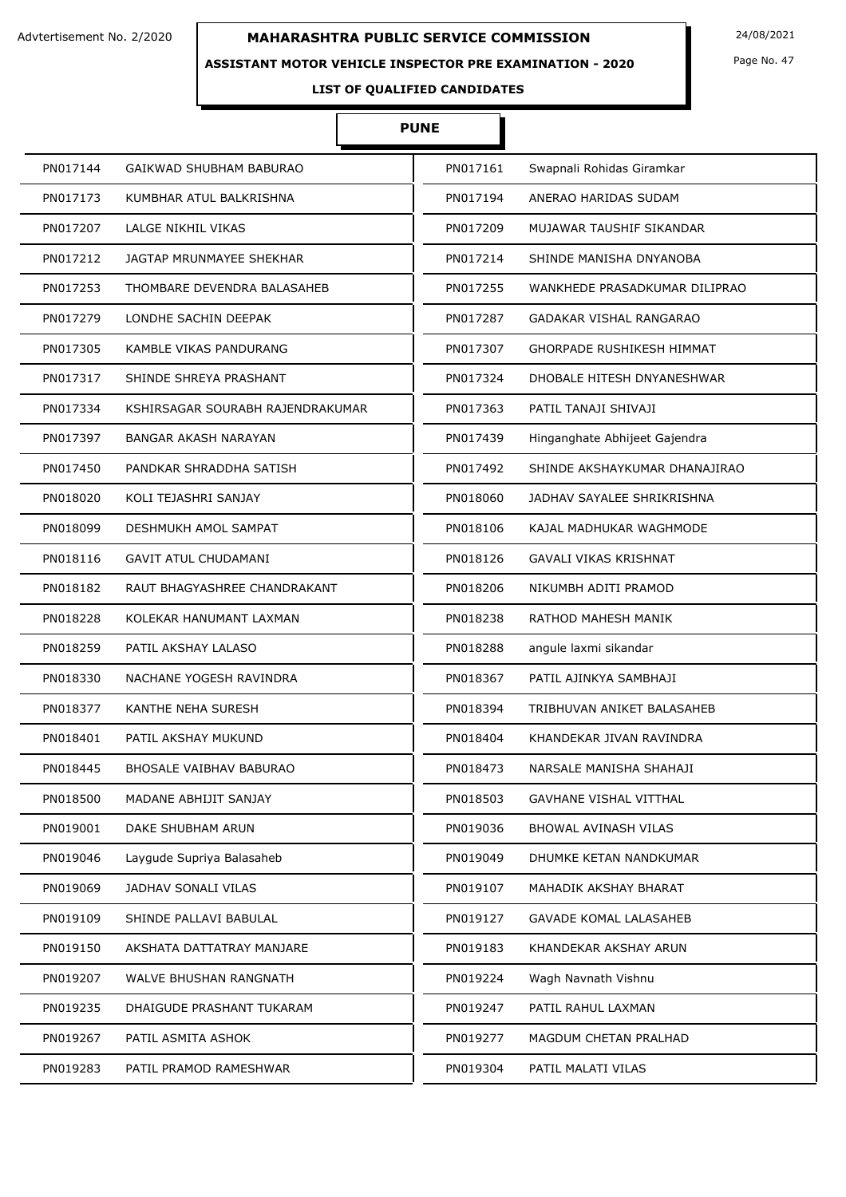### **ASSISTANT MOTOR VEHICLE INSPECTOR PRE EXAMINATION - 2020**

Page No. 47

# **LIST OF QUALIFIED CANDIDATES**

# **PUNE**

| PN017144 | GAIKWAD SHUBHAM BABURAO          | PN017161 | Swapnali Rohidas Giramkar        |
|----------|----------------------------------|----------|----------------------------------|
| PN017173 | KUMBHAR ATUL BALKRISHNA          | PN017194 | ANERAO HARIDAS SUDAM             |
| PN017207 | LALGE NIKHIL VIKAS               | PN017209 | MUJAWAR TAUSHIF SIKANDAR         |
| PN017212 | JAGTAP MRUNMAYEE SHEKHAR         | PN017214 | SHINDE MANISHA DNYANOBA          |
| PN017253 | THOMBARE DEVENDRA BALASAHEB      | PN017255 | WANKHEDE PRASADKUMAR DILIPRAO    |
| PN017279 | LONDHE SACHIN DEEPAK             | PN017287 | GADAKAR VISHAL RANGARAO          |
| PN017305 | KAMBLE VIKAS PANDURANG           | PN017307 | <b>GHORPADE RUSHIKESH HIMMAT</b> |
| PN017317 | SHINDE SHREYA PRASHANT           | PN017324 | DHOBALE HITESH DNYANESHWAR       |
| PN017334 | KSHIRSAGAR SOURABH RAJENDRAKUMAR | PN017363 | PATIL TANAJI SHIVAJI             |
| PN017397 | <b>BANGAR AKASH NARAYAN</b>      | PN017439 | Hinganghate Abhijeet Gajendra    |
| PN017450 | PANDKAR SHRADDHA SATISH          | PN017492 | SHINDE AKSHAYKUMAR DHANAJIRAO    |
| PN018020 | KOLI TEJASHRI SANJAY             | PN018060 | JADHAV SAYALEE SHRIKRISHNA       |
| PN018099 | DESHMUKH AMOL SAMPAT             | PN018106 | KAJAL MADHUKAR WAGHMODE          |
| PN018116 | <b>GAVIT ATUL CHUDAMANI</b>      | PN018126 | GAVALI VIKAS KRISHNAT            |
| PN018182 | RAUT BHAGYASHREE CHANDRAKANT     | PN018206 | NIKUMBH ADITI PRAMOD             |
| PN018228 | KOLEKAR HANUMANT LAXMAN          | PN018238 | RATHOD MAHESH MANIK              |
| PN018259 | PATIL AKSHAY LALASO              | PN018288 | angule laxmi sikandar            |
| PN018330 | NACHANE YOGESH RAVINDRA          | PN018367 | PATIL AJINKYA SAMBHAJI           |
| PN018377 | KANTHE NEHA SURESH               | PN018394 | TRIBHUVAN ANIKET BALASAHEB       |
| PN018401 | PATIL AKSHAY MUKUND              | PN018404 | KHANDEKAR JIVAN RAVINDRA         |
| PN018445 | BHOSALE VAIBHAV BABURAO          | PN018473 | NARSALE MANISHA SHAHAJI          |
| PN018500 | MADANE ABHIJIT SANJAY            | PN018503 | <b>GAVHANE VISHAL VITTHAL</b>    |
| PN019001 | DAKE SHUBHAM ARUN                | PN019036 | BHOWAL AVINASH VILAS             |
| PN019046 | Laygude Supriya Balasaheb        | PN019049 | DHUMKE KETAN NANDKUMAR           |
| PN019069 | JADHAV SONALI VILAS              | PN019107 | MAHADIK AKSHAY BHARAT            |
| PN019109 | SHINDE PALLAVI BABULAL           | PN019127 | <b>GAVADE KOMAL LALASAHEB</b>    |
| PN019150 | AKSHATA DATTATRAY MANJARE        | PN019183 | KHANDEKAR AKSHAY ARUN            |
| PN019207 | WALVE BHUSHAN RANGNATH           | PN019224 | Wagh Navnath Vishnu              |
| PN019235 | DHAIGUDE PRASHANT TUKARAM        | PN019247 | PATIL RAHUL LAXMAN               |
| PN019267 | PATIL ASMITA ASHOK               | PN019277 | MAGDUM CHETAN PRALHAD            |
| PN019283 | PATIL PRAMOD RAMESHWAR           | PN019304 | PATIL MALATI VILAS               |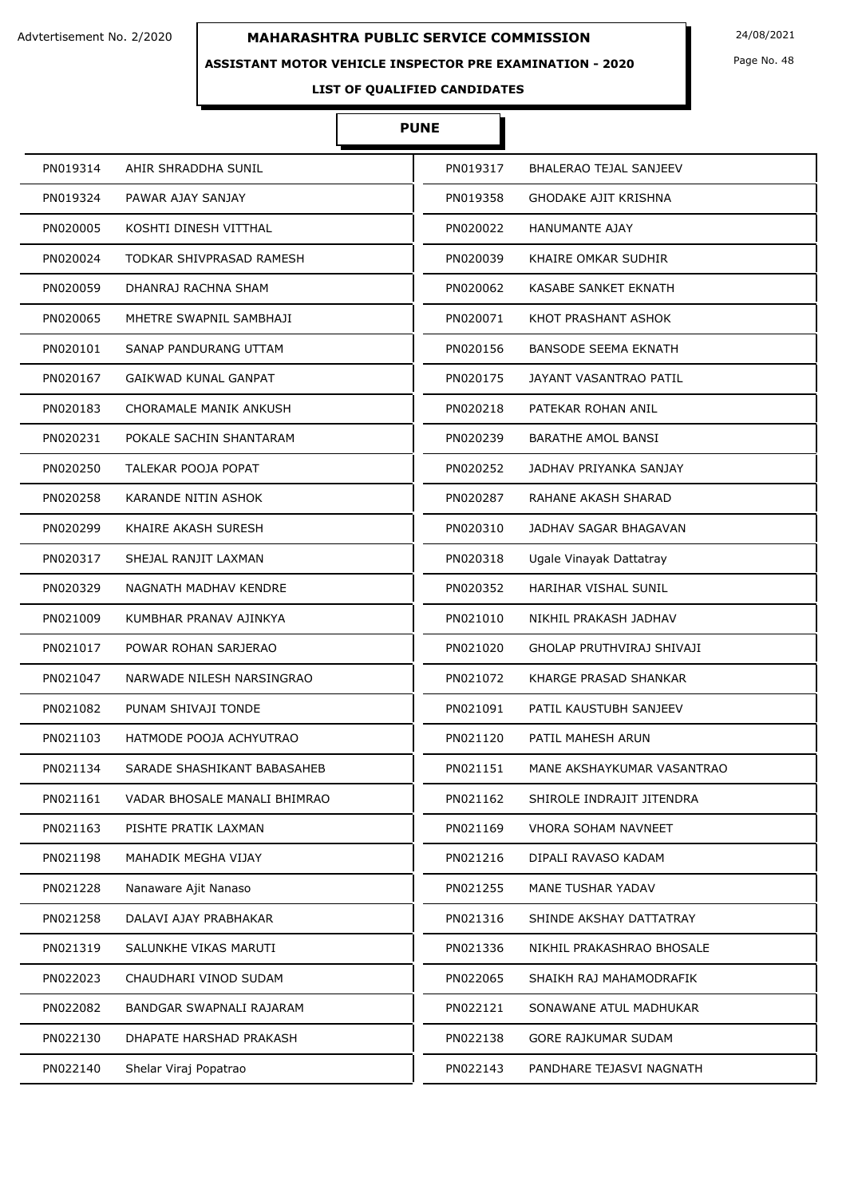### **ASSISTANT MOTOR VEHICLE INSPECTOR PRE EXAMINATION - 2020**

**LIST OF QUALIFIED CANDIDATES** 

# **PUNE**

| PN019314 | AHIR SHRADDHA SUNIL          | PN019317 | BHALERAO TEJAL SANJEEV      |
|----------|------------------------------|----------|-----------------------------|
| PN019324 | PAWAR AJAY SANJAY            | PN019358 | GHODAKE AJIT KRISHNA        |
| PN020005 | KOSHTI DINESH VITTHAL        | PN020022 | <b>HANUMANTE AJAY</b>       |
| PN020024 | TODKAR SHIVPRASAD RAMESH     | PN020039 | KHAIRE OMKAR SUDHIR         |
| PN020059 | DHANRAJ RACHNA SHAM          | PN020062 | KASABE SANKET EKNATH        |
| PN020065 | MHETRE SWAPNIL SAMBHAJI      | PN020071 | KHOT PRASHANT ASHOK         |
| PN020101 | SANAP PANDURANG UTTAM        | PN020156 | <b>BANSODE SEEMA EKNATH</b> |
| PN020167 | <b>GAIKWAD KUNAL GANPAT</b>  | PN020175 | JAYANT VASANTRAO PATIL      |
| PN020183 | CHORAMALE MANIK ANKUSH       | PN020218 | PATEKAR ROHAN ANIL          |
| PN020231 | POKALE SACHIN SHANTARAM      | PN020239 | <b>BARATHE AMOL BANSI</b>   |
| PN020250 | TALEKAR POOJA POPAT          | PN020252 | JADHAV PRIYANKA SANJAY      |
| PN020258 | <b>KARANDE NITIN ASHOK</b>   | PN020287 | RAHANE AKASH SHARAD         |
| PN020299 | KHAIRE AKASH SURESH          | PN020310 | JADHAV SAGAR BHAGAVAN       |
| PN020317 | SHEJAL RANJIT LAXMAN         | PN020318 | Ugale Vinayak Dattatray     |
| PN020329 | NAGNATH MADHAV KENDRE        | PN020352 | <b>HARIHAR VISHAL SUNIL</b> |
| PN021009 | KUMBHAR PRANAV AJINKYA       | PN021010 | NIKHIL PRAKASH JADHAV       |
| PN021017 | POWAR ROHAN SARJERAO         | PN021020 | GHOLAP PRUTHVIRAJ SHIVAJI   |
| PN021047 | NARWADE NILESH NARSINGRAO    | PN021072 | KHARGE PRASAD SHANKAR       |
| PN021082 | PUNAM SHIVAJI TONDE          | PN021091 | PATIL KAUSTUBH SANJEEV      |
| PN021103 | HATMODE POOJA ACHYUTRAO      | PN021120 | PATIL MAHESH ARUN           |
| PN021134 | SARADE SHASHIKANT BABASAHEB  | PN021151 | MANE AKSHAYKUMAR VASANTRAO  |
| PN021161 | VADAR BHOSALE MANALI BHIMRAO | PN021162 | SHIROLE INDRAJIT JITENDRA   |
| PN021163 | PISHTE PRATIK LAXMAN         | PN021169 | VHORA SOHAM NAVNEET         |
| PN021198 | MAHADIK MEGHA VIJAY          | PN021216 | DIPALI RAVASO KADAM         |
| PN021228 | Nanaware Ajit Nanaso         | PN021255 | MANE TUSHAR YADAV           |
| PN021258 | DALAVI AJAY PRABHAKAR        | PN021316 | SHINDE AKSHAY DATTATRAY     |
| PN021319 | SALUNKHE VIKAS MARUTI        | PN021336 | NIKHIL PRAKASHRAO BHOSALE   |
| PN022023 | CHAUDHARI VINOD SUDAM        | PN022065 | SHAIKH RAJ MAHAMODRAFIK     |
| PN022082 | BANDGAR SWAPNALI RAJARAM     | PN022121 | SONAWANE ATUL MADHUKAR      |
| PN022130 | DHAPATE HARSHAD PRAKASH      | PN022138 | GORE RAJKUMAR SUDAM         |
| PN022140 | Shelar Viraj Popatrao        | PN022143 | PANDHARE TEJASVI NAGNATH    |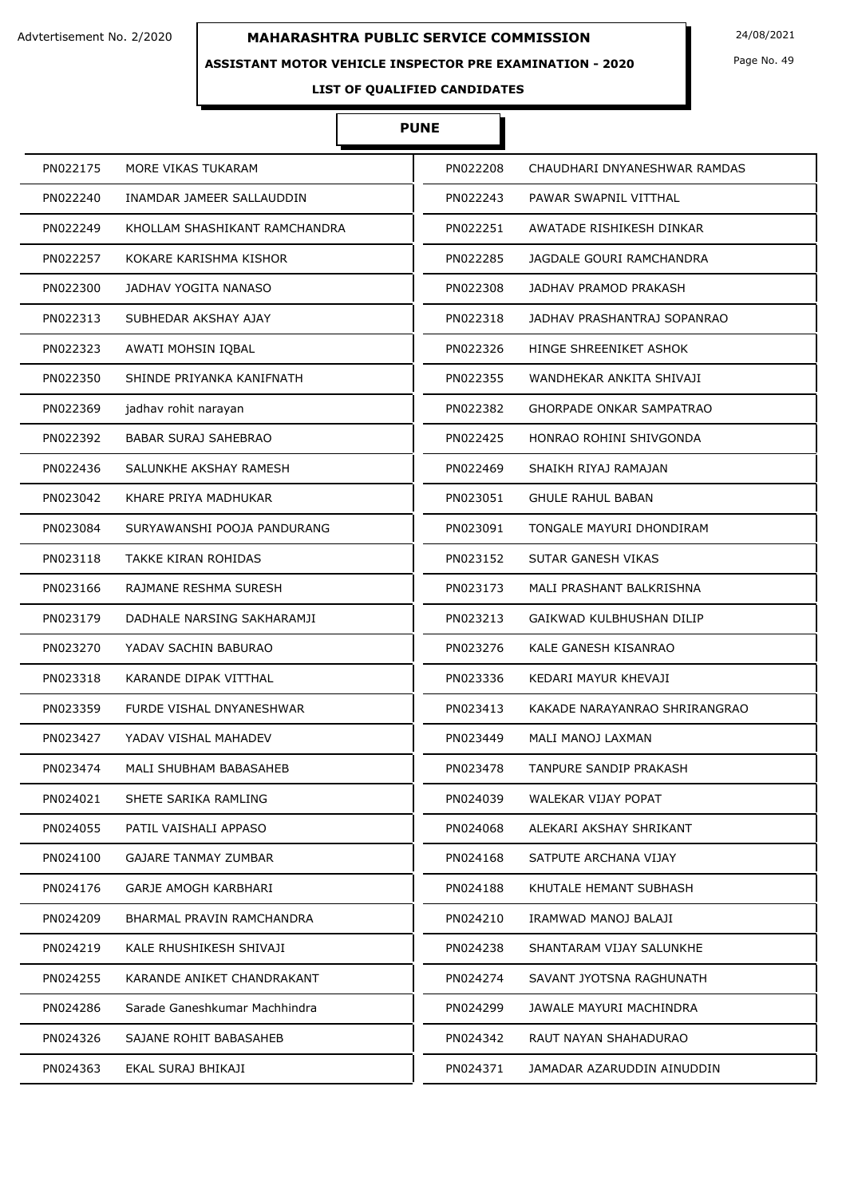### **ASSISTANT MOTOR VEHICLE INSPECTOR PRE EXAMINATION - 2020**

Page No. 49

# **LIST OF QUALIFIED CANDIDATES**

# **PUNE**

| PN022175 | MORE VIKAS TUKARAM              | PN022208 | CHAUDHARI DNYANESHWAR RAMDAS    |
|----------|---------------------------------|----------|---------------------------------|
| PN022240 | INAMDAR JAMEER SALLAUDDIN       | PN022243 | PAWAR SWAPNIL VITTHAL           |
| PN022249 | KHOLLAM SHASHIKANT RAMCHANDRA   | PN022251 | AWATADE RISHIKESH DINKAR        |
| PN022257 | KOKARE KARISHMA KISHOR          | PN022285 | JAGDALE GOURI RAMCHANDRA        |
| PN022300 | JADHAV YOGITA NANASO            | PN022308 | JADHAV PRAMOD PRAKASH           |
| PN022313 | SUBHEDAR AKSHAY AJAY            | PN022318 | JADHAV PRASHANTRAJ SOPANRAO     |
| PN022323 | AWATI MOHSIN IQBAL              | PN022326 | HINGE SHREENIKET ASHOK          |
| PN022350 | SHINDE PRIYANKA KANIFNATH       | PN022355 | WANDHEKAR ANKITA SHIVAJI        |
| PN022369 | jadhav rohit narayan            | PN022382 | <b>GHORPADE ONKAR SAMPATRAO</b> |
| PN022392 | <b>BABAR SURAJ SAHEBRAO</b>     | PN022425 | HONRAO ROHINI SHIVGONDA         |
| PN022436 | SALUNKHE AKSHAY RAMESH          | PN022469 | SHAIKH RIYAJ RAMAJAN            |
| PN023042 | KHARE PRIYA MADHUKAR            | PN023051 | <b>GHULE RAHUL BABAN</b>        |
| PN023084 | SURYAWANSHI POOJA PANDURANG     | PN023091 | TONGALE MAYURI DHONDIRAM        |
| PN023118 | <b>TAKKE KIRAN ROHIDAS</b>      | PN023152 | SUTAR GANESH VIKAS              |
| PN023166 | RAJMANE RESHMA SURESH           | PN023173 | MALI PRASHANT BALKRISHNA        |
| PN023179 | DADHALE NARSING SAKHARAMJI      | PN023213 | GAIKWAD KULBHUSHAN DILIP        |
| PN023270 | YADAV SACHIN BABURAO            | PN023276 | KALE GANESH KISANRAO            |
| PN023318 | KARANDE DIPAK VITTHAL           | PN023336 | KEDARI MAYUR KHEVAJI            |
| PN023359 | <b>FURDE VISHAL DNYANESHWAR</b> | PN023413 | KAKADE NARAYANRAO SHRIRANGRAO   |
| PN023427 | YADAV VISHAL MAHADEV            | PN023449 | MALI MANOJ LAXMAN               |
| PN023474 | MALI SHUBHAM BABASAHEB          | PN023478 | <b>TANPURE SANDIP PRAKASH</b>   |
| PN024021 | SHETE SARIKA RAMLING            | PN024039 | WALEKAR VIJAY POPAT             |
| PN024055 | PATIL VAISHALI APPASO           | PN024068 | ALEKARI AKSHAY SHRIKANT         |
| PN024100 | <b>GAJARE TANMAY ZUMBAR</b>     | PN024168 | SATPUTE ARCHANA VIJAY           |
| PN024176 | GARJE AMOGH KARBHARI            | PN024188 | KHUTALE HEMANT SUBHASH          |
| PN024209 | BHARMAL PRAVIN RAMCHANDRA       | PN024210 | IRAMWAD MANOJ BALAJI            |
| PN024219 | KALE RHUSHIKESH SHIVAJI         | PN024238 | SHANTARAM VIJAY SALUNKHE        |
| PN024255 | KARANDE ANIKET CHANDRAKANT      | PN024274 | SAVANT JYOTSNA RAGHUNATH        |
| PN024286 | Sarade Ganeshkumar Machhindra   | PN024299 | JAWALE MAYURI MACHINDRA         |
| PN024326 | SAJANE ROHIT BABASAHEB          | PN024342 | RAUT NAYAN SHAHADURAO           |
| PN024363 | EKAL SURAJ BHIKAJI              | PN024371 | JAMADAR AZARUDDIN AINUDDIN      |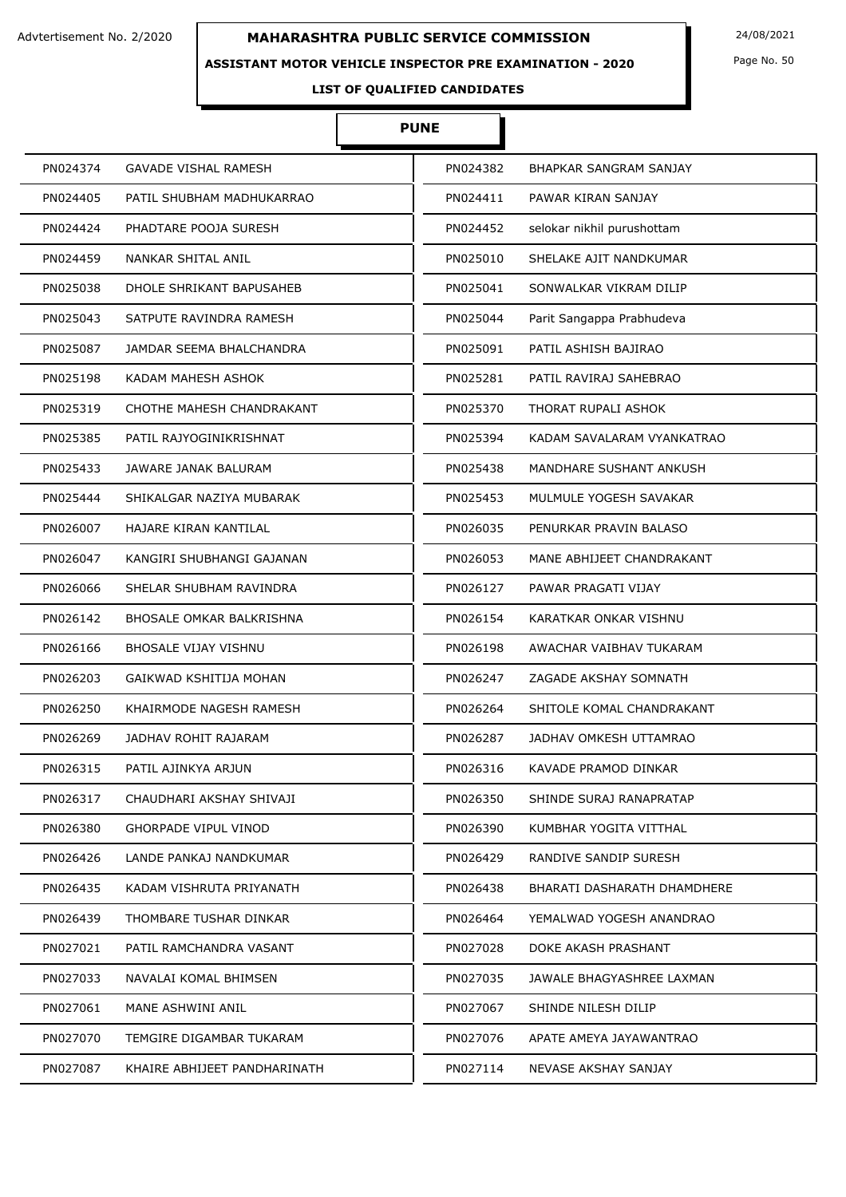### **ASSISTANT MOTOR VEHICLE INSPECTOR PRE EXAMINATION - 2020**

Page No. 50

# **LIST OF QUALIFIED CANDIDATES**

# **PUNE**

| PN024374                     | PN024382                    |
|------------------------------|-----------------------------|
| <b>GAVADE VISHAL RAMESH</b>  | BHAPKAR SANGRAM SANJAY      |
| PN024405                     | PN024411                    |
| PATIL SHUBHAM MADHUKARRAO    | PAWAR KIRAN SANJAY          |
| PN024424                     | selokar nikhil purushottam  |
| PHADTARE POOJA SURESH        | PN024452                    |
| PN024459                     | PN025010                    |
| NANKAR SHITAL ANIL           | SHELAKE AJIT NANDKUMAR      |
| PN025038                     | PN025041                    |
| DHOLE SHRIKANT BAPUSAHEB     | SONWALKAR VIKRAM DILIP      |
| PN025043                     | PN025044                    |
| SATPUTE RAVINDRA RAMESH      | Parit Sangappa Prabhudeva   |
| PN025087                     | PN025091                    |
| JAMDAR SEEMA BHALCHANDRA     | PATIL ASHISH BAJIRAO        |
| KADAM MAHESH ASHOK           | PN025281                    |
| PN025198                     | PATIL RAVIRAJ SAHEBRAO      |
| PN025319                     | PN025370                    |
| CHOTHE MAHESH CHANDRAKANT    | THORAT RUPALI ASHOK         |
| PN025385                     | PN025394                    |
| PATIL RAJYOGINIKRISHNAT      | KADAM SAVALARAM VYANKATRAO  |
| PN025433                     | PN025438                    |
| JAWARE JANAK BALURAM         | MANDHARE SUSHANT ANKUSH     |
| PN025444                     | PN025453                    |
| SHIKALGAR NAZIYA MUBARAK     | MULMULE YOGESH SAVAKAR      |
| PN026007                     | PN026035                    |
| HAJARE KIRAN KANTILAL        | PENURKAR PRAVIN BALASO      |
| PN026047                     | PN026053                    |
| KANGIRI SHUBHANGI GAJANAN    | MANE ABHIJEET CHANDRAKANT   |
| PN026066                     | PN026127                    |
| SHELAR SHUBHAM RAVINDRA      | PAWAR PRAGATI VIJAY         |
| PN026142                     | PN026154                    |
| BHOSALE OMKAR BALKRISHNA     | KARATKAR ONKAR VISHNU       |
| PN026166                     | AWACHAR VAIBHAV TUKARAM     |
| <b>BHOSALE VIJAY VISHNU</b>  | PN026198                    |
| PN026203                     | PN026247                    |
| GAIKWAD KSHITIJA MOHAN       | ZAGADE AKSHAY SOMNATH       |
| PN026250                     | PN026264                    |
| KHAIRMODE NAGESH RAMESH      | SHITOLE KOMAL CHANDRAKANT   |
| PN026269                     | PN026287                    |
| JADHAV ROHIT RAJARAM         | JADHAV OMKESH UTTAMRAO      |
| PN026315                     | PN026316                    |
| PATIL AJINKYA ARJUN          | KAVADE PRAMOD DINKAR        |
| PN026317                     | PN026350                    |
| CHAUDHARI AKSHAY SHIVAJI     | SHINDE SURAJ RANAPRATAP     |
| PN026380                     | PN026390                    |
| <b>GHORPADE VIPUL VINOD</b>  | KUMBHAR YOGITA VITTHAL      |
| PN026426                     | PN026429                    |
| LANDE PANKAJ NANDKUMAR       | RANDIVE SANDIP SURESH       |
| PN026435                     | PN026438                    |
| KADAM VISHRUTA PRIYANATH     | BHARATI DASHARATH DHAMDHERE |
| PN026439                     | YEMALWAD YOGESH ANANDRAO    |
| THOMBARE TUSHAR DINKAR       | PN026464                    |
| PN027021                     | PN027028                    |
| PATIL RAMCHANDRA VASANT      | DOKE AKASH PRASHANT         |
| PN027033                     | PN027035                    |
| NAVALAI KOMAL BHIMSEN        | JAWALE BHAGYASHREE LAXMAN   |
| PN027061                     | PN027067                    |
| MANE ASHWINI ANIL            | SHINDE NILESH DILIP         |
| PN027070                     | PN027076                    |
| TEMGIRE DIGAMBAR TUKARAM     | APATE AMEYA JAYAWANTRAO     |
| PN027087                     | PN027114                    |
| KHAIRE ABHIJEET PANDHARINATH | NEVASE AKSHAY SANJAY        |
|                              |                             |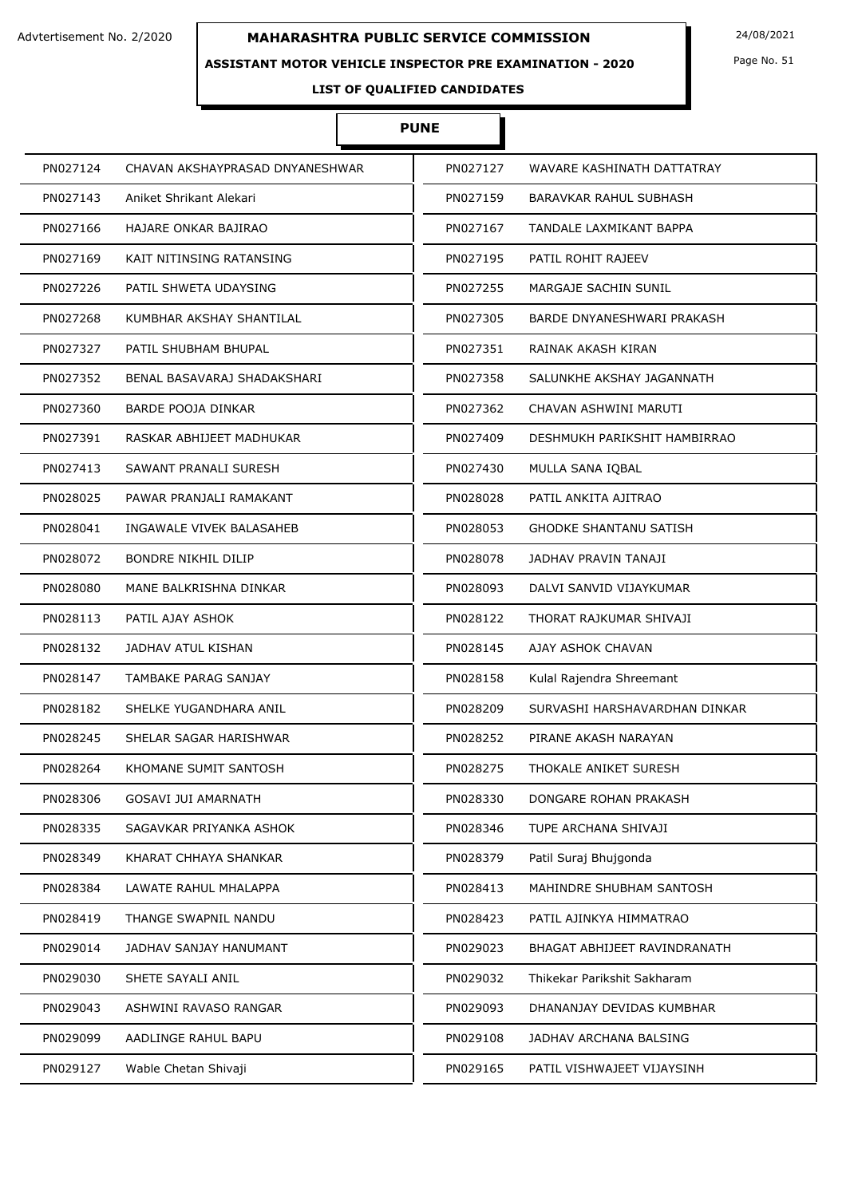### **ASSISTANT MOTOR VEHICLE INSPECTOR PRE EXAMINATION - 2020**

Page No. 51

# **LIST OF QUALIFIED CANDIDATES**

# **PUNE**

| PN027124 | CHAVAN AKSHAYPRASAD DNYANESHWAR | PN027127 | WAVARE KASHINATH DATTATRAY    |
|----------|---------------------------------|----------|-------------------------------|
| PN027143 | Aniket Shrikant Alekari         | PN027159 | BARAVKAR RAHUL SUBHASH        |
| PN027166 | HAJARE ONKAR BAJIRAO            | PN027167 | TANDALE LAXMIKANT BAPPA       |
| PN027169 | KAIT NITINSING RATANSING        | PN027195 | PATIL ROHIT RAJEEV            |
| PN027226 | PATIL SHWETA UDAYSING           | PN027255 | MARGAJE SACHIN SUNIL          |
| PN027268 | KUMBHAR AKSHAY SHANTILAL        | PN027305 | BARDE DNYANESHWARI PRAKASH    |
| PN027327 | PATIL SHUBHAM BHUPAL            | PN027351 | RAINAK AKASH KIRAN            |
| PN027352 | BENAL BASAVARAJ SHADAKSHARI     | PN027358 | SALUNKHE AKSHAY JAGANNATH     |
| PN027360 | BARDE POOJA DINKAR              | PN027362 | CHAVAN ASHWINI MARUTI         |
| PN027391 | RASKAR ABHIJEET MADHUKAR        | PN027409 | DESHMUKH PARIKSHIT HAMBIRRAO  |
| PN027413 | SAWANT PRANALI SURESH           | PN027430 | MULLA SANA IOBAL              |
| PN028025 | PAWAR PRANJALI RAMAKANT         | PN028028 | PATIL ANKITA AJITRAO          |
| PN028041 | INGAWALE VIVEK BALASAHEB        | PN028053 | <b>GHODKE SHANTANU SATISH</b> |
| PN028072 | <b>BONDRE NIKHIL DILIP</b>      | PN028078 | JADHAV PRAVIN TANAJI          |
| PN028080 | MANE BALKRISHNA DINKAR          | PN028093 | DALVI SANVID VIJAYKUMAR       |
| PN028113 | PATIL AJAY ASHOK                | PN028122 | THORAT RAJKUMAR SHIVAJI       |
| PN028132 | JADHAV ATUL KISHAN              | PN028145 | AJAY ASHOK CHAVAN             |
| PN028147 | TAMBAKE PARAG SANJAY            | PN028158 | Kulal Rajendra Shreemant      |
| PN028182 | SHELKE YUGANDHARA ANIL          | PN028209 | SURVASHI HARSHAVARDHAN DINKAR |
| PN028245 | SHELAR SAGAR HARISHWAR          | PN028252 | PIRANE AKASH NARAYAN          |
| PN028264 | KHOMANE SUMIT SANTOSH           | PN028275 | THOKALE ANIKET SURESH         |
| PN028306 | GOSAVI JUI AMARNATH             | PN028330 | DONGARE ROHAN PRAKASH         |
| PN028335 | SAGAVKAR PRIYANKA ASHOK         | PN028346 | TUPE ARCHANA SHIVAJI          |
| PN028349 | KHARAT CHHAYA SHANKAR           | PN028379 | Patil Suraj Bhujgonda         |
| PN028384 | LAWATE RAHUL MHALAPPA           | PN028413 | MAHINDRE SHUBHAM SANTOSH      |
| PN028419 | THANGE SWAPNIL NANDU            | PN028423 | PATIL AJINKYA HIMMATRAO       |
| PN029014 | JADHAV SANJAY HANUMANT          | PN029023 | BHAGAT ABHIJEET RAVINDRANATH  |
| PN029030 | SHETE SAYALI ANIL               | PN029032 | Thikekar Parikshit Sakharam   |
| PN029043 | ASHWINI RAVASO RANGAR           | PN029093 | DHANANJAY DEVIDAS KUMBHAR     |
| PN029099 | AADLINGE RAHUL BAPU             | PN029108 | JADHAV ARCHANA BALSING        |
| PN029127 | Wable Chetan Shivaji            | PN029165 | PATIL VISHWAJEET VIJAYSINH    |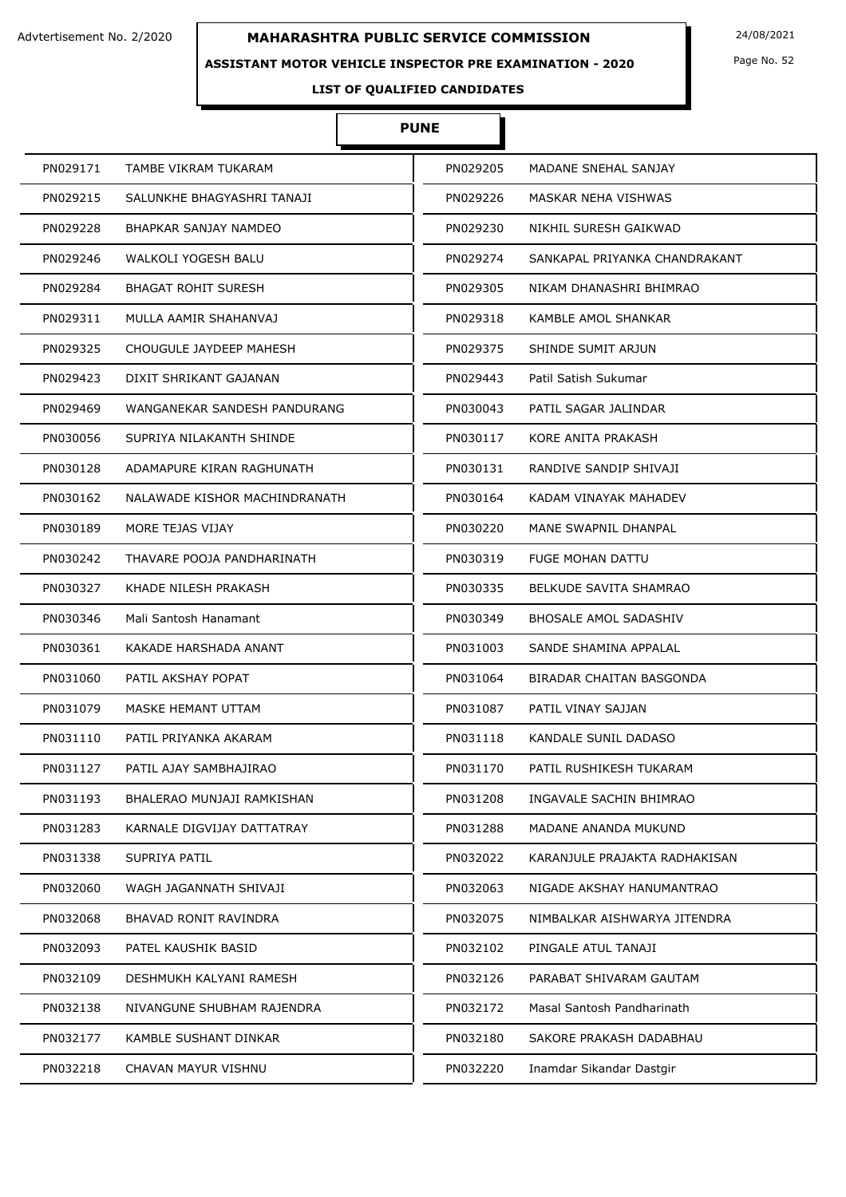### **ASSISTANT MOTOR VEHICLE INSPECTOR PRE EXAMINATION - 2020**

Page No. 52

**LIST OF QUALIFIED CANDIDATES** 

# **PUNE**

| PN029171 | TAMBE VIKRAM TUKARAM          | PN029205 | MADANE SNEHAL SANJAY          |
|----------|-------------------------------|----------|-------------------------------|
| PN029215 | SALUNKHE BHAGYASHRI TANAJI    | PN029226 | MASKAR NEHA VISHWAS           |
| PN029228 | BHAPKAR SANJAY NAMDEO         | PN029230 | NIKHIL SURESH GAIKWAD         |
| PN029246 | WALKOLI YOGESH BALU           | PN029274 | SANKAPAL PRIYANKA CHANDRAKANT |
| PN029284 | <b>BHAGAT ROHIT SURESH</b>    | PN029305 | NIKAM DHANASHRI BHIMRAO       |
| PN029311 | MULLA AAMIR SHAHANVAJ         | PN029318 | KAMBLE AMOL SHANKAR           |
| PN029325 | CHOUGULE JAYDEEP MAHESH       | PN029375 | SHINDE SUMIT ARJUN            |
| PN029423 | DIXIT SHRIKANT GAJANAN        | PN029443 | Patil Satish Sukumar          |
| PN029469 | WANGANEKAR SANDESH PANDURANG  | PN030043 | PATIL SAGAR JALINDAR          |
| PN030056 | SUPRIYA NILAKANTH SHINDE      | PN030117 | KORE ANITA PRAKASH            |
| PN030128 | ADAMAPURE KIRAN RAGHUNATH     | PN030131 | RANDIVE SANDIP SHIVAJI        |
| PN030162 | NALAWADE KISHOR MACHINDRANATH | PN030164 | KADAM VINAYAK MAHADEV         |
| PN030189 | MORE TEJAS VIJAY              | PN030220 | MANE SWAPNIL DHANPAL          |
| PN030242 | THAVARE POOJA PANDHARINATH    | PN030319 | <b>FUGE MOHAN DATTU</b>       |
| PN030327 | KHADE NILESH PRAKASH          | PN030335 | <b>BELKUDE SAVITA SHAMRAO</b> |
| PN030346 | Mali Santosh Hanamant         | PN030349 | <b>BHOSALE AMOL SADASHIV</b>  |
| PN030361 | KAKADE HARSHADA ANANT         | PN031003 | SANDE SHAMINA APPALAL         |
| PN031060 | PATIL AKSHAY POPAT            | PN031064 | BIRADAR CHAITAN BASGONDA      |
| PN031079 | MASKE HEMANT UTTAM            | PN031087 | PATIL VINAY SAJJAN            |
| PN031110 | PATIL PRIYANKA AKARAM         | PN031118 | KANDALE SUNIL DADASO          |
| PN031127 | PATIL AJAY SAMBHAJIRAO        | PN031170 | PATIL RUSHIKESH TUKARAM       |
| PN031193 | BHALERAO MUNJAJI RAMKISHAN    | PN031208 | INGAVALE SACHIN BHIMRAO       |
| PN031283 | KARNALE DIGVIJAY DATTATRAY    | PN031288 | MADANE ANANDA MUKUND          |
| PN031338 | SUPRIYA PATIL                 | PN032022 | KARANJULE PRAJAKTA RADHAKISAN |
| PN032060 | WAGH JAGANNATH SHIVAJI        | PN032063 | NIGADE AKSHAY HANUMANTRAO     |
| PN032068 | BHAVAD RONIT RAVINDRA         | PN032075 | NIMBALKAR AISHWARYA JITENDRA  |
| PN032093 | PATEL KAUSHIK BASID           | PN032102 | PINGALE ATUL TANAJI           |
| PN032109 | DESHMUKH KALYANI RAMESH       | PN032126 | PARABAT SHIVARAM GAUTAM       |
| PN032138 | NIVANGUNE SHUBHAM RAJENDRA    | PN032172 | Masal Santosh Pandharinath    |
| PN032177 | KAMBLE SUSHANT DINKAR         | PN032180 | SAKORE PRAKASH DADABHAU       |
| PN032218 | CHAVAN MAYUR VISHNU           | PN032220 | Inamdar Sikandar Dastgir      |
|          |                               |          |                               |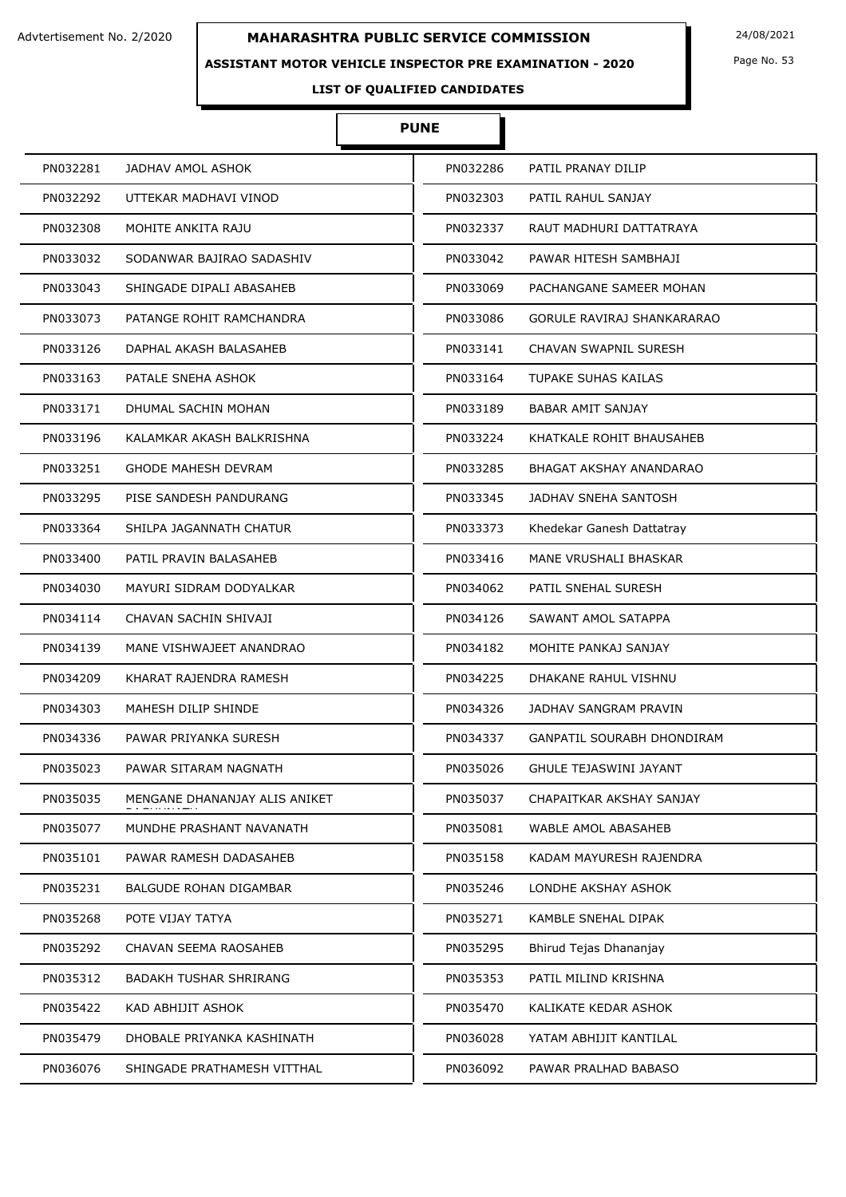### **ASSISTANT MOTOR VEHICLE INSPECTOR PRE EXAMINATION - 2020**

Page No. 53

**LIST OF QUALIFIED CANDIDATES** 

# **PUNE**

| PN032281 | JADHAV AMOL ASHOK             | PN032286 | PATIL PRANAY DILIP                |
|----------|-------------------------------|----------|-----------------------------------|
| PN032292 | UTTEKAR MADHAVI VINOD         | PN032303 | PATIL RAHUL SANJAY                |
| PN032308 | MOHITE ANKITA RAJU            | PN032337 | RAUT MADHURI DATTATRAYA           |
| PN033032 | SODANWAR BAJIRAO SADASHIV     | PN033042 | PAWAR HITESH SAMBHAJI             |
| PN033043 | SHINGADE DIPALI ABASAHEB      | PN033069 | PACHANGANE SAMEER MOHAN           |
| PN033073 | PATANGE ROHIT RAMCHANDRA      | PN033086 | <b>GORULE RAVIRAJ SHANKARARAO</b> |
| PN033126 | DAPHAL AKASH BALASAHEB        | PN033141 | <b>CHAVAN SWAPNIL SURESH</b>      |
| PN033163 | PATALE SNEHA ASHOK            | PN033164 | TUPAKE SUHAS KAILAS               |
| PN033171 | DHUMAL SACHIN MOHAN           | PN033189 | <b>BABAR AMIT SANJAY</b>          |
| PN033196 | KALAMKAR AKASH BALKRISHNA     | PN033224 | KHATKALE ROHIT BHAUSAHEB          |
| PN033251 | <b>GHODE MAHESH DEVRAM</b>    | PN033285 | BHAGAT AKSHAY ANANDARAO           |
| PN033295 | PISE SANDESH PANDURANG        | PN033345 | JADHAV SNEHA SANTOSH              |
| PN033364 | SHILPA JAGANNATH CHATUR       | PN033373 | Khedekar Ganesh Dattatray         |
| PN033400 | PATIL PRAVIN BALASAHEB        | PN033416 | MANE VRUSHALI BHASKAR             |
| PN034030 | MAYURI SIDRAM DODYALKAR       | PN034062 | PATIL SNEHAL SURESH               |
| PN034114 | CHAVAN SACHIN SHIVAJI         | PN034126 | SAWANT AMOL SATAPPA               |
| PN034139 | MANE VISHWAJEET ANANDRAO      | PN034182 | MOHITE PANKAJ SANJAY              |
| PN034209 | KHARAT RAJENDRA RAMESH        | PN034225 | DHAKANE RAHUL VISHNU              |
| PN034303 | MAHESH DILIP SHINDE           | PN034326 | JADHAV SANGRAM PRAVIN             |
| PN034336 | PAWAR PRIYANKA SURESH         | PN034337 | GANPATIL SOURABH DHONDIRAM        |
| PN035023 | PAWAR SITARAM NAGNATH         | PN035026 | <b>GHULE TEJASWINI JAYANT</b>     |
| PN035035 | MENGANE DHANANJAY ALIS ANIKET | PN035037 | CHAPAITKAR AKSHAY SANJAY          |
| PN035077 | MUNDHE PRASHANT NAVANATH      | PN035081 | WABLE AMOL ABASAHEB               |
| PN035101 | PAWAR RAMESH DADASAHEB        | PN035158 | KADAM MAYURESH RAJENDRA           |
| PN035231 | BALGUDE ROHAN DIGAMBAR        | PN035246 | LONDHE AKSHAY ASHOK               |
| PN035268 | POTE VIJAY TATYA              | PN035271 | KAMBLE SNEHAL DIPAK               |
| PN035292 | CHAVAN SEEMA RAOSAHEB         | PN035295 | Bhirud Tejas Dhananjay            |
| PN035312 | <b>BADAKH TUSHAR SHRIRANG</b> | PN035353 | PATIL MILIND KRISHNA              |
| PN035422 | KAD ABHIJIT ASHOK             | PN035470 | KALIKATE KEDAR ASHOK              |
| PN035479 | DHOBALE PRIYANKA KASHINATH    | PN036028 | YATAM ABHIJIT KANTILAL            |
| PN036076 | SHINGADE PRATHAMESH VITTHAL   | PN036092 | PAWAR PRALHAD BABASO              |
|          |                               |          |                                   |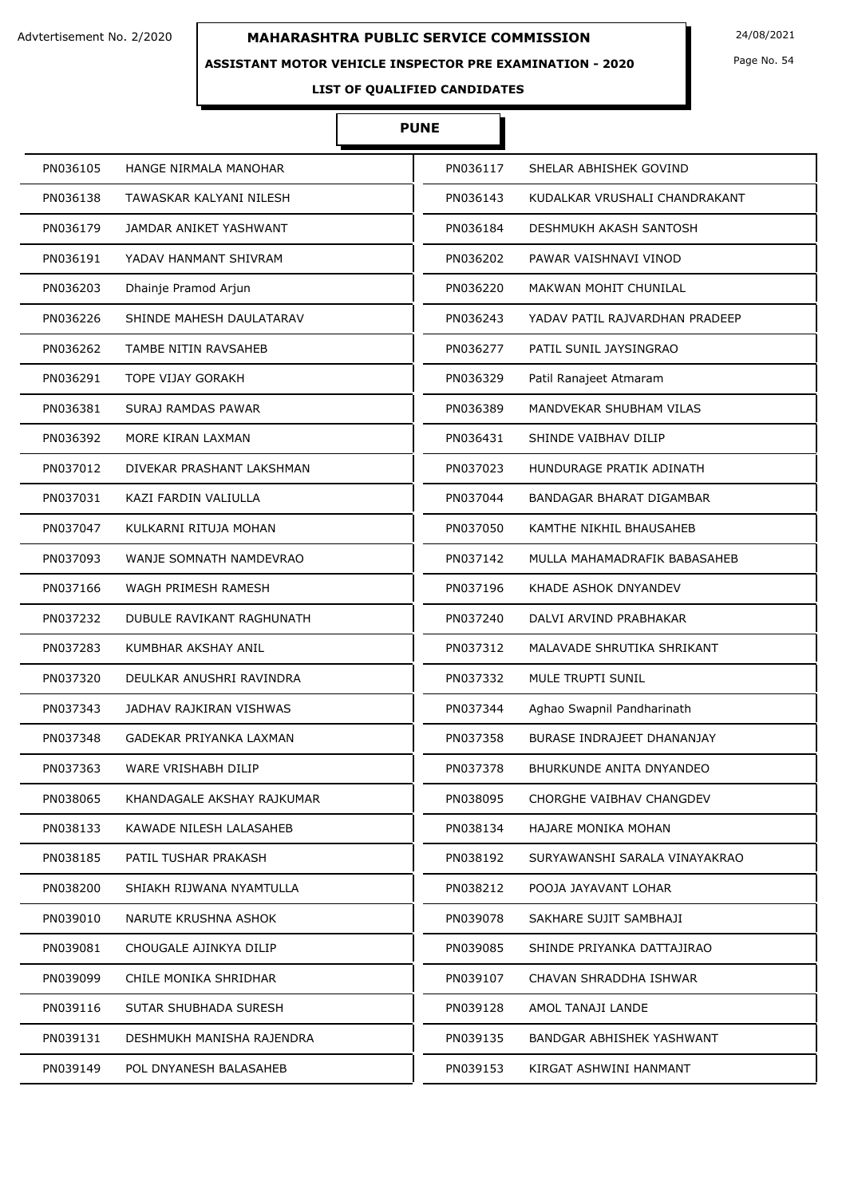### **ASSISTANT MOTOR VEHICLE INSPECTOR PRE EXAMINATION - 2020**

Page No. 54

# **LIST OF QUALIFIED CANDIDATES**

# **PUNE**

| PN036105 | HANGE NIRMALA MANOHAR      | PN036117 | SHELAR ABHISHEK GOVIND         |
|----------|----------------------------|----------|--------------------------------|
| PN036138 | TAWASKAR KALYANI NILESH    | PN036143 | KUDALKAR VRUSHALI CHANDRAKANT  |
| PN036179 | JAMDAR ANIKET YASHWANT     | PN036184 | DESHMUKH AKASH SANTOSH         |
| PN036191 | YADAV HANMANT SHIVRAM      | PN036202 | PAWAR VAISHNAVI VINOD          |
| PN036203 | Dhainje Pramod Arjun       | PN036220 | <b>MAKWAN MOHIT CHUNILAL</b>   |
| PN036226 | SHINDE MAHESH DAULATARAV   | PN036243 | YADAV PATIL RAJVARDHAN PRADEEP |
| PN036262 | TAMBE NITIN RAVSAHEB       | PN036277 | PATIL SUNIL JAYSINGRAO         |
| PN036291 | TOPE VIJAY GORAKH          | PN036329 | Patil Ranajeet Atmaram         |
| PN036381 | SURAJ RAMDAS PAWAR         | PN036389 | MANDVEKAR SHUBHAM VILAS        |
| PN036392 | MORE KIRAN LAXMAN          | PN036431 | SHINDE VAIBHAV DILIP           |
| PN037012 | DIVEKAR PRASHANT LAKSHMAN  | PN037023 | HUNDURAGE PRATIK ADINATH       |
| PN037031 | KAZI FARDIN VALIULLA       | PN037044 | BANDAGAR BHARAT DIGAMBAR       |
| PN037047 | KULKARNI RITUJA MOHAN      | PN037050 | KAMTHE NIKHIL BHAUSAHEB        |
| PN037093 | WANJE SOMNATH NAMDEVRAO    | PN037142 | MULLA MAHAMADRAFIK BABASAHEB   |
| PN037166 | WAGH PRIMESH RAMESH        | PN037196 | KHADE ASHOK DNYANDEV           |
| PN037232 | DUBULE RAVIKANT RAGHUNATH  | PN037240 | DALVI ARVIND PRABHAKAR         |
| PN037283 | KUMBHAR AKSHAY ANIL        | PN037312 | MALAVADE SHRUTIKA SHRIKANT     |
| PN037320 | DEULKAR ANUSHRI RAVINDRA   | PN037332 | MULE TRUPTI SUNIL              |
| PN037343 | JADHAV RAJKIRAN VISHWAS    | PN037344 | Aghao Swapnil Pandharinath     |
| PN037348 | GADEKAR PRIYANKA LAXMAN    | PN037358 | BURASE INDRAJEET DHANANJAY     |
| PN037363 | <b>WARE VRISHABH DILIP</b> | PN037378 | BHURKUNDE ANITA DNYANDEO       |
| PN038065 | KHANDAGALE AKSHAY RAJKUMAR | PN038095 | CHORGHE VAIBHAV CHANGDEV       |
| PN038133 | KAWADE NILESH LALASAHEB    | PN038134 | HAJARE MONIKA MOHAN            |
| PN038185 | PATIL TUSHAR PRAKASH       | PN038192 | SURYAWANSHI SARALA VINAYAKRAO  |
| PN038200 | SHIAKH RIJWANA NYAMTULLA   | PN038212 | POOJA JAYAVANT LOHAR           |
| PN039010 | NARUTE KRUSHNA ASHOK       | PN039078 | SAKHARE SUJIT SAMBHAJI         |
| PN039081 | CHOUGALE AJINKYA DILIP     | PN039085 | SHINDE PRIYANKA DATTAJIRAO     |
| PN039099 | CHILE MONIKA SHRIDHAR      | PN039107 | CHAVAN SHRADDHA ISHWAR         |
| PN039116 | SUTAR SHUBHADA SURESH      | PN039128 | AMOL TANAJI LANDE              |
| PN039131 | DESHMUKH MANISHA RAJENDRA  | PN039135 | BANDGAR ABHISHEK YASHWANT      |
| PN039149 | POL DNYANESH BALASAHEB     | PN039153 | KIRGAT ASHWINI HANMANT         |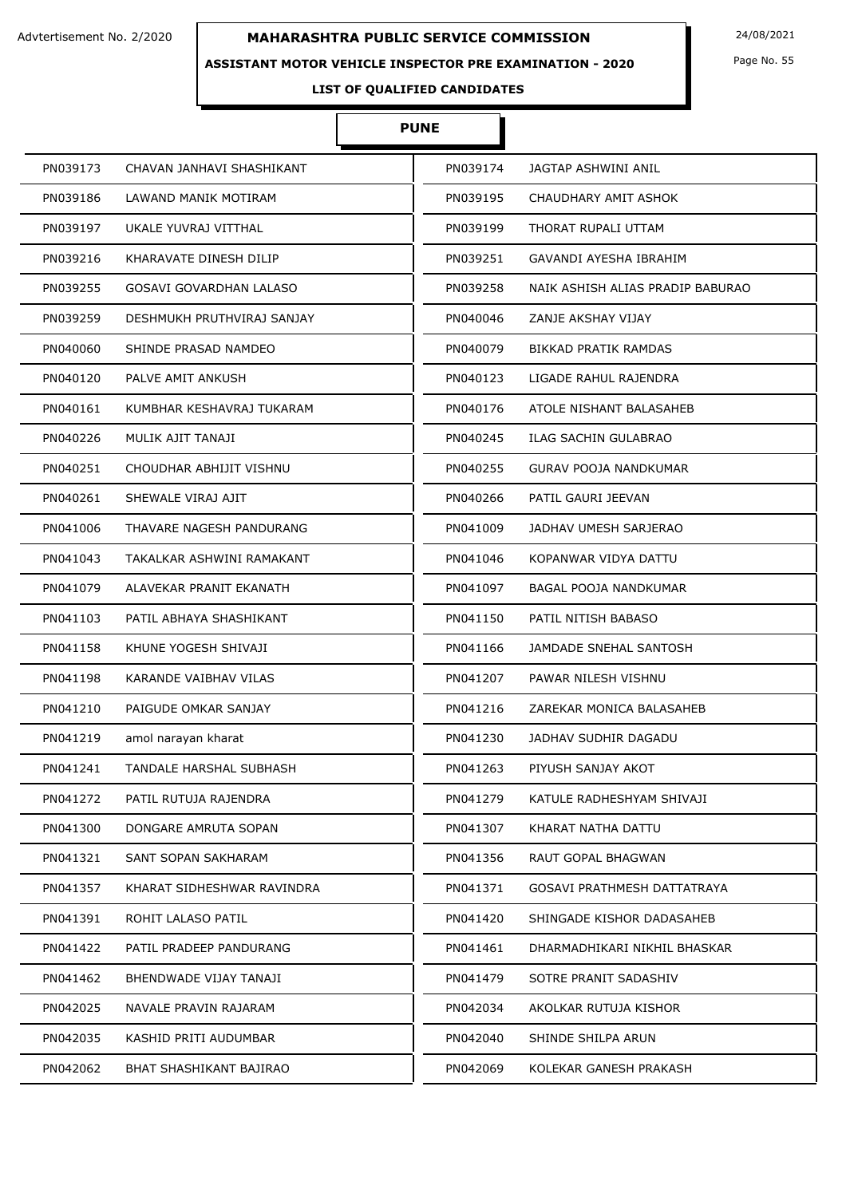### **ASSISTANT MOTOR VEHICLE INSPECTOR PRE EXAMINATION - 2020**

Page No. 55

# **LIST OF QUALIFIED CANDIDATES**

# **PUNE**

| PN039173 | CHAVAN JANHAVI SHASHIKANT  | PN039174 | JAGTAP ASHWINI ANIL                |
|----------|----------------------------|----------|------------------------------------|
| PN039186 | LAWAND MANIK MOTIRAM       | PN039195 | CHAUDHARY AMIT ASHOK               |
| PN039197 | UKALE YUVRAJ VITTHAL       | PN039199 | THORAT RUPALI UTTAM                |
| PN039216 | KHARAVATE DINESH DILIP     | PN039251 | GAVANDI AYESHA IBRAHIM             |
| PN039255 | GOSAVI GOVARDHAN LALASO    | PN039258 | NAIK ASHISH ALIAS PRADIP BABURAO   |
| PN039259 | DESHMUKH PRUTHVIRAJ SANJAY | PN040046 | ZANJE AKSHAY VIJAY                 |
| PN040060 | SHINDE PRASAD NAMDEO       | PN040079 | <b>BIKKAD PRATIK RAMDAS</b>        |
| PN040120 | PALVE AMIT ANKUSH          | PN040123 | LIGADE RAHUL RAJENDRA              |
| PN040161 | KUMBHAR KESHAVRAJ TUKARAM  | PN040176 | ATOLE NISHANT BALASAHEB            |
| PN040226 | MULIK AJIT TANAJI          | PN040245 | ILAG SACHIN GULABRAO               |
| PN040251 | CHOUDHAR ABHIJIT VISHNU    | PN040255 | <b>GURAV POOJA NANDKUMAR</b>       |
| PN040261 | SHEWALE VIRAJ AJIT         | PN040266 | PATIL GAURI JEEVAN                 |
| PN041006 | THAVARE NAGESH PANDURANG   | PN041009 | JADHAV UMESH SARJERAO              |
| PN041043 | TAKALKAR ASHWINI RAMAKANT  | PN041046 | KOPANWAR VIDYA DATTU               |
| PN041079 | ALAVEKAR PRANIT EKANATH    | PN041097 | BAGAL POOJA NANDKUMAR              |
| PN041103 | PATIL ABHAYA SHASHIKANT    | PN041150 | PATIL NITISH BABASO                |
| PN041158 | KHUNE YOGESH SHIVAJI       | PN041166 | JAMDADE SNEHAL SANTOSH             |
| PN041198 | KARANDE VAIBHAV VILAS      | PN041207 | PAWAR NILESH VISHNU                |
| PN041210 | PAIGUDE OMKAR SANJAY       | PN041216 | ZAREKAR MONICA BALASAHEB           |
| PN041219 | amol narayan kharat        | PN041230 | JADHAV SUDHIR DAGADU               |
| PN041241 | TANDALE HARSHAL SUBHASH    | PN041263 | PIYUSH SANJAY AKOT                 |
| PN041272 | PATIL RUTUJA RAJENDRA      | PN041279 | KATULE RADHESHYAM SHIVAJI          |
| PN041300 | DONGARE AMRUTA SOPAN       | PN041307 | KHARAT NATHA DATTU                 |
| PN041321 | SANT SOPAN SAKHARAM        | PN041356 | <b>RAUT GOPAL BHAGWAN</b>          |
| PN041357 | KHARAT SIDHESHWAR RAVINDRA | PN041371 | <b>GOSAVI PRATHMESH DATTATRAYA</b> |
| PN041391 | ROHIT LALASO PATIL         | PN041420 | SHINGADE KISHOR DADASAHEB          |
| PN041422 | PATIL PRADEEP PANDURANG    | PN041461 | DHARMADHIKARI NIKHIL BHASKAR       |
| PN041462 | BHENDWADE VIJAY TANAJI     | PN041479 | SOTRE PRANIT SADASHIV              |
| PN042025 | NAVALE PRAVIN RAJARAM      | PN042034 | AKOLKAR RUTUJA KISHOR              |
| PN042035 | KASHID PRITI AUDUMBAR      | PN042040 | SHINDE SHILPA ARUN                 |
| PN042062 | BHAT SHASHIKANT BAJIRAO    | PN042069 | KOLEKAR GANESH PRAKASH             |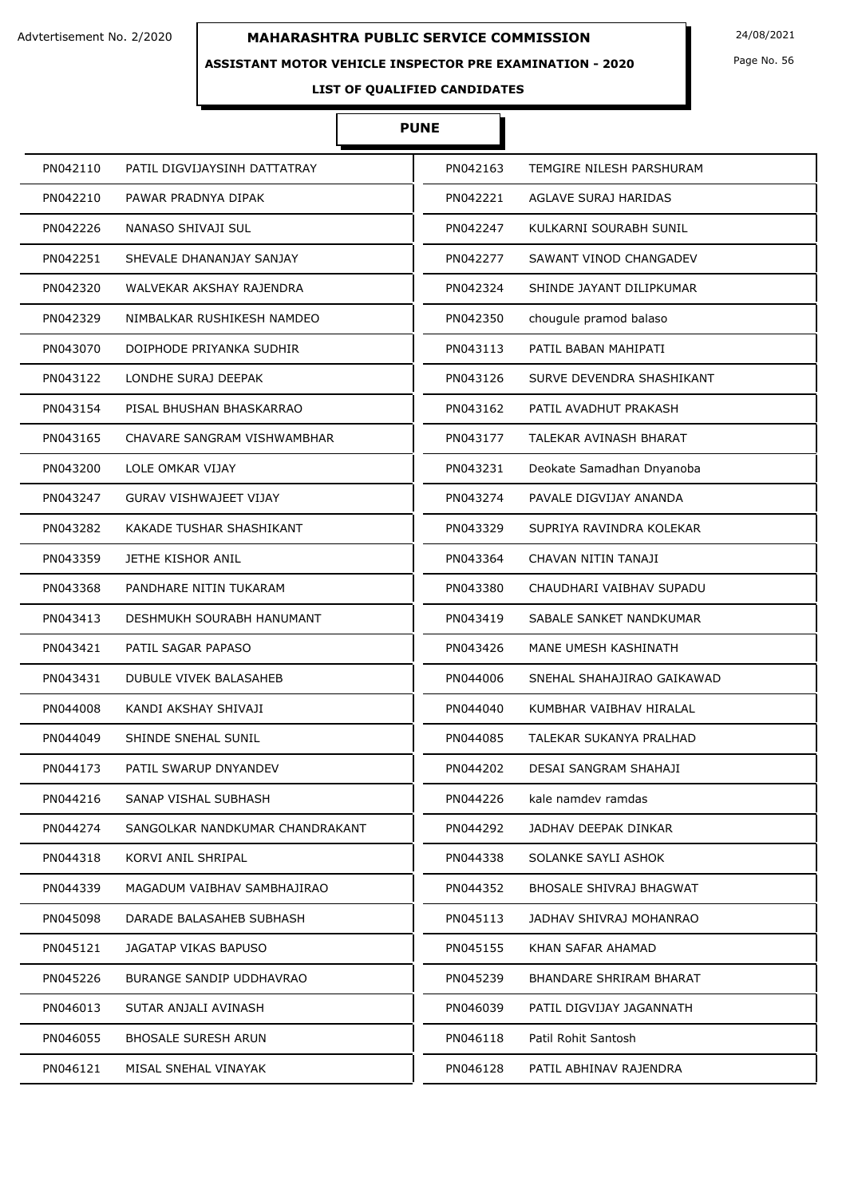### **ASSISTANT MOTOR VEHICLE INSPECTOR PRE EXAMINATION - 2020**

Page No. 56

# **LIST OF QUALIFIED CANDIDATES**

# **PUNE**

| PN042110 | PATIL DIGVIJAYSINH DATTATRAY    | PN042163 | TEMGIRE NILESH PARSHURAM    |
|----------|---------------------------------|----------|-----------------------------|
| PN042210 | PAWAR PRADNYA DIPAK             | PN042221 | <b>AGLAVE SURAJ HARIDAS</b> |
| PN042226 | NANASO SHIVAJI SUL              | PN042247 | KULKARNI SOURABH SUNIL      |
| PN042251 | SHEVALE DHANANJAY SANJAY        | PN042277 | SAWANT VINOD CHANGADEV      |
| PN042320 | WALVEKAR AKSHAY RAJENDRA        | PN042324 | SHINDE JAYANT DILIPKUMAR    |
| PN042329 | NIMBALKAR RUSHIKESH NAMDEO      | PN042350 | chougule pramod balaso      |
| PN043070 | DOIPHODE PRIYANKA SUDHIR        | PN043113 | PATIL BABAN MAHIPATI        |
| PN043122 | LONDHE SURAJ DEEPAK             | PN043126 | SURVE DEVENDRA SHASHIKANT   |
| PN043154 | PISAL BHUSHAN BHASKARRAO        | PN043162 | PATIL AVADHUT PRAKASH       |
| PN043165 | CHAVARE SANGRAM VISHWAMBHAR     | PN043177 | TALEKAR AVINASH BHARAT      |
| PN043200 | LOLE OMKAR VIJAY                | PN043231 | Deokate Samadhan Dnyanoba   |
| PN043247 | <b>GURAV VISHWAJEET VIJAY</b>   | PN043274 | PAVALE DIGVIJAY ANANDA      |
| PN043282 | KAKADE TUSHAR SHASHIKANT        | PN043329 | SUPRIYA RAVINDRA KOLEKAR    |
| PN043359 | JETHE KISHOR ANIL               | PN043364 | CHAVAN NITIN TANAJI         |
| PN043368 | PANDHARE NITIN TUKARAM          | PN043380 | CHAUDHARI VAIBHAV SUPADU    |
| PN043413 | DESHMUKH SOURABH HANUMANT       | PN043419 | SABALE SANKET NANDKUMAR     |
| PN043421 | PATIL SAGAR PAPASO              | PN043426 | MANE UMESH KASHINATH        |
| PN043431 | DUBULE VIVEK BALASAHEB          | PN044006 | SNEHAL SHAHAJIRAO GAIKAWAD  |
| PN044008 | KANDI AKSHAY SHIVAJI            | PN044040 | KUMBHAR VAIBHAV HIRALAL     |
| PN044049 | SHINDE SNEHAL SUNIL             | PN044085 | TALEKAR SUKANYA PRALHAD     |
| PN044173 | PATIL SWARUP DNYANDEV           | PN044202 | DESAI SANGRAM SHAHAJI       |
| PN044216 | SANAP VISHAL SUBHASH            | PN044226 | kale namdev ramdas          |
| PN044274 | SANGOLKAR NANDKUMAR CHANDRAKANT | PN044292 | JADHAV DEEPAK DINKAR        |
| PN044318 | KORVI ANIL SHRIPAL              | PN044338 | SOLANKE SAYLI ASHOK         |
| PN044339 | MAGADUM VAIBHAV SAMBHAJIRAO     | PN044352 | BHOSALE SHIVRAJ BHAGWAT     |
| PN045098 | DARADE BALASAHEB SUBHASH        | PN045113 | JADHAV SHIVRAJ MOHANRAO     |
| PN045121 | JAGATAP VIKAS BAPUSO            | PN045155 | KHAN SAFAR AHAMAD           |
| PN045226 | BURANGE SANDIP UDDHAVRAO        | PN045239 | BHANDARE SHRIRAM BHARAT     |
| PN046013 | SUTAR ANJALI AVINASH            | PN046039 | PATIL DIGVIJAY JAGANNATH    |
| PN046055 | <b>BHOSALE SURESH ARUN</b>      | PN046118 | Patil Rohit Santosh         |
| PN046121 | MISAL SNEHAL VINAYAK            | PN046128 | PATIL ABHINAV RAJENDRA      |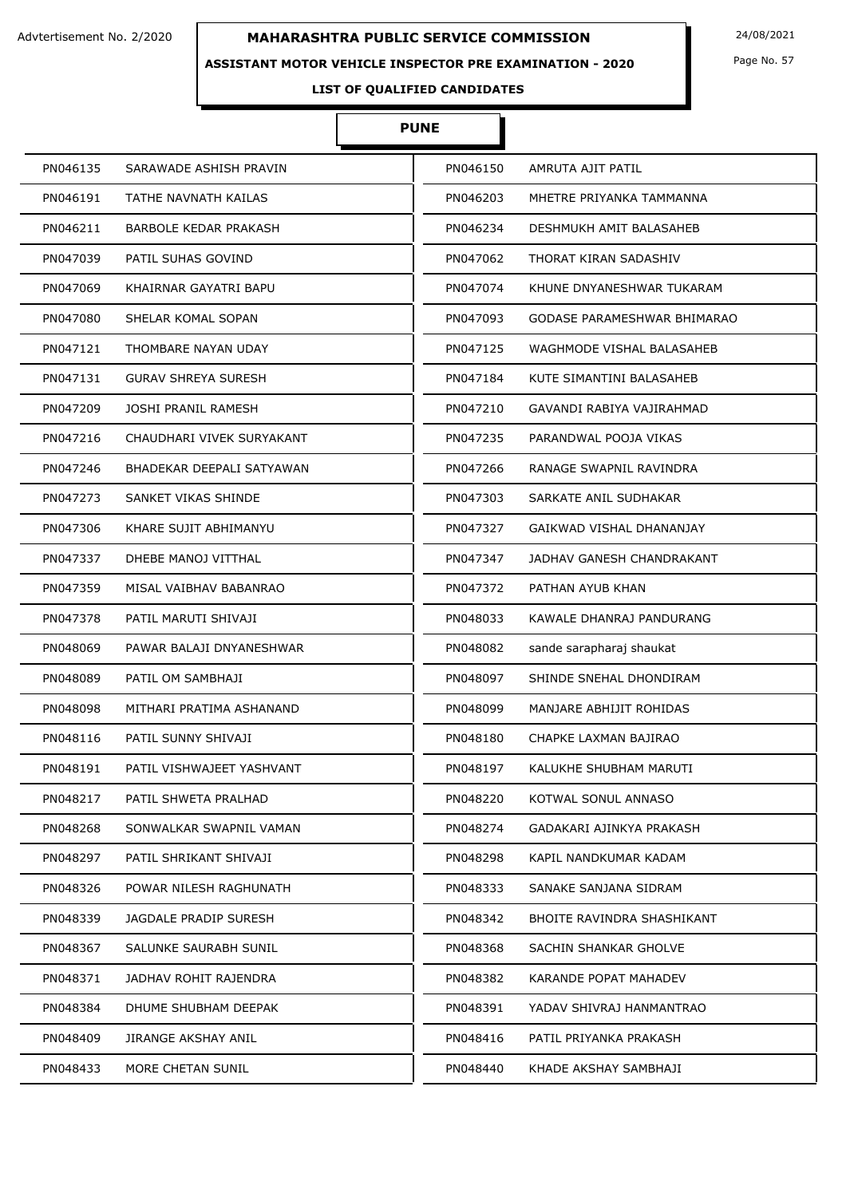### **ASSISTANT MOTOR VEHICLE INSPECTOR PRE EXAMINATION - 2020**

Page No. 57

# **LIST OF QUALIFIED CANDIDATES**

# **PUNE**

| PN046135 | SARAWADE ASHISH PRAVIN     | PN046150 | AMRUTA AJIT PATIL               |
|----------|----------------------------|----------|---------------------------------|
| PN046191 | TATHE NAVNATH KAILAS       | PN046203 | MHETRE PRIYANKA TAMMANNA        |
| PN046211 | BARBOLE KEDAR PRAKASH      | PN046234 | DESHMUKH AMIT BALASAHEB         |
| PN047039 | PATIL SUHAS GOVIND         | PN047062 | THORAT KIRAN SADASHIV           |
| PN047069 | KHAIRNAR GAYATRI BAPU      | PN047074 | KHUNE DNYANESHWAR TUKARAM       |
| PN047080 | SHELAR KOMAL SOPAN         | PN047093 | GODASE PARAMESHWAR BHIMARAO     |
| PN047121 | THOMBARE NAYAN UDAY        | PN047125 | WAGHMODE VISHAL BALASAHEB       |
| PN047131 | <b>GURAV SHREYA SURESH</b> | PN047184 | KUTE SIMANTINI BALASAHEB        |
| PN047209 | JOSHI PRANIL RAMESH        | PN047210 | GAVANDI RABIYA VAJIRAHMAD       |
| PN047216 | CHAUDHARI VIVEK SURYAKANT  | PN047235 | PARANDWAL POOJA VIKAS           |
| PN047246 | BHADEKAR DEEPALI SATYAWAN  | PN047266 | RANAGE SWAPNIL RAVINDRA         |
| PN047273 | SANKET VIKAS SHINDE        | PN047303 | SARKATE ANIL SUDHAKAR           |
| PN047306 | KHARE SUJIT ABHIMANYU      | PN047327 | <b>GAIKWAD VISHAL DHANANJAY</b> |
| PN047337 | DHEBE MANOJ VITTHAL        | PN047347 | JADHAV GANESH CHANDRAKANT       |
| PN047359 | MISAL VAIBHAV BABANRAO     | PN047372 | PATHAN AYUB KHAN                |
| PN047378 | PATIL MARUTI SHIVAJI       | PN048033 | KAWALE DHANRAJ PANDURANG        |
| PN048069 | PAWAR BALAJI DNYANESHWAR   | PN048082 | sande sarapharaj shaukat        |
| PN048089 | PATIL OM SAMBHAJI          | PN048097 | SHINDE SNEHAL DHONDIRAM         |
| PN048098 | MITHARI PRATIMA ASHANAND   | PN048099 | MANJARE ABHIJIT ROHIDAS         |
| PN048116 | PATIL SUNNY SHIVAJI        | PN048180 | CHAPKE LAXMAN BAJIRAO           |
| PN048191 | PATIL VISHWAJEET YASHVANT  | PN048197 | KALUKHE SHUBHAM MARUTI          |
| PN048217 | PATIL SHWETA PRALHAD       | PN048220 | KOTWAL SONUL ANNASO             |
| PN048268 | SONWALKAR SWAPNIL VAMAN    | PN048274 | GADAKARI AJINKYA PRAKASH        |
| PN048297 | PATIL SHRIKANT SHIVAJI     | PN048298 | KAPIL NANDKUMAR KADAM           |
| PN048326 | POWAR NILESH RAGHUNATH     | PN048333 | SANAKE SANJANA SIDRAM           |
| PN048339 | JAGDALE PRADIP SURESH      | PN048342 | BHOITE RAVINDRA SHASHIKANT      |
| PN048367 | SALUNKE SAURABH SUNIL      | PN048368 | SACHIN SHANKAR GHOLVE           |
| PN048371 | JADHAV ROHIT RAJENDRA      | PN048382 | KARANDE POPAT MAHADEV           |
| PN048384 | DHUME SHUBHAM DEEPAK       | PN048391 | YADAV SHIVRAJ HANMANTRAO        |
| PN048409 | JIRANGE AKSHAY ANIL        | PN048416 | PATIL PRIYANKA PRAKASH          |
| PN048433 | MORE CHETAN SUNIL          | PN048440 | KHADE AKSHAY SAMBHAJI           |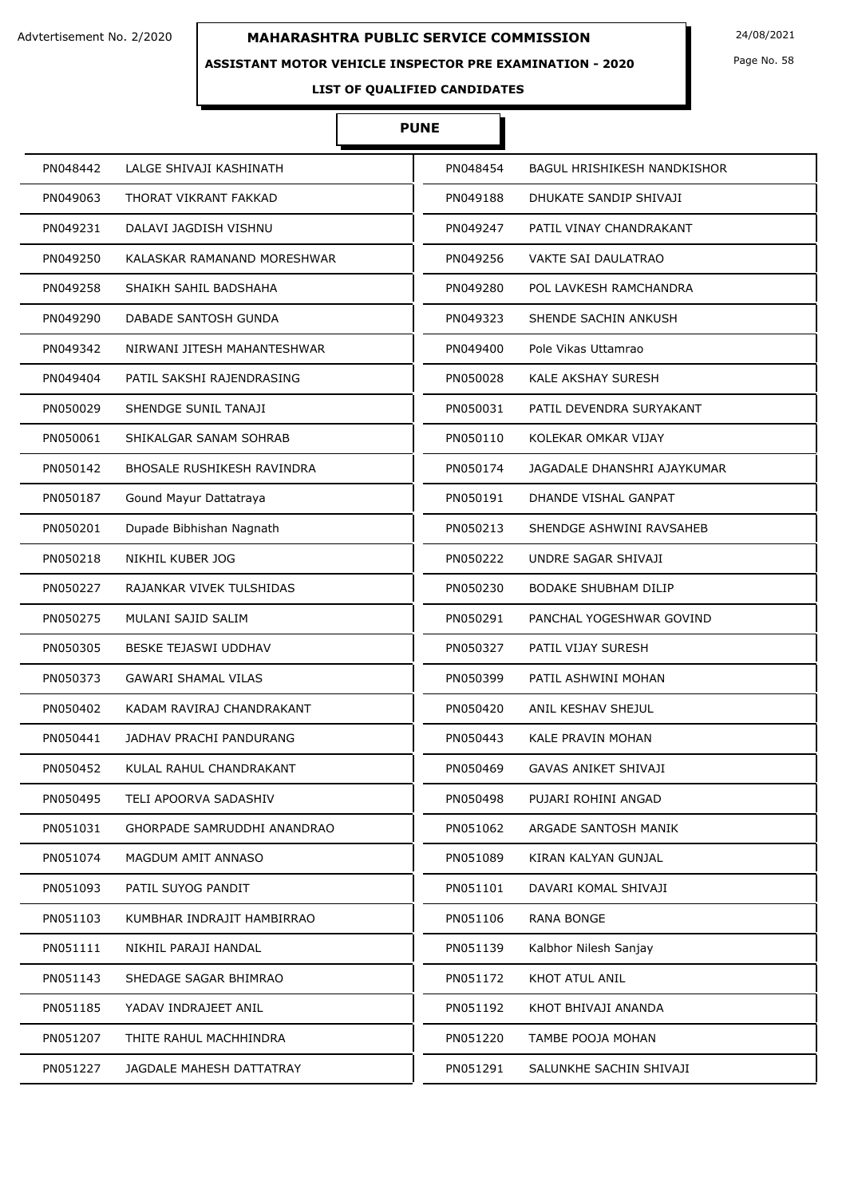### **ASSISTANT MOTOR VEHICLE INSPECTOR PRE EXAMINATION - 2020**

Page No. 58

# **LIST OF QUALIFIED CANDIDATES**

#### **PUNE**

| PN048442<br>LALGE SHIVAJI KASHINATH     | PN048454 | <b>BAGUL HRISHIKESH NANDKISHOR</b> |
|-----------------------------------------|----------|------------------------------------|
| PN049063<br>THORAT VIKRANT FAKKAD       | PN049188 | DHUKATE SANDIP SHIVAJI             |
| PN049231<br>DALAVI JAGDISH VISHNU       | PN049247 | PATIL VINAY CHANDRAKANT            |
| PN049250<br>KALASKAR RAMANAND MORESHWAR | PN049256 | VAKTE SAI DAULATRAO                |
| PN049258<br>SHAIKH SAHIL BADSHAHA       | PN049280 | POL LAVKESH RAMCHANDRA             |
| PN049290<br>DABADE SANTOSH GUNDA        | PN049323 | SHENDE SACHIN ANKUSH               |
| PN049342<br>NIRWANI JITESH MAHANTESHWAR | PN049400 | Pole Vikas Uttamrao                |
| PN049404<br>PATIL SAKSHI RAJENDRASING   | PN050028 | KALE AKSHAY SURESH                 |
| PN050029<br>SHENDGE SUNIL TANAJI        | PN050031 | PATIL DEVENDRA SURYAKANT           |
| PN050061<br>SHIKALGAR SANAM SOHRAB      | PN050110 | KOLEKAR OMKAR VIJAY                |
| PN050142<br>BHOSALE RUSHIKESH RAVINDRA  | PN050174 | JAGADALE DHANSHRI AJAYKUMAR        |
| Gound Mayur Dattatraya<br>PN050187      | PN050191 | DHANDE VISHAL GANPAT               |
| PN050201<br>Dupade Bibhishan Nagnath    | PN050213 | SHENDGE ASHWINI RAVSAHEB           |
| NIKHIL KUBER JOG<br>PN050218            | PN050222 | UNDRE SAGAR SHIVAJI                |
| PN050227<br>RAJANKAR VIVEK TULSHIDAS    | PN050230 | <b>BODAKE SHUBHAM DILIP</b>        |
| MULANI SAJID SALIM<br>PN050275          | PN050291 | PANCHAL YOGESHWAR GOVIND           |
| PN050305<br>BESKE TEJASWI UDDHAV        | PN050327 | PATIL VIJAY SURESH                 |
| PN050373<br><b>GAWARI SHAMAL VILAS</b>  | PN050399 | PATIL ASHWINI MOHAN                |
| PN050402<br>KADAM RAVIRAJ CHANDRAKANT   | PN050420 | ANIL KESHAV SHEJUL                 |
| PN050441<br>JADHAV PRACHI PANDURANG     | PN050443 | KALE PRAVIN MOHAN                  |
| PN050452<br>KULAL RAHUL CHANDRAKANT     | PN050469 | <b>GAVAS ANIKET SHIVAJI</b>        |
| PN050495<br>TELI APOORVA SADASHIV       | PN050498 | PUJARI ROHINI ANGAD                |
| PN051031<br>GHORPADE SAMRUDDHI ANANDRAO | PN051062 | ARGADE SANTOSH MANIK               |
| PN051074<br>MAGDUM AMIT ANNASO          | PN051089 | KIRAN KALYAN GUNJAL                |
| PN051093<br>PATIL SUYOG PANDIT          | PN051101 | DAVARI KOMAL SHIVAJI               |
| PN051103<br>KUMBHAR INDRAJIT HAMBIRRAO  | PN051106 | <b>RANA BONGE</b>                  |
| PN051111<br>NIKHIL PARAJI HANDAL        | PN051139 | Kalbhor Nilesh Sanjay              |
| PN051143<br>SHEDAGE SAGAR BHIMRAO       | PN051172 | KHOT ATUL ANIL                     |
| PN051185<br>YADAV INDRAJEET ANIL        | PN051192 | KHOT BHIVAJI ANANDA                |
| PN051207<br>THITE RAHUL MACHHINDRA      | PN051220 | TAMBE POOJA MOHAN                  |
| PN051227<br>JAGDALE MAHESH DATTATRAY    | PN051291 | SALUNKHE SACHIN SHIVAJI            |
|                                         |          |                                    |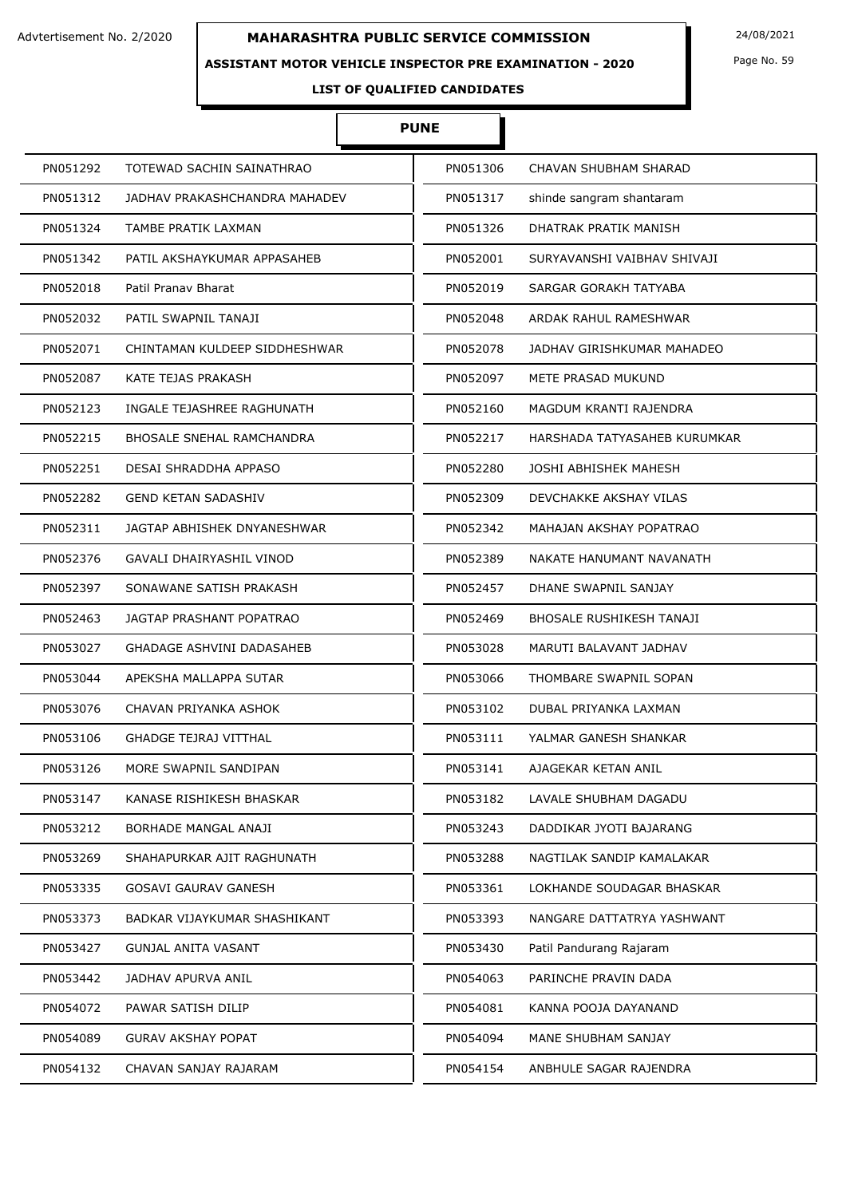### **ASSISTANT MOTOR VEHICLE INSPECTOR PRE EXAMINATION - 2020**

Page No. 59

# **LIST OF QUALIFIED CANDIDATES**

# **PUNE**

| PN051292 | TOTEWAD SACHIN SAINATHRAO        | PN051306 | CHAVAN SHUBHAM SHARAD        |
|----------|----------------------------------|----------|------------------------------|
| PN051312 | JADHAV PRAKASHCHANDRA MAHADEV    | PN051317 | shinde sangram shantaram     |
| PN051324 | TAMBE PRATIK LAXMAN              | PN051326 | DHATRAK PRATIK MANISH        |
| PN051342 | PATIL AKSHAYKUMAR APPASAHEB      | PN052001 | SURYAVANSHI VAIBHAV SHIVAJI  |
| PN052018 | Patil Pranav Bharat              | PN052019 | SARGAR GORAKH TATYABA        |
| PN052032 | PATIL SWAPNIL TANAJI             | PN052048 | ARDAK RAHUL RAMESHWAR        |
| PN052071 | CHINTAMAN KULDEEP SIDDHESHWAR    | PN052078 | JADHAV GIRISHKUMAR MAHADEO   |
| PN052087 | KATE TEJAS PRAKASH               | PN052097 | METE PRASAD MUKUND           |
| PN052123 | INGALE TEJASHREE RAGHUNATH       | PN052160 | MAGDUM KRANTI RAJENDRA       |
| PN052215 | <b>BHOSALE SNEHAL RAMCHANDRA</b> | PN052217 | HARSHADA TATYASAHEB KURUMKAR |
| PN052251 | DESAI SHRADDHA APPASO            | PN052280 | JOSHI ABHISHEK MAHESH        |
| PN052282 | <b>GEND KETAN SADASHIV</b>       | PN052309 | DEVCHAKKE AKSHAY VILAS       |
| PN052311 | JAGTAP ABHISHEK DNYANESHWAR      | PN052342 | MAHAJAN AKSHAY POPATRAO      |
| PN052376 | GAVALI DHAIRYASHIL VINOD         | PN052389 | NAKATE HANUMANT NAVANATH     |
| PN052397 | SONAWANE SATISH PRAKASH          | PN052457 | DHANE SWAPNIL SANJAY         |
| PN052463 | JAGTAP PRASHANT POPATRAO         | PN052469 | BHOSALE RUSHIKESH TANAJI     |
| PN053027 | <b>GHADAGE ASHVINI DADASAHEB</b> | PN053028 | MARUTI BALAVANT JADHAV       |
| PN053044 | APEKSHA MALLAPPA SUTAR           | PN053066 | THOMBARE SWAPNIL SOPAN       |
| PN053076 | CHAVAN PRIYANKA ASHOK            | PN053102 | DUBAL PRIYANKA LAXMAN        |
| PN053106 | <b>GHADGE TEJRAJ VITTHAL</b>     | PN053111 | YALMAR GANESH SHANKAR        |
| PN053126 | MORE SWAPNIL SANDIPAN            | PN053141 | AJAGEKAR KETAN ANIL          |
| PN053147 | KANASE RISHIKESH BHASKAR         | PN053182 | LAVALE SHUBHAM DAGADU        |
| PN053212 | BORHADE MANGAL ANAJI             | PN053243 | DADDIKAR JYOTI BAJARANG      |
| PN053269 | SHAHAPURKAR AJIT RAGHUNATH       | PN053288 | NAGTILAK SANDIP KAMALAKAR    |
| PN053335 | GOSAVI GAURAV GANESH             | PN053361 | LOKHANDE SOUDAGAR BHASKAR    |
| PN053373 | BADKAR VIJAYKUMAR SHASHIKANT     | PN053393 | NANGARE DATTATRYA YASHWANT   |
| PN053427 | <b>GUNJAL ANITA VASANT</b>       | PN053430 | Patil Pandurang Rajaram      |
| PN053442 | JADHAV APURVA ANIL               | PN054063 | PARINCHE PRAVIN DADA         |
| PN054072 | PAWAR SATISH DILIP               | PN054081 | KANNA POOJA DAYANAND         |
| PN054089 | <b>GURAV AKSHAY POPAT</b>        | PN054094 | MANE SHUBHAM SANJAY          |
| PN054132 | CHAVAN SANJAY RAJARAM            | PN054154 | ANBHULE SAGAR RAJENDRA       |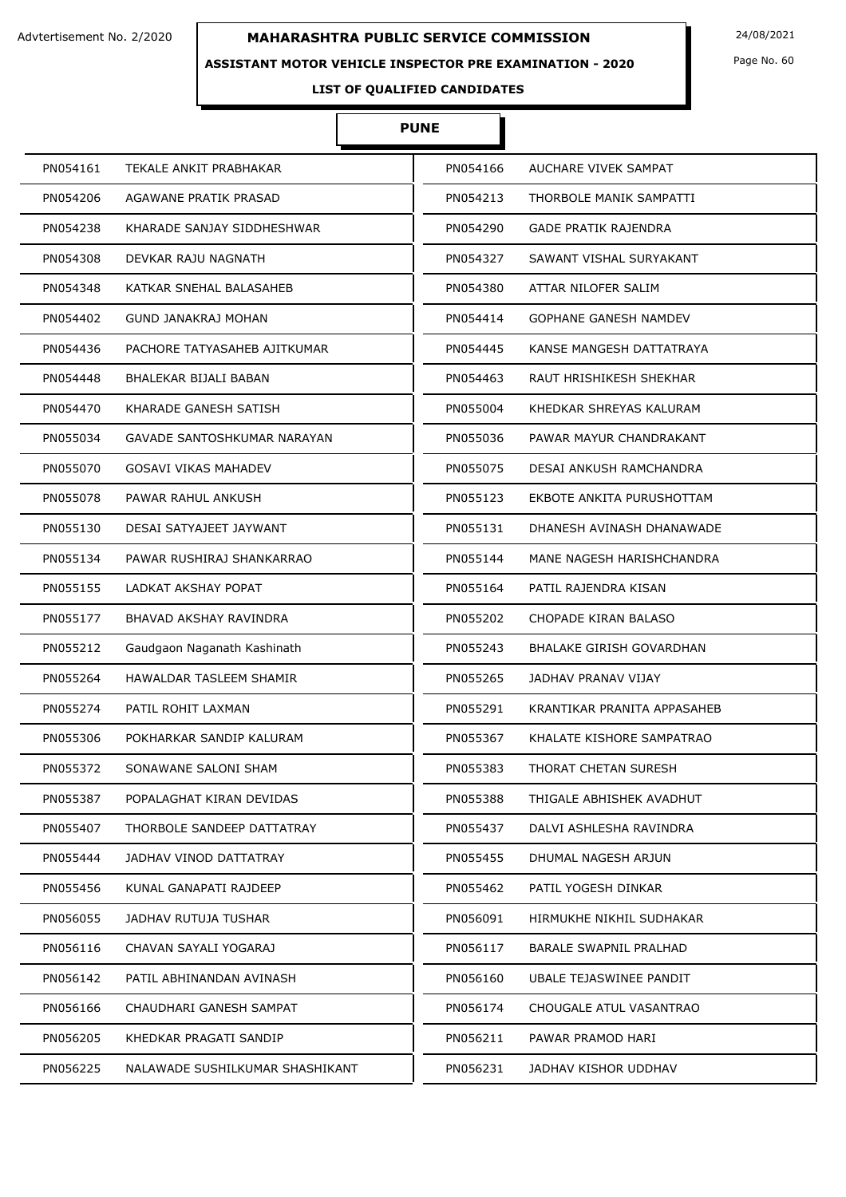### **ASSISTANT MOTOR VEHICLE INSPECTOR PRE EXAMINATION - 2020**

Page No. 60

# **LIST OF QUALIFIED CANDIDATES**

# **PUNE**

| PN054161 | TEKALE ANKIT PRABHAKAR          | PN054166 | AUCHARE VIVEK SAMPAT            |
|----------|---------------------------------|----------|---------------------------------|
| PN054206 | AGAWANE PRATIK PRASAD           | PN054213 | THORBOLE MANIK SAMPATTI         |
| PN054238 | KHARADE SANJAY SIDDHESHWAR      | PN054290 | <b>GADE PRATIK RAJENDRA</b>     |
| PN054308 | DEVKAR RAJU NAGNATH             | PN054327 | SAWANT VISHAL SURYAKANT         |
| PN054348 | KATKAR SNEHAL BALASAHEB         | PN054380 | ATTAR NILOFER SALIM             |
| PN054402 | GUND JANAKRAJ MOHAN             | PN054414 | <b>GOPHANE GANESH NAMDEV</b>    |
| PN054436 | PACHORE TATYASAHEB AJITKUMAR    | PN054445 | KANSE MANGESH DATTATRAYA        |
| PN054448 | BHALEKAR BIJALI BABAN           | PN054463 | RAUT HRISHIKESH SHEKHAR         |
| PN054470 | KHARADE GANESH SATISH           | PN055004 | KHEDKAR SHREYAS KALURAM         |
| PN055034 | GAVADE SANTOSHKUMAR NARAYAN     | PN055036 | PAWAR MAYUR CHANDRAKANT         |
| PN055070 | <b>GOSAVI VIKAS MAHADEV</b>     | PN055075 | DESAI ANKUSH RAMCHANDRA         |
| PN055078 | PAWAR RAHUL ANKUSH              | PN055123 | EKBOTE ANKITA PURUSHOTTAM       |
| PN055130 | DESAI SATYAJEET JAYWANT         | PN055131 | DHANESH AVINASH DHANAWADE       |
| PN055134 | PAWAR RUSHIRAJ SHANKARRAO       | PN055144 | MANE NAGESH HARISHCHANDRA       |
| PN055155 | LADKAT AKSHAY POPAT             | PN055164 | PATIL RAJENDRA KISAN            |
| PN055177 | BHAVAD AKSHAY RAVINDRA          | PN055202 | CHOPADE KIRAN BALASO            |
| PN055212 | Gaudgaon Naganath Kashinath     | PN055243 | <b>BHALAKE GIRISH GOVARDHAN</b> |
| PN055264 | HAWALDAR TASLEEM SHAMIR         | PN055265 | JADHAV PRANAV VIJAY             |
| PN055274 | PATIL ROHIT LAXMAN              | PN055291 | KRANTIKAR PRANITA APPASAHEB     |
| PN055306 | POKHARKAR SANDIP KALURAM        | PN055367 | KHALATE KISHORE SAMPATRAO       |
| PN055372 | SONAWANE SALONI SHAM            | PN055383 | THORAT CHETAN SURESH            |
| PN055387 | POPALAGHAT KIRAN DEVIDAS        | PN055388 | THIGALE ABHISHEK AVADHUT        |
| PN055407 | THORBOLE SANDEEP DATTATRAY      | PN055437 | DALVI ASHLESHA RAVINDRA         |
| PN055444 | JADHAV VINOD DATTATRAY          | PN055455 | DHUMAL NAGESH ARJUN             |
| PN055456 | KUNAL GANAPATI RAJDEEP          | PN055462 | PATIL YOGESH DINKAR             |
| PN056055 | JADHAV RUTUJA TUSHAR            | PN056091 | HIRMUKHE NIKHIL SUDHAKAR        |
| PN056116 | CHAVAN SAYALI YOGARAJ           | PN056117 | <b>BARALE SWAPNIL PRALHAD</b>   |
| PN056142 | PATIL ABHINANDAN AVINASH        | PN056160 | UBALE TEJASWINEE PANDIT         |
| PN056166 | CHAUDHARI GANESH SAMPAT         | PN056174 | CHOUGALE ATUL VASANTRAO         |
| PN056205 | KHEDKAR PRAGATI SANDIP          | PN056211 | PAWAR PRAMOD HARI               |
| PN056225 | NALAWADE SUSHILKUMAR SHASHIKANT | PN056231 | JADHAV KISHOR UDDHAV            |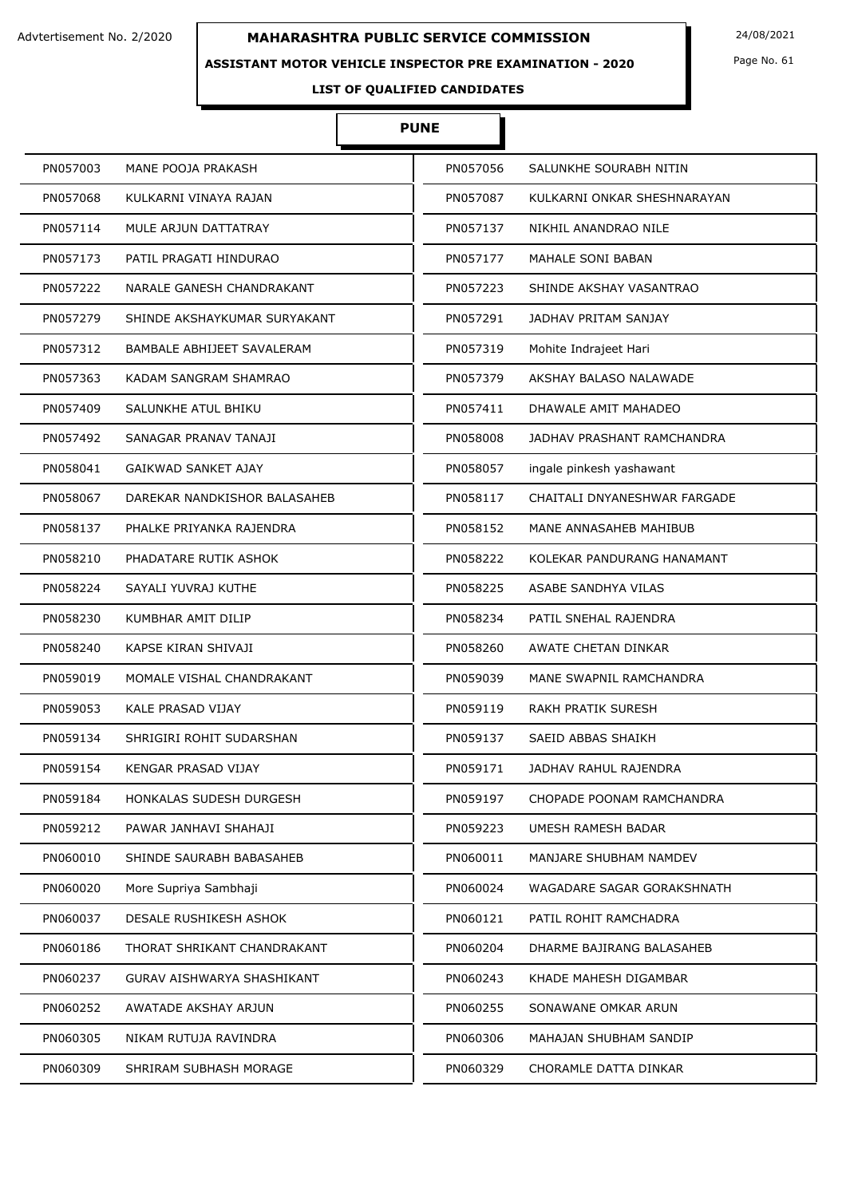#### **ASSISTANT MOTOR VEHICLE INSPECTOR PRE EXAMINATION - 2020**

Page No. 61

# **LIST OF QUALIFIED CANDIDATES**

# **PUNE**

| PN057003 | MANE POOJA PRAKASH           | PN057056 | SALUNKHE SOURABH NITIN       |
|----------|------------------------------|----------|------------------------------|
| PN057068 | KULKARNI VINAYA RAJAN        | PN057087 | KULKARNI ONKAR SHESHNARAYAN  |
| PN057114 | MULE ARJUN DATTATRAY         | PN057137 | NIKHIL ANANDRAO NILE         |
| PN057173 | PATIL PRAGATI HINDURAO       | PN057177 | MAHALE SONI BABAN            |
| PN057222 | NARALE GANESH CHANDRAKANT    | PN057223 | SHINDE AKSHAY VASANTRAO      |
| PN057279 | SHINDE AKSHAYKUMAR SURYAKANT | PN057291 | <b>JADHAV PRITAM SANJAY</b>  |
| PN057312 | BAMBALE ABHIJEET SAVALERAM   | PN057319 | Mohite Indrajeet Hari        |
| PN057363 | KADAM SANGRAM SHAMRAO        | PN057379 | AKSHAY BALASO NALAWADE       |
| PN057409 | SALUNKHE ATUL BHIKU          | PN057411 | DHAWALE AMIT MAHADEO         |
| PN057492 | SANAGAR PRANAV TANAJI        | PN058008 | JADHAV PRASHANT RAMCHANDRA   |
| PN058041 | <b>GAIKWAD SANKET AJAY</b>   | PN058057 | ingale pinkesh yashawant     |
| PN058067 | DAREKAR NANDKISHOR BALASAHEB | PN058117 | CHAITALI DNYANESHWAR FARGADE |
| PN058137 | PHALKE PRIYANKA RAJENDRA     | PN058152 | MANE ANNASAHEB MAHIBUB       |
| PN058210 | PHADATARE RUTIK ASHOK        | PN058222 | KOLEKAR PANDURANG HANAMANT   |
| PN058224 | SAYALI YUVRAJ KUTHE          | PN058225 | ASABE SANDHYA VILAS          |
| PN058230 | KUMBHAR AMIT DILIP           | PN058234 | PATIL SNEHAL RAJENDRA        |
| PN058240 | KAPSE KIRAN SHIVAJI          | PN058260 | AWATE CHETAN DINKAR          |
| PN059019 | MOMALE VISHAL CHANDRAKANT    | PN059039 | MANE SWAPNIL RAMCHANDRA      |
| PN059053 | KALE PRASAD VIJAY            | PN059119 | <b>RAKH PRATIK SURESH</b>    |
| PN059134 | SHRIGIRI ROHIT SUDARSHAN     | PN059137 | SAEID ABBAS SHAIKH           |
| PN059154 | KENGAR PRASAD VIJAY          | PN059171 | JADHAV RAHUL RAJENDRA        |
| PN059184 | HONKALAS SUDESH DURGESH      | PN059197 | CHOPADE POONAM RAMCHANDRA    |
| PN059212 | PAWAR JANHAVI SHAHAJI        | PN059223 | UMESH RAMESH BADAR           |
| PN060010 | SHINDE SAURABH BABASAHEB     | PN060011 | MANJARE SHUBHAM NAMDEV       |
| PN060020 | More Supriya Sambhaji        | PN060024 | WAGADARE SAGAR GORAKSHNATH   |
| PN060037 | DESALE RUSHIKESH ASHOK       | PN060121 | PATIL ROHIT RAMCHADRA        |
| PN060186 | THORAT SHRIKANT CHANDRAKANT  | PN060204 | DHARME BAJIRANG BALASAHEB    |
| PN060237 | GURAV AISHWARYA SHASHIKANT   | PN060243 | KHADE MAHESH DIGAMBAR        |
| PN060252 | AWATADE AKSHAY ARJUN         | PN060255 | SONAWANE OMKAR ARUN          |
| PN060305 | NIKAM RUTUJA RAVINDRA        | PN060306 | MAHAJAN SHUBHAM SANDIP       |
| PN060309 | SHRIRAM SUBHASH MORAGE       | PN060329 | CHORAMLE DATTA DINKAR        |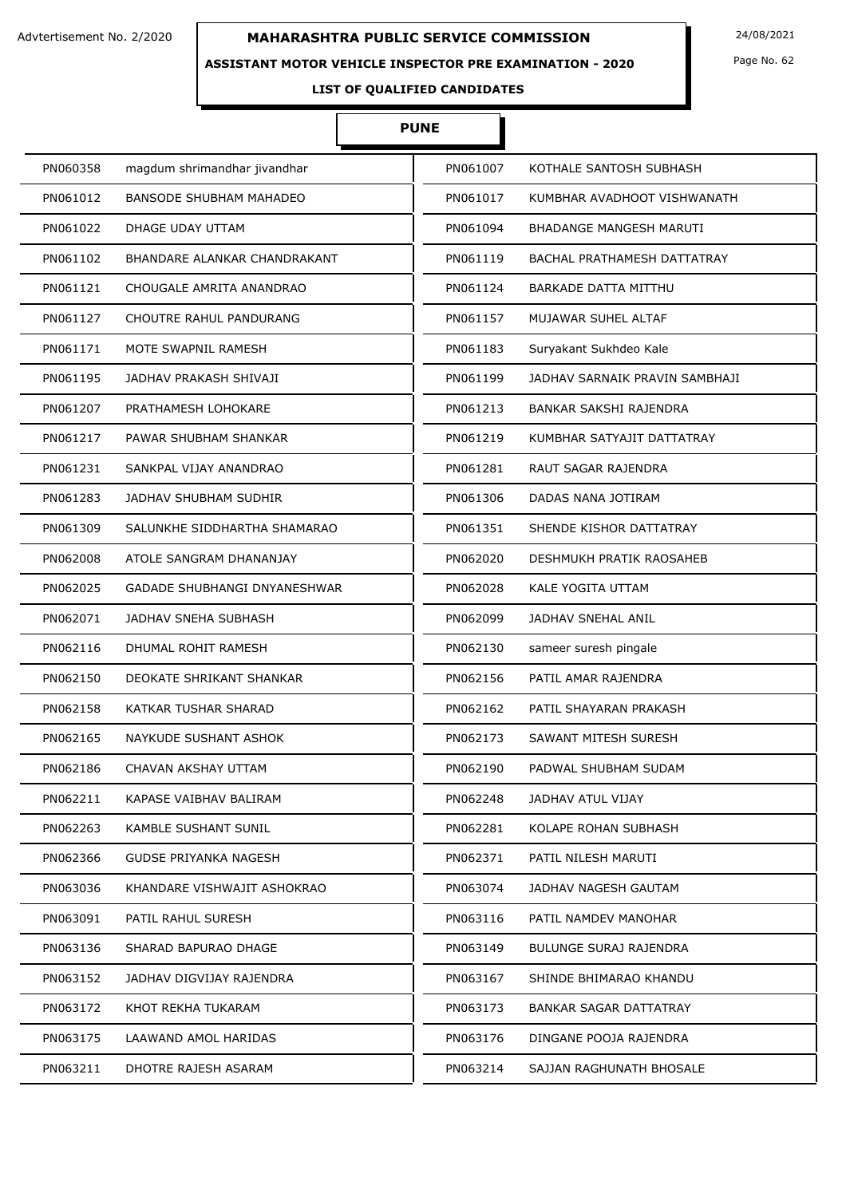### **ASSISTANT MOTOR VEHICLE INSPECTOR PRE EXAMINATION - 2020**

Page No. 62

**LIST OF QUALIFIED CANDIDATES** 

# **PUNE**

| PN060358 | magdum shrimandhar jivandhar        | PN061007 | KOTHALE SANTOSH SUBHASH        |
|----------|-------------------------------------|----------|--------------------------------|
| PN061012 | BANSODE SHUBHAM MAHADEO             | PN061017 | KUMBHAR AVADHOOT VISHWANATH    |
| PN061022 | DHAGE UDAY UTTAM                    | PN061094 | BHADANGE MANGESH MARUTI        |
| PN061102 | BHANDARE ALANKAR CHANDRAKANT        | PN061119 | BACHAL PRATHAMESH DATTATRAY    |
| PN061121 | CHOUGALE AMRITA ANANDRAO            | PN061124 | BARKADE DATTA MITTHU           |
| PN061127 | CHOUTRE RAHUL PANDURANG             | PN061157 | MUJAWAR SUHEL ALTAF            |
| PN061171 | MOTE SWAPNIL RAMESH                 | PN061183 | Suryakant Sukhdeo Kale         |
| PN061195 | JADHAV PRAKASH SHIVAJI              | PN061199 | JADHAV SARNAIK PRAVIN SAMBHAJI |
| PN061207 | PRATHAMESH LOHOKARE                 | PN061213 | BANKAR SAKSHI RAJENDRA         |
| PN061217 | PAWAR SHUBHAM SHANKAR               | PN061219 | KUMBHAR SATYAJIT DATTATRAY     |
| PN061231 | SANKPAL VIJAY ANANDRAO              | PN061281 | RAUT SAGAR RAJENDRA            |
| PN061283 | <b>JADHAV SHUBHAM SUDHIR</b>        | PN061306 | DADAS NANA JOTIRAM             |
| PN061309 | SALUNKHE SIDDHARTHA SHAMARAO        | PN061351 | SHENDE KISHOR DATTATRAY        |
| PN062008 | ATOLE SANGRAM DHANANJAY             | PN062020 | DESHMUKH PRATIK RAOSAHEB       |
| PN062025 | <b>GADADE SHUBHANGI DNYANESHWAR</b> | PN062028 | KALE YOGITA UTTAM              |
| PN062071 | <b>JADHAV SNEHA SUBHASH</b>         | PN062099 | <b>JADHAV SNEHAL ANIL</b>      |
| PN062116 | DHUMAL ROHIT RAMESH                 | PN062130 | sameer suresh pingale          |
| PN062150 | DEOKATE SHRIKANT SHANKAR            | PN062156 | PATIL AMAR RAJENDRA            |
| PN062158 | KATKAR TUSHAR SHARAD                | PN062162 | PATIL SHAYARAN PRAKASH         |
| PN062165 | NAYKUDE SUSHANT ASHOK               | PN062173 | SAWANT MITESH SURESH           |
| PN062186 | CHAVAN AKSHAY UTTAM                 | PN062190 | PADWAL SHUBHAM SUDAM           |
| PN062211 | KAPASE VAIBHAV BALIRAM              | PN062248 | JADHAV ATUL VIJAY              |
| PN062263 | KAMBLE SUSHANT SUNIL                | PN062281 | KOLAPE ROHAN SUBHASH           |
| PN062366 | <b>GUDSE PRIYANKA NAGESH</b>        | PN062371 | PATIL NILESH MARUTI            |
| PN063036 | KHANDARE VISHWAJIT ASHOKRAO         | PN063074 | JADHAV NAGESH GAUTAM           |
| PN063091 | PATIL RAHUL SURESH                  | PN063116 | PATIL NAMDEV MANOHAR           |
| PN063136 | SHARAD BAPURAO DHAGE                | PN063149 | BULUNGE SURAJ RAJENDRA         |
| PN063152 | JADHAV DIGVIJAY RAJENDRA            | PN063167 | SHINDE BHIMARAO KHANDU         |
| PN063172 | KHOT REKHA TUKARAM                  | PN063173 | BANKAR SAGAR DATTATRAY         |
| PN063175 | LAAWAND AMOL HARIDAS                | PN063176 | DINGANE POOJA RAJENDRA         |
| PN063211 | DHOTRE RAJESH ASARAM                | PN063214 | SAJJAN RAGHUNATH BHOSALE       |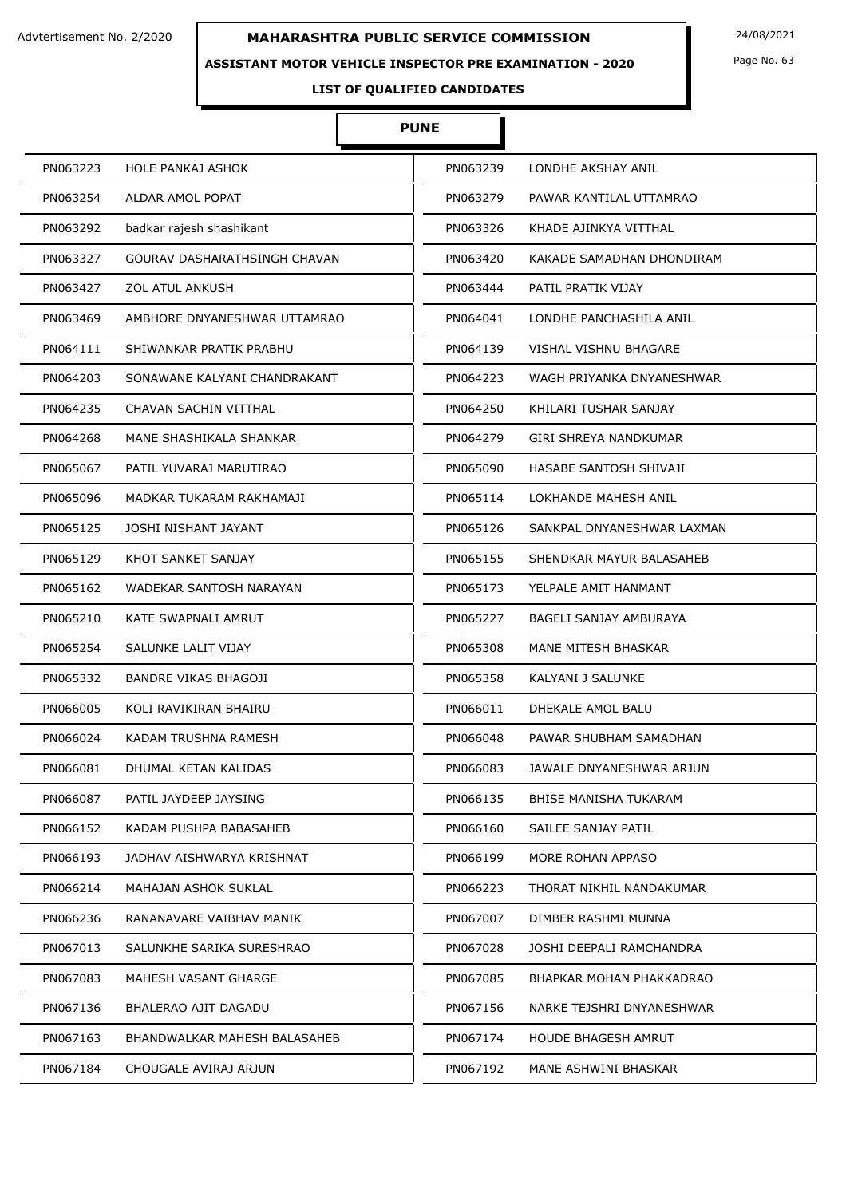### **ASSISTANT MOTOR VEHICLE INSPECTOR PRE EXAMINATION - 2020**

Page No. 63

# **LIST OF QUALIFIED CANDIDATES**

# **PUNE**

| PN063223 | HOLE PANKAJ ASHOK            | PN063239 | LONDHE AKSHAY ANIL         |
|----------|------------------------------|----------|----------------------------|
| PN063254 | ALDAR AMOL POPAT             | PN063279 | PAWAR KANTILAL UTTAMRAO    |
| PN063292 | badkar rajesh shashikant     | PN063326 | KHADE AJINKYA VITTHAL      |
| PN063327 | GOURAV DASHARATHSINGH CHAVAN | PN063420 | KAKADE SAMADHAN DHONDIRAM  |
| PN063427 | <b>ZOL ATUL ANKUSH</b>       | PN063444 | PATIL PRATIK VIJAY         |
| PN063469 | AMBHORE DNYANESHWAR UTTAMRAO | PN064041 | LONDHE PANCHASHILA ANIL    |
| PN064111 | SHIWANKAR PRATIK PRABHU      | PN064139 | VISHAL VISHNU BHAGARE      |
| PN064203 | SONAWANE KALYANI CHANDRAKANT | PN064223 | WAGH PRIYANKA DNYANESHWAR  |
| PN064235 | CHAVAN SACHIN VITTHAL        | PN064250 | KHILARI TUSHAR SANJAY      |
| PN064268 | MANE SHASHIKALA SHANKAR      | PN064279 | GIRI SHREYA NANDKUMAR      |
| PN065067 | PATIL YUVARAJ MARUTIRAO      | PN065090 | HASABE SANTOSH SHIVAJI     |
| PN065096 | MADKAR TUKARAM RAKHAMAJI     | PN065114 | LOKHANDE MAHESH ANIL       |
| PN065125 | JOSHI NISHANT JAYANT         | PN065126 | SANKPAL DNYANESHWAR LAXMAN |
| PN065129 | KHOT SANKET SANJAY           | PN065155 | SHENDKAR MAYUR BALASAHEB   |
| PN065162 | WADEKAR SANTOSH NARAYAN      | PN065173 | YELPALE AMIT HANMANT       |
| PN065210 | KATE SWAPNALI AMRUT          | PN065227 | BAGELI SANJAY AMBURAYA     |
| PN065254 | SALUNKE LALIT VIJAY          | PN065308 | MANE MITESH BHASKAR        |
| PN065332 | BANDRE VIKAS BHAGOJI         | PN065358 | KALYANI J SALUNKE          |
| PN066005 | KOLI RAVIKIRAN BHAIRU        | PN066011 | DHEKALE AMOL BALU          |
| PN066024 | KADAM TRUSHNA RAMESH         | PN066048 | PAWAR SHUBHAM SAMADHAN     |
| PN066081 | DHUMAL KETAN KALIDAS         | PN066083 | JAWALE DNYANESHWAR ARJUN   |
| PN066087 | PATIL JAYDEEP JAYSING        | PN066135 | BHISE MANISHA TUKARAM      |
| PN066152 | KADAM PUSHPA BABASAHEB       | PN066160 | SAILEE SANJAY PATIL        |
| PN066193 | JADHAV AISHWARYA KRISHNAT    | PN066199 | MORE ROHAN APPASO          |
| PN066214 | MAHAJAN ASHOK SUKLAL         | PN066223 | THORAT NIKHIL NANDAKUMAR   |
| PN066236 | RANANAVARE VAIBHAV MANIK     | PN067007 | DIMBER RASHMI MUNNA        |
| PN067013 | SALUNKHE SARIKA SURESHRAO    | PN067028 | JOSHI DEEPALI RAMCHANDRA   |
| PN067083 | MAHESH VASANT GHARGE         | PN067085 | BHAPKAR MOHAN PHAKKADRAO   |
| PN067136 | BHALERAO AJIT DAGADU         | PN067156 | NARKE TEJSHRI DNYANESHWAR  |
| PN067163 | BHANDWALKAR MAHESH BALASAHEB | PN067174 | <b>HOUDE BHAGESH AMRUT</b> |
| PN067184 | CHOUGALE AVIRAJ ARJUN        | PN067192 | MANE ASHWINI BHASKAR       |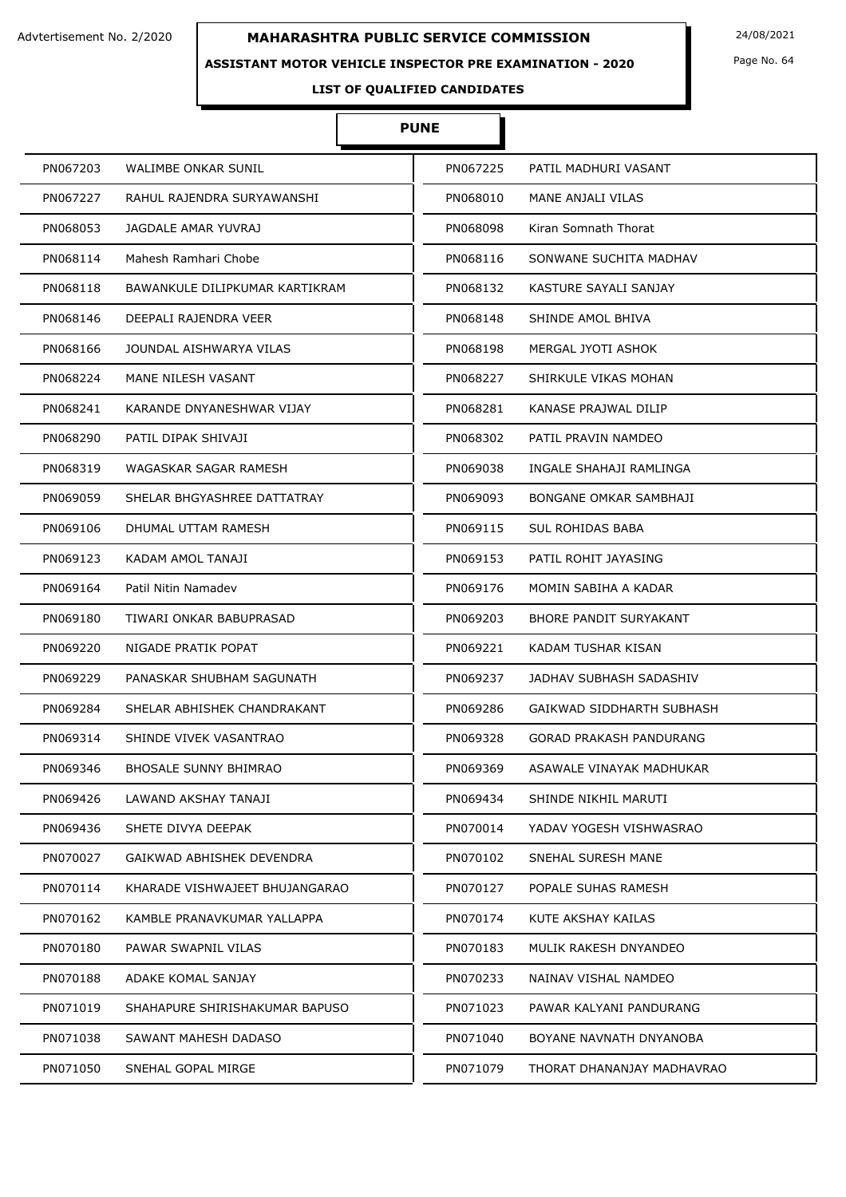### **ASSISTANT MOTOR VEHICLE INSPECTOR PRE EXAMINATION - 2020**

Page No. 64

# **LIST OF QUALIFIED CANDIDATES**

# **PUNE**

| PN067203                       | PN067225                       |
|--------------------------------|--------------------------------|
| WALIMBE ONKAR SUNIL            | PATIL MADHURI VASANT           |
| PN067227                       | PN068010                       |
| RAHUL RAJENDRA SURYAWANSHI     | <b>MANE ANJALI VILAS</b>       |
| PN068053                       | PN068098                       |
| JAGDALE AMAR YUVRAJ            | Kiran Somnath Thorat           |
| Mahesh Ramhari Chobe           | PN068116                       |
| PN068114                       | SONWANE SUCHITA MADHAV         |
| BAWANKULE DILIPKUMAR KARTIKRAM | PN068132                       |
| PN068118                       | KASTURE SAYALI SANJAY          |
| PN068146                       | PN068148                       |
| DEEPALI RAJENDRA VEER          | SHINDE AMOL BHIVA              |
| PN068166                       | PN068198                       |
| JOUNDAL AISHWARYA VILAS        | MERGAL JYOTI ASHOK             |
| PN068224                       | SHIRKULE VIKAS MOHAN           |
| MANE NILESH VASANT             | PN068227                       |
| PN068241                       | PN068281                       |
| KARANDE DNYANESHWAR VIJAY      | KANASE PRAJWAL DILIP           |
| PN068290                       | PN068302                       |
| PATIL DIPAK SHIVAJI            | PATIL PRAVIN NAMDEO            |
| PN068319                       | PN069038                       |
| WAGASKAR SAGAR RAMESH          | INGALE SHAHAJI RAMLINGA        |
| SHELAR BHGYASHREE DATTATRAY    | PN069093                       |
| PN069059                       | BONGANE OMKAR SAMBHAJI         |
| PN069106                       | PN069115                       |
| DHUMAL UTTAM RAMESH            | <b>SUL ROHIDAS BABA</b>        |
| PN069123                       | PN069153                       |
| KADAM AMOL TANAJI              | PATIL ROHIT JAYASING           |
| PN069164                       | PN069176                       |
| Patil Nitin Namadev            | MOMIN SABIHA A KADAR           |
| PN069180                       | BHORE PANDIT SURYAKANT         |
| TIWARI ONKAR BABUPRASAD        | PN069203                       |
| NIGADE PRATIK POPAT            | KADAM TUSHAR KISAN             |
| PN069220                       | PN069221                       |
| PN069229                       | PN069237                       |
| PANASKAR SHUBHAM SAGUNATH      | JADHAV SUBHASH SADASHIV        |
| PN069284                       | PN069286                       |
| SHELAR ABHISHEK CHANDRAKANT    | GAIKWAD SIDDHARTH SUBHASH      |
| PN069314                       | PN069328                       |
| SHINDE VIVEK VASANTRAO         | <b>GORAD PRAKASH PANDURANG</b> |
| PN069346                       | PN069369                       |
| <b>BHOSALE SUNNY BHIMRAO</b>   | ASAWALE VINAYAK MADHUKAR       |
| PN069426                       | PN069434                       |
| LAWAND AKSHAY TANAJI           | SHINDE NIKHIL MARUTI           |
| SHETE DIVYA DEEPAK             | PN070014                       |
| PN069436                       | YADAV YOGESH VISHWASRAO        |
| PN070027                       | PN070102                       |
| GAIKWAD ABHISHEK DEVENDRA      | SNEHAL SURESH MANE             |
| PN070114                       | PN070127                       |
| KHARADE VISHWAJEET BHUJANGARAO | POPALE SUHAS RAMESH            |
| PN070162                       | PN070174                       |
| KAMBLE PRANAVKUMAR YALLAPPA    | KUTE AKSHAY KAILAS             |
| PN070180                       | MULIK RAKESH DNYANDEO          |
| PAWAR SWAPNIL VILAS            | PN070183                       |
| PN070188                       | PN070233                       |
| ADAKE KOMAL SANJAY             | NAINAV VISHAL NAMDEO           |
| PN071019                       | PN071023                       |
| SHAHAPURE SHIRISHAKUMAR BAPUSO | PAWAR KALYANI PANDURANG        |
| PN071038                       | PN071040                       |
| SAWANT MAHESH DADASO           | BOYANE NAVNATH DNYANOBA        |
| PN071050                       | PN071079                       |
| SNEHAL GOPAL MIRGE             | THORAT DHANANJAY MADHAVRAO     |
|                                |                                |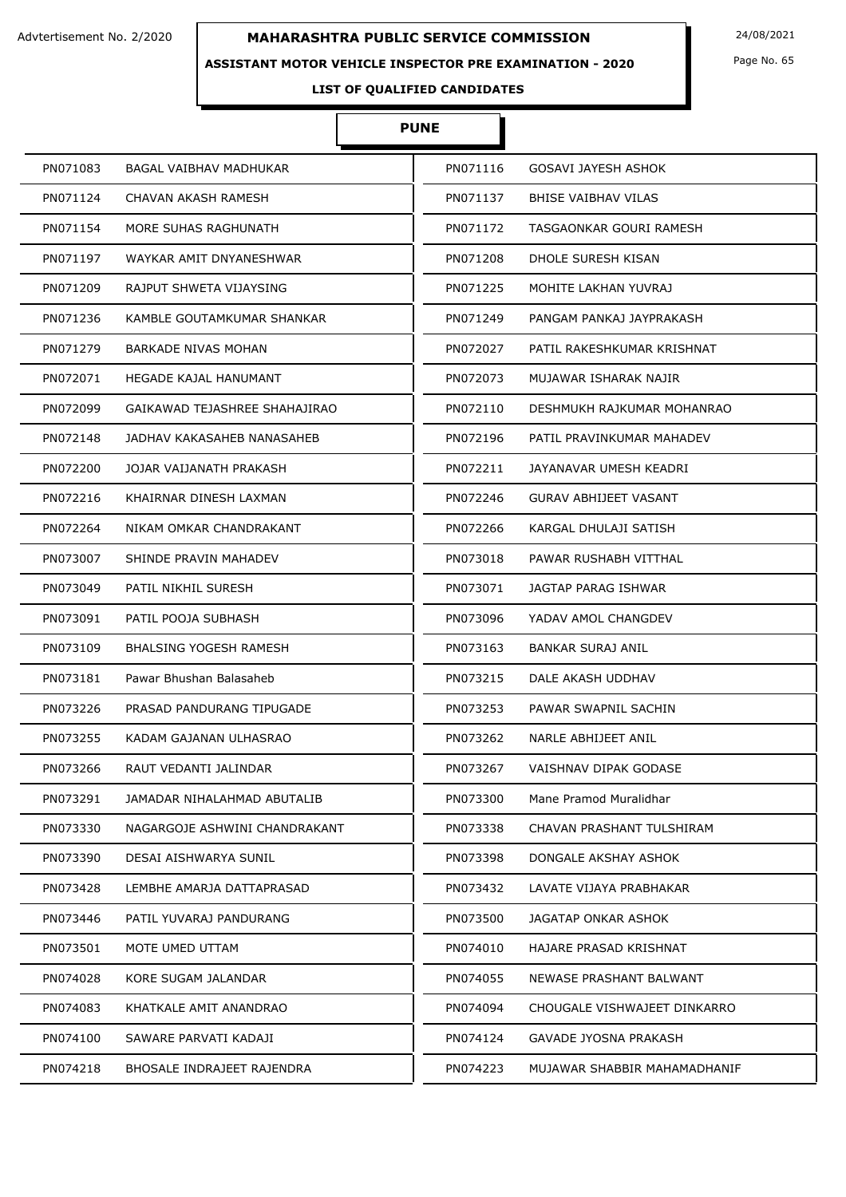### **ASSISTANT MOTOR VEHICLE INSPECTOR PRE EXAMINATION - 2020**

Page No. 65

# **LIST OF QUALIFIED CANDIDATES**

# **PUNE**

| PN071083 | BAGAL VAIBHAV MADHUKAR        | PN071116 | GOSAVI JAYESH ASHOK          |
|----------|-------------------------------|----------|------------------------------|
| PN071124 | CHAVAN AKASH RAMESH           | PN071137 | BHISE VAIBHAV VILAS          |
| PN071154 | MORE SUHAS RAGHUNATH          | PN071172 | TASGAONKAR GOURI RAMESH      |
| PN071197 | WAYKAR AMIT DNYANESHWAR       | PN071208 | DHOLE SURESH KISAN           |
| PN071209 | RAJPUT SHWETA VIJAYSING       | PN071225 | MOHITE LAKHAN YUVRAJ         |
| PN071236 | KAMBLE GOUTAMKUMAR SHANKAR    | PN071249 | PANGAM PANKAJ JAYPRAKASH     |
| PN071279 | <b>BARKADE NIVAS MOHAN</b>    | PN072027 | PATIL RAKESHKUMAR KRISHNAT   |
| PN072071 | HEGADE KAJAL HANUMANT         | PN072073 | MUJAWAR ISHARAK NAJIR        |
| PN072099 | GAIKAWAD TEJASHREE SHAHAJIRAO | PN072110 | DESHMUKH RAJKUMAR MOHANRAO   |
| PN072148 | JADHAV KAKASAHEB NANASAHEB    | PN072196 | PATIL PRAVINKUMAR MAHADEV    |
| PN072200 | JOJAR VAIJANATH PRAKASH       | PN072211 | JAYANAVAR UMESH KEADRI       |
| PN072216 | KHAIRNAR DINESH LAXMAN        | PN072246 | GURAV ABHIJEET VASANT        |
| PN072264 | NIKAM OMKAR CHANDRAKANT       | PN072266 | KARGAL DHULAJI SATISH        |
| PN073007 | SHINDE PRAVIN MAHADEV         | PN073018 | PAWAR RUSHABH VITTHAL        |
| PN073049 | PATIL NIKHIL SURESH           | PN073071 | JAGTAP PARAG ISHWAR          |
| PN073091 | PATIL POOJA SUBHASH           | PN073096 | YADAV AMOL CHANGDEV          |
| PN073109 | <b>BHALSING YOGESH RAMESH</b> | PN073163 | <b>BANKAR SURAJ ANIL</b>     |
| PN073181 | Pawar Bhushan Balasaheb       | PN073215 | DALE AKASH UDDHAV            |
| PN073226 | PRASAD PANDURANG TIPUGADE     | PN073253 | PAWAR SWAPNIL SACHIN         |
| PN073255 | KADAM GAJANAN ULHASRAO        | PN073262 | NARLE ABHIJEET ANIL          |
| PN073266 | RAUT VEDANTI JALINDAR         | PN073267 | VAISHNAV DIPAK GODASE        |
| PN073291 | JAMADAR NIHALAHMAD ABUTALIB   | PN073300 | Mane Pramod Muralidhar       |
| PN073330 | NAGARGOJE ASHWINI CHANDRAKANT | PN073338 | CHAVAN PRASHANT TULSHIRAM    |
| PN073390 | DESAI AISHWARYA SUNIL         | PN073398 | DONGALE AKSHAY ASHOK         |
| PN073428 | LEMBHE AMARJA DATTAPRASAD     | PN073432 | LAVATE VIJAYA PRABHAKAR      |
| PN073446 | PATIL YUVARAJ PANDURANG       | PN073500 | JAGATAP ONKAR ASHOK          |
| PN073501 | MOTE UMED UTTAM               | PN074010 | HAJARE PRASAD KRISHNAT       |
| PN074028 | KORE SUGAM JALANDAR           | PN074055 | NEWASE PRASHANT BALWANT      |
| PN074083 | KHATKALE AMIT ANANDRAO        | PN074094 | CHOUGALE VISHWAJEET DINKARRO |
| PN074100 | SAWARE PARVATI KADAJI         | PN074124 | GAVADE JYOSNA PRAKASH        |
| PN074218 | BHOSALE INDRAJEET RAJENDRA    | PN074223 | MUJAWAR SHABBIR MAHAMADHANIF |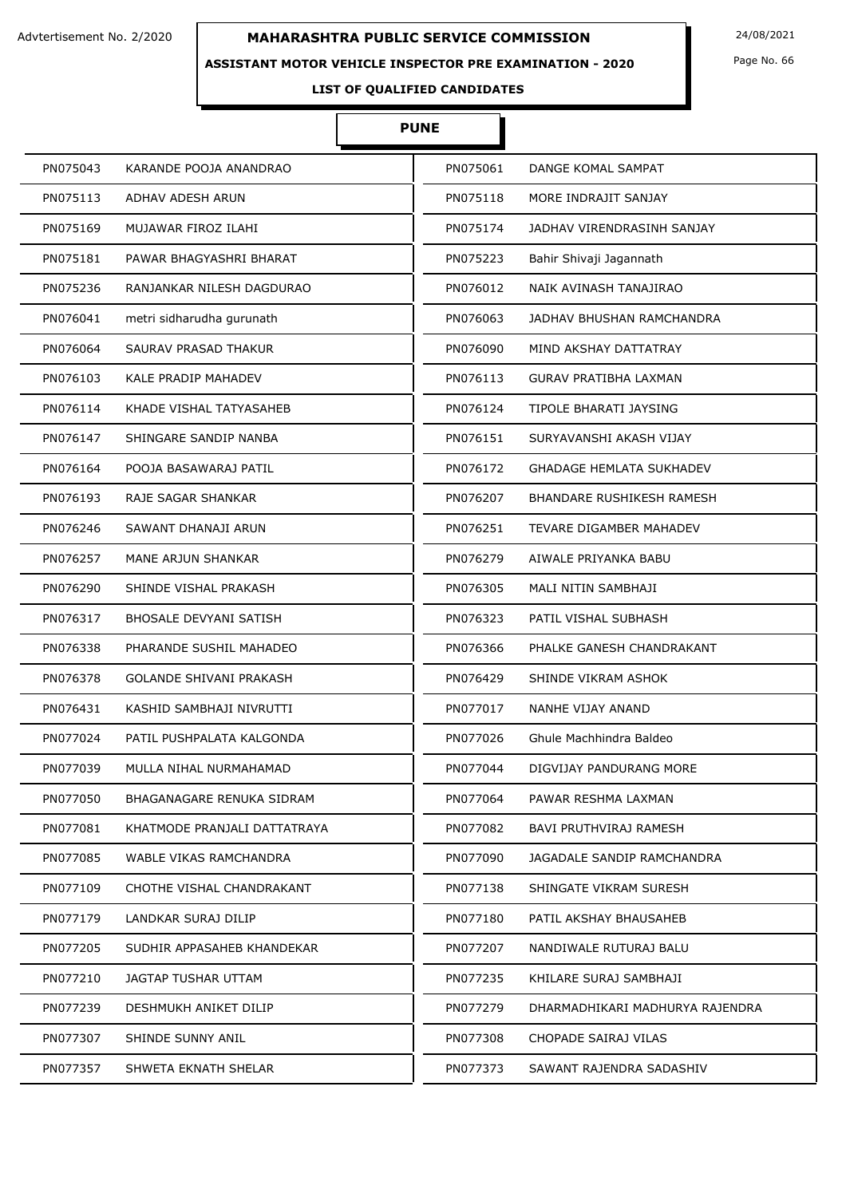### **ASSISTANT MOTOR VEHICLE INSPECTOR PRE EXAMINATION - 2020**

Page No. 66

# **LIST OF QUALIFIED CANDIDATES**

# **PUNE**

| PN075043 | KARANDE POOJA ANANDRAO        | PN075061 | DANGE KOMAL SAMPAT               |
|----------|-------------------------------|----------|----------------------------------|
| PN075113 | ADHAV ADESH ARUN              | PN075118 | MORE INDRAJIT SANJAY             |
| PN075169 | MUJAWAR FIROZ ILAHI           | PN075174 | JADHAV VIRENDRASINH SANJAY       |
| PN075181 | PAWAR BHAGYASHRI BHARAT       | PN075223 | Bahir Shivaji Jagannath          |
| PN075236 | RANJANKAR NILESH DAGDURAO     | PN076012 | NAIK AVINASH TANAJIRAO           |
| PN076041 | metri sidharudha gurunath     | PN076063 | JADHAV BHUSHAN RAMCHANDRA        |
| PN076064 | SAURAV PRASAD THAKUR          | PN076090 | MIND AKSHAY DATTATRAY            |
| PN076103 | <b>KALE PRADIP MAHADEV</b>    | PN076113 | <b>GURAV PRATIBHA LAXMAN</b>     |
| PN076114 | KHADE VISHAL TATYASAHEB       | PN076124 | TIPOLE BHARATI JAYSING           |
| PN076147 | SHINGARE SANDIP NANBA         | PN076151 | SURYAVANSHI AKASH VIJAY          |
| PN076164 | POOJA BASAWARAJ PATIL         | PN076172 | <b>GHADAGE HEMLATA SUKHADEV</b>  |
| PN076193 | RAJE SAGAR SHANKAR            | PN076207 | <b>BHANDARE RUSHIKESH RAMESH</b> |
| PN076246 | SAWANT DHANAJI ARUN           | PN076251 | TEVARE DIGAMBER MAHADEV          |
| PN076257 | MANE ARJUN SHANKAR            | PN076279 | AIWALE PRIYANKA BABU             |
| PN076290 | SHINDE VISHAL PRAKASH         | PN076305 | MALI NITIN SAMBHAJI              |
| PN076317 | <b>BHOSALE DEVYANI SATISH</b> | PN076323 | PATIL VISHAL SUBHASH             |
| PN076338 | PHARANDE SUSHIL MAHADEO       | PN076366 | PHALKE GANESH CHANDRAKANT        |
| PN076378 | GOLANDE SHIVANI PRAKASH       | PN076429 | SHINDE VIKRAM ASHOK              |
| PN076431 | KASHID SAMBHAJI NIVRUTTI      | PN077017 | NANHE VIJAY ANAND                |
| PN077024 | PATIL PUSHPALATA KALGONDA     | PN077026 | Ghule Machhindra Baldeo          |
| PN077039 | MULLA NIHAL NURMAHAMAD        | PN077044 | DIGVIJAY PANDURANG MORE          |
| PN077050 | BHAGANAGARE RENUKA SIDRAM     | PN077064 | PAWAR RESHMA LAXMAN              |
| PN077081 | KHATMODE PRANJALI DATTATRAYA  | PN077082 | <b>BAVI PRUTHVIRAJ RAMESH</b>    |
| PN077085 | WABLE VIKAS RAMCHANDRA        | PN077090 | JAGADALE SANDIP RAMCHANDRA       |
| PN077109 | CHOTHE VISHAL CHANDRAKANT     | PN077138 | SHINGATE VIKRAM SURESH           |
| PN077179 | LANDKAR SURAJ DILIP           | PN077180 | PATIL AKSHAY BHAUSAHEB           |
| PN077205 | SUDHIR APPASAHEB KHANDEKAR    | PN077207 | NANDIWALE RUTURAJ BALU           |
| PN077210 | JAGTAP TUSHAR UTTAM           | PN077235 | KHILARE SURAJ SAMBHAJI           |
| PN077239 | DESHMUKH ANIKET DILIP         | PN077279 | DHARMADHIKARI MADHURYA RAJENDRA  |
| PN077307 | SHINDE SUNNY ANIL             | PN077308 | CHOPADE SAIRAJ VILAS             |
| PN077357 | SHWETA EKNATH SHELAR          | PN077373 | SAWANT RAJENDRA SADASHIV         |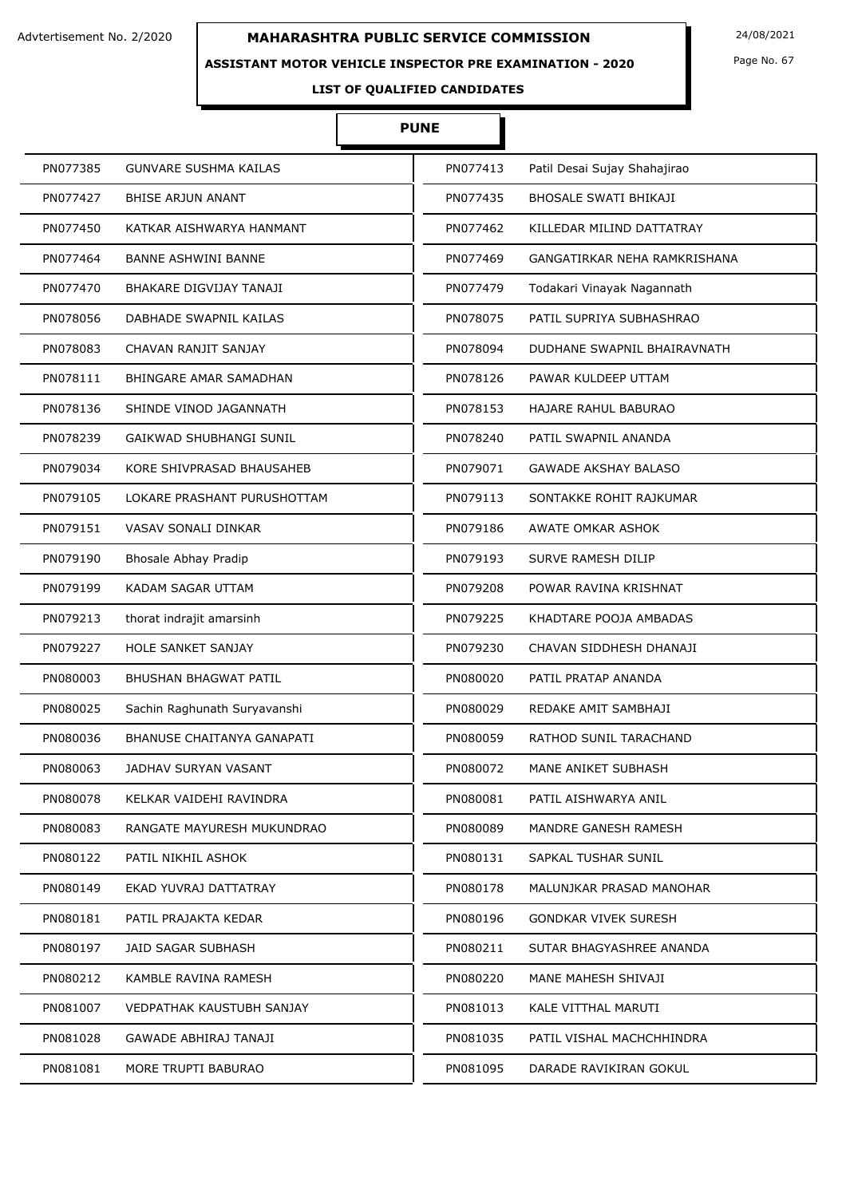### **ASSISTANT MOTOR VEHICLE INSPECTOR PRE EXAMINATION - 2020**

Page No. 67

# **LIST OF QUALIFIED CANDIDATES**

# **PUNE**

| PN077385 | GUNVARE SUSHMA KAILAS          | PN077413 | Patil Desai Sujay Shahajirao |
|----------|--------------------------------|----------|------------------------------|
| PN077427 | <b>BHISE ARJUN ANANT</b>       | PN077435 | <b>BHOSALE SWATI BHIKAJI</b> |
| PN077450 | KATKAR AISHWARYA HANMANT       | PN077462 | KILLEDAR MILIND DATTATRAY    |
| PN077464 | <b>BANNE ASHWINI BANNE</b>     | PN077469 | GANGATIRKAR NEHA RAMKRISHANA |
| PN077470 | <b>BHAKARE DIGVIJAY TANAJI</b> | PN077479 | Todakari Vinayak Nagannath   |
| PN078056 | DABHADE SWAPNIL KAILAS         | PN078075 | PATIL SUPRIYA SUBHASHRAO     |
| PN078083 | CHAVAN RANJIT SANJAY           | PN078094 | DUDHANE SWAPNIL BHAIRAVNATH  |
| PN078111 | BHINGARE AMAR SAMADHAN         | PN078126 | PAWAR KULDEEP UTTAM          |
| PN078136 | SHINDE VINOD JAGANNATH         | PN078153 | HAJARE RAHUL BABURAO         |
| PN078239 | GAIKWAD SHUBHANGI SUNIL        | PN078240 | PATIL SWAPNIL ANANDA         |
| PN079034 | KORE SHIVPRASAD BHAUSAHEB      | PN079071 | <b>GAWADE AKSHAY BALASO</b>  |
| PN079105 | LOKARE PRASHANT PURUSHOTTAM    | PN079113 | SONTAKKE ROHIT RAJKUMAR      |
| PN079151 | VASAV SONALI DINKAR            | PN079186 | AWATE OMKAR ASHOK            |
| PN079190 | Bhosale Abhay Pradip           | PN079193 | SURVE RAMESH DILIP           |
| PN079199 | KADAM SAGAR UTTAM              | PN079208 | POWAR RAVINA KRISHNAT        |
| PN079213 | thorat indrajit amarsinh       | PN079225 | KHADTARE POOJA AMBADAS       |
| PN079227 | <b>HOLE SANKET SANJAY</b>      | PN079230 | CHAVAN SIDDHESH DHANAJI      |
| PN080003 | <b>BHUSHAN BHAGWAT PATIL</b>   | PN080020 | PATIL PRATAP ANANDA          |
| PN080025 | Sachin Raghunath Suryavanshi   | PN080029 | REDAKE AMIT SAMBHAJI         |
| PN080036 | BHANUSE CHAITANYA GANAPATI     | PN080059 | RATHOD SUNIL TARACHAND       |
| PN080063 | JADHAV SURYAN VASANT           | PN080072 | MANE ANIKET SUBHASH          |
| PN080078 | KELKAR VAIDEHI RAVINDRA        | PN080081 | PATIL AISHWARYA ANIL         |
| PN080083 | RANGATE MAYURESH MUKUNDRAO     | PN080089 | MANDRE GANESH RAMESH         |
| PN080122 | PATIL NIKHIL ASHOK             | PN080131 | SAPKAL TUSHAR SUNIL          |
| PN080149 | EKAD YUVRAJ DATTATRAY          | PN080178 | MALUNJKAR PRASAD MANOHAR     |
| PN080181 | PATIL PRAJAKTA KEDAR           | PN080196 | <b>GONDKAR VIVEK SURESH</b>  |
| PN080197 | JAID SAGAR SUBHASH             | PN080211 | SUTAR BHAGYASHREE ANANDA     |
| PN080212 | KAMBLE RAVINA RAMESH           | PN080220 | MANE MAHESH SHIVAJI          |
| PN081007 | VEDPATHAK KAUSTUBH SANJAY      | PN081013 | KALE VITTHAL MARUTI          |
| PN081028 | GAWADE ABHIRAJ TANAJI          | PN081035 | PATIL VISHAL MACHCHHINDRA    |
| PN081081 | MORE TRUPTI BABURAO            | PN081095 | DARADE RAVIKIRAN GOKUL       |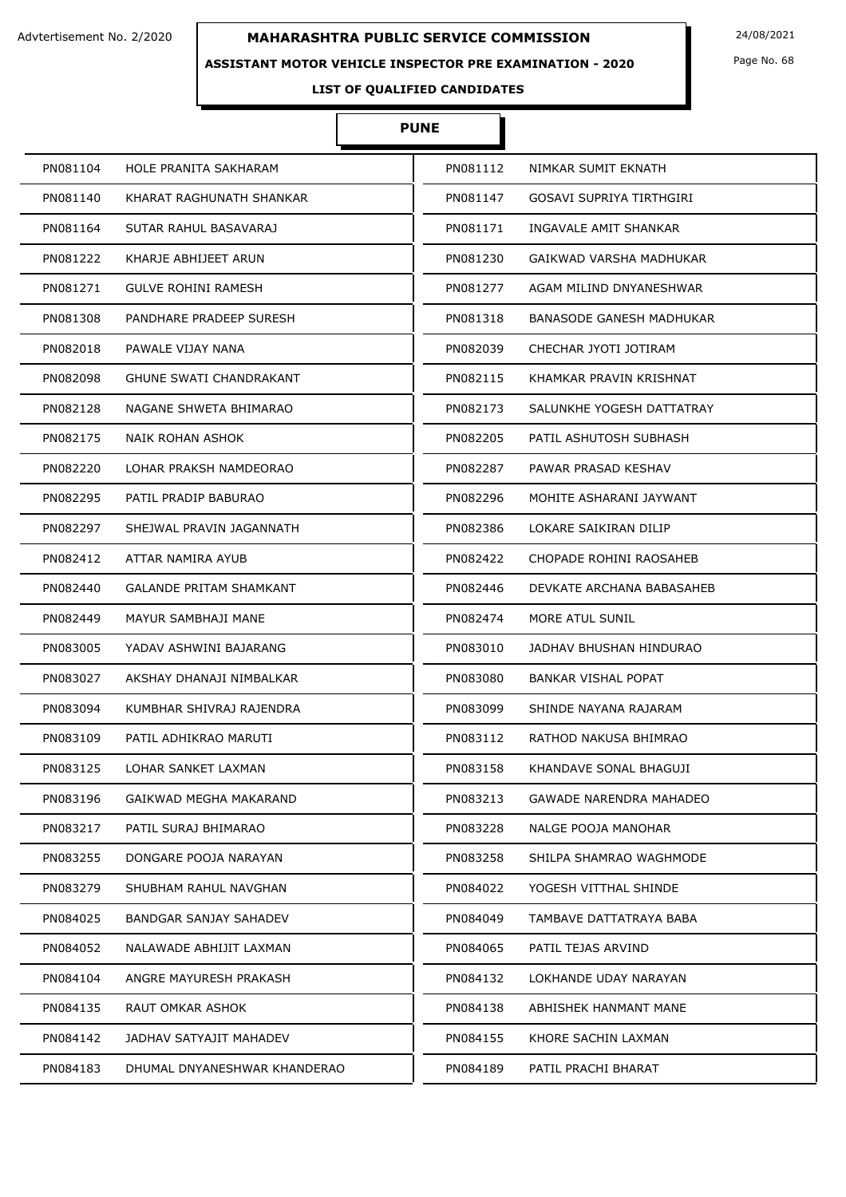### **ASSISTANT MOTOR VEHICLE INSPECTOR PRE EXAMINATION - 2020**

Page No. 68

# **LIST OF QUALIFIED CANDIDATES**

# **PUNE**

| PN081104 | HOLE PRANITA SAKHARAM          | PN081112 | NIMKAR SUMIT EKNATH        |
|----------|--------------------------------|----------|----------------------------|
| PN081140 | KHARAT RAGHUNATH SHANKAR       | PN081147 | GOSAVI SUPRIYA TIRTHGIRI   |
| PN081164 | SUTAR RAHUL BASAVARAJ          | PN081171 | INGAVALE AMIT SHANKAR      |
| PN081222 | KHARJE ABHIJEET ARUN           | PN081230 | GAIKWAD VARSHA MADHUKAR    |
| PN081271 | GULVE ROHINI RAMESH            | PN081277 | AGAM MILIND DNYANESHWAR    |
| PN081308 | PANDHARE PRADEEP SURESH        | PN081318 | BANASODE GANESH MADHUKAR   |
| PN082018 | PAWALE VIJAY NANA              | PN082039 | CHECHAR JYOTI JOTIRAM      |
| PN082098 | GHUNE SWATI CHANDRAKANT        | PN082115 | KHAMKAR PRAVIN KRISHNAT    |
| PN082128 | NAGANE SHWETA BHIMARAO         | PN082173 | SALUNKHE YOGESH DATTATRAY  |
| PN082175 | NAIK ROHAN ASHOK               | PN082205 | PATIL ASHUTOSH SUBHASH     |
| PN082220 | LOHAR PRAKSH NAMDEORAO         | PN082287 | PAWAR PRASAD KESHAV        |
| PN082295 | PATIL PRADIP BABURAO           | PN082296 | MOHITE ASHARANI JAYWANT    |
| PN082297 | SHEJWAL PRAVIN JAGANNATH       | PN082386 | LOKARE SAIKIRAN DILIP      |
| PN082412 | ATTAR NAMIRA AYUB              | PN082422 | CHOPADE ROHINI RAOSAHEB    |
| PN082440 | <b>GALANDE PRITAM SHAMKANT</b> | PN082446 | DEVKATE ARCHANA BABASAHEB  |
| PN082449 | MAYUR SAMBHAJI MANE            | PN082474 | MORE ATUL SUNIL            |
| PN083005 | YADAV ASHWINI BAJARANG         | PN083010 | JADHAV BHUSHAN HINDURAO    |
| PN083027 | AKSHAY DHANAJI NIMBALKAR       | PN083080 | <b>BANKAR VISHAL POPAT</b> |
| PN083094 | KUMBHAR SHIVRAJ RAJENDRA       | PN083099 | SHINDE NAYANA RAJARAM      |
| PN083109 | PATIL ADHIKRAO MARUTI          | PN083112 | RATHOD NAKUSA BHIMRAO      |
| PN083125 | LOHAR SANKET LAXMAN            | PN083158 | KHANDAVE SONAL BHAGUJI     |
| PN083196 | GAIKWAD MEGHA MAKARAND         | PN083213 | GAWADE NARENDRA MAHADEO    |
| PN083217 | PATIL SURAJ BHIMARAO           | PN083228 | NALGE POOJA MANOHAR        |
| PN083255 | DONGARE POOJA NARAYAN          | PN083258 | SHILPA SHAMRAO WAGHMODE    |
| PN083279 | SHUBHAM RAHUL NAVGHAN          | PN084022 | YOGESH VITTHAL SHINDE      |
| PN084025 | BANDGAR SANJAY SAHADEV         | PN084049 | TAMBAVE DATTATRAYA BABA    |
| PN084052 | NALAWADE ABHIJIT LAXMAN        | PN084065 | PATIL TEJAS ARVIND         |
| PN084104 | ANGRE MAYURESH PRAKASH         | PN084132 | LOKHANDE UDAY NARAYAN      |
| PN084135 | RAUT OMKAR ASHOK               | PN084138 | ABHISHEK HANMANT MANE      |
| PN084142 | JADHAV SATYAJIT MAHADEV        | PN084155 | KHORE SACHIN LAXMAN        |
| PN084183 | DHUMAL DNYANESHWAR KHANDERAO   | PN084189 | PATIL PRACHI BHARAT        |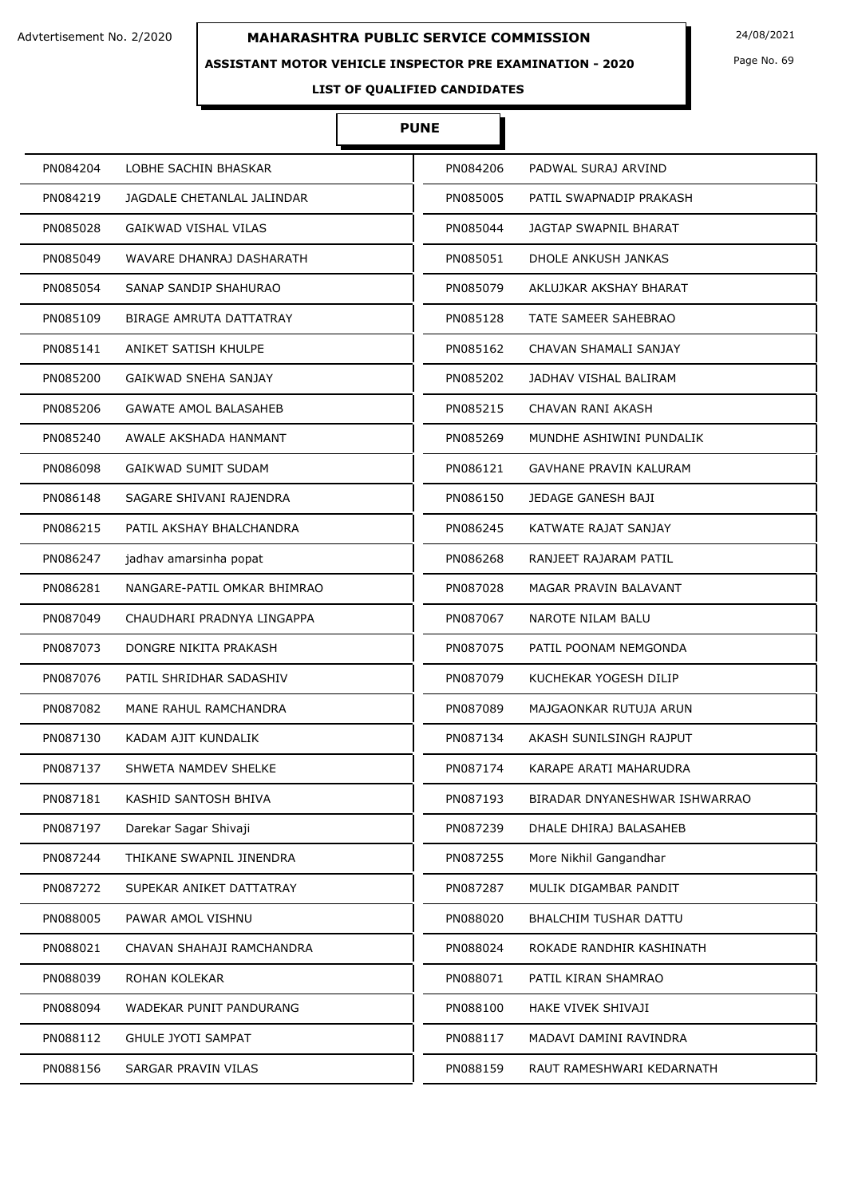### **ASSISTANT MOTOR VEHICLE INSPECTOR PRE EXAMINATION - 2020**

Page No. 69

# **LIST OF QUALIFIED CANDIDATES**

# **PUNE**

| PN084204 | LOBHE SACHIN BHASKAR           | PN084206 | PADWAL SURAJ ARVIND           |
|----------|--------------------------------|----------|-------------------------------|
| PN084219 | JAGDALE CHETANLAL JALINDAR     | PN085005 | PATIL SWAPNADIP PRAKASH       |
| PN085028 | <b>GAIKWAD VISHAL VILAS</b>    | PN085044 | <b>JAGTAP SWAPNIL BHARAT</b>  |
| PN085049 | WAVARE DHANRAJ DASHARATH       | PN085051 | DHOLE ANKUSH JANKAS           |
| PN085054 | SANAP SANDIP SHAHURAO          | PN085079 | AKLUJKAR AKSHAY BHARAT        |
| PN085109 | <b>BIRAGE AMRUTA DATTATRAY</b> | PN085128 | TATE SAMEER SAHEBRAO          |
| PN085141 | ANIKET SATISH KHULPE           | PN085162 | CHAVAN SHAMALI SANJAY         |
| PN085200 | GAIKWAD SNEHA SANJAY           | PN085202 | JADHAV VISHAL BALIRAM         |
| PN085206 | <b>GAWATE AMOL BALASAHEB</b>   | PN085215 | CHAVAN RANI AKASH             |
| PN085240 | AWALE AKSHADA HANMANT          | PN085269 | MUNDHE ASHIWINI PUNDALIK      |
| PN086098 | <b>GAIKWAD SUMIT SUDAM</b>     | PN086121 | <b>GAVHANE PRAVIN KALURAM</b> |
| PN086148 | SAGARE SHIVANI RAJENDRA        | PN086150 | JEDAGE GANESH BAJI            |
| PN086215 | PATIL AKSHAY BHALCHANDRA       | PN086245 | KATWATE RAJAT SANJAY          |
| PN086247 | jadhav amarsinha popat         | PN086268 | RANJEET RAJARAM PATIL         |
| PN086281 | NANGARE-PATIL OMKAR BHIMRAO    | PN087028 | MAGAR PRAVIN BALAVANT         |
| PN087049 | CHAUDHARI PRADNYA LINGAPPA     | PN087067 | NAROTE NILAM BALU             |
| PN087073 | DONGRE NIKITA PRAKASH          | PN087075 | PATIL POONAM NEMGONDA         |
| PN087076 | PATIL SHRIDHAR SADASHIV        | PN087079 | KUCHEKAR YOGESH DILIP         |
| PN087082 | MANE RAHUL RAMCHANDRA          | PN087089 | MAJGAONKAR RUTUJA ARUN        |
| PN087130 | KADAM AJIT KUNDALIK            | PN087134 | AKASH SUNILSINGH RAJPUT       |
| PN087137 | SHWETA NAMDEV SHELKE           | PN087174 | KARAPE ARATI MAHARUDRA        |
| PN087181 | KASHID SANTOSH BHIVA           | PN087193 | BIRADAR DNYANESHWAR ISHWARRAO |
| PN087197 | Darekar Sagar Shivaji          | PN087239 | DHALE DHIRAJ BALASAHEB        |
| PN087244 | THIKANE SWAPNIL JINENDRA       | PN087255 | More Nikhil Gangandhar        |
| PN087272 | SUPEKAR ANIKET DATTATRAY       | PN087287 | MULIK DIGAMBAR PANDIT         |
| PN088005 | PAWAR AMOL VISHNU              | PN088020 | BHALCHIM TUSHAR DATTU         |
| PN088021 | CHAVAN SHAHAJI RAMCHANDRA      | PN088024 | ROKADE RANDHIR KASHINATH      |
| PN088039 | ROHAN KOLEKAR                  | PN088071 | PATIL KIRAN SHAMRAO           |
| PN088094 | WADEKAR PUNIT PANDURANG        | PN088100 | HAKE VIVEK SHIVAJI            |
| PN088112 | <b>GHULE JYOTI SAMPAT</b>      | PN088117 | MADAVI DAMINI RAVINDRA        |
| PN088156 | SARGAR PRAVIN VILAS            | PN088159 | RAUT RAMESHWARI KEDARNATH     |
|          |                                |          |                               |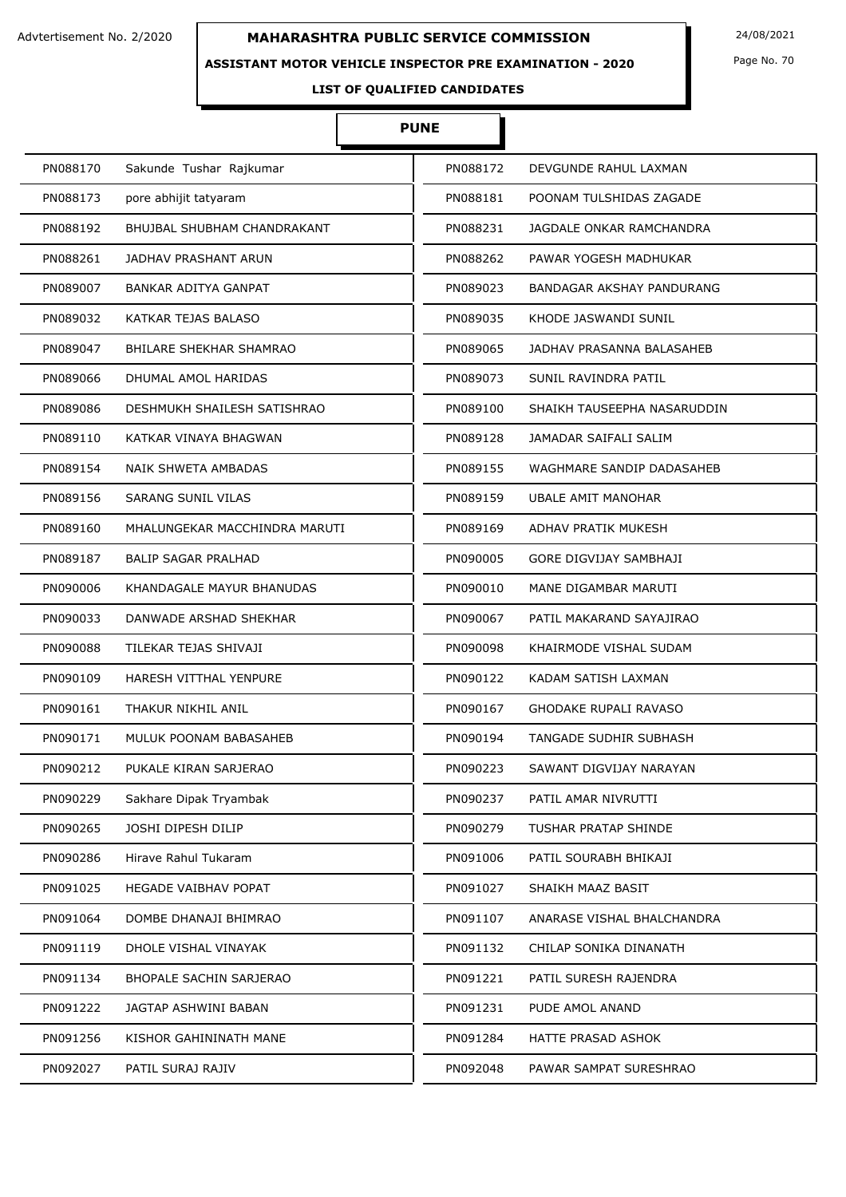### **ASSISTANT MOTOR VEHICLE INSPECTOR PRE EXAMINATION - 2020**

Page No. 70

# **LIST OF QUALIFIED CANDIDATES**

# **PUNE**

| PN088170 | Sakunde Tushar Rajkumar            | PN088172 | DEVGUNDE RAHUL LAXMAN        |
|----------|------------------------------------|----------|------------------------------|
| PN088173 | pore abhijit tatyaram              | PN088181 | POONAM TULSHIDAS ZAGADE      |
| PN088192 | <b>BHUJBAL SHUBHAM CHANDRAKANT</b> | PN088231 | JAGDALE ONKAR RAMCHANDRA     |
| PN088261 | JADHAV PRASHANT ARUN               | PN088262 | PAWAR YOGESH MADHUKAR        |
| PN089007 | BANKAR ADITYA GANPAT               | PN089023 | BANDAGAR AKSHAY PANDURANG    |
| PN089032 | KATKAR TEJAS BALASO                | PN089035 | KHODE JASWANDI SUNIL         |
| PN089047 | <b>BHILARE SHEKHAR SHAMRAO</b>     | PN089065 | JADHAV PRASANNA BALASAHEB    |
| PN089066 | DHUMAL AMOL HARIDAS                | PN089073 | SUNIL RAVINDRA PATIL         |
| PN089086 | DESHMUKH SHAILESH SATISHRAO        | PN089100 | SHAIKH TAUSEEPHA NASARUDDIN  |
| PN089110 | KATKAR VINAYA BHAGWAN              | PN089128 | JAMADAR SAIFALI SALIM        |
| PN089154 | NAIK SHWETA AMBADAS                | PN089155 | WAGHMARE SANDIP DADASAHEB    |
| PN089156 | SARANG SUNIL VILAS                 | PN089159 | <b>UBALE AMIT MANOHAR</b>    |
| PN089160 | MHALUNGEKAR MACCHINDRA MARUTI      | PN089169 | ADHAV PRATIK MUKESH          |
| PN089187 | <b>BALIP SAGAR PRALHAD</b>         | PN090005 | GORE DIGVIJAY SAMBHAJI       |
| PN090006 | KHANDAGALE MAYUR BHANUDAS          | PN090010 | MANE DIGAMBAR MARUTI         |
| PN090033 | DANWADE ARSHAD SHEKHAR             | PN090067 | PATIL MAKARAND SAYAJIRAO     |
| PN090088 | TILEKAR TEJAS SHIVAJI              | PN090098 | KHAIRMODE VISHAL SUDAM       |
| PN090109 | HARESH VITTHAL YENPURE             | PN090122 | KADAM SATISH LAXMAN          |
| PN090161 | THAKUR NIKHIL ANIL                 | PN090167 | <b>GHODAKE RUPALI RAVASO</b> |
| PN090171 | MULUK POONAM BABASAHEB             | PN090194 | TANGADE SUDHIR SUBHASH       |
| PN090212 | PUKALE KIRAN SARJERAO              | PN090223 | SAWANT DIGVIJAY NARAYAN      |
| PN090229 | Sakhare Dipak Tryambak             | PN090237 | PATIL AMAR NIVRUTTI          |
| PN090265 | JOSHI DIPESH DILIP                 | PN090279 | TUSHAR PRATAP SHINDE         |
| PN090286 | Hirave Rahul Tukaram               | PN091006 | PATIL SOURABH BHIKAJI        |
| PN091025 | <b>HEGADE VAIBHAV POPAT</b>        | PN091027 | SHAIKH MAAZ BASIT            |
| PN091064 | DOMBE DHANAJI BHIMRAO              | PN091107 | ANARASE VISHAL BHALCHANDRA   |
| PN091119 | DHOLE VISHAL VINAYAK               | PN091132 | CHILAP SONIKA DINANATH       |
| PN091134 | BHOPALE SACHIN SARJERAO            | PN091221 | PATIL SURESH RAJENDRA        |
| PN091222 | JAGTAP ASHWINI BABAN               | PN091231 | PUDE AMOL ANAND              |
| PN091256 | KISHOR GAHININATH MANE             | PN091284 | HATTE PRASAD ASHOK           |
| PN092027 | PATIL SURAJ RAJIV                  | PN092048 | PAWAR SAMPAT SURESHRAO       |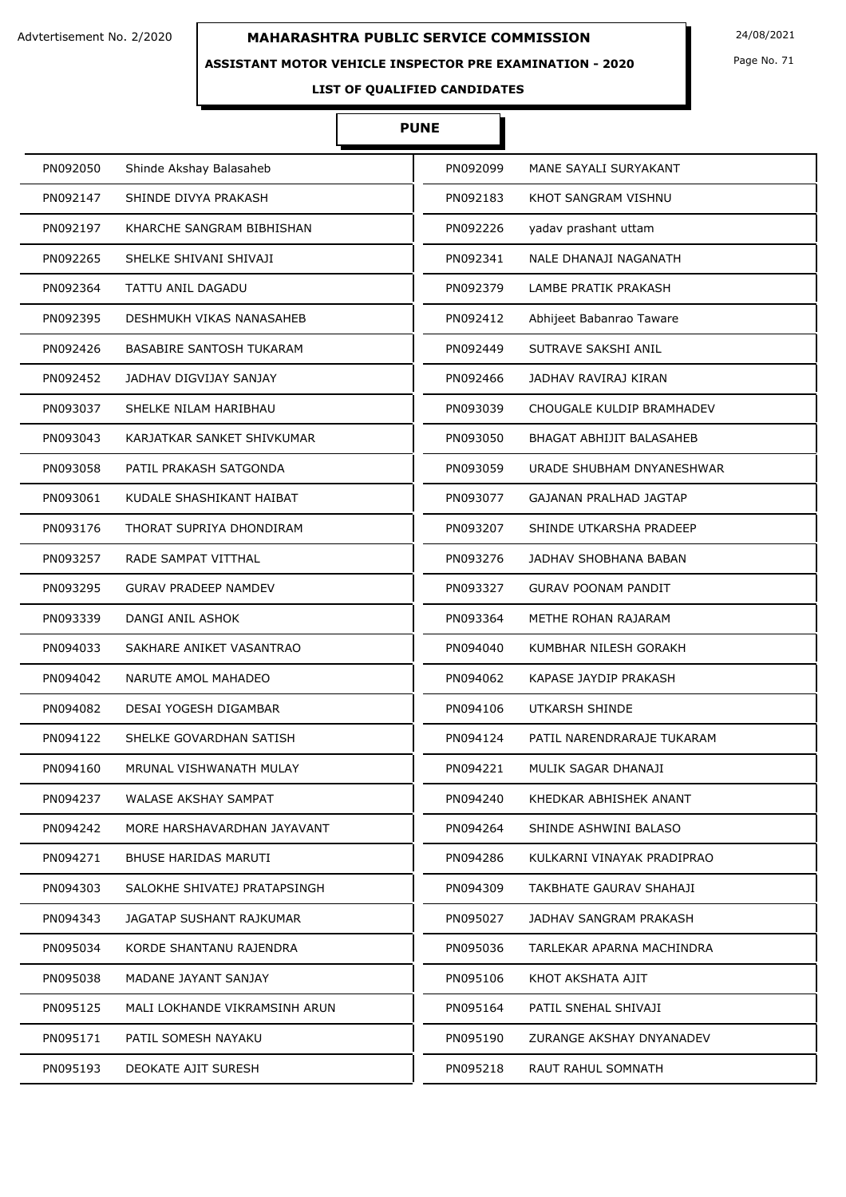### **ASSISTANT MOTOR VEHICLE INSPECTOR PRE EXAMINATION - 2020**

Page No. 71

# **LIST OF QUALIFIED CANDIDATES**

# **PUNE**

| PN092050 | Shinde Akshay Balasaheb         | PN092099 | MANE SAYALI SURYAKANT      |
|----------|---------------------------------|----------|----------------------------|
| PN092147 | SHINDE DIVYA PRAKASH            | PN092183 | KHOT SANGRAM VISHNU        |
| PN092197 | KHARCHE SANGRAM BIBHISHAN       | PN092226 | yadav prashant uttam       |
| PN092265 | SHELKE SHIVANI SHIVAJI          | PN092341 | NALE DHANAJI NAGANATH      |
| PN092364 | TATTU ANIL DAGADU               | PN092379 | LAMBE PRATIK PRAKASH       |
| PN092395 | DESHMUKH VIKAS NANASAHEB        | PN092412 | Abhijeet Babanrao Taware   |
| PN092426 | <b>BASABIRE SANTOSH TUKARAM</b> | PN092449 | SUTRAVE SAKSHI ANIL        |
| PN092452 | JADHAV DIGVIJAY SANJAY          | PN092466 | JADHAV RAVIRAJ KIRAN       |
| PN093037 | SHELKE NILAM HARIBHAU           | PN093039 | CHOUGALE KULDIP BRAMHADEV  |
| PN093043 | KARJATKAR SANKET SHIVKUMAR      | PN093050 | BHAGAT ABHIJIT BALASAHEB   |
| PN093058 | PATIL PRAKASH SATGONDA          | PN093059 | URADE SHUBHAM DNYANESHWAR  |
| PN093061 | KUDALE SHASHIKANT HAIBAT        | PN093077 | GAJANAN PRALHAD JAGTAP     |
| PN093176 | THORAT SUPRIYA DHONDIRAM        | PN093207 | SHINDE UTKARSHA PRADEEP    |
| PN093257 | RADE SAMPAT VITTHAL             | PN093276 | JADHAV SHOBHANA BABAN      |
| PN093295 | <b>GURAV PRADEEP NAMDEV</b>     | PN093327 | <b>GURAV POONAM PANDIT</b> |
| PN093339 | DANGI ANIL ASHOK                | PN093364 | METHE ROHAN RAJARAM        |
| PN094033 | SAKHARE ANIKET VASANTRAO        | PN094040 | KUMBHAR NILESH GORAKH      |
| PN094042 | NARUTE AMOL MAHADEO             | PN094062 | KAPASE JAYDIP PRAKASH      |
| PN094082 | <b>DESAI YOGESH DIGAMBAR</b>    | PN094106 | UTKARSH SHINDE             |
| PN094122 | SHELKE GOVARDHAN SATISH         | PN094124 | PATIL NARENDRARAJE TUKARAM |
| PN094160 | MRUNAL VISHWANATH MULAY         | PN094221 | MULIK SAGAR DHANAJI        |
| PN094237 | WALASE AKSHAY SAMPAT            | PN094240 | KHEDKAR ABHISHEK ANANT     |
| PN094242 | MORE HARSHAVARDHAN JAYAVANT     | PN094264 | SHINDE ASHWINI BALASO      |
| PN094271 | <b>BHUSE HARIDAS MARUTI</b>     | PN094286 | KULKARNI VINAYAK PRADIPRAO |
| PN094303 | SALOKHE SHIVATEJ PRATAPSINGH    | PN094309 | TAKBHATE GAURAV SHAHAJI    |
| PN094343 | JAGATAP SUSHANT RAJKUMAR        | PN095027 | JADHAV SANGRAM PRAKASH     |
| PN095034 | KORDE SHANTANU RAJENDRA         | PN095036 | TARLEKAR APARNA MACHINDRA  |
| PN095038 | MADANE JAYANT SANJAY            | PN095106 | KHOT AKSHATA AJIT          |
| PN095125 | MALI LOKHANDE VIKRAMSINH ARUN   | PN095164 | PATIL SNEHAL SHIVAJI       |
| PN095171 | PATIL SOMESH NAYAKU             | PN095190 | ZURANGE AKSHAY DNYANADEV   |
| PN095193 | DEOKATE AJIT SURESH             | PN095218 | RAUT RAHUL SOMNATH         |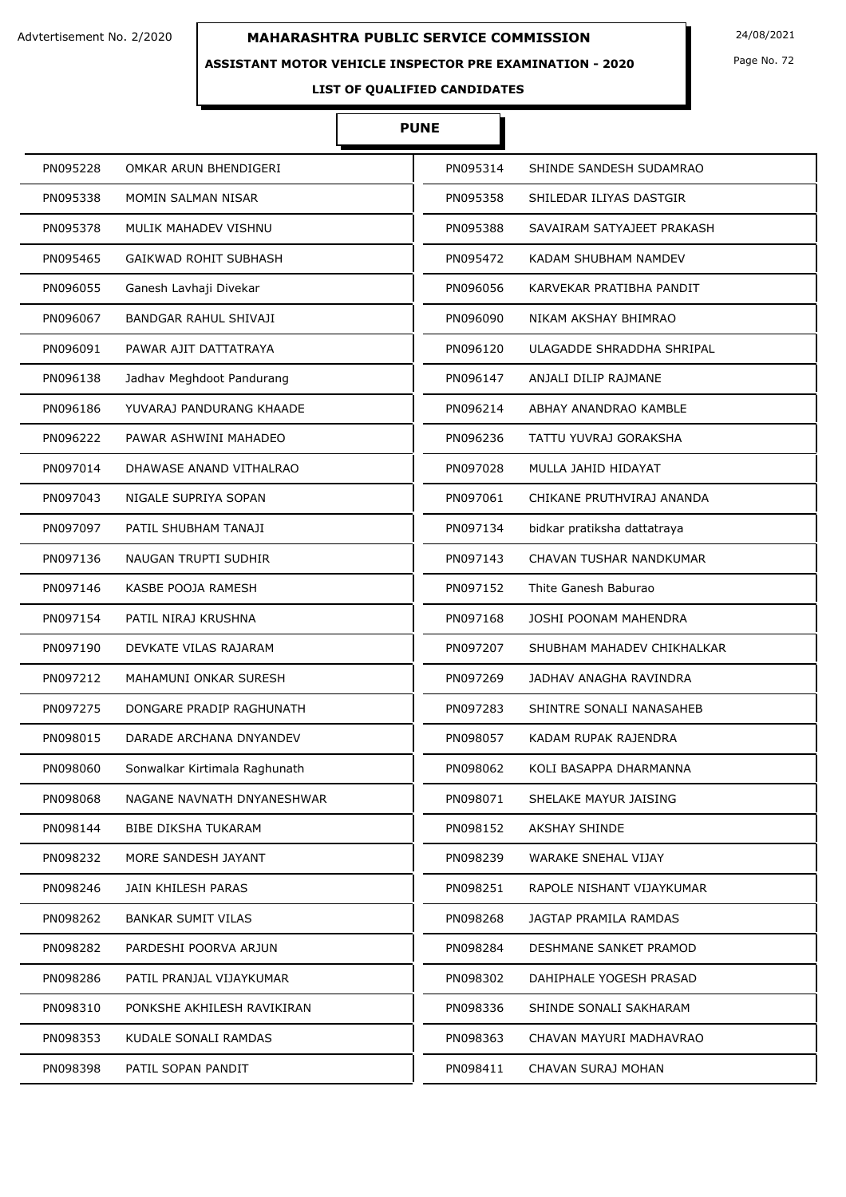### **ASSISTANT MOTOR VEHICLE INSPECTOR PRE EXAMINATION - 2020**

Page No. 72

# **LIST OF QUALIFIED CANDIDATES**

# **PUNE**

| PN095228 | OMKAR ARUN BHENDIGERI         | PN095314 | SHINDE SANDESH SUDAMRAO     |
|----------|-------------------------------|----------|-----------------------------|
| PN095338 | MOMIN SALMAN NISAR            | PN095358 | SHILEDAR ILIYAS DASTGIR     |
| PN095378 | MULIK MAHADEV VISHNU          | PN095388 | SAVAIRAM SATYAJEET PRAKASH  |
| PN095465 | <b>GAIKWAD ROHIT SUBHASH</b>  | PN095472 | KADAM SHUBHAM NAMDEV        |
| PN096055 | Ganesh Lavhaji Divekar        | PN096056 | KARVEKAR PRATIBHA PANDIT    |
| PN096067 | <b>BANDGAR RAHUL SHIVAJI</b>  | PN096090 | NIKAM AKSHAY BHIMRAO        |
| PN096091 | PAWAR AJIT DATTATRAYA         | PN096120 | ULAGADDE SHRADDHA SHRIPAL   |
| PN096138 | Jadhav Meghdoot Pandurang     | PN096147 | ANJALI DILIP RAJMANE        |
| PN096186 | YUVARAJ PANDURANG KHAADE      | PN096214 | ABHAY ANANDRAO KAMBLE       |
| PN096222 | PAWAR ASHWINI MAHADEO         | PN096236 | TATTU YUVRAJ GORAKSHA       |
| PN097014 | DHAWASE ANAND VITHALRAO       | PN097028 | MULLA JAHID HIDAYAT         |
| PN097043 | NIGALE SUPRIYA SOPAN          | PN097061 | CHIKANE PRUTHVIRAJ ANANDA   |
| PN097097 | PATIL SHUBHAM TANAJI          | PN097134 | bidkar pratiksha dattatraya |
| PN097136 | NAUGAN TRUPTI SUDHIR          | PN097143 | CHAVAN TUSHAR NANDKUMAR     |
| PN097146 | KASBE POOJA RAMESH            | PN097152 | Thite Ganesh Baburao        |
| PN097154 | PATIL NIRAJ KRUSHNA           | PN097168 | JOSHI POONAM MAHENDRA       |
| PN097190 | DEVKATE VILAS RAJARAM         | PN097207 | SHUBHAM MAHADEV CHIKHALKAR  |
| PN097212 | MAHAMUNI ONKAR SURESH         | PN097269 | JADHAV ANAGHA RAVINDRA      |
| PN097275 | DONGARE PRADIP RAGHUNATH      | PN097283 | SHINTRE SONALI NANASAHEB    |
| PN098015 | DARADE ARCHANA DNYANDEV       | PN098057 | KADAM RUPAK RAJENDRA        |
| PN098060 | Sonwalkar Kirtimala Raghunath | PN098062 | KOLI BASAPPA DHARMANNA      |
| PN098068 | NAGANE NAVNATH DNYANESHWAR    | PN098071 | SHELAKE MAYUR JAISING       |
| PN098144 | <b>BIBE DIKSHA TUKARAM</b>    | PN098152 | <b>AKSHAY SHINDE</b>        |
| PN098232 | MORE SANDESH JAYANT           | PN098239 | <b>WARAKE SNEHAL VIJAY</b>  |
| PN098246 | JAIN KHILESH PARAS            | PN098251 | RAPOLE NISHANT VIJAYKUMAR   |
| PN098262 | <b>BANKAR SUMIT VILAS</b>     | PN098268 | JAGTAP PRAMILA RAMDAS       |
| PN098282 | PARDESHI POORVA ARJUN         | PN098284 | DESHMANE SANKET PRAMOD      |
| PN098286 | PATIL PRANJAL VIJAYKUMAR      | PN098302 | DAHIPHALE YOGESH PRASAD     |
| PN098310 | PONKSHE AKHILESH RAVIKIRAN    | PN098336 | SHINDE SONALI SAKHARAM      |
| PN098353 | KUDALE SONALI RAMDAS          | PN098363 | CHAVAN MAYURI MADHAVRAO     |
| PN098398 | PATIL SOPAN PANDIT            | PN098411 | CHAVAN SURAJ MOHAN          |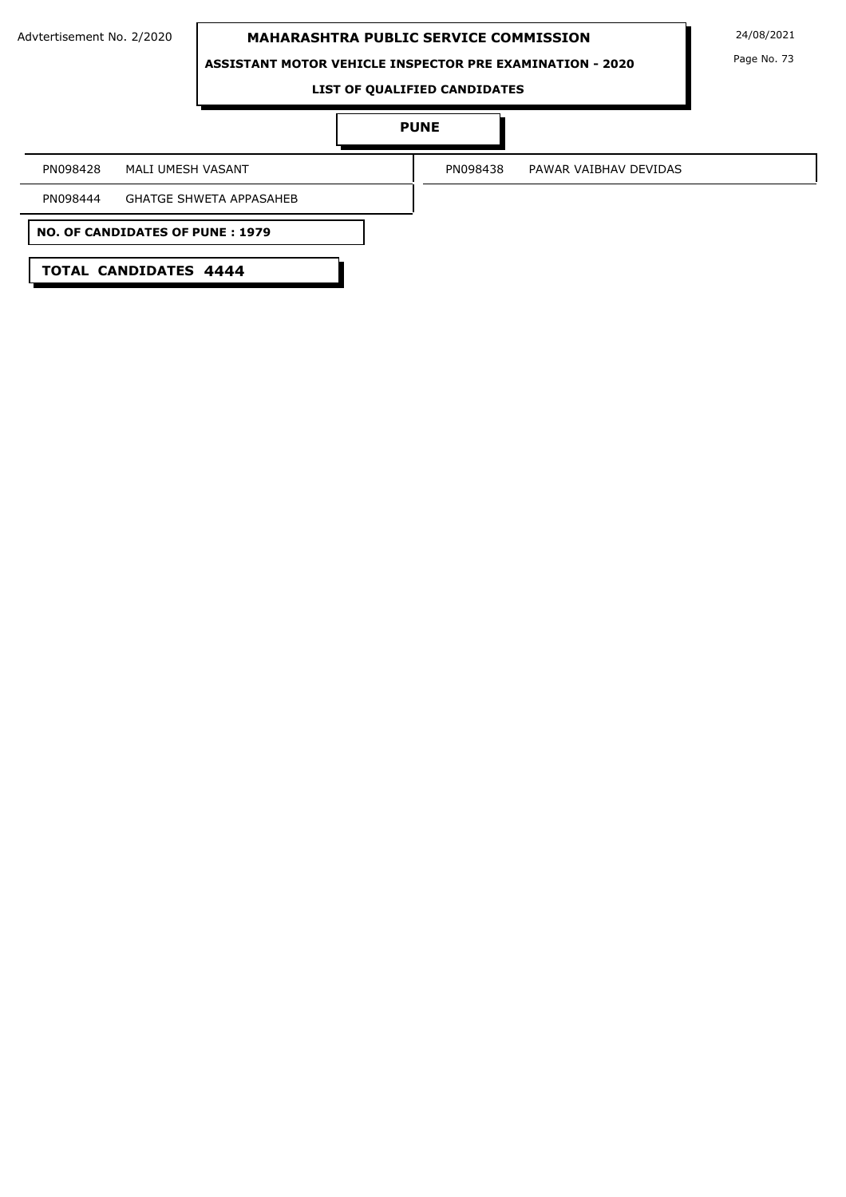